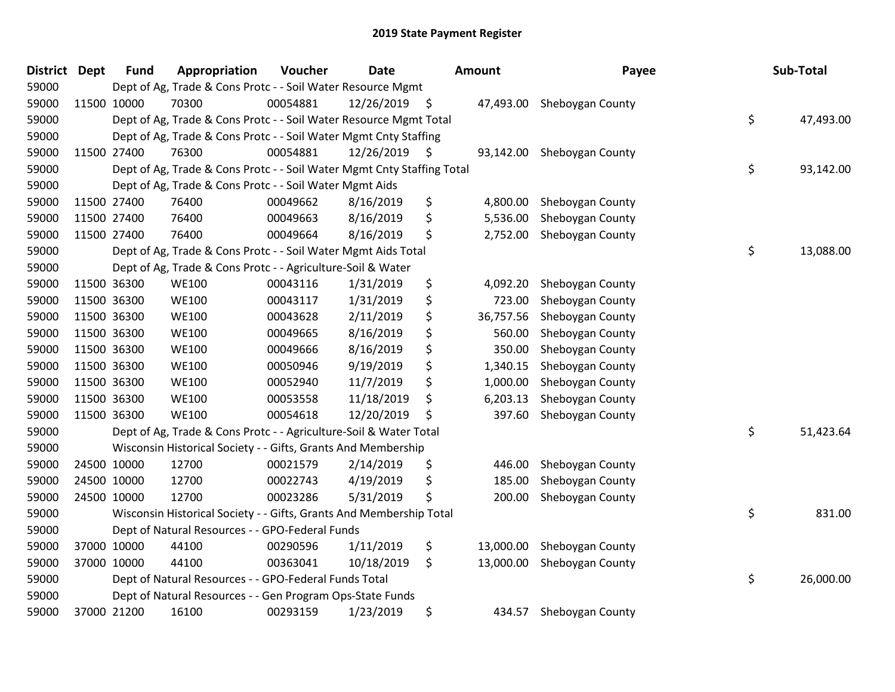| <b>District</b> | <b>Dept</b> | <b>Fund</b> | Appropriation                                                          | Voucher  | <b>Date</b>   | Amount          | Payee            | Sub-Total       |
|-----------------|-------------|-------------|------------------------------------------------------------------------|----------|---------------|-----------------|------------------|-----------------|
| 59000           |             |             | Dept of Ag, Trade & Cons Protc - - Soil Water Resource Mgmt            |          |               |                 |                  |                 |
| 59000           |             | 11500 10000 | 70300                                                                  | 00054881 | 12/26/2019 \$ | 47,493.00       | Sheboygan County |                 |
| 59000           |             |             | Dept of Ag, Trade & Cons Protc - - Soil Water Resource Mgmt Total      |          |               |                 |                  | \$<br>47,493.00 |
| 59000           |             |             | Dept of Ag, Trade & Cons Protc - - Soil Water Mgmt Cnty Staffing       |          |               |                 |                  |                 |
| 59000           |             | 11500 27400 | 76300                                                                  | 00054881 | 12/26/2019 \$ | 93,142.00       | Sheboygan County |                 |
| 59000           |             |             | Dept of Ag, Trade & Cons Protc - - Soil Water Mgmt Cnty Staffing Total |          |               |                 |                  | \$<br>93,142.00 |
| 59000           |             |             | Dept of Ag, Trade & Cons Protc - - Soil Water Mgmt Aids                |          |               |                 |                  |                 |
| 59000           |             | 11500 27400 | 76400                                                                  | 00049662 | 8/16/2019     | \$<br>4,800.00  | Sheboygan County |                 |
| 59000           |             | 11500 27400 | 76400                                                                  | 00049663 | 8/16/2019     | \$<br>5,536.00  | Sheboygan County |                 |
| 59000           | 11500 27400 |             | 76400                                                                  | 00049664 | 8/16/2019     | \$<br>2,752.00  | Sheboygan County |                 |
| 59000           |             |             | Dept of Ag, Trade & Cons Protc - - Soil Water Mgmt Aids Total          |          |               |                 |                  | \$<br>13,088.00 |
| 59000           |             |             | Dept of Ag, Trade & Cons Protc - - Agriculture-Soil & Water            |          |               |                 |                  |                 |
| 59000           |             | 11500 36300 | <b>WE100</b>                                                           | 00043116 | 1/31/2019     | \$<br>4,092.20  | Sheboygan County |                 |
| 59000           |             | 11500 36300 | <b>WE100</b>                                                           | 00043117 | 1/31/2019     | \$<br>723.00    | Sheboygan County |                 |
| 59000           |             | 11500 36300 | <b>WE100</b>                                                           | 00043628 | 2/11/2019     | \$<br>36,757.56 | Sheboygan County |                 |
| 59000           |             | 11500 36300 | <b>WE100</b>                                                           | 00049665 | 8/16/2019     | \$<br>560.00    | Sheboygan County |                 |
| 59000           |             | 11500 36300 | <b>WE100</b>                                                           | 00049666 | 8/16/2019     | \$<br>350.00    | Sheboygan County |                 |
| 59000           |             | 11500 36300 | <b>WE100</b>                                                           | 00050946 | 9/19/2019     | \$<br>1,340.15  | Sheboygan County |                 |
| 59000           |             | 11500 36300 | <b>WE100</b>                                                           | 00052940 | 11/7/2019     | \$<br>1,000.00  | Sheboygan County |                 |
| 59000           |             | 11500 36300 | <b>WE100</b>                                                           | 00053558 | 11/18/2019    | \$<br>6,203.13  | Sheboygan County |                 |
| 59000           |             | 11500 36300 | <b>WE100</b>                                                           | 00054618 | 12/20/2019    | \$<br>397.60    | Sheboygan County |                 |
| 59000           |             |             | Dept of Ag, Trade & Cons Protc - - Agriculture-Soil & Water Total      |          |               |                 |                  | \$<br>51,423.64 |
| 59000           |             |             | Wisconsin Historical Society - - Gifts, Grants And Membership          |          |               |                 |                  |                 |
| 59000           |             | 24500 10000 | 12700                                                                  | 00021579 | 2/14/2019     | \$<br>446.00    | Sheboygan County |                 |
| 59000           |             | 24500 10000 | 12700                                                                  | 00022743 | 4/19/2019     | \$<br>185.00    | Sheboygan County |                 |
| 59000           |             | 24500 10000 | 12700                                                                  | 00023286 | 5/31/2019     | \$<br>200.00    | Sheboygan County |                 |
| 59000           |             |             | Wisconsin Historical Society - - Gifts, Grants And Membership Total    |          |               |                 |                  | \$<br>831.00    |
| 59000           |             |             | Dept of Natural Resources - - GPO-Federal Funds                        |          |               |                 |                  |                 |
| 59000           |             | 37000 10000 | 44100                                                                  | 00290596 | 1/11/2019     | \$<br>13,000.00 | Sheboygan County |                 |
| 59000           |             | 37000 10000 | 44100                                                                  | 00363041 | 10/18/2019    | \$<br>13,000.00 | Sheboygan County |                 |
| 59000           |             |             | Dept of Natural Resources - - GPO-Federal Funds Total                  |          |               |                 |                  | \$<br>26,000.00 |
| 59000           |             |             | Dept of Natural Resources - - Gen Program Ops-State Funds              |          |               |                 |                  |                 |
| 59000           |             | 37000 21200 | 16100                                                                  | 00293159 | 1/23/2019     | \$<br>434.57    | Sheboygan County |                 |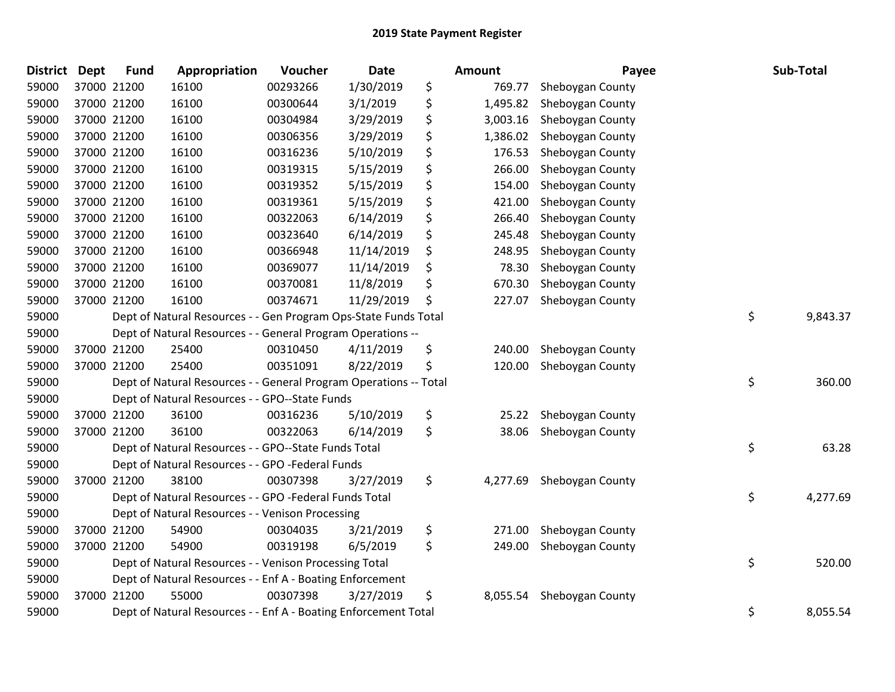| <b>District</b> | <b>Dept</b> | <b>Fund</b> | Appropriation                                                     | Voucher  | <b>Date</b> | Amount         | Payee            | Sub-Total      |
|-----------------|-------------|-------------|-------------------------------------------------------------------|----------|-------------|----------------|------------------|----------------|
| 59000           |             | 37000 21200 | 16100                                                             | 00293266 | 1/30/2019   | \$<br>769.77   | Sheboygan County |                |
| 59000           |             | 37000 21200 | 16100                                                             | 00300644 | 3/1/2019    | \$<br>1,495.82 | Sheboygan County |                |
| 59000           |             | 37000 21200 | 16100                                                             | 00304984 | 3/29/2019   | \$<br>3,003.16 | Sheboygan County |                |
| 59000           |             | 37000 21200 | 16100                                                             | 00306356 | 3/29/2019   | \$<br>1,386.02 | Sheboygan County |                |
| 59000           |             | 37000 21200 | 16100                                                             | 00316236 | 5/10/2019   | \$<br>176.53   | Sheboygan County |                |
| 59000           |             | 37000 21200 | 16100                                                             | 00319315 | 5/15/2019   | \$<br>266.00   | Sheboygan County |                |
| 59000           |             | 37000 21200 | 16100                                                             | 00319352 | 5/15/2019   | \$<br>154.00   | Sheboygan County |                |
| 59000           |             | 37000 21200 | 16100                                                             | 00319361 | 5/15/2019   | \$<br>421.00   | Sheboygan County |                |
| 59000           |             | 37000 21200 | 16100                                                             | 00322063 | 6/14/2019   | \$<br>266.40   | Sheboygan County |                |
| 59000           |             | 37000 21200 | 16100                                                             | 00323640 | 6/14/2019   | \$<br>245.48   | Sheboygan County |                |
| 59000           |             | 37000 21200 | 16100                                                             | 00366948 | 11/14/2019  | \$<br>248.95   | Sheboygan County |                |
| 59000           |             | 37000 21200 | 16100                                                             | 00369077 | 11/14/2019  | \$<br>78.30    | Sheboygan County |                |
| 59000           |             | 37000 21200 | 16100                                                             | 00370081 | 11/8/2019   | \$<br>670.30   | Sheboygan County |                |
| 59000           |             | 37000 21200 | 16100                                                             | 00374671 | 11/29/2019  | \$<br>227.07   | Sheboygan County |                |
| 59000           |             |             | Dept of Natural Resources - - Gen Program Ops-State Funds Total   |          |             |                |                  | \$<br>9,843.37 |
| 59000           |             |             | Dept of Natural Resources - - General Program Operations --       |          |             |                |                  |                |
| 59000           |             | 37000 21200 | 25400                                                             | 00310450 | 4/11/2019   | \$<br>240.00   | Sheboygan County |                |
| 59000           |             | 37000 21200 | 25400                                                             | 00351091 | 8/22/2019   | \$<br>120.00   | Sheboygan County |                |
| 59000           |             |             | Dept of Natural Resources - - General Program Operations -- Total |          |             |                |                  | \$<br>360.00   |
| 59000           |             |             | Dept of Natural Resources - - GPO--State Funds                    |          |             |                |                  |                |
| 59000           |             | 37000 21200 | 36100                                                             | 00316236 | 5/10/2019   | \$<br>25.22    | Sheboygan County |                |
| 59000           |             | 37000 21200 | 36100                                                             | 00322063 | 6/14/2019   | \$<br>38.06    | Sheboygan County |                |
| 59000           |             |             | Dept of Natural Resources - - GPO--State Funds Total              |          |             |                |                  | \$<br>63.28    |
| 59000           |             |             | Dept of Natural Resources - - GPO -Federal Funds                  |          |             |                |                  |                |
| 59000           |             | 37000 21200 | 38100                                                             | 00307398 | 3/27/2019   | \$<br>4,277.69 | Sheboygan County |                |
| 59000           |             |             | Dept of Natural Resources - - GPO -Federal Funds Total            |          |             |                |                  | \$<br>4,277.69 |
| 59000           |             |             | Dept of Natural Resources - - Venison Processing                  |          |             |                |                  |                |
| 59000           |             | 37000 21200 | 54900                                                             | 00304035 | 3/21/2019   | \$<br>271.00   | Sheboygan County |                |
| 59000           |             | 37000 21200 | 54900                                                             | 00319198 | 6/5/2019    | \$<br>249.00   | Sheboygan County |                |
| 59000           |             |             | Dept of Natural Resources - - Venison Processing Total            |          |             |                |                  | \$<br>520.00   |
| 59000           |             |             | Dept of Natural Resources - - Enf A - Boating Enforcement         |          |             |                |                  |                |
| 59000           |             | 37000 21200 | 55000                                                             | 00307398 | 3/27/2019   | \$<br>8,055.54 | Sheboygan County |                |
| 59000           |             |             | Dept of Natural Resources - - Enf A - Boating Enforcement Total   |          |             |                |                  | \$<br>8,055.54 |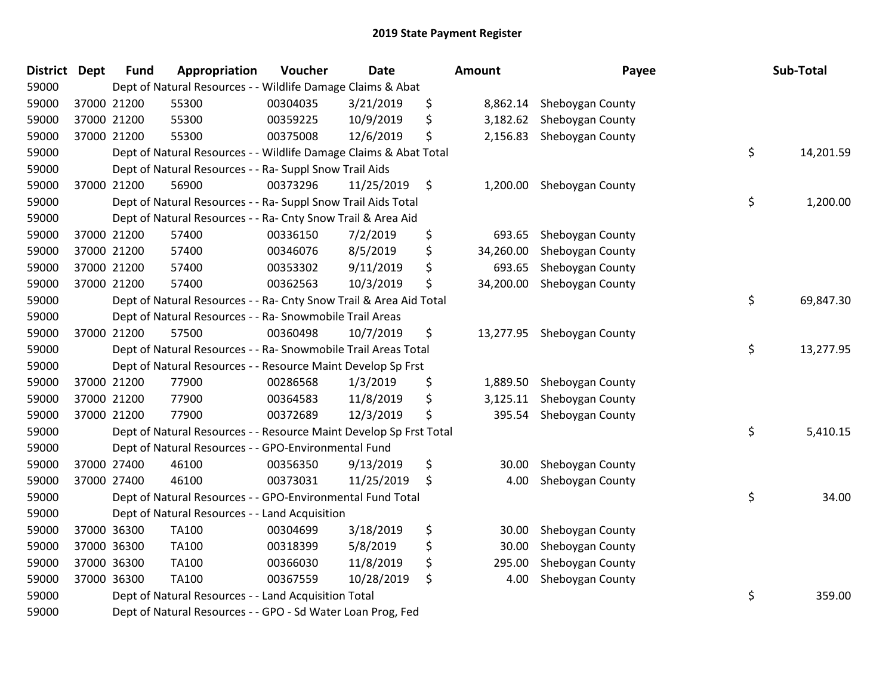| <b>District</b> | <b>Dept</b> | <b>Fund</b> | Appropriation                                                      | Voucher  | Date       | <b>Amount</b>   | Payee            | Sub-Total       |
|-----------------|-------------|-------------|--------------------------------------------------------------------|----------|------------|-----------------|------------------|-----------------|
| 59000           |             |             | Dept of Natural Resources - - Wildlife Damage Claims & Abat        |          |            |                 |                  |                 |
| 59000           |             | 37000 21200 | 55300                                                              | 00304035 | 3/21/2019  | \$<br>8,862.14  | Sheboygan County |                 |
| 59000           |             | 37000 21200 | 55300                                                              | 00359225 | 10/9/2019  | \$<br>3,182.62  | Sheboygan County |                 |
| 59000           |             | 37000 21200 | 55300                                                              | 00375008 | 12/6/2019  | \$<br>2,156.83  | Sheboygan County |                 |
| 59000           |             |             | Dept of Natural Resources - - Wildlife Damage Claims & Abat Total  |          |            |                 |                  | \$<br>14,201.59 |
| 59000           |             |             | Dept of Natural Resources - - Ra- Suppl Snow Trail Aids            |          |            |                 |                  |                 |
| 59000           |             | 37000 21200 | 56900                                                              | 00373296 | 11/25/2019 | \$<br>1,200.00  | Sheboygan County |                 |
| 59000           |             |             | Dept of Natural Resources - - Ra- Suppl Snow Trail Aids Total      |          |            |                 |                  | \$<br>1,200.00  |
| 59000           |             |             | Dept of Natural Resources - - Ra- Cnty Snow Trail & Area Aid       |          |            |                 |                  |                 |
| 59000           |             | 37000 21200 | 57400                                                              | 00336150 | 7/2/2019   | \$<br>693.65    | Sheboygan County |                 |
| 59000           |             | 37000 21200 | 57400                                                              | 00346076 | 8/5/2019   | \$<br>34,260.00 | Sheboygan County |                 |
| 59000           |             | 37000 21200 | 57400                                                              | 00353302 | 9/11/2019  | \$<br>693.65    | Sheboygan County |                 |
| 59000           |             | 37000 21200 | 57400                                                              | 00362563 | 10/3/2019  | \$<br>34,200.00 | Sheboygan County |                 |
| 59000           |             |             | Dept of Natural Resources - - Ra- Cnty Snow Trail & Area Aid Total |          |            |                 |                  | \$<br>69,847.30 |
| 59000           |             |             | Dept of Natural Resources - - Ra- Snowmobile Trail Areas           |          |            |                 |                  |                 |
| 59000           |             | 37000 21200 | 57500                                                              | 00360498 | 10/7/2019  | \$<br>13,277.95 | Sheboygan County |                 |
| 59000           |             |             | Dept of Natural Resources - - Ra- Snowmobile Trail Areas Total     |          |            |                 |                  | \$<br>13,277.95 |
| 59000           |             |             | Dept of Natural Resources - - Resource Maint Develop Sp Frst       |          |            |                 |                  |                 |
| 59000           |             | 37000 21200 | 77900                                                              | 00286568 | 1/3/2019   | \$<br>1,889.50  | Sheboygan County |                 |
| 59000           |             | 37000 21200 | 77900                                                              | 00364583 | 11/8/2019  | \$<br>3,125.11  | Sheboygan County |                 |
| 59000           |             | 37000 21200 | 77900                                                              | 00372689 | 12/3/2019  | \$<br>395.54    | Sheboygan County |                 |
| 59000           |             |             | Dept of Natural Resources - - Resource Maint Develop Sp Frst Total |          |            |                 |                  | \$<br>5,410.15  |
| 59000           |             |             | Dept of Natural Resources - - GPO-Environmental Fund               |          |            |                 |                  |                 |
| 59000           |             | 37000 27400 | 46100                                                              | 00356350 | 9/13/2019  | \$<br>30.00     | Sheboygan County |                 |
| 59000           |             | 37000 27400 | 46100                                                              | 00373031 | 11/25/2019 | \$<br>4.00      | Sheboygan County |                 |
| 59000           |             |             | Dept of Natural Resources - - GPO-Environmental Fund Total         |          |            |                 |                  | \$<br>34.00     |
| 59000           |             |             | Dept of Natural Resources - - Land Acquisition                     |          |            |                 |                  |                 |
| 59000           |             | 37000 36300 | <b>TA100</b>                                                       | 00304699 | 3/18/2019  | \$<br>30.00     | Sheboygan County |                 |
| 59000           |             | 37000 36300 | TA100                                                              | 00318399 | 5/8/2019   | \$<br>30.00     | Sheboygan County |                 |
| 59000           |             | 37000 36300 | TA100                                                              | 00366030 | 11/8/2019  | \$<br>295.00    | Sheboygan County |                 |
| 59000           |             | 37000 36300 | <b>TA100</b>                                                       | 00367559 | 10/28/2019 | \$<br>4.00      | Sheboygan County |                 |
| 59000           |             |             | Dept of Natural Resources - - Land Acquisition Total               |          |            |                 |                  | \$<br>359.00    |
| 59000           |             |             | Dept of Natural Resources - - GPO - Sd Water Loan Prog, Fed        |          |            |                 |                  |                 |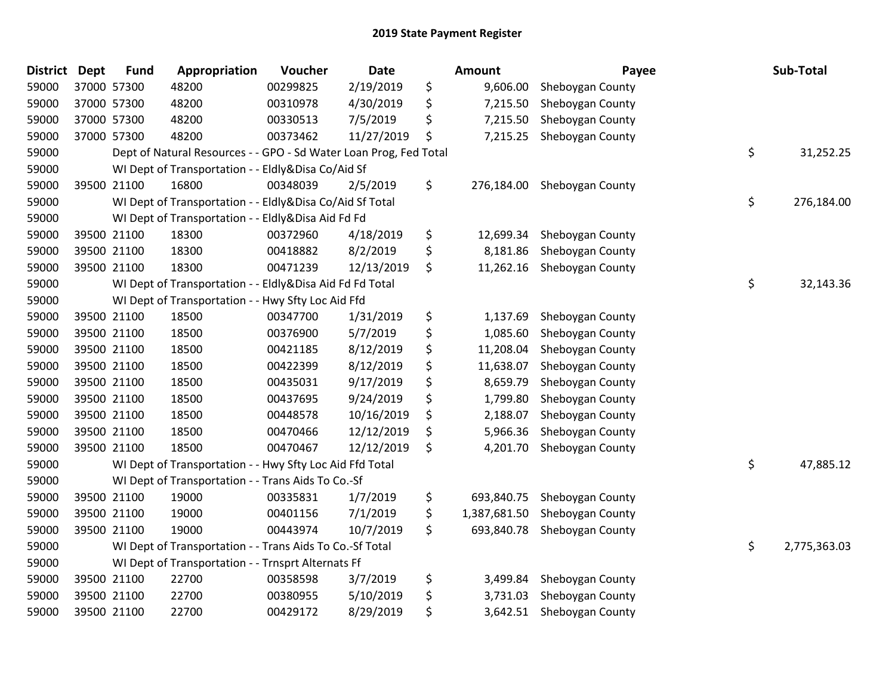| <b>District</b> | <b>Dept</b> | <b>Fund</b> | Appropriation                                                     | Voucher                    | Date       | <b>Amount</b>      | Payee            | Sub-Total          |
|-----------------|-------------|-------------|-------------------------------------------------------------------|----------------------------|------------|--------------------|------------------|--------------------|
| 59000           |             | 37000 57300 | 48200                                                             | 00299825                   | 2/19/2019  | \$<br>9,606.00     | Sheboygan County |                    |
| 59000           |             | 37000 57300 | 48200                                                             | 00310978                   | 4/30/2019  | \$<br>7,215.50     | Sheboygan County |                    |
| 59000           |             | 37000 57300 | 48200                                                             | 00330513                   | 7/5/2019   | \$<br>7,215.50     | Sheboygan County |                    |
| 59000           |             | 37000 57300 | 48200                                                             | 00373462                   | 11/27/2019 | \$<br>7,215.25     | Sheboygan County |                    |
| 59000           |             |             | Dept of Natural Resources - - GPO - Sd Water Loan Prog, Fed Total |                            |            |                    |                  | \$<br>31,252.25    |
| 59000           |             |             | WI Dept of Transportation - -                                     | Eldly&Disa Co/Aid Sf       |            |                    |                  |                    |
| 59000           |             | 39500 21100 | 16800                                                             | 00348039                   | 2/5/2019   | \$<br>276,184.00   | Sheboygan County |                    |
| 59000           |             |             | WI Dept of Transportation - - Eldly&Disa Co/Aid Sf Total          |                            |            |                    |                  | \$<br>276,184.00   |
| 59000           |             |             | WI Dept of Transportation - - Eldly&Disa Aid Fd Fd                |                            |            |                    |                  |                    |
| 59000           |             | 39500 21100 | 18300                                                             | 00372960                   | 4/18/2019  | \$<br>12,699.34    | Sheboygan County |                    |
| 59000           |             | 39500 21100 | 18300                                                             | 00418882                   | 8/2/2019   | \$<br>8,181.86     | Sheboygan County |                    |
| 59000           |             | 39500 21100 | 18300                                                             | 00471239                   | 12/13/2019 | \$<br>11,262.16    | Sheboygan County |                    |
| 59000           |             |             | WI Dept of Transportation - -                                     | Eldly&Disa Aid Fd Fd Total |            |                    |                  | \$<br>32,143.36    |
| 59000           |             |             | WI Dept of Transportation - - Hwy Sfty Loc Aid Ffd                |                            |            |                    |                  |                    |
| 59000           |             | 39500 21100 | 18500                                                             | 00347700                   | 1/31/2019  | \$<br>1,137.69     | Sheboygan County |                    |
| 59000           |             | 39500 21100 | 18500                                                             | 00376900                   | 5/7/2019   | \$<br>1,085.60     | Sheboygan County |                    |
| 59000           |             | 39500 21100 | 18500                                                             | 00421185                   | 8/12/2019  | \$<br>11,208.04    | Sheboygan County |                    |
| 59000           |             | 39500 21100 | 18500                                                             | 00422399                   | 8/12/2019  | \$<br>11,638.07    | Sheboygan County |                    |
| 59000           |             | 39500 21100 | 18500                                                             | 00435031                   | 9/17/2019  | \$<br>8,659.79     | Sheboygan County |                    |
| 59000           |             | 39500 21100 | 18500                                                             | 00437695                   | 9/24/2019  | \$<br>1,799.80     | Sheboygan County |                    |
| 59000           |             | 39500 21100 | 18500                                                             | 00448578                   | 10/16/2019 | \$<br>2,188.07     | Sheboygan County |                    |
| 59000           |             | 39500 21100 | 18500                                                             | 00470466                   | 12/12/2019 | \$<br>5,966.36     | Sheboygan County |                    |
| 59000           |             | 39500 21100 | 18500                                                             | 00470467                   | 12/12/2019 | \$<br>4,201.70     | Sheboygan County |                    |
| 59000           |             |             | WI Dept of Transportation - - Hwy Sfty Loc Aid Ffd Total          |                            |            |                    |                  | \$<br>47,885.12    |
| 59000           |             |             | WI Dept of Transportation - - Trans Aids To Co.-Sf                |                            |            |                    |                  |                    |
| 59000           |             | 39500 21100 | 19000                                                             | 00335831                   | 1/7/2019   | \$<br>693,840.75   | Sheboygan County |                    |
| 59000           |             | 39500 21100 | 19000                                                             | 00401156                   | 7/1/2019   | \$<br>1,387,681.50 | Sheboygan County |                    |
| 59000           |             | 39500 21100 | 19000                                                             | 00443974                   | 10/7/2019  | \$<br>693,840.78   | Sheboygan County |                    |
| 59000           |             |             | WI Dept of Transportation - - Trans Aids To Co.-Sf Total          |                            |            |                    |                  | \$<br>2,775,363.03 |
| 59000           |             |             | WI Dept of Transportation - - Trnsprt Alternats Ff                |                            |            |                    |                  |                    |
| 59000           |             | 39500 21100 | 22700                                                             | 00358598                   | 3/7/2019   | \$<br>3,499.84     | Sheboygan County |                    |
| 59000           |             | 39500 21100 | 22700                                                             | 00380955                   | 5/10/2019  | \$<br>3,731.03     | Sheboygan County |                    |
| 59000           |             | 39500 21100 | 22700                                                             | 00429172                   | 8/29/2019  | \$<br>3,642.51     | Sheboygan County |                    |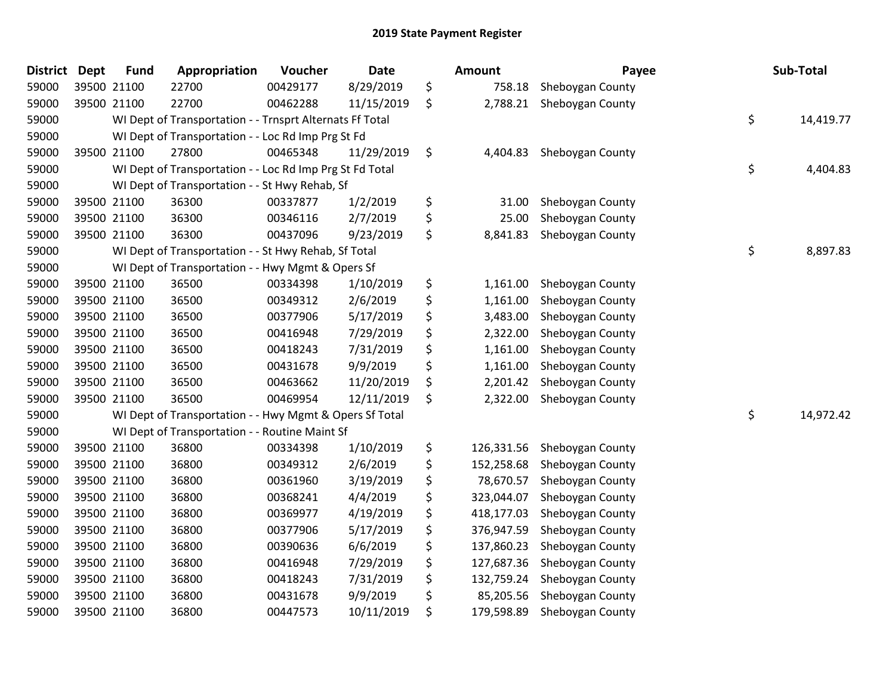| <b>District</b> | Dept        | <b>Fund</b> | Appropriation                                            | <b>Voucher</b> | <b>Date</b> | <b>Amount</b>    | Payee            | Sub-Total       |
|-----------------|-------------|-------------|----------------------------------------------------------|----------------|-------------|------------------|------------------|-----------------|
| 59000           | 39500 21100 |             | 22700                                                    | 00429177       | 8/29/2019   | \$<br>758.18     | Sheboygan County |                 |
| 59000           | 39500 21100 |             | 22700                                                    | 00462288       | 11/15/2019  | \$<br>2,788.21   | Sheboygan County |                 |
| 59000           |             |             | WI Dept of Transportation - - Trnsprt Alternats Ff Total |                |             |                  |                  | \$<br>14,419.77 |
| 59000           |             |             | WI Dept of Transportation - - Loc Rd Imp Prg St Fd       |                |             |                  |                  |                 |
| 59000           | 39500 21100 |             | 27800                                                    | 00465348       | 11/29/2019  | \$<br>4,404.83   | Sheboygan County |                 |
| 59000           |             |             | WI Dept of Transportation - - Loc Rd Imp Prg St Fd Total |                |             |                  |                  | \$<br>4,404.83  |
| 59000           |             |             | WI Dept of Transportation - - St Hwy Rehab, Sf           |                |             |                  |                  |                 |
| 59000           | 39500 21100 |             | 36300                                                    | 00337877       | 1/2/2019    | \$<br>31.00      | Sheboygan County |                 |
| 59000           | 39500 21100 |             | 36300                                                    | 00346116       | 2/7/2019    | \$<br>25.00      | Sheboygan County |                 |
| 59000           | 39500 21100 |             | 36300                                                    | 00437096       | 9/23/2019   | \$<br>8,841.83   | Sheboygan County |                 |
| 59000           |             |             | WI Dept of Transportation - - St Hwy Rehab, Sf Total     |                |             |                  |                  | \$<br>8,897.83  |
| 59000           |             |             | WI Dept of Transportation - - Hwy Mgmt & Opers Sf        |                |             |                  |                  |                 |
| 59000           | 39500 21100 |             | 36500                                                    | 00334398       | 1/10/2019   | \$<br>1,161.00   | Sheboygan County |                 |
| 59000           | 39500 21100 |             | 36500                                                    | 00349312       | 2/6/2019    | \$<br>1,161.00   | Sheboygan County |                 |
| 59000           | 39500 21100 |             | 36500                                                    | 00377906       | 5/17/2019   | \$<br>3,483.00   | Sheboygan County |                 |
| 59000           | 39500 21100 |             | 36500                                                    | 00416948       | 7/29/2019   | \$<br>2,322.00   | Sheboygan County |                 |
| 59000           | 39500 21100 |             | 36500                                                    | 00418243       | 7/31/2019   | \$<br>1,161.00   | Sheboygan County |                 |
| 59000           | 39500 21100 |             | 36500                                                    | 00431678       | 9/9/2019    | \$<br>1,161.00   | Sheboygan County |                 |
| 59000           | 39500 21100 |             | 36500                                                    | 00463662       | 11/20/2019  | \$<br>2,201.42   | Sheboygan County |                 |
| 59000           | 39500 21100 |             | 36500                                                    | 00469954       | 12/11/2019  | \$<br>2,322.00   | Sheboygan County |                 |
| 59000           |             |             | WI Dept of Transportation - - Hwy Mgmt & Opers Sf Total  |                |             |                  |                  | \$<br>14,972.42 |
| 59000           |             |             | WI Dept of Transportation - - Routine Maint Sf           |                |             |                  |                  |                 |
| 59000           | 39500 21100 |             | 36800                                                    | 00334398       | 1/10/2019   | \$<br>126,331.56 | Sheboygan County |                 |
| 59000           | 39500 21100 |             | 36800                                                    | 00349312       | 2/6/2019    | \$<br>152,258.68 | Sheboygan County |                 |
| 59000           | 39500 21100 |             | 36800                                                    | 00361960       | 3/19/2019   | \$<br>78,670.57  | Sheboygan County |                 |
| 59000           | 39500 21100 |             | 36800                                                    | 00368241       | 4/4/2019    | \$<br>323,044.07 | Sheboygan County |                 |
| 59000           | 39500 21100 |             | 36800                                                    | 00369977       | 4/19/2019   | \$<br>418,177.03 | Sheboygan County |                 |
| 59000           | 39500 21100 |             | 36800                                                    | 00377906       | 5/17/2019   | \$<br>376,947.59 | Sheboygan County |                 |
| 59000           | 39500 21100 |             | 36800                                                    | 00390636       | 6/6/2019    | \$<br>137,860.23 | Sheboygan County |                 |
| 59000           | 39500 21100 |             | 36800                                                    | 00416948       | 7/29/2019   | \$<br>127,687.36 | Sheboygan County |                 |
| 59000           | 39500 21100 |             | 36800                                                    | 00418243       | 7/31/2019   | \$<br>132,759.24 | Sheboygan County |                 |
| 59000           | 39500 21100 |             | 36800                                                    | 00431678       | 9/9/2019    | \$<br>85,205.56  | Sheboygan County |                 |
| 59000           | 39500 21100 |             | 36800                                                    | 00447573       | 10/11/2019  | \$<br>179,598.89 | Sheboygan County |                 |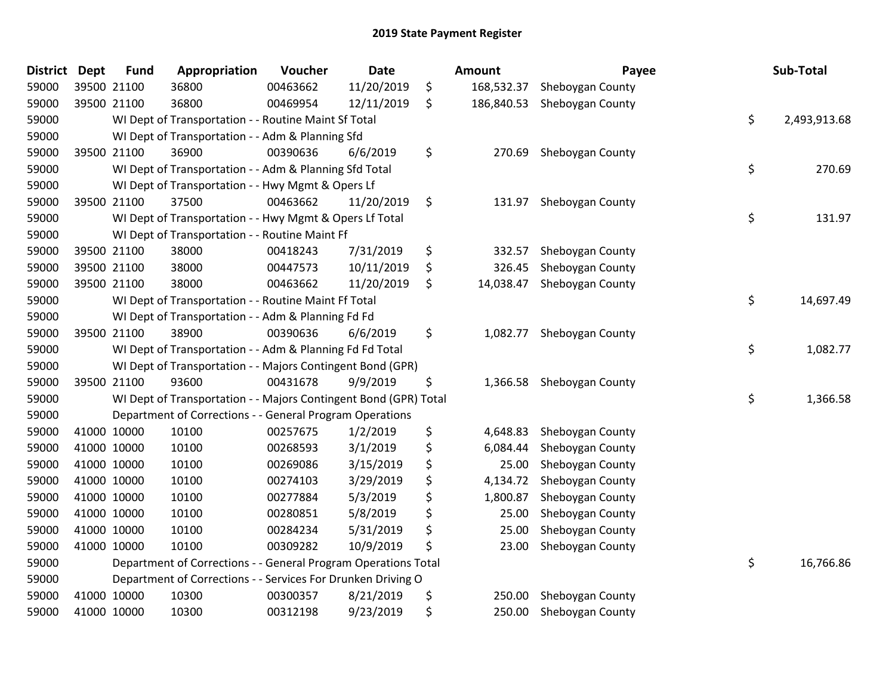| <b>District</b> | <b>Dept</b> | <b>Fund</b> | Appropriation                                                    | Voucher  | <b>Date</b> | Amount           | Payee            | Sub-Total          |
|-----------------|-------------|-------------|------------------------------------------------------------------|----------|-------------|------------------|------------------|--------------------|
| 59000           | 39500 21100 |             | 36800                                                            | 00463662 | 11/20/2019  | \$<br>168,532.37 | Sheboygan County |                    |
| 59000           | 39500 21100 |             | 36800                                                            | 00469954 | 12/11/2019  | \$<br>186,840.53 | Sheboygan County |                    |
| 59000           |             |             | WI Dept of Transportation - - Routine Maint Sf Total             |          |             |                  |                  | \$<br>2,493,913.68 |
| 59000           |             |             | WI Dept of Transportation - - Adm & Planning Sfd                 |          |             |                  |                  |                    |
| 59000           | 39500 21100 |             | 36900                                                            | 00390636 | 6/6/2019    | \$<br>270.69     | Sheboygan County |                    |
| 59000           |             |             | WI Dept of Transportation - - Adm & Planning Sfd Total           |          |             |                  |                  | \$<br>270.69       |
| 59000           |             |             | WI Dept of Transportation - - Hwy Mgmt & Opers Lf                |          |             |                  |                  |                    |
| 59000           |             | 39500 21100 | 37500                                                            | 00463662 | 11/20/2019  | \$<br>131.97     | Sheboygan County |                    |
| 59000           |             |             | WI Dept of Transportation - - Hwy Mgmt & Opers Lf Total          |          |             |                  |                  | \$<br>131.97       |
| 59000           |             |             | WI Dept of Transportation - - Routine Maint Ff                   |          |             |                  |                  |                    |
| 59000           |             | 39500 21100 | 38000                                                            | 00418243 | 7/31/2019   | \$<br>332.57     | Sheboygan County |                    |
| 59000           |             | 39500 21100 | 38000                                                            | 00447573 | 10/11/2019  | \$<br>326.45     | Sheboygan County |                    |
| 59000           | 39500 21100 |             | 38000                                                            | 00463662 | 11/20/2019  | \$<br>14,038.47  | Sheboygan County |                    |
| 59000           |             |             | WI Dept of Transportation - - Routine Maint Ff Total             |          |             |                  |                  | \$<br>14,697.49    |
| 59000           |             |             | WI Dept of Transportation - - Adm & Planning Fd Fd               |          |             |                  |                  |                    |
| 59000           | 39500 21100 |             | 38900                                                            | 00390636 | 6/6/2019    | \$<br>1,082.77   | Sheboygan County |                    |
| 59000           |             |             | WI Dept of Transportation - - Adm & Planning Fd Fd Total         |          |             |                  |                  | \$<br>1,082.77     |
| 59000           |             |             | WI Dept of Transportation - - Majors Contingent Bond (GPR)       |          |             |                  |                  |                    |
| 59000           |             | 39500 21100 | 93600                                                            | 00431678 | 9/9/2019    | \$<br>1,366.58   | Sheboygan County |                    |
| 59000           |             |             | WI Dept of Transportation - - Majors Contingent Bond (GPR) Total |          |             |                  |                  | \$<br>1,366.58     |
| 59000           |             |             | Department of Corrections - - General Program Operations         |          |             |                  |                  |                    |
| 59000           |             | 41000 10000 | 10100                                                            | 00257675 | 1/2/2019    | \$<br>4,648.83   | Sheboygan County |                    |
| 59000           |             | 41000 10000 | 10100                                                            | 00268593 | 3/1/2019    | \$<br>6,084.44   | Sheboygan County |                    |
| 59000           |             | 41000 10000 | 10100                                                            | 00269086 | 3/15/2019   | \$<br>25.00      | Sheboygan County |                    |
| 59000           | 41000 10000 |             | 10100                                                            | 00274103 | 3/29/2019   | \$<br>4,134.72   | Sheboygan County |                    |
| 59000           | 41000 10000 |             | 10100                                                            | 00277884 | 5/3/2019    | \$<br>1,800.87   | Sheboygan County |                    |
| 59000           |             | 41000 10000 | 10100                                                            | 00280851 | 5/8/2019    | \$<br>25.00      | Sheboygan County |                    |
| 59000           | 41000 10000 |             | 10100                                                            | 00284234 | 5/31/2019   | \$<br>25.00      | Sheboygan County |                    |
| 59000           |             | 41000 10000 | 10100                                                            | 00309282 | 10/9/2019   | \$<br>23.00      | Sheboygan County |                    |
| 59000           |             |             | Department of Corrections - - General Program Operations Total   |          |             |                  |                  | \$<br>16,766.86    |
| 59000           |             |             | Department of Corrections - - Services For Drunken Driving O     |          |             |                  |                  |                    |
| 59000           |             | 41000 10000 | 10300                                                            | 00300357 | 8/21/2019   | \$<br>250.00     | Sheboygan County |                    |
| 59000           | 41000 10000 |             | 10300                                                            | 00312198 | 9/23/2019   | \$<br>250.00     | Sheboygan County |                    |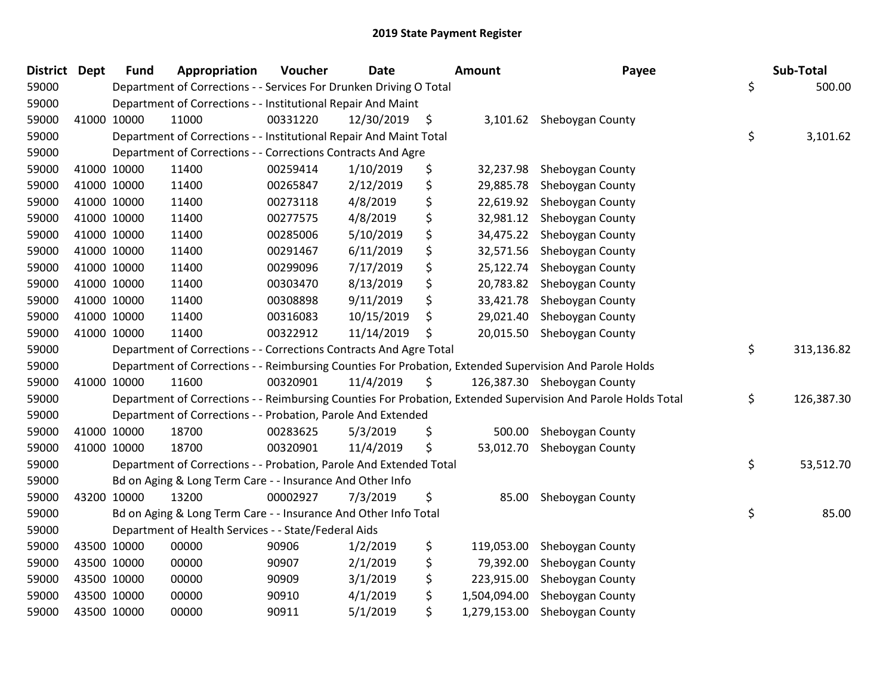| <b>District Dept</b> |             | <b>Fund</b> | Appropriation                                                      | Voucher  | <b>Date</b>   | <b>Amount</b>      | Payee                                                                                                         | Sub-Total        |
|----------------------|-------------|-------------|--------------------------------------------------------------------|----------|---------------|--------------------|---------------------------------------------------------------------------------------------------------------|------------------|
| 59000                |             |             | Department of Corrections - - Services For Drunken Driving O Total |          |               |                    |                                                                                                               | \$<br>500.00     |
| 59000                |             |             | Department of Corrections - - Institutional Repair And Maint       |          |               |                    |                                                                                                               |                  |
| 59000                |             | 41000 10000 | 11000                                                              | 00331220 | 12/30/2019 \$ |                    | 3,101.62 Sheboygan County                                                                                     |                  |
| 59000                |             |             | Department of Corrections - - Institutional Repair And Maint Total |          |               |                    |                                                                                                               | \$<br>3,101.62   |
| 59000                |             |             | Department of Corrections - - Corrections Contracts And Agre       |          |               |                    |                                                                                                               |                  |
| 59000                |             | 41000 10000 | 11400                                                              | 00259414 | 1/10/2019     | \$<br>32,237.98    | Sheboygan County                                                                                              |                  |
| 59000                | 41000 10000 |             | 11400                                                              | 00265847 | 2/12/2019     | \$<br>29,885.78    | Sheboygan County                                                                                              |                  |
| 59000                |             | 41000 10000 | 11400                                                              | 00273118 | 4/8/2019      | \$<br>22,619.92    | Sheboygan County                                                                                              |                  |
| 59000                |             | 41000 10000 | 11400                                                              | 00277575 | 4/8/2019      | \$<br>32,981.12    | Sheboygan County                                                                                              |                  |
| 59000                |             | 41000 10000 | 11400                                                              | 00285006 | 5/10/2019     | \$<br>34,475.22    | Sheboygan County                                                                                              |                  |
| 59000                |             | 41000 10000 | 11400                                                              | 00291467 | 6/11/2019     | \$<br>32,571.56    | Sheboygan County                                                                                              |                  |
| 59000                | 41000 10000 |             | 11400                                                              | 00299096 | 7/17/2019     | \$<br>25,122.74    | Sheboygan County                                                                                              |                  |
| 59000                | 41000 10000 |             | 11400                                                              | 00303470 | 8/13/2019     | \$<br>20,783.82    | Sheboygan County                                                                                              |                  |
| 59000                | 41000 10000 |             | 11400                                                              | 00308898 | 9/11/2019     | \$<br>33,421.78    | Sheboygan County                                                                                              |                  |
| 59000                |             | 41000 10000 | 11400                                                              | 00316083 | 10/15/2019    | \$<br>29,021.40    | Sheboygan County                                                                                              |                  |
| 59000                |             | 41000 10000 | 11400                                                              | 00322912 | 11/14/2019    | \$<br>20,015.50    | Sheboygan County                                                                                              |                  |
| 59000                |             |             | Department of Corrections - - Corrections Contracts And Agre Total |          |               |                    |                                                                                                               | \$<br>313,136.82 |
| 59000                |             |             |                                                                    |          |               |                    | Department of Corrections - - Reimbursing Counties For Probation, Extended Supervision And Parole Holds       |                  |
| 59000                | 41000 10000 |             | 11600                                                              | 00320901 | 11/4/2019     | \$                 | 126,387.30 Sheboygan County                                                                                   |                  |
| 59000                |             |             |                                                                    |          |               |                    | Department of Corrections - - Reimbursing Counties For Probation, Extended Supervision And Parole Holds Total | \$<br>126,387.30 |
| 59000                |             |             | Department of Corrections - - Probation, Parole And Extended       |          |               |                    |                                                                                                               |                  |
| 59000                |             | 41000 10000 | 18700                                                              | 00283625 | 5/3/2019      | \$<br>500.00       | Sheboygan County                                                                                              |                  |
| 59000                | 41000 10000 |             | 18700                                                              | 00320901 | 11/4/2019     | \$<br>53,012.70    | Sheboygan County                                                                                              |                  |
| 59000                |             |             | Department of Corrections - - Probation, Parole And Extended Total |          |               |                    |                                                                                                               | \$<br>53,512.70  |
| 59000                |             |             | Bd on Aging & Long Term Care - - Insurance And Other Info          |          |               |                    |                                                                                                               |                  |
| 59000                |             | 43200 10000 | 13200                                                              | 00002927 | 7/3/2019      | \$<br>85.00        | Sheboygan County                                                                                              |                  |
| 59000                |             |             | Bd on Aging & Long Term Care - - Insurance And Other Info Total    |          |               |                    |                                                                                                               | \$<br>85.00      |
| 59000                |             |             | Department of Health Services - - State/Federal Aids               |          |               |                    |                                                                                                               |                  |
| 59000                |             | 43500 10000 | 00000                                                              | 90906    | 1/2/2019      | \$<br>119,053.00   | Sheboygan County                                                                                              |                  |
| 59000                |             | 43500 10000 | 00000                                                              | 90907    | 2/1/2019      | \$<br>79,392.00    | Sheboygan County                                                                                              |                  |
| 59000                |             | 43500 10000 | 00000                                                              | 90909    | 3/1/2019      | \$<br>223,915.00   | Sheboygan County                                                                                              |                  |
| 59000                |             | 43500 10000 | 00000                                                              | 90910    | 4/1/2019      | \$<br>1,504,094.00 | Sheboygan County                                                                                              |                  |
| 59000                |             | 43500 10000 | 00000                                                              | 90911    | 5/1/2019      | \$<br>1,279,153.00 | Sheboygan County                                                                                              |                  |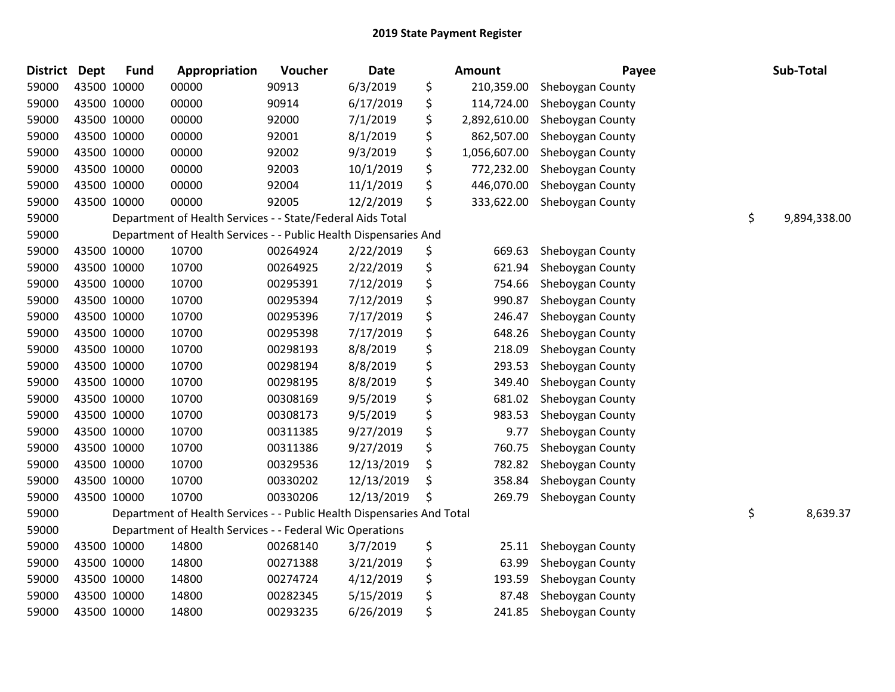| <b>District</b> | <b>Dept</b> | <b>Fund</b> | Appropriation                                                          | Voucher  | <b>Date</b> | <b>Amount</b>      | Payee            | Sub-Total          |
|-----------------|-------------|-------------|------------------------------------------------------------------------|----------|-------------|--------------------|------------------|--------------------|
| 59000           |             | 43500 10000 | 00000                                                                  | 90913    | 6/3/2019    | \$<br>210,359.00   | Sheboygan County |                    |
| 59000           |             | 43500 10000 | 00000                                                                  | 90914    | 6/17/2019   | \$<br>114,724.00   | Sheboygan County |                    |
| 59000           |             | 43500 10000 | 00000                                                                  | 92000    | 7/1/2019    | \$<br>2,892,610.00 | Sheboygan County |                    |
| 59000           |             | 43500 10000 | 00000                                                                  | 92001    | 8/1/2019    | \$<br>862,507.00   | Sheboygan County |                    |
| 59000           |             | 43500 10000 | 00000                                                                  | 92002    | 9/3/2019    | \$<br>1,056,607.00 | Sheboygan County |                    |
| 59000           |             | 43500 10000 | 00000                                                                  | 92003    | 10/1/2019   | \$<br>772,232.00   | Sheboygan County |                    |
| 59000           |             | 43500 10000 | 00000                                                                  | 92004    | 11/1/2019   | \$<br>446,070.00   | Sheboygan County |                    |
| 59000           |             | 43500 10000 | 00000                                                                  | 92005    | 12/2/2019   | \$<br>333,622.00   | Sheboygan County |                    |
| 59000           |             |             | Department of Health Services - - State/Federal Aids Total             |          |             |                    |                  | \$<br>9,894,338.00 |
| 59000           |             |             | Department of Health Services - - Public Health Dispensaries And       |          |             |                    |                  |                    |
| 59000           |             | 43500 10000 | 10700                                                                  | 00264924 | 2/22/2019   | \$<br>669.63       | Sheboygan County |                    |
| 59000           |             | 43500 10000 | 10700                                                                  | 00264925 | 2/22/2019   | \$<br>621.94       | Sheboygan County |                    |
| 59000           |             | 43500 10000 | 10700                                                                  | 00295391 | 7/12/2019   | \$<br>754.66       | Sheboygan County |                    |
| 59000           |             | 43500 10000 | 10700                                                                  | 00295394 | 7/12/2019   | \$<br>990.87       | Sheboygan County |                    |
| 59000           |             | 43500 10000 | 10700                                                                  | 00295396 | 7/17/2019   | \$<br>246.47       | Sheboygan County |                    |
| 59000           |             | 43500 10000 | 10700                                                                  | 00295398 | 7/17/2019   | \$<br>648.26       | Sheboygan County |                    |
| 59000           |             | 43500 10000 | 10700                                                                  | 00298193 | 8/8/2019    | \$<br>218.09       | Sheboygan County |                    |
| 59000           |             | 43500 10000 | 10700                                                                  | 00298194 | 8/8/2019    | \$<br>293.53       | Sheboygan County |                    |
| 59000           |             | 43500 10000 | 10700                                                                  | 00298195 | 8/8/2019    | \$<br>349.40       | Sheboygan County |                    |
| 59000           |             | 43500 10000 | 10700                                                                  | 00308169 | 9/5/2019    | \$<br>681.02       | Sheboygan County |                    |
| 59000           |             | 43500 10000 | 10700                                                                  | 00308173 | 9/5/2019    | \$<br>983.53       | Sheboygan County |                    |
| 59000           |             | 43500 10000 | 10700                                                                  | 00311385 | 9/27/2019   | \$<br>9.77         | Sheboygan County |                    |
| 59000           |             | 43500 10000 | 10700                                                                  | 00311386 | 9/27/2019   | \$<br>760.75       | Sheboygan County |                    |
| 59000           |             | 43500 10000 | 10700                                                                  | 00329536 | 12/13/2019  | \$<br>782.82       | Sheboygan County |                    |
| 59000           |             | 43500 10000 | 10700                                                                  | 00330202 | 12/13/2019  | \$<br>358.84       | Sheboygan County |                    |
| 59000           |             | 43500 10000 | 10700                                                                  | 00330206 | 12/13/2019  | \$<br>269.79       | Sheboygan County |                    |
| 59000           |             |             | Department of Health Services - - Public Health Dispensaries And Total |          |             |                    |                  | \$<br>8,639.37     |
| 59000           |             |             | Department of Health Services - - Federal Wic Operations               |          |             |                    |                  |                    |
| 59000           |             | 43500 10000 | 14800                                                                  | 00268140 | 3/7/2019    | \$<br>25.11        | Sheboygan County |                    |
| 59000           |             | 43500 10000 | 14800                                                                  | 00271388 | 3/21/2019   | \$<br>63.99        | Sheboygan County |                    |
| 59000           |             | 43500 10000 | 14800                                                                  | 00274724 | 4/12/2019   | \$<br>193.59       | Sheboygan County |                    |
| 59000           |             | 43500 10000 | 14800                                                                  | 00282345 | 5/15/2019   | \$<br>87.48        | Sheboygan County |                    |
| 59000           |             | 43500 10000 | 14800                                                                  | 00293235 | 6/26/2019   | \$<br>241.85       | Sheboygan County |                    |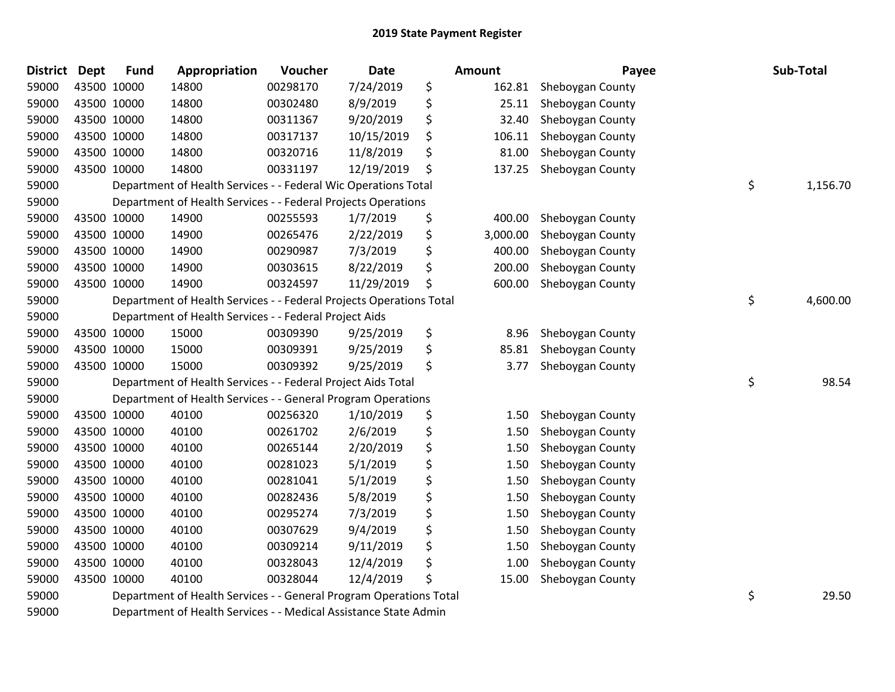| <b>District</b> | <b>Dept</b> | <b>Fund</b> | Appropriation                                                       | Voucher  | <b>Date</b> | Amount         | Payee            | Sub-Total      |
|-----------------|-------------|-------------|---------------------------------------------------------------------|----------|-------------|----------------|------------------|----------------|
| 59000           |             | 43500 10000 | 14800                                                               | 00298170 | 7/24/2019   | \$<br>162.81   | Sheboygan County |                |
| 59000           |             | 43500 10000 | 14800                                                               | 00302480 | 8/9/2019    | \$<br>25.11    | Sheboygan County |                |
| 59000           |             | 43500 10000 | 14800                                                               | 00311367 | 9/20/2019   | \$<br>32.40    | Sheboygan County |                |
| 59000           |             | 43500 10000 | 14800                                                               | 00317137 | 10/15/2019  | \$<br>106.11   | Sheboygan County |                |
| 59000           |             | 43500 10000 | 14800                                                               | 00320716 | 11/8/2019   | \$<br>81.00    | Sheboygan County |                |
| 59000           |             | 43500 10000 | 14800                                                               | 00331197 | 12/19/2019  | \$<br>137.25   | Sheboygan County |                |
| 59000           |             |             | Department of Health Services - - Federal Wic Operations Total      |          |             |                |                  | \$<br>1,156.70 |
| 59000           |             |             | Department of Health Services - - Federal Projects Operations       |          |             |                |                  |                |
| 59000           |             | 43500 10000 | 14900                                                               | 00255593 | 1/7/2019    | \$<br>400.00   | Sheboygan County |                |
| 59000           |             | 43500 10000 | 14900                                                               | 00265476 | 2/22/2019   | \$<br>3,000.00 | Sheboygan County |                |
| 59000           |             | 43500 10000 | 14900                                                               | 00290987 | 7/3/2019    | \$<br>400.00   | Sheboygan County |                |
| 59000           |             | 43500 10000 | 14900                                                               | 00303615 | 8/22/2019   | \$<br>200.00   | Sheboygan County |                |
| 59000           |             | 43500 10000 | 14900                                                               | 00324597 | 11/29/2019  | \$<br>600.00   | Sheboygan County |                |
| 59000           |             |             | Department of Health Services - - Federal Projects Operations Total |          |             |                |                  | \$<br>4,600.00 |
| 59000           |             |             | Department of Health Services - - Federal Project Aids              |          |             |                |                  |                |
| 59000           |             | 43500 10000 | 15000                                                               | 00309390 | 9/25/2019   | \$<br>8.96     | Sheboygan County |                |
| 59000           |             | 43500 10000 | 15000                                                               | 00309391 | 9/25/2019   | \$<br>85.81    | Sheboygan County |                |
| 59000           |             | 43500 10000 | 15000                                                               | 00309392 | 9/25/2019   | \$<br>3.77     | Sheboygan County |                |
| 59000           |             |             | Department of Health Services - - Federal Project Aids Total        |          |             |                |                  | \$<br>98.54    |
| 59000           |             |             | Department of Health Services - - General Program Operations        |          |             |                |                  |                |
| 59000           |             | 43500 10000 | 40100                                                               | 00256320 | 1/10/2019   | \$<br>1.50     | Sheboygan County |                |
| 59000           | 43500 10000 |             | 40100                                                               | 00261702 | 2/6/2019    | \$<br>1.50     | Sheboygan County |                |
| 59000           |             | 43500 10000 | 40100                                                               | 00265144 | 2/20/2019   | \$<br>1.50     | Sheboygan County |                |
| 59000           |             | 43500 10000 | 40100                                                               | 00281023 | 5/1/2019    | \$<br>1.50     | Sheboygan County |                |
| 59000           |             | 43500 10000 | 40100                                                               | 00281041 | 5/1/2019    | \$<br>1.50     | Sheboygan County |                |
| 59000           |             | 43500 10000 | 40100                                                               | 00282436 | 5/8/2019    | \$<br>1.50     | Sheboygan County |                |
| 59000           | 43500 10000 |             | 40100                                                               | 00295274 | 7/3/2019    | \$<br>1.50     | Sheboygan County |                |
| 59000           |             | 43500 10000 | 40100                                                               | 00307629 | 9/4/2019    | \$<br>1.50     | Sheboygan County |                |
| 59000           |             | 43500 10000 | 40100                                                               | 00309214 | 9/11/2019   | \$<br>1.50     | Sheboygan County |                |
| 59000           |             | 43500 10000 | 40100                                                               | 00328043 | 12/4/2019   | \$<br>1.00     | Sheboygan County |                |
| 59000           |             | 43500 10000 | 40100                                                               | 00328044 | 12/4/2019   | \$<br>15.00    | Sheboygan County |                |
| 59000           |             |             | Department of Health Services - - General Program Operations Total  |          |             |                |                  | \$<br>29.50    |
| 59000           |             |             | Department of Health Services - - Medical Assistance State Admin    |          |             |                |                  |                |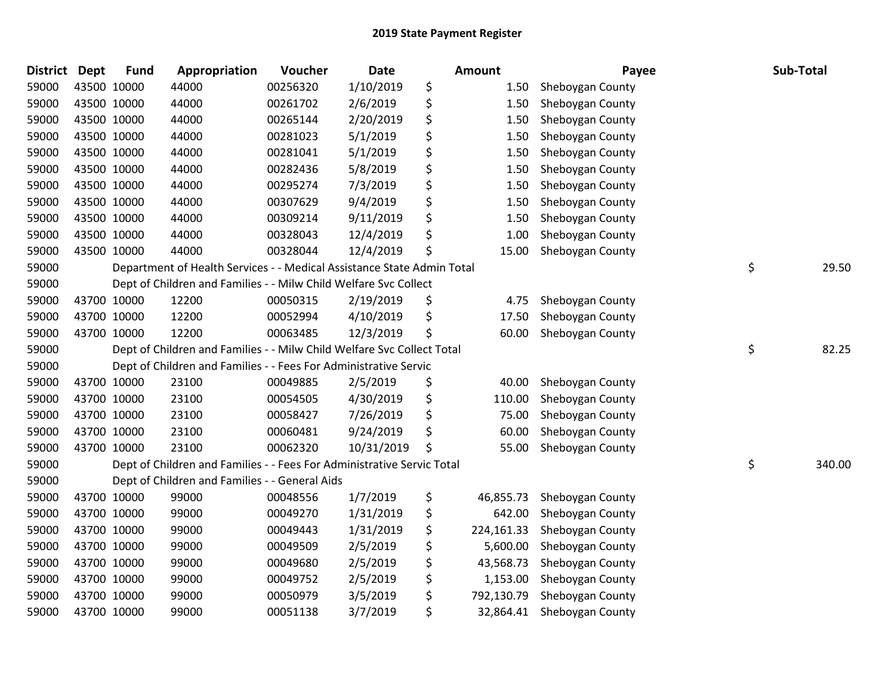| <b>District</b> | <b>Dept</b> | <b>Fund</b> | Appropriation                                                          | Voucher  | <b>Date</b> | <b>Amount</b>    | Payee            | Sub-Total    |
|-----------------|-------------|-------------|------------------------------------------------------------------------|----------|-------------|------------------|------------------|--------------|
| 59000           |             | 43500 10000 | 44000                                                                  | 00256320 | 1/10/2019   | \$<br>1.50       | Sheboygan County |              |
| 59000           | 43500 10000 |             | 44000                                                                  | 00261702 | 2/6/2019    | \$<br>1.50       | Sheboygan County |              |
| 59000           | 43500 10000 |             | 44000                                                                  | 00265144 | 2/20/2019   | \$<br>1.50       | Sheboygan County |              |
| 59000           | 43500 10000 |             | 44000                                                                  | 00281023 | 5/1/2019    | \$<br>1.50       | Sheboygan County |              |
| 59000           | 43500 10000 |             | 44000                                                                  | 00281041 | 5/1/2019    | \$<br>1.50       | Sheboygan County |              |
| 59000           | 43500 10000 |             | 44000                                                                  | 00282436 | 5/8/2019    | \$<br>1.50       | Sheboygan County |              |
| 59000           | 43500 10000 |             | 44000                                                                  | 00295274 | 7/3/2019    | \$<br>1.50       | Sheboygan County |              |
| 59000           |             | 43500 10000 | 44000                                                                  | 00307629 | 9/4/2019    | \$<br>1.50       | Sheboygan County |              |
| 59000           |             | 43500 10000 | 44000                                                                  | 00309214 | 9/11/2019   | \$<br>1.50       | Sheboygan County |              |
| 59000           | 43500 10000 |             | 44000                                                                  | 00328043 | 12/4/2019   | \$<br>1.00       | Sheboygan County |              |
| 59000           | 43500 10000 |             | 44000                                                                  | 00328044 | 12/4/2019   | \$<br>15.00      | Sheboygan County |              |
| 59000           |             |             | Department of Health Services - - Medical Assistance State Admin Total |          |             |                  |                  | \$<br>29.50  |
| 59000           |             |             | Dept of Children and Families - - Milw Child Welfare Svc Collect       |          |             |                  |                  |              |
| 59000           |             | 43700 10000 | 12200                                                                  | 00050315 | 2/19/2019   | \$<br>4.75       | Sheboygan County |              |
| 59000           |             | 43700 10000 | 12200                                                                  | 00052994 | 4/10/2019   | \$<br>17.50      | Sheboygan County |              |
| 59000           |             | 43700 10000 | 12200                                                                  | 00063485 | 12/3/2019   | \$<br>60.00      | Sheboygan County |              |
| 59000           |             |             | Dept of Children and Families - - Milw Child Welfare Svc Collect Total |          |             |                  |                  | \$<br>82.25  |
| 59000           |             |             | Dept of Children and Families - - Fees For Administrative Servic       |          |             |                  |                  |              |
| 59000           |             | 43700 10000 | 23100                                                                  | 00049885 | 2/5/2019    | \$<br>40.00      | Sheboygan County |              |
| 59000           |             | 43700 10000 | 23100                                                                  | 00054505 | 4/30/2019   | \$<br>110.00     | Sheboygan County |              |
| 59000           |             | 43700 10000 | 23100                                                                  | 00058427 | 7/26/2019   | \$<br>75.00      | Sheboygan County |              |
| 59000           | 43700 10000 |             | 23100                                                                  | 00060481 | 9/24/2019   | \$<br>60.00      | Sheboygan County |              |
| 59000           |             | 43700 10000 | 23100                                                                  | 00062320 | 10/31/2019  | \$<br>55.00      | Sheboygan County |              |
| 59000           |             |             | Dept of Children and Families - - Fees For Administrative Servic Total |          |             |                  |                  | \$<br>340.00 |
| 59000           |             |             | Dept of Children and Families - - General Aids                         |          |             |                  |                  |              |
| 59000           |             | 43700 10000 | 99000                                                                  | 00048556 | 1/7/2019    | \$<br>46,855.73  | Sheboygan County |              |
| 59000           | 43700 10000 |             | 99000                                                                  | 00049270 | 1/31/2019   | \$<br>642.00     | Sheboygan County |              |
| 59000           |             | 43700 10000 | 99000                                                                  | 00049443 | 1/31/2019   | \$<br>224,161.33 | Sheboygan County |              |
| 59000           |             | 43700 10000 | 99000                                                                  | 00049509 | 2/5/2019    | \$<br>5,600.00   | Sheboygan County |              |
| 59000           |             | 43700 10000 | 99000                                                                  | 00049680 | 2/5/2019    | \$<br>43,568.73  | Sheboygan County |              |
| 59000           |             | 43700 10000 | 99000                                                                  | 00049752 | 2/5/2019    | \$<br>1,153.00   | Sheboygan County |              |
| 59000           |             | 43700 10000 | 99000                                                                  | 00050979 | 3/5/2019    | \$<br>792,130.79 | Sheboygan County |              |
| 59000           | 43700 10000 |             | 99000                                                                  | 00051138 | 3/7/2019    | \$<br>32,864.41  | Sheboygan County |              |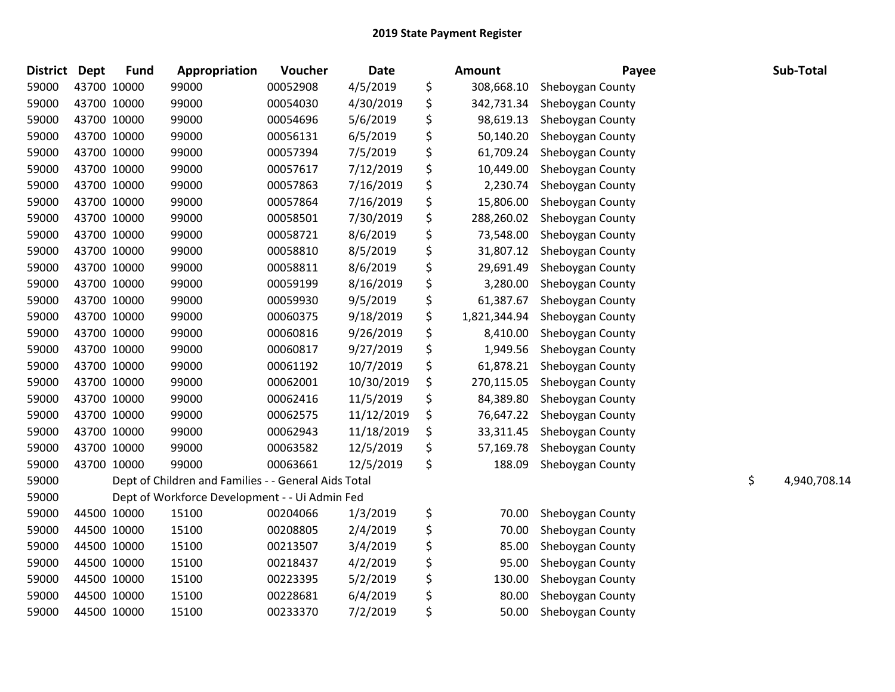| <b>District</b> | <b>Dept</b> | <b>Fund</b> | Appropriation                                        | Voucher  | <b>Date</b> | Amount             | Payee            | Sub-Total          |
|-----------------|-------------|-------------|------------------------------------------------------|----------|-------------|--------------------|------------------|--------------------|
| 59000           |             | 43700 10000 | 99000                                                | 00052908 | 4/5/2019    | \$<br>308,668.10   | Sheboygan County |                    |
| 59000           |             | 43700 10000 | 99000                                                | 00054030 | 4/30/2019   | \$<br>342,731.34   | Sheboygan County |                    |
| 59000           |             | 43700 10000 | 99000                                                | 00054696 | 5/6/2019    | \$<br>98,619.13    | Sheboygan County |                    |
| 59000           | 43700 10000 |             | 99000                                                | 00056131 | 6/5/2019    | \$<br>50,140.20    | Sheboygan County |                    |
| 59000           | 43700 10000 |             | 99000                                                | 00057394 | 7/5/2019    | \$<br>61,709.24    | Sheboygan County |                    |
| 59000           |             | 43700 10000 | 99000                                                | 00057617 | 7/12/2019   | \$<br>10,449.00    | Sheboygan County |                    |
| 59000           |             | 43700 10000 | 99000                                                | 00057863 | 7/16/2019   | \$<br>2,230.74     | Sheboygan County |                    |
| 59000           |             | 43700 10000 | 99000                                                | 00057864 | 7/16/2019   | \$<br>15,806.00    | Sheboygan County |                    |
| 59000           | 43700 10000 |             | 99000                                                | 00058501 | 7/30/2019   | \$<br>288,260.02   | Sheboygan County |                    |
| 59000           | 43700 10000 |             | 99000                                                | 00058721 | 8/6/2019    | \$<br>73,548.00    | Sheboygan County |                    |
| 59000           |             | 43700 10000 | 99000                                                | 00058810 | 8/5/2019    | \$<br>31,807.12    | Sheboygan County |                    |
| 59000           | 43700 10000 |             | 99000                                                | 00058811 | 8/6/2019    | \$<br>29,691.49    | Sheboygan County |                    |
| 59000           |             | 43700 10000 | 99000                                                | 00059199 | 8/16/2019   | \$<br>3,280.00     | Sheboygan County |                    |
| 59000           | 43700 10000 |             | 99000                                                | 00059930 | 9/5/2019    | \$<br>61,387.67    | Sheboygan County |                    |
| 59000           | 43700 10000 |             | 99000                                                | 00060375 | 9/18/2019   | \$<br>1,821,344.94 | Sheboygan County |                    |
| 59000           |             | 43700 10000 | 99000                                                | 00060816 | 9/26/2019   | \$<br>8,410.00     | Sheboygan County |                    |
| 59000           |             | 43700 10000 | 99000                                                | 00060817 | 9/27/2019   | \$<br>1,949.56     | Sheboygan County |                    |
| 59000           |             | 43700 10000 | 99000                                                | 00061192 | 10/7/2019   | \$<br>61,878.21    | Sheboygan County |                    |
| 59000           |             | 43700 10000 | 99000                                                | 00062001 | 10/30/2019  | \$<br>270,115.05   | Sheboygan County |                    |
| 59000           | 43700 10000 |             | 99000                                                | 00062416 | 11/5/2019   | \$<br>84,389.80    | Sheboygan County |                    |
| 59000           | 43700 10000 |             | 99000                                                | 00062575 | 11/12/2019  | \$<br>76,647.22    | Sheboygan County |                    |
| 59000           |             | 43700 10000 | 99000                                                | 00062943 | 11/18/2019  | \$<br>33,311.45    | Sheboygan County |                    |
| 59000           |             | 43700 10000 | 99000                                                | 00063582 | 12/5/2019   | \$<br>57,169.78    | Sheboygan County |                    |
| 59000           |             | 43700 10000 | 99000                                                | 00063661 | 12/5/2019   | \$<br>188.09       | Sheboygan County |                    |
| 59000           |             |             | Dept of Children and Families - - General Aids Total |          |             |                    |                  | \$<br>4,940,708.14 |
| 59000           |             |             | Dept of Workforce Development - - Ui Admin Fed       |          |             |                    |                  |                    |
| 59000           |             | 44500 10000 | 15100                                                | 00204066 | 1/3/2019    | \$<br>70.00        | Sheboygan County |                    |
| 59000           |             | 44500 10000 | 15100                                                | 00208805 | 2/4/2019    | \$<br>70.00        | Sheboygan County |                    |
| 59000           |             | 44500 10000 | 15100                                                | 00213507 | 3/4/2019    | \$<br>85.00        | Sheboygan County |                    |
| 59000           | 44500 10000 |             | 15100                                                | 00218437 | 4/2/2019    | \$<br>95.00        | Sheboygan County |                    |
| 59000           |             | 44500 10000 | 15100                                                | 00223395 | 5/2/2019    | \$<br>130.00       | Sheboygan County |                    |
| 59000           |             | 44500 10000 | 15100                                                | 00228681 | 6/4/2019    | \$<br>80.00        | Sheboygan County |                    |
| 59000           |             | 44500 10000 | 15100                                                | 00233370 | 7/2/2019    | \$<br>50.00        | Sheboygan County |                    |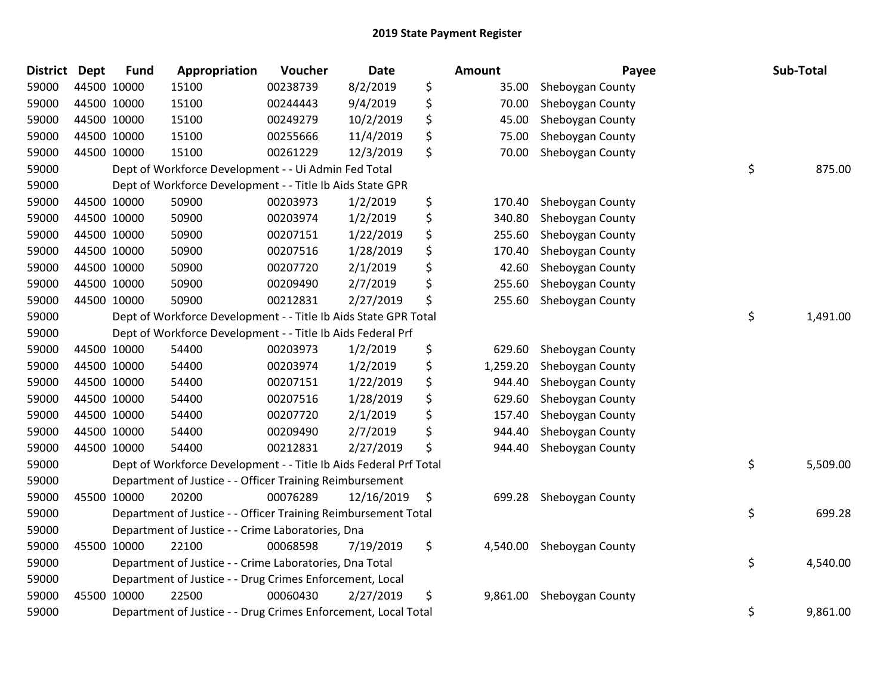| <b>District</b> | <b>Dept</b> | <b>Fund</b> | Appropriation                                                     | Voucher  | <b>Date</b> | <b>Amount</b>  | Payee            | Sub-Total      |
|-----------------|-------------|-------------|-------------------------------------------------------------------|----------|-------------|----------------|------------------|----------------|
| 59000           | 44500 10000 |             | 15100                                                             | 00238739 | 8/2/2019    | \$<br>35.00    | Sheboygan County |                |
| 59000           | 44500 10000 |             | 15100                                                             | 00244443 | 9/4/2019    | \$<br>70.00    | Sheboygan County |                |
| 59000           | 44500 10000 |             | 15100                                                             | 00249279 | 10/2/2019   | \$<br>45.00    | Sheboygan County |                |
| 59000           | 44500 10000 |             | 15100                                                             | 00255666 | 11/4/2019   | \$<br>75.00    | Sheboygan County |                |
| 59000           | 44500 10000 |             | 15100                                                             | 00261229 | 12/3/2019   | \$<br>70.00    | Sheboygan County |                |
| 59000           |             |             | Dept of Workforce Development - - Ui Admin Fed Total              |          |             |                |                  | \$<br>875.00   |
| 59000           |             |             | Dept of Workforce Development - - Title Ib Aids State GPR         |          |             |                |                  |                |
| 59000           | 44500 10000 |             | 50900                                                             | 00203973 | 1/2/2019    | \$<br>170.40   | Sheboygan County |                |
| 59000           | 44500 10000 |             | 50900                                                             | 00203974 | 1/2/2019    | \$<br>340.80   | Sheboygan County |                |
| 59000           | 44500 10000 |             | 50900                                                             | 00207151 | 1/22/2019   | \$<br>255.60   | Sheboygan County |                |
| 59000           | 44500 10000 |             | 50900                                                             | 00207516 | 1/28/2019   | \$<br>170.40   | Sheboygan County |                |
| 59000           | 44500 10000 |             | 50900                                                             | 00207720 | 2/1/2019    | \$<br>42.60    | Sheboygan County |                |
| 59000           | 44500 10000 |             | 50900                                                             | 00209490 | 2/7/2019    | \$<br>255.60   | Sheboygan County |                |
| 59000           | 44500 10000 |             | 50900                                                             | 00212831 | 2/27/2019   | \$<br>255.60   | Sheboygan County |                |
| 59000           |             |             | Dept of Workforce Development - - Title Ib Aids State GPR Total   |          |             |                |                  | \$<br>1,491.00 |
| 59000           |             |             | Dept of Workforce Development - - Title Ib Aids Federal Prf       |          |             |                |                  |                |
| 59000           | 44500 10000 |             | 54400                                                             | 00203973 | 1/2/2019    | \$<br>629.60   | Sheboygan County |                |
| 59000           | 44500 10000 |             | 54400                                                             | 00203974 | 1/2/2019    | \$<br>1,259.20 | Sheboygan County |                |
| 59000           | 44500 10000 |             | 54400                                                             | 00207151 | 1/22/2019   | \$<br>944.40   | Sheboygan County |                |
| 59000           | 44500 10000 |             | 54400                                                             | 00207516 | 1/28/2019   | \$<br>629.60   | Sheboygan County |                |
| 59000           | 44500 10000 |             | 54400                                                             | 00207720 | 2/1/2019    | \$<br>157.40   | Sheboygan County |                |
| 59000           | 44500 10000 |             | 54400                                                             | 00209490 | 2/7/2019    | \$<br>944.40   | Sheboygan County |                |
| 59000           | 44500 10000 |             | 54400                                                             | 00212831 | 2/27/2019   | \$<br>944.40   | Sheboygan County |                |
| 59000           |             |             | Dept of Workforce Development - - Title Ib Aids Federal Prf Total |          |             |                |                  | \$<br>5,509.00 |
| 59000           |             |             | Department of Justice - - Officer Training Reimbursement          |          |             |                |                  |                |
| 59000           | 45500 10000 |             | 20200                                                             | 00076289 | 12/16/2019  | \$<br>699.28   | Sheboygan County |                |
| 59000           |             |             | Department of Justice - - Officer Training Reimbursement Total    |          |             |                |                  | \$<br>699.28   |
| 59000           |             |             | Department of Justice - - Crime Laboratories, Dna                 |          |             |                |                  |                |
| 59000           | 45500 10000 |             | 22100                                                             | 00068598 | 7/19/2019   | \$<br>4,540.00 | Sheboygan County |                |
| 59000           |             |             | Department of Justice - - Crime Laboratories, Dna Total           |          |             |                |                  | \$<br>4,540.00 |
| 59000           |             |             | Department of Justice - - Drug Crimes Enforcement, Local          |          |             |                |                  |                |
| 59000           | 45500 10000 |             | 22500                                                             | 00060430 | 2/27/2019   | \$<br>9,861.00 | Sheboygan County |                |
| 59000           |             |             | Department of Justice - - Drug Crimes Enforcement, Local Total    |          |             |                |                  | \$<br>9,861.00 |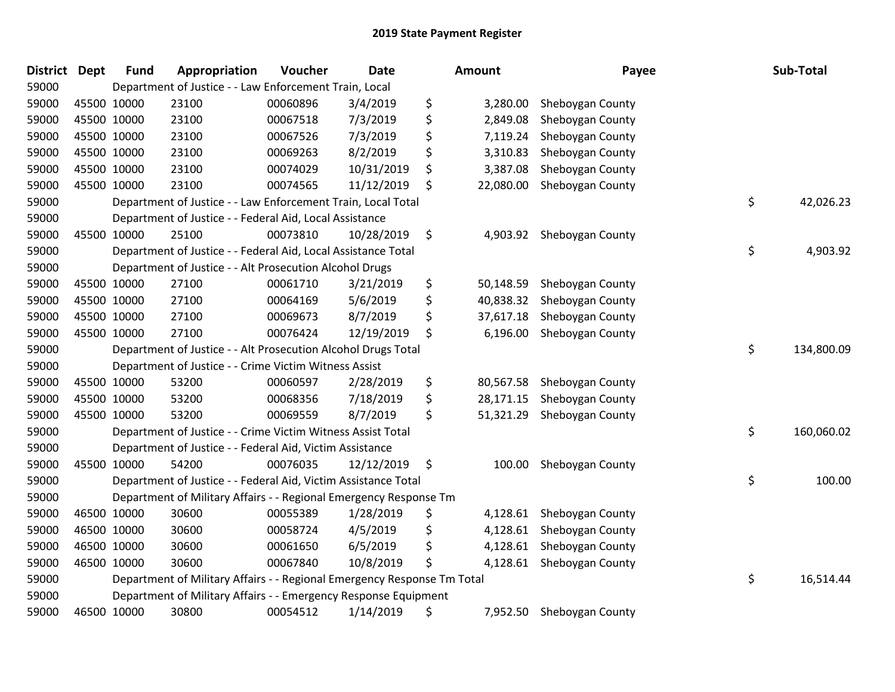| District | <b>Dept</b> | <b>Fund</b> | Appropriation                                                           | Voucher  | <b>Date</b> | <b>Amount</b>   | Payee            | Sub-Total        |
|----------|-------------|-------------|-------------------------------------------------------------------------|----------|-------------|-----------------|------------------|------------------|
| 59000    |             |             | Department of Justice - - Law Enforcement Train, Local                  |          |             |                 |                  |                  |
| 59000    |             | 45500 10000 | 23100                                                                   | 00060896 | 3/4/2019    | \$<br>3,280.00  | Sheboygan County |                  |
| 59000    |             | 45500 10000 | 23100                                                                   | 00067518 | 7/3/2019    | \$<br>2,849.08  | Sheboygan County |                  |
| 59000    |             | 45500 10000 | 23100                                                                   | 00067526 | 7/3/2019    | \$<br>7,119.24  | Sheboygan County |                  |
| 59000    |             | 45500 10000 | 23100                                                                   | 00069263 | 8/2/2019    | \$<br>3,310.83  | Sheboygan County |                  |
| 59000    |             | 45500 10000 | 23100                                                                   | 00074029 | 10/31/2019  | \$<br>3,387.08  | Sheboygan County |                  |
| 59000    |             | 45500 10000 | 23100                                                                   | 00074565 | 11/12/2019  | \$<br>22,080.00 | Sheboygan County |                  |
| 59000    |             |             | Department of Justice - - Law Enforcement Train, Local Total            |          |             |                 |                  | \$<br>42,026.23  |
| 59000    |             |             | Department of Justice - - Federal Aid, Local Assistance                 |          |             |                 |                  |                  |
| 59000    |             | 45500 10000 | 25100                                                                   | 00073810 | 10/28/2019  | \$<br>4,903.92  | Sheboygan County |                  |
| 59000    |             |             | Department of Justice - - Federal Aid, Local Assistance Total           |          |             |                 |                  | \$<br>4,903.92   |
| 59000    |             |             | Department of Justice - - Alt Prosecution Alcohol Drugs                 |          |             |                 |                  |                  |
| 59000    |             | 45500 10000 | 27100                                                                   | 00061710 | 3/21/2019   | \$<br>50,148.59 | Sheboygan County |                  |
| 59000    |             | 45500 10000 | 27100                                                                   | 00064169 | 5/6/2019    | \$<br>40,838.32 | Sheboygan County |                  |
| 59000    |             | 45500 10000 | 27100                                                                   | 00069673 | 8/7/2019    | \$<br>37,617.18 | Sheboygan County |                  |
| 59000    |             | 45500 10000 | 27100                                                                   | 00076424 | 12/19/2019  | \$<br>6,196.00  | Sheboygan County |                  |
| 59000    |             |             | Department of Justice - - Alt Prosecution Alcohol Drugs Total           |          |             |                 |                  | \$<br>134,800.09 |
| 59000    |             |             | Department of Justice - - Crime Victim Witness Assist                   |          |             |                 |                  |                  |
| 59000    |             | 45500 10000 | 53200                                                                   | 00060597 | 2/28/2019   | \$<br>80,567.58 | Sheboygan County |                  |
| 59000    |             | 45500 10000 | 53200                                                                   | 00068356 | 7/18/2019   | \$<br>28,171.15 | Sheboygan County |                  |
| 59000    |             | 45500 10000 | 53200                                                                   | 00069559 | 8/7/2019    | \$<br>51,321.29 | Sheboygan County |                  |
| 59000    |             |             | Department of Justice - - Crime Victim Witness Assist Total             |          |             |                 |                  | \$<br>160,060.02 |
| 59000    |             |             | Department of Justice - - Federal Aid, Victim Assistance                |          |             |                 |                  |                  |
| 59000    |             | 45500 10000 | 54200                                                                   | 00076035 | 12/12/2019  | \$<br>100.00    | Sheboygan County |                  |
| 59000    |             |             | Department of Justice - - Federal Aid, Victim Assistance Total          |          |             |                 |                  | \$<br>100.00     |
| 59000    |             |             | Department of Military Affairs - - Regional Emergency Response Tm       |          |             |                 |                  |                  |
| 59000    |             | 46500 10000 | 30600                                                                   | 00055389 | 1/28/2019   | \$<br>4,128.61  | Sheboygan County |                  |
| 59000    |             | 46500 10000 | 30600                                                                   | 00058724 | 4/5/2019    | \$<br>4,128.61  | Sheboygan County |                  |
| 59000    |             | 46500 10000 | 30600                                                                   | 00061650 | 6/5/2019    | \$<br>4,128.61  | Sheboygan County |                  |
| 59000    |             | 46500 10000 | 30600                                                                   | 00067840 | 10/8/2019   | \$<br>4,128.61  | Sheboygan County |                  |
| 59000    |             |             | Department of Military Affairs - - Regional Emergency Response Tm Total |          |             |                 |                  | \$<br>16,514.44  |
| 59000    |             |             | Department of Military Affairs - - Emergency Response Equipment         |          |             |                 |                  |                  |
| 59000    |             | 46500 10000 | 30800                                                                   | 00054512 | 1/14/2019   | \$<br>7,952.50  | Sheboygan County |                  |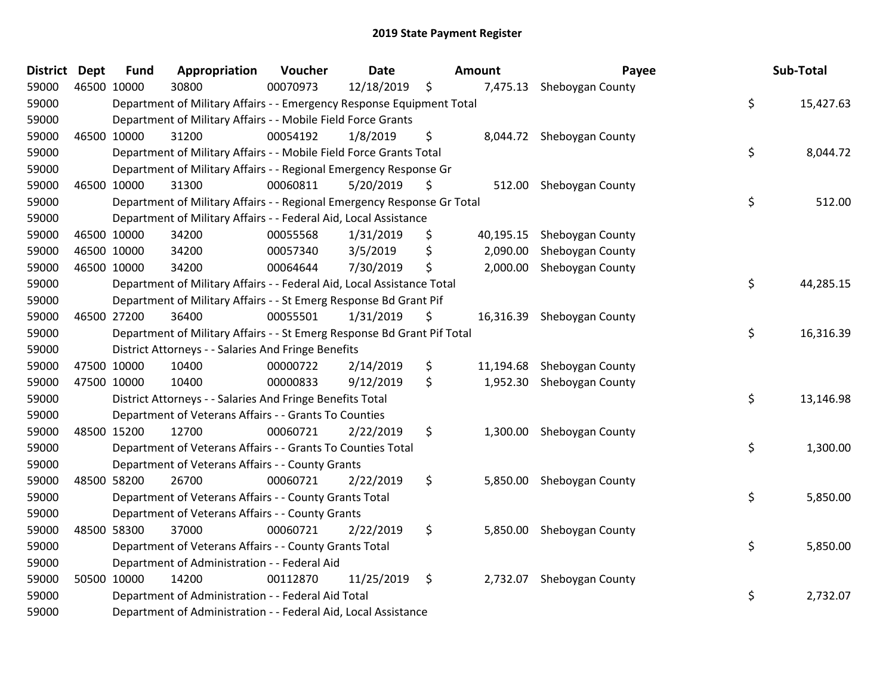| <b>District Dept</b> | <b>Fund</b> | Appropriation                                                           | Voucher  | <b>Date</b> | Amount         | Payee                      | Sub-Total       |
|----------------------|-------------|-------------------------------------------------------------------------|----------|-------------|----------------|----------------------------|-----------------|
| 59000                | 46500 10000 | 30800                                                                   | 00070973 | 12/18/2019  | \$             | 7,475.13 Sheboygan County  |                 |
| 59000                |             | Department of Military Affairs - - Emergency Response Equipment Total   |          |             |                |                            | \$<br>15,427.63 |
| 59000                |             | Department of Military Affairs - - Mobile Field Force Grants            |          |             |                |                            |                 |
| 59000                | 46500 10000 | 31200                                                                   | 00054192 | 1/8/2019    | \$             | 8,044.72 Sheboygan County  |                 |
| 59000                |             | Department of Military Affairs - - Mobile Field Force Grants Total      |          |             |                |                            | \$<br>8,044.72  |
| 59000                |             | Department of Military Affairs - - Regional Emergency Response Gr       |          |             |                |                            |                 |
| 59000                | 46500 10000 | 31300                                                                   | 00060811 | 5/20/2019   | \$<br>512.00   | Sheboygan County           |                 |
| 59000                |             | Department of Military Affairs - - Regional Emergency Response Gr Total |          |             |                |                            | \$<br>512.00    |
| 59000                |             | Department of Military Affairs - - Federal Aid, Local Assistance        |          |             |                |                            |                 |
| 59000                | 46500 10000 | 34200                                                                   | 00055568 | 1/31/2019   | \$             | 40,195.15 Sheboygan County |                 |
| 59000                | 46500 10000 | 34200                                                                   | 00057340 | 3/5/2019    | \$<br>2,090.00 | Sheboygan County           |                 |
| 59000                | 46500 10000 | 34200                                                                   | 00064644 | 7/30/2019   | \$<br>2,000.00 | Sheboygan County           |                 |
| 59000                |             | Department of Military Affairs - - Federal Aid, Local Assistance Total  |          |             |                |                            | \$<br>44,285.15 |
| 59000                |             | Department of Military Affairs - - St Emerg Response Bd Grant Pif       |          |             |                |                            |                 |
| 59000                | 46500 27200 | 36400                                                                   | 00055501 | 1/31/2019   | \$             | 16,316.39 Sheboygan County |                 |
| 59000                |             | Department of Military Affairs - - St Emerg Response Bd Grant Pif Total |          |             |                |                            | \$<br>16,316.39 |
| 59000                |             | District Attorneys - - Salaries And Fringe Benefits                     |          |             |                |                            |                 |
| 59000                | 47500 10000 | 10400                                                                   | 00000722 | 2/14/2019   | \$             | 11,194.68 Sheboygan County |                 |
| 59000                | 47500 10000 | 10400                                                                   | 00000833 | 9/12/2019   | \$             | 1,952.30 Sheboygan County  |                 |
| 59000                |             | District Attorneys - - Salaries And Fringe Benefits Total               |          |             |                |                            | \$<br>13,146.98 |
| 59000                |             | Department of Veterans Affairs - - Grants To Counties                   |          |             |                |                            |                 |
| 59000                | 48500 15200 | 12700                                                                   | 00060721 | 2/22/2019   | \$             | 1,300.00 Sheboygan County  |                 |
| 59000                |             | Department of Veterans Affairs - - Grants To Counties Total             |          |             |                |                            | \$<br>1,300.00  |
| 59000                |             | Department of Veterans Affairs - - County Grants                        |          |             |                |                            |                 |
| 59000                | 48500 58200 | 26700                                                                   | 00060721 | 2/22/2019   | \$             | 5,850.00 Sheboygan County  |                 |
| 59000                |             | Department of Veterans Affairs - - County Grants Total                  |          |             |                |                            | \$<br>5,850.00  |
| 59000                |             | Department of Veterans Affairs - - County Grants                        |          |             |                |                            |                 |
| 59000                | 48500 58300 | 37000                                                                   | 00060721 | 2/22/2019   | \$             | 5,850.00 Sheboygan County  |                 |
| 59000                |             | Department of Veterans Affairs - - County Grants Total                  |          |             |                |                            | \$<br>5,850.00  |
| 59000                |             | Department of Administration - - Federal Aid                            |          |             |                |                            |                 |
| 59000                | 50500 10000 | 14200                                                                   | 00112870 | 11/25/2019  | \$             | 2,732.07 Sheboygan County  |                 |
| 59000                |             | Department of Administration - - Federal Aid Total                      |          |             |                |                            | \$<br>2,732.07  |
| 59000                |             | Department of Administration - - Federal Aid, Local Assistance          |          |             |                |                            |                 |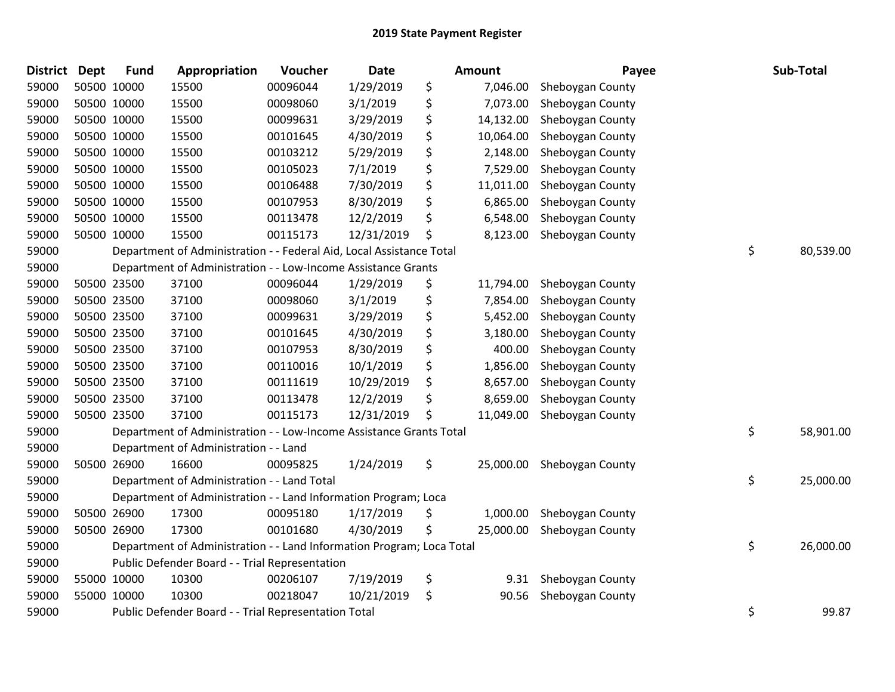| <b>District</b> | Dept | <b>Fund</b> | Appropriation                                                         | Voucher  | <b>Date</b> | <b>Amount</b>   | Payee            | Sub-Total       |
|-----------------|------|-------------|-----------------------------------------------------------------------|----------|-------------|-----------------|------------------|-----------------|
| 59000           |      | 50500 10000 | 15500                                                                 | 00096044 | 1/29/2019   | \$<br>7,046.00  | Sheboygan County |                 |
| 59000           |      | 50500 10000 | 15500                                                                 | 00098060 | 3/1/2019    | \$<br>7,073.00  | Sheboygan County |                 |
| 59000           |      | 50500 10000 | 15500                                                                 | 00099631 | 3/29/2019   | \$<br>14,132.00 | Sheboygan County |                 |
| 59000           |      | 50500 10000 | 15500                                                                 | 00101645 | 4/30/2019   | \$<br>10,064.00 | Sheboygan County |                 |
| 59000           |      | 50500 10000 | 15500                                                                 | 00103212 | 5/29/2019   | \$<br>2,148.00  | Sheboygan County |                 |
| 59000           |      | 50500 10000 | 15500                                                                 | 00105023 | 7/1/2019    | \$<br>7,529.00  | Sheboygan County |                 |
| 59000           |      | 50500 10000 | 15500                                                                 | 00106488 | 7/30/2019   | \$<br>11,011.00 | Sheboygan County |                 |
| 59000           |      | 50500 10000 | 15500                                                                 | 00107953 | 8/30/2019   | \$<br>6,865.00  | Sheboygan County |                 |
| 59000           |      | 50500 10000 | 15500                                                                 | 00113478 | 12/2/2019   | \$<br>6,548.00  | Sheboygan County |                 |
| 59000           |      | 50500 10000 | 15500                                                                 | 00115173 | 12/31/2019  | \$<br>8,123.00  | Sheboygan County |                 |
| 59000           |      |             | Department of Administration - - Federal Aid, Local Assistance Total  |          |             |                 |                  | \$<br>80,539.00 |
| 59000           |      |             | Department of Administration - - Low-Income Assistance Grants         |          |             |                 |                  |                 |
| 59000           |      | 50500 23500 | 37100                                                                 | 00096044 | 1/29/2019   | \$<br>11,794.00 | Sheboygan County |                 |
| 59000           |      | 50500 23500 | 37100                                                                 | 00098060 | 3/1/2019    | \$<br>7,854.00  | Sheboygan County |                 |
| 59000           |      | 50500 23500 | 37100                                                                 | 00099631 | 3/29/2019   | \$<br>5,452.00  | Sheboygan County |                 |
| 59000           |      | 50500 23500 | 37100                                                                 | 00101645 | 4/30/2019   | \$<br>3,180.00  | Sheboygan County |                 |
| 59000           |      | 50500 23500 | 37100                                                                 | 00107953 | 8/30/2019   | \$<br>400.00    | Sheboygan County |                 |
| 59000           |      | 50500 23500 | 37100                                                                 | 00110016 | 10/1/2019   | \$<br>1,856.00  | Sheboygan County |                 |
| 59000           |      | 50500 23500 | 37100                                                                 | 00111619 | 10/29/2019  | \$<br>8,657.00  | Sheboygan County |                 |
| 59000           |      | 50500 23500 | 37100                                                                 | 00113478 | 12/2/2019   | \$<br>8,659.00  | Sheboygan County |                 |
| 59000           |      | 50500 23500 | 37100                                                                 | 00115173 | 12/31/2019  | \$<br>11,049.00 | Sheboygan County |                 |
| 59000           |      |             | Department of Administration - - Low-Income Assistance Grants Total   |          |             |                 |                  | \$<br>58,901.00 |
| 59000           |      |             | Department of Administration - - Land                                 |          |             |                 |                  |                 |
| 59000           |      | 50500 26900 | 16600                                                                 | 00095825 | 1/24/2019   | \$<br>25,000.00 | Sheboygan County |                 |
| 59000           |      |             | Department of Administration - - Land Total                           |          |             |                 |                  | \$<br>25,000.00 |
| 59000           |      |             | Department of Administration - - Land Information Program; Loca       |          |             |                 |                  |                 |
| 59000           |      | 50500 26900 | 17300                                                                 | 00095180 | 1/17/2019   | \$<br>1,000.00  | Sheboygan County |                 |
| 59000           |      | 50500 26900 | 17300                                                                 | 00101680 | 4/30/2019   | \$<br>25,000.00 | Sheboygan County |                 |
| 59000           |      |             | Department of Administration - - Land Information Program; Loca Total |          |             |                 |                  | \$<br>26,000.00 |
| 59000           |      |             | Public Defender Board - - Trial Representation                        |          |             |                 |                  |                 |
| 59000           |      | 55000 10000 | 10300                                                                 | 00206107 | 7/19/2019   | \$<br>9.31      | Sheboygan County |                 |
| 59000           |      | 55000 10000 | 10300                                                                 | 00218047 | 10/21/2019  | \$<br>90.56     | Sheboygan County |                 |
| 59000           |      |             | Public Defender Board - - Trial Representation Total                  |          |             |                 |                  | \$<br>99.87     |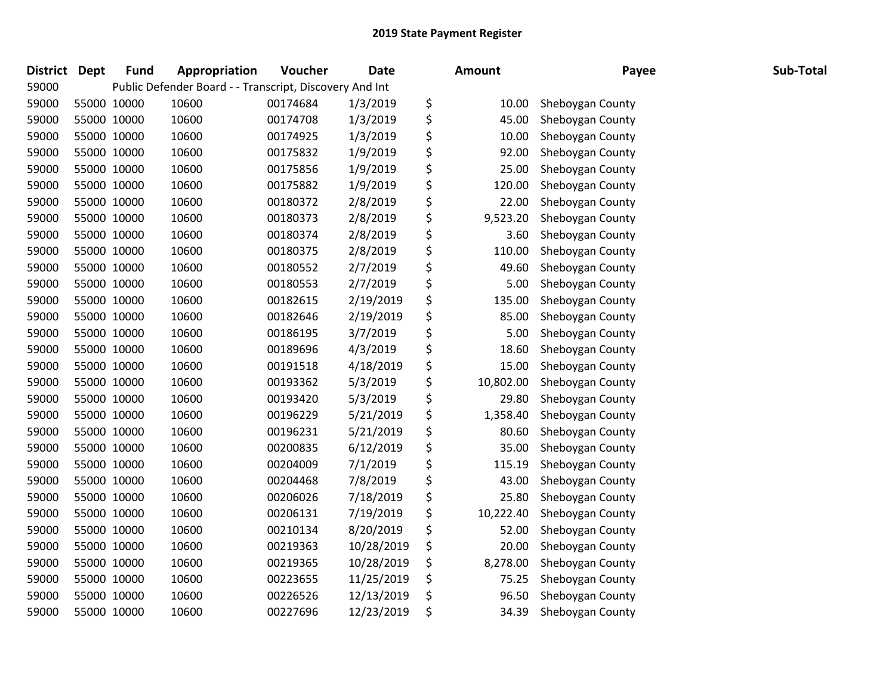| <b>District</b> | <b>Dept</b> | <b>Fund</b> | Appropriation                                           | Voucher  | <b>Date</b> | <b>Amount</b>   | Payee            | Sub-Total |
|-----------------|-------------|-------------|---------------------------------------------------------|----------|-------------|-----------------|------------------|-----------|
| 59000           |             |             | Public Defender Board - - Transcript, Discovery And Int |          |             |                 |                  |           |
| 59000           |             | 55000 10000 | 10600                                                   | 00174684 | 1/3/2019    | \$<br>10.00     | Sheboygan County |           |
| 59000           |             | 55000 10000 | 10600                                                   | 00174708 | 1/3/2019    | \$<br>45.00     | Sheboygan County |           |
| 59000           |             | 55000 10000 | 10600                                                   | 00174925 | 1/3/2019    | \$<br>10.00     | Sheboygan County |           |
| 59000           |             | 55000 10000 | 10600                                                   | 00175832 | 1/9/2019    | \$<br>92.00     | Sheboygan County |           |
| 59000           |             | 55000 10000 | 10600                                                   | 00175856 | 1/9/2019    | \$<br>25.00     | Sheboygan County |           |
| 59000           |             | 55000 10000 | 10600                                                   | 00175882 | 1/9/2019    | \$<br>120.00    | Sheboygan County |           |
| 59000           |             | 55000 10000 | 10600                                                   | 00180372 | 2/8/2019    | \$<br>22.00     | Sheboygan County |           |
| 59000           |             | 55000 10000 | 10600                                                   | 00180373 | 2/8/2019    | \$<br>9,523.20  | Sheboygan County |           |
| 59000           |             | 55000 10000 | 10600                                                   | 00180374 | 2/8/2019    | \$<br>3.60      | Sheboygan County |           |
| 59000           |             | 55000 10000 | 10600                                                   | 00180375 | 2/8/2019    | \$<br>110.00    | Sheboygan County |           |
| 59000           |             | 55000 10000 | 10600                                                   | 00180552 | 2/7/2019    | \$<br>49.60     | Sheboygan County |           |
| 59000           |             | 55000 10000 | 10600                                                   | 00180553 | 2/7/2019    | \$<br>5.00      | Sheboygan County |           |
| 59000           |             | 55000 10000 | 10600                                                   | 00182615 | 2/19/2019   | \$<br>135.00    | Sheboygan County |           |
| 59000           |             | 55000 10000 | 10600                                                   | 00182646 | 2/19/2019   | \$<br>85.00     | Sheboygan County |           |
| 59000           |             | 55000 10000 | 10600                                                   | 00186195 | 3/7/2019    | \$<br>5.00      | Sheboygan County |           |
| 59000           |             | 55000 10000 | 10600                                                   | 00189696 | 4/3/2019    | \$<br>18.60     | Sheboygan County |           |
| 59000           |             | 55000 10000 | 10600                                                   | 00191518 | 4/18/2019   | \$<br>15.00     | Sheboygan County |           |
| 59000           |             | 55000 10000 | 10600                                                   | 00193362 | 5/3/2019    | \$<br>10,802.00 | Sheboygan County |           |
| 59000           |             | 55000 10000 | 10600                                                   | 00193420 | 5/3/2019    | \$<br>29.80     | Sheboygan County |           |
| 59000           |             | 55000 10000 | 10600                                                   | 00196229 | 5/21/2019   | \$<br>1,358.40  | Sheboygan County |           |
| 59000           |             | 55000 10000 | 10600                                                   | 00196231 | 5/21/2019   | \$<br>80.60     | Sheboygan County |           |
| 59000           |             | 55000 10000 | 10600                                                   | 00200835 | 6/12/2019   | \$<br>35.00     | Sheboygan County |           |
| 59000           |             | 55000 10000 | 10600                                                   | 00204009 | 7/1/2019    | \$<br>115.19    | Sheboygan County |           |
| 59000           |             | 55000 10000 | 10600                                                   | 00204468 | 7/8/2019    | \$<br>43.00     | Sheboygan County |           |
| 59000           |             | 55000 10000 | 10600                                                   | 00206026 | 7/18/2019   | \$<br>25.80     | Sheboygan County |           |
| 59000           |             | 55000 10000 | 10600                                                   | 00206131 | 7/19/2019   | \$<br>10,222.40 | Sheboygan County |           |
| 59000           |             | 55000 10000 | 10600                                                   | 00210134 | 8/20/2019   | \$<br>52.00     | Sheboygan County |           |
| 59000           |             | 55000 10000 | 10600                                                   | 00219363 | 10/28/2019  | \$<br>20.00     | Sheboygan County |           |
| 59000           |             | 55000 10000 | 10600                                                   | 00219365 | 10/28/2019  | \$<br>8,278.00  | Sheboygan County |           |
| 59000           |             | 55000 10000 | 10600                                                   | 00223655 | 11/25/2019  | \$<br>75.25     | Sheboygan County |           |
| 59000           |             | 55000 10000 | 10600                                                   | 00226526 | 12/13/2019  | \$<br>96.50     | Sheboygan County |           |
| 59000           |             | 55000 10000 | 10600                                                   | 00227696 | 12/23/2019  | \$<br>34.39     | Sheboygan County |           |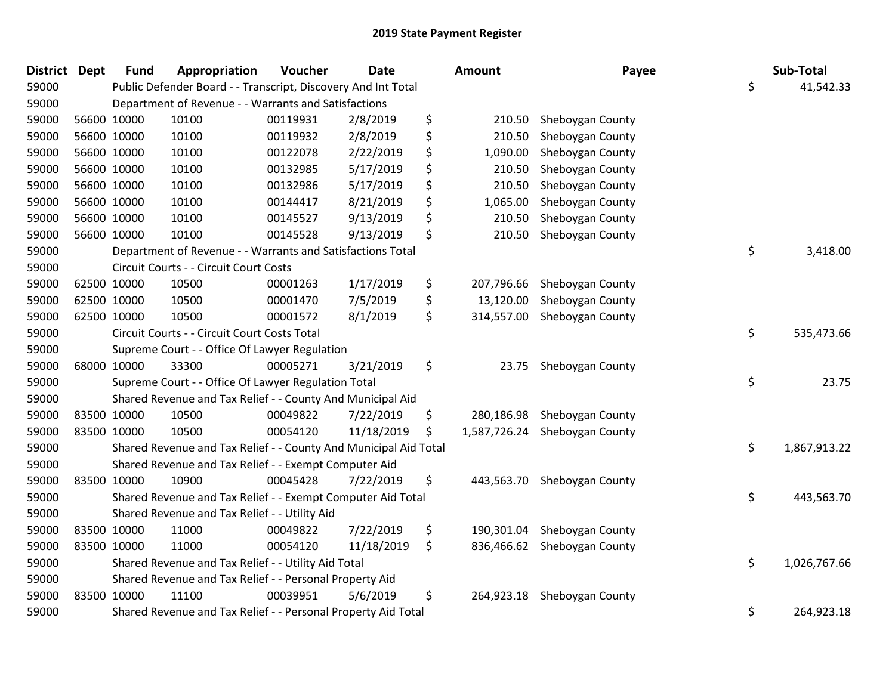| District Dept |             | <b>Fund</b> | Appropriation                                                    | Voucher  | <b>Date</b> | Amount             | Payee            | Sub-Total          |
|---------------|-------------|-------------|------------------------------------------------------------------|----------|-------------|--------------------|------------------|--------------------|
| 59000         |             |             | Public Defender Board - - Transcript, Discovery And Int Total    |          |             |                    |                  | \$<br>41,542.33    |
| 59000         |             |             | Department of Revenue - - Warrants and Satisfactions             |          |             |                    |                  |                    |
| 59000         |             | 56600 10000 | 10100                                                            | 00119931 | 2/8/2019    | \$<br>210.50       | Sheboygan County |                    |
| 59000         |             | 56600 10000 | 10100                                                            | 00119932 | 2/8/2019    | \$<br>210.50       | Sheboygan County |                    |
| 59000         |             | 56600 10000 | 10100                                                            | 00122078 | 2/22/2019   | \$<br>1,090.00     | Sheboygan County |                    |
| 59000         |             | 56600 10000 | 10100                                                            | 00132985 | 5/17/2019   | \$<br>210.50       | Sheboygan County |                    |
| 59000         |             | 56600 10000 | 10100                                                            | 00132986 | 5/17/2019   | \$<br>210.50       | Sheboygan County |                    |
| 59000         |             | 56600 10000 | 10100                                                            | 00144417 | 8/21/2019   | \$<br>1,065.00     | Sheboygan County |                    |
| 59000         |             | 56600 10000 | 10100                                                            | 00145527 | 9/13/2019   | \$<br>210.50       | Sheboygan County |                    |
| 59000         |             | 56600 10000 | 10100                                                            | 00145528 | 9/13/2019   | \$<br>210.50       | Sheboygan County |                    |
| 59000         |             |             | Department of Revenue - - Warrants and Satisfactions Total       |          |             |                    |                  | \$<br>3,418.00     |
| 59000         |             |             | Circuit Courts - - Circuit Court Costs                           |          |             |                    |                  |                    |
| 59000         |             | 62500 10000 | 10500                                                            | 00001263 | 1/17/2019   | \$<br>207,796.66   | Sheboygan County |                    |
| 59000         |             | 62500 10000 | 10500                                                            | 00001470 | 7/5/2019    | \$<br>13,120.00    | Sheboygan County |                    |
| 59000         | 62500 10000 |             | 10500                                                            | 00001572 | 8/1/2019    | \$<br>314,557.00   | Sheboygan County |                    |
| 59000         |             |             | Circuit Courts - - Circuit Court Costs Total                     |          |             |                    |                  | \$<br>535,473.66   |
| 59000         |             |             | Supreme Court - - Office Of Lawyer Regulation                    |          |             |                    |                  |                    |
| 59000         |             | 68000 10000 | 33300                                                            | 00005271 | 3/21/2019   | \$<br>23.75        | Sheboygan County |                    |
| 59000         |             |             | Supreme Court - - Office Of Lawyer Regulation Total              |          |             |                    |                  | \$<br>23.75        |
| 59000         |             |             | Shared Revenue and Tax Relief - - County And Municipal Aid       |          |             |                    |                  |                    |
| 59000         |             | 83500 10000 | 10500                                                            | 00049822 | 7/22/2019   | \$<br>280,186.98   | Sheboygan County |                    |
| 59000         |             | 83500 10000 | 10500                                                            | 00054120 | 11/18/2019  | \$<br>1,587,726.24 | Sheboygan County |                    |
| 59000         |             |             | Shared Revenue and Tax Relief - - County And Municipal Aid Total |          |             |                    |                  | \$<br>1,867,913.22 |
| 59000         |             |             | Shared Revenue and Tax Relief - - Exempt Computer Aid            |          |             |                    |                  |                    |
| 59000         |             | 83500 10000 | 10900                                                            | 00045428 | 7/22/2019   | \$<br>443,563.70   | Sheboygan County |                    |
| 59000         |             |             | Shared Revenue and Tax Relief - - Exempt Computer Aid Total      |          |             |                    |                  | \$<br>443,563.70   |
| 59000         |             |             | Shared Revenue and Tax Relief - - Utility Aid                    |          |             |                    |                  |                    |
| 59000         |             | 83500 10000 | 11000                                                            | 00049822 | 7/22/2019   | \$<br>190,301.04   | Sheboygan County |                    |
| 59000         | 83500 10000 |             | 11000                                                            | 00054120 | 11/18/2019  | \$<br>836,466.62   | Sheboygan County |                    |
| 59000         |             |             | Shared Revenue and Tax Relief - - Utility Aid Total              |          |             |                    |                  | \$<br>1,026,767.66 |
| 59000         |             |             | Shared Revenue and Tax Relief - - Personal Property Aid          |          |             |                    |                  |                    |
| 59000         |             | 83500 10000 | 11100                                                            | 00039951 | 5/6/2019    | \$<br>264,923.18   | Sheboygan County |                    |
| 59000         |             |             | Shared Revenue and Tax Relief - - Personal Property Aid Total    |          |             |                    |                  | \$<br>264,923.18   |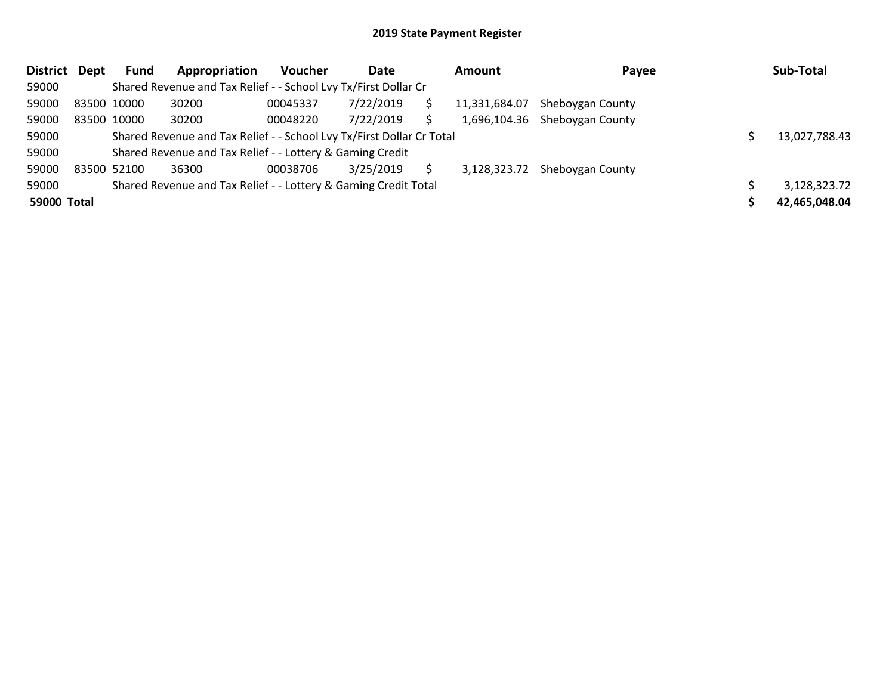| District Dept | Fund        | Appropriation                                                         | <b>Voucher</b> | Date      | Amount        | Payee                         | Sub-Total     |
|---------------|-------------|-----------------------------------------------------------------------|----------------|-----------|---------------|-------------------------------|---------------|
| 59000         |             | Shared Revenue and Tax Relief - - School Lvy Tx/First Dollar Cr       |                |           |               |                               |               |
| 59000         | 83500 10000 | 30200                                                                 | 00045337       | 7/22/2019 | 11,331,684.07 | Sheboygan County              |               |
| 59000         | 83500 10000 | 30200                                                                 | 00048220       | 7/22/2019 |               | 1,696,104.36 Sheboygan County |               |
| 59000         |             | Shared Revenue and Tax Relief - - School Lvy Tx/First Dollar Cr Total |                |           |               |                               | 13.027.788.43 |
| 59000         |             | Shared Revenue and Tax Relief - - Lottery & Gaming Credit             |                |           |               |                               |               |
| 59000         | 83500 52100 | 36300                                                                 | 00038706       | 3/25/2019 | 3,128,323.72  | Sheboygan County              |               |
| 59000         |             | Shared Revenue and Tax Relief - - Lottery & Gaming Credit Total       |                |           |               |                               | 3,128,323.72  |
| 59000 Total   |             |                                                                       |                |           |               |                               | 42,465,048.04 |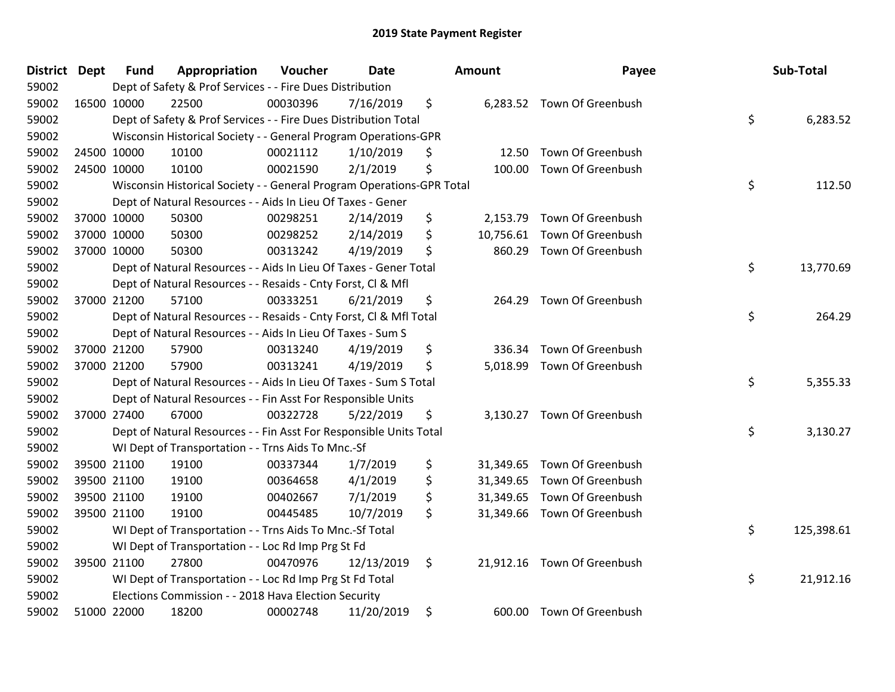| District Dept |             | <b>Fund</b> | Appropriation                                                         | Voucher  | <b>Date</b> | <b>Amount</b>   | Payee                       | Sub-Total        |
|---------------|-------------|-------------|-----------------------------------------------------------------------|----------|-------------|-----------------|-----------------------------|------------------|
| 59002         |             |             | Dept of Safety & Prof Services - - Fire Dues Distribution             |          |             |                 |                             |                  |
| 59002         | 16500 10000 |             | 22500                                                                 | 00030396 | 7/16/2019   | \$              | 6,283.52 Town Of Greenbush  |                  |
| 59002         |             |             | Dept of Safety & Prof Services - - Fire Dues Distribution Total       |          |             |                 |                             | \$<br>6,283.52   |
| 59002         |             |             | Wisconsin Historical Society - - General Program Operations-GPR       |          |             |                 |                             |                  |
| 59002         | 24500 10000 |             | 10100                                                                 | 00021112 | 1/10/2019   | \$<br>12.50     | Town Of Greenbush           |                  |
| 59002         |             | 24500 10000 | 10100                                                                 | 00021590 | 2/1/2019    | \$<br>100.00    | Town Of Greenbush           |                  |
| 59002         |             |             | Wisconsin Historical Society - - General Program Operations-GPR Total |          |             |                 |                             | \$<br>112.50     |
| 59002         |             |             | Dept of Natural Resources - - Aids In Lieu Of Taxes - Gener           |          |             |                 |                             |                  |
| 59002         | 37000 10000 |             | 50300                                                                 | 00298251 | 2/14/2019   | \$<br>2,153.79  | Town Of Greenbush           |                  |
| 59002         |             | 37000 10000 | 50300                                                                 | 00298252 | 2/14/2019   | \$<br>10,756.61 | Town Of Greenbush           |                  |
| 59002         |             | 37000 10000 | 50300                                                                 | 00313242 | 4/19/2019   | \$<br>860.29    | Town Of Greenbush           |                  |
| 59002         |             |             | Dept of Natural Resources - - Aids In Lieu Of Taxes - Gener Total     |          |             |                 |                             | \$<br>13,770.69  |
| 59002         |             |             | Dept of Natural Resources - - Resaids - Cnty Forst, Cl & Mfl          |          |             |                 |                             |                  |
| 59002         |             | 37000 21200 | 57100                                                                 | 00333251 | 6/21/2019   | \$<br>264.29    | Town Of Greenbush           |                  |
| 59002         |             |             | Dept of Natural Resources - - Resaids - Cnty Forst, Cl & Mfl Total    |          |             |                 |                             | \$<br>264.29     |
| 59002         |             |             | Dept of Natural Resources - - Aids In Lieu Of Taxes - Sum S           |          |             |                 |                             |                  |
| 59002         |             | 37000 21200 | 57900                                                                 | 00313240 | 4/19/2019   | \$<br>336.34    | Town Of Greenbush           |                  |
| 59002         |             | 37000 21200 | 57900                                                                 | 00313241 | 4/19/2019   | \$              | 5,018.99 Town Of Greenbush  |                  |
| 59002         |             |             | Dept of Natural Resources - - Aids In Lieu Of Taxes - Sum S Total     |          |             |                 |                             | \$<br>5,355.33   |
| 59002         |             |             | Dept of Natural Resources - - Fin Asst For Responsible Units          |          |             |                 |                             |                  |
| 59002         |             | 37000 27400 | 67000                                                                 | 00322728 | 5/22/2019   | \$              | 3,130.27 Town Of Greenbush  |                  |
| 59002         |             |             | Dept of Natural Resources - - Fin Asst For Responsible Units Total    |          |             |                 |                             | \$<br>3,130.27   |
| 59002         |             |             | WI Dept of Transportation - - Trns Aids To Mnc.-Sf                    |          |             |                 |                             |                  |
| 59002         | 39500 21100 |             | 19100                                                                 | 00337344 | 1/7/2019    | \$              | 31,349.65 Town Of Greenbush |                  |
| 59002         |             | 39500 21100 | 19100                                                                 | 00364658 | 4/1/2019    | \$<br>31,349.65 | Town Of Greenbush           |                  |
| 59002         |             | 39500 21100 | 19100                                                                 | 00402667 | 7/1/2019    | \$<br>31,349.65 | Town Of Greenbush           |                  |
| 59002         |             | 39500 21100 | 19100                                                                 | 00445485 | 10/7/2019   | \$              | 31,349.66 Town Of Greenbush |                  |
| 59002         |             |             | WI Dept of Transportation - - Trns Aids To Mnc .- Sf Total            |          |             |                 |                             | \$<br>125,398.61 |
| 59002         |             |             | WI Dept of Transportation - - Loc Rd Imp Prg St Fd                    |          |             |                 |                             |                  |
| 59002         |             | 39500 21100 | 27800                                                                 | 00470976 | 12/13/2019  | \$              | 21,912.16 Town Of Greenbush |                  |
| 59002         |             |             | WI Dept of Transportation - - Loc Rd Imp Prg St Fd Total              |          |             |                 |                             | \$<br>21,912.16  |
| 59002         |             |             | Elections Commission - - 2018 Hava Election Security                  |          |             |                 |                             |                  |
| 59002         |             | 51000 22000 | 18200                                                                 | 00002748 | 11/20/2019  | \$              | 600.00 Town Of Greenbush    |                  |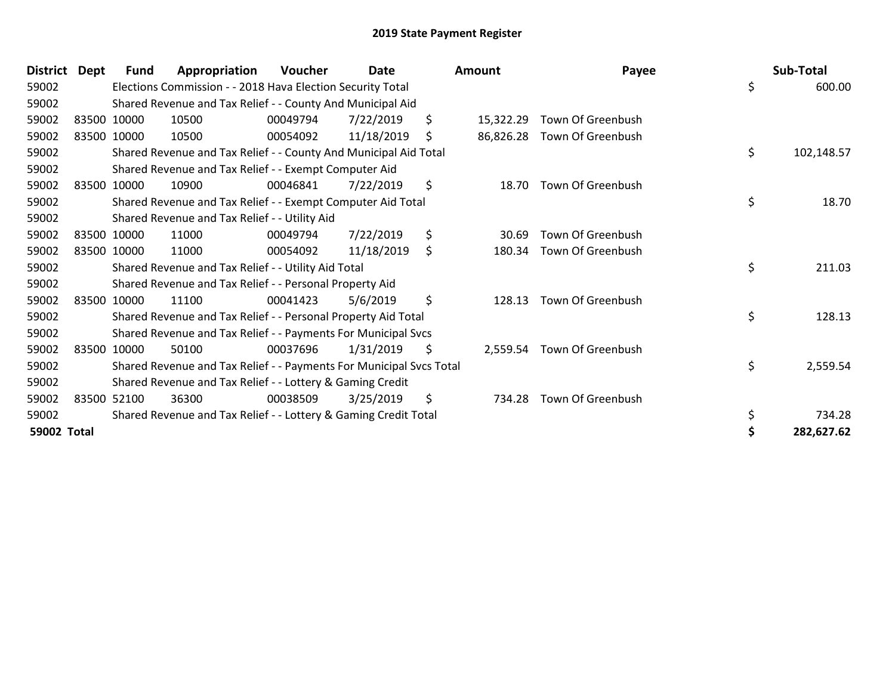| <b>District</b> | <b>Dept</b> | Fund        | Appropriation                                                       | Voucher  | Date       |    | Amount    | Payee                      |    | Sub-Total  |
|-----------------|-------------|-------------|---------------------------------------------------------------------|----------|------------|----|-----------|----------------------------|----|------------|
| 59002           |             |             | Elections Commission - - 2018 Hava Election Security Total          |          |            |    |           |                            | \$ | 600.00     |
| 59002           |             |             | Shared Revenue and Tax Relief - - County And Municipal Aid          |          |            |    |           |                            |    |            |
| 59002           |             | 83500 10000 | 10500                                                               | 00049794 | 7/22/2019  | \$ | 15,322.29 | Town Of Greenbush          |    |            |
| 59002           |             | 83500 10000 | 10500                                                               | 00054092 | 11/18/2019 | S  | 86,826.28 | Town Of Greenbush          |    |            |
| 59002           |             |             | Shared Revenue and Tax Relief - - County And Municipal Aid Total    |          |            |    |           |                            | \$ | 102,148.57 |
| 59002           |             |             | Shared Revenue and Tax Relief - - Exempt Computer Aid               |          |            |    |           |                            |    |            |
| 59002           |             | 83500 10000 | 10900                                                               | 00046841 | 7/22/2019  | \$ | 18.70     | Town Of Greenbush          |    |            |
| 59002           |             |             | Shared Revenue and Tax Relief - - Exempt Computer Aid Total         |          |            |    |           |                            | \$ | 18.70      |
| 59002           |             |             | Shared Revenue and Tax Relief - - Utility Aid                       |          |            |    |           |                            |    |            |
| 59002           |             | 83500 10000 | 11000                                                               | 00049794 | 7/22/2019  | \$ | 30.69     | Town Of Greenbush          |    |            |
| 59002           |             | 83500 10000 | 11000                                                               | 00054092 | 11/18/2019 | \$ | 180.34    | Town Of Greenbush          |    |            |
| 59002           |             |             | Shared Revenue and Tax Relief - - Utility Aid Total                 |          |            |    |           |                            | \$ | 211.03     |
| 59002           |             |             | Shared Revenue and Tax Relief - - Personal Property Aid             |          |            |    |           |                            |    |            |
| 59002           |             | 83500 10000 | 11100                                                               | 00041423 | 5/6/2019   | \$ | 128.13    | Town Of Greenbush          |    |            |
| 59002           |             |             | Shared Revenue and Tax Relief - - Personal Property Aid Total       |          |            |    |           |                            | \$ | 128.13     |
| 59002           |             |             | Shared Revenue and Tax Relief - - Payments For Municipal Svcs       |          |            |    |           |                            |    |            |
| 59002           |             | 83500 10000 | 50100                                                               | 00037696 | 1/31/2019  | \$ |           | 2,559.54 Town Of Greenbush |    |            |
| 59002           |             |             | Shared Revenue and Tax Relief - - Payments For Municipal Svcs Total |          |            |    |           |                            | \$ | 2,559.54   |
| 59002           |             |             | Shared Revenue and Tax Relief - - Lottery & Gaming Credit           |          |            |    |           |                            |    |            |
| 59002           |             | 83500 52100 | 36300                                                               | 00038509 | 3/25/2019  | \$ | 734.28    | Town Of Greenbush          |    |            |
| 59002           |             |             | Shared Revenue and Tax Relief - - Lottery & Gaming Credit Total     |          |            |    |           |                            | \$ | 734.28     |
| 59002 Total     |             |             |                                                                     |          |            |    |           |                            | Ś  | 282,627.62 |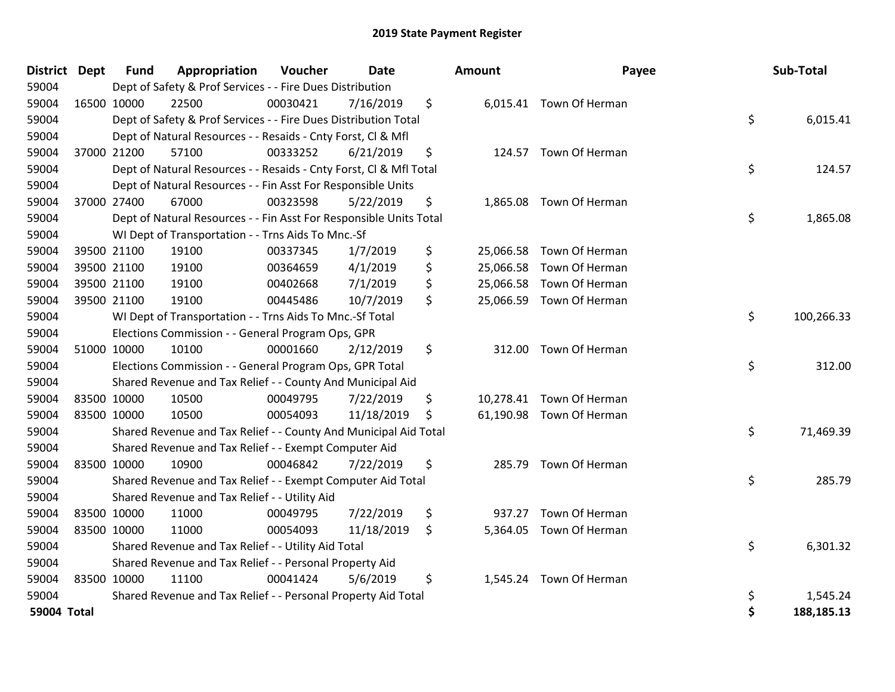| District Dept | <b>Fund</b> | Appropriation                                                      | Voucher  | Date       | <b>Amount</b> | Payee                    | <b>Sub-Total</b> |
|---------------|-------------|--------------------------------------------------------------------|----------|------------|---------------|--------------------------|------------------|
| 59004         |             | Dept of Safety & Prof Services - - Fire Dues Distribution          |          |            |               |                          |                  |
| 59004         | 16500 10000 | 22500                                                              | 00030421 | 7/16/2019  | \$            | 6,015.41 Town Of Herman  |                  |
| 59004         |             | Dept of Safety & Prof Services - - Fire Dues Distribution Total    |          |            |               |                          | \$<br>6,015.41   |
| 59004         |             | Dept of Natural Resources - - Resaids - Cnty Forst, Cl & Mfl       |          |            |               |                          |                  |
| 59004         | 37000 21200 | 57100                                                              | 00333252 | 6/21/2019  | \$            | 124.57 Town Of Herman    |                  |
| 59004         |             | Dept of Natural Resources - - Resaids - Cnty Forst, Cl & Mfl Total |          |            |               |                          | \$<br>124.57     |
| 59004         |             | Dept of Natural Resources - - Fin Asst For Responsible Units       |          |            |               |                          |                  |
| 59004         | 37000 27400 | 67000                                                              | 00323598 | 5/22/2019  | \$            | 1,865.08 Town Of Herman  |                  |
| 59004         |             | Dept of Natural Resources - - Fin Asst For Responsible Units Total |          |            |               |                          | \$<br>1,865.08   |
| 59004         |             | WI Dept of Transportation - - Trns Aids To Mnc.-Sf                 |          |            |               |                          |                  |
| 59004         | 39500 21100 | 19100                                                              | 00337345 | 1/7/2019   | \$            | 25,066.58 Town Of Herman |                  |
| 59004         | 39500 21100 | 19100                                                              | 00364659 | 4/1/2019   | \$            | 25,066.58 Town Of Herman |                  |
| 59004         | 39500 21100 | 19100                                                              | 00402668 | 7/1/2019   | \$            | 25,066.58 Town Of Herman |                  |
| 59004         | 39500 21100 | 19100                                                              | 00445486 | 10/7/2019  | \$            | 25,066.59 Town Of Herman |                  |
| 59004         |             | WI Dept of Transportation - - Trns Aids To Mnc.-Sf Total           |          |            |               |                          | \$<br>100,266.33 |
| 59004         |             | Elections Commission - - General Program Ops, GPR                  |          |            |               |                          |                  |
| 59004         | 51000 10000 | 10100                                                              | 00001660 | 2/12/2019  | \$<br>312.00  | Town Of Herman           |                  |
| 59004         |             | Elections Commission - - General Program Ops, GPR Total            |          |            |               |                          | \$<br>312.00     |
| 59004         |             | Shared Revenue and Tax Relief - - County And Municipal Aid         |          |            |               |                          |                  |
| 59004         | 83500 10000 | 10500                                                              | 00049795 | 7/22/2019  | \$            | 10,278.41 Town Of Herman |                  |
| 59004         | 83500 10000 | 10500                                                              | 00054093 | 11/18/2019 | \$            | 61,190.98 Town Of Herman |                  |
| 59004         |             | Shared Revenue and Tax Relief - - County And Municipal Aid Total   |          |            |               |                          | \$<br>71,469.39  |
| 59004         |             | Shared Revenue and Tax Relief - - Exempt Computer Aid              |          |            |               |                          |                  |
| 59004         | 83500 10000 | 10900                                                              | 00046842 | 7/22/2019  | \$<br>285.79  | Town Of Herman           |                  |
| 59004         |             | Shared Revenue and Tax Relief - - Exempt Computer Aid Total        |          |            |               |                          | \$<br>285.79     |
| 59004         |             | Shared Revenue and Tax Relief - - Utility Aid                      |          |            |               |                          |                  |
| 59004         | 83500 10000 | 11000                                                              | 00049795 | 7/22/2019  | \$<br>937.27  | Town Of Herman           |                  |
| 59004         | 83500 10000 | 11000                                                              | 00054093 | 11/18/2019 | \$            | 5,364.05 Town Of Herman  |                  |
| 59004         |             | Shared Revenue and Tax Relief - - Utility Aid Total                |          |            |               |                          | \$<br>6,301.32   |
| 59004         |             | Shared Revenue and Tax Relief - - Personal Property Aid            |          |            |               |                          |                  |
| 59004         | 83500 10000 | 11100                                                              | 00041424 | 5/6/2019   | \$            | 1,545.24 Town Of Herman  |                  |
| 59004         |             | Shared Revenue and Tax Relief - - Personal Property Aid Total      |          |            |               |                          | \$<br>1,545.24   |
| 59004 Total   |             |                                                                    |          |            |               |                          | \$<br>188,185.13 |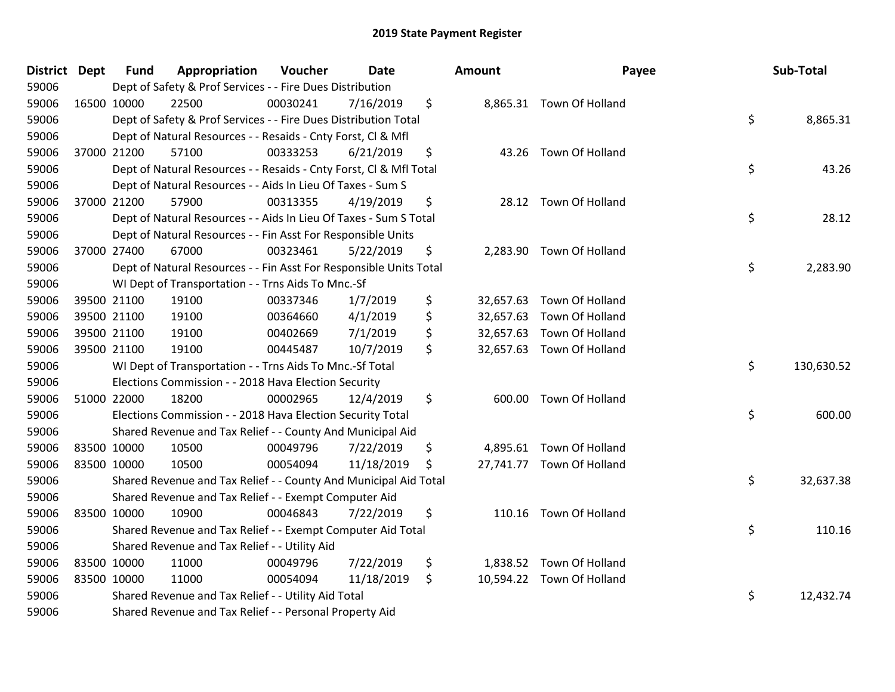| <b>District Dept</b> |             | <b>Fund</b> | Appropriation                                                      | Voucher  | <b>Date</b> | <b>Amount</b> |                           | Payee | Sub-Total  |
|----------------------|-------------|-------------|--------------------------------------------------------------------|----------|-------------|---------------|---------------------------|-------|------------|
| 59006                |             |             | Dept of Safety & Prof Services - - Fire Dues Distribution          |          |             |               |                           |       |            |
| 59006                | 16500 10000 |             | 22500                                                              | 00030241 | 7/16/2019   | \$            | 8,865.31 Town Of Holland  |       |            |
| 59006                |             |             | Dept of Safety & Prof Services - - Fire Dues Distribution Total    |          |             |               |                           | \$    | 8,865.31   |
| 59006                |             |             | Dept of Natural Resources - - Resaids - Cnty Forst, Cl & Mfl       |          |             |               |                           |       |            |
| 59006                |             | 37000 21200 | 57100                                                              | 00333253 | 6/21/2019   | \$            | 43.26 Town Of Holland     |       |            |
| 59006                |             |             | Dept of Natural Resources - - Resaids - Cnty Forst, Cl & Mfl Total |          |             |               |                           | \$    | 43.26      |
| 59006                |             |             | Dept of Natural Resources - - Aids In Lieu Of Taxes - Sum S        |          |             |               |                           |       |            |
| 59006                |             | 37000 21200 | 57900                                                              | 00313355 | 4/19/2019   | \$            | 28.12 Town Of Holland     |       |            |
| 59006                |             |             | Dept of Natural Resources - - Aids In Lieu Of Taxes - Sum S Total  |          |             |               |                           | \$    | 28.12      |
| 59006                |             |             | Dept of Natural Resources - - Fin Asst For Responsible Units       |          |             |               |                           |       |            |
| 59006                |             | 37000 27400 | 67000                                                              | 00323461 | 5/22/2019   | \$            | 2,283.90 Town Of Holland  |       |            |
| 59006                |             |             | Dept of Natural Resources - - Fin Asst For Responsible Units Total |          |             |               |                           | \$    | 2,283.90   |
| 59006                |             |             | WI Dept of Transportation - - Trns Aids To Mnc.-Sf                 |          |             |               |                           |       |            |
| 59006                |             | 39500 21100 | 19100                                                              | 00337346 | 1/7/2019    | \$            | 32,657.63 Town Of Holland |       |            |
| 59006                |             | 39500 21100 | 19100                                                              | 00364660 | 4/1/2019    | \$            | 32,657.63 Town Of Holland |       |            |
| 59006                |             | 39500 21100 | 19100                                                              | 00402669 | 7/1/2019    | \$            | 32,657.63 Town Of Holland |       |            |
| 59006                | 39500 21100 |             | 19100                                                              | 00445487 | 10/7/2019   | \$            | 32,657.63 Town Of Holland |       |            |
| 59006                |             |             | WI Dept of Transportation - - Trns Aids To Mnc.-Sf Total           |          |             |               |                           | \$    | 130,630.52 |
| 59006                |             |             | Elections Commission - - 2018 Hava Election Security               |          |             |               |                           |       |            |
| 59006                | 51000 22000 |             | 18200                                                              | 00002965 | 12/4/2019   | \$            | 600.00 Town Of Holland    |       |            |
| 59006                |             |             | Elections Commission - - 2018 Hava Election Security Total         |          |             |               |                           | \$    | 600.00     |
| 59006                |             |             | Shared Revenue and Tax Relief - - County And Municipal Aid         |          |             |               |                           |       |            |
| 59006                | 83500 10000 |             | 10500                                                              | 00049796 | 7/22/2019   | \$            | 4,895.61 Town Of Holland  |       |            |
| 59006                | 83500 10000 |             | 10500                                                              | 00054094 | 11/18/2019  | \$            | 27,741.77 Town Of Holland |       |            |
| 59006                |             |             | Shared Revenue and Tax Relief - - County And Municipal Aid Total   |          |             |               |                           | \$    | 32,637.38  |
| 59006                |             |             | Shared Revenue and Tax Relief - - Exempt Computer Aid              |          |             |               |                           |       |            |
| 59006                | 83500 10000 |             | 10900                                                              | 00046843 | 7/22/2019   | \$            | 110.16 Town Of Holland    |       |            |
| 59006                |             |             | Shared Revenue and Tax Relief - - Exempt Computer Aid Total        |          |             |               |                           | \$    | 110.16     |
| 59006                |             |             | Shared Revenue and Tax Relief - - Utility Aid                      |          |             |               |                           |       |            |
| 59006                | 83500 10000 |             | 11000                                                              | 00049796 | 7/22/2019   | \$            | 1,838.52 Town Of Holland  |       |            |
| 59006                | 83500 10000 |             | 11000                                                              | 00054094 | 11/18/2019  | \$            | 10,594.22 Town Of Holland |       |            |
| 59006                |             |             | Shared Revenue and Tax Relief - - Utility Aid Total                |          |             |               |                           | \$    | 12,432.74  |
| 59006                |             |             | Shared Revenue and Tax Relief - - Personal Property Aid            |          |             |               |                           |       |            |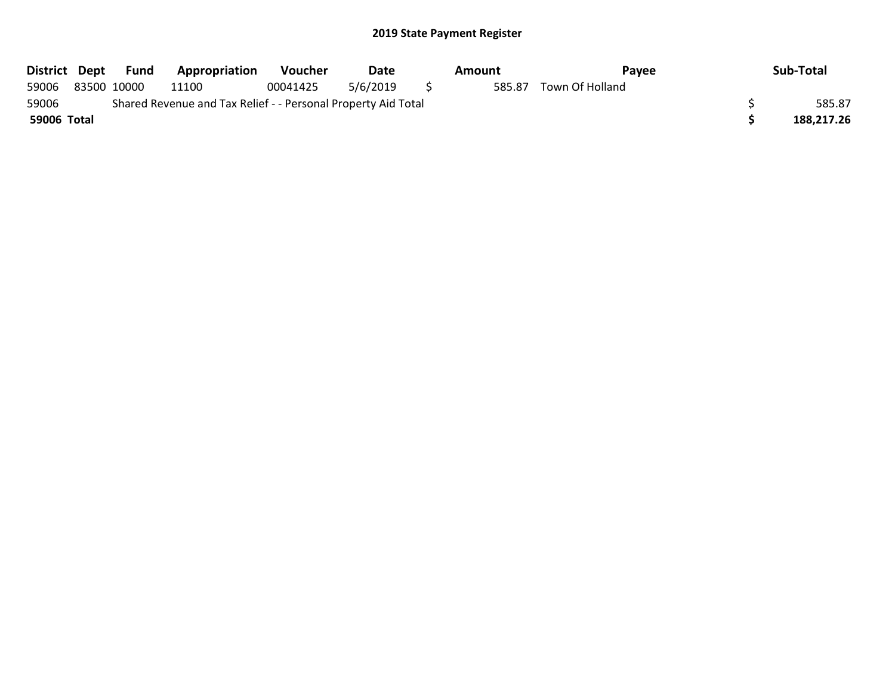| District Dept | Fund        | Appropriation                                                 | <b>Voucher</b> | Date     | Amount | Payee           | Sub-Total  |
|---------------|-------------|---------------------------------------------------------------|----------------|----------|--------|-----------------|------------|
| 59006         | 83500 10000 | 11100                                                         | 00041425       | 5/6/2019 | 585.87 | Town Of Holland |            |
| 59006         |             | Shared Revenue and Tax Relief - - Personal Property Aid Total |                |          |        |                 | 585.87     |
| 59006 Total   |             |                                                               |                |          |        |                 | 188.217.26 |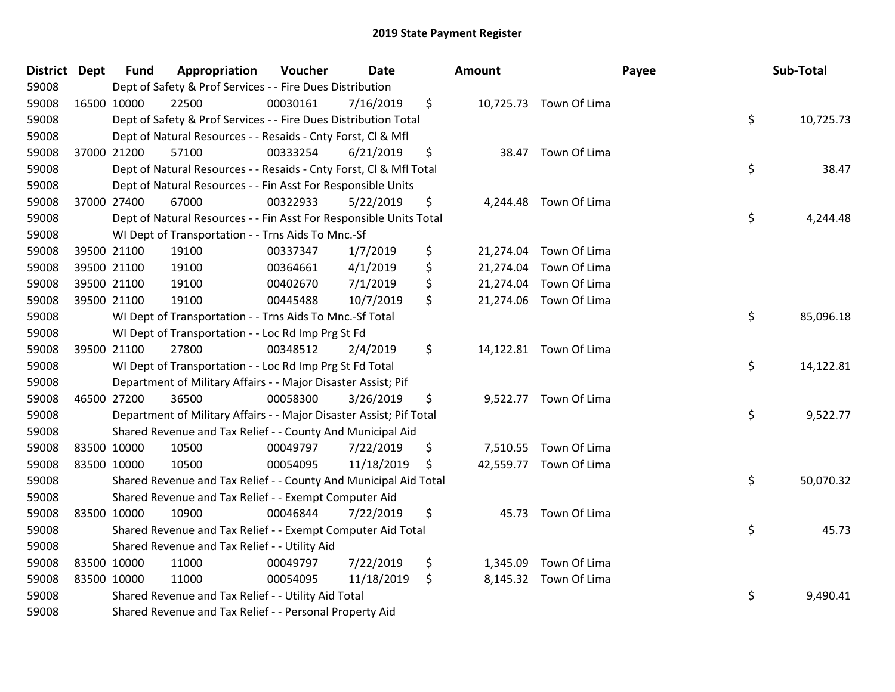| District Dept |             | <b>Fund</b> | Appropriation                                                       | Voucher  | <b>Date</b> | Amount |                        | Payee | Sub-Total |
|---------------|-------------|-------------|---------------------------------------------------------------------|----------|-------------|--------|------------------------|-------|-----------|
| 59008         |             |             | Dept of Safety & Prof Services - - Fire Dues Distribution           |          |             |        |                        |       |           |
| 59008         | 16500 10000 |             | 22500                                                               | 00030161 | 7/16/2019   | \$     | 10,725.73 Town Of Lima |       |           |
| 59008         |             |             | Dept of Safety & Prof Services - - Fire Dues Distribution Total     |          |             |        |                        | \$    | 10,725.73 |
| 59008         |             |             | Dept of Natural Resources - - Resaids - Cnty Forst, CI & Mfl        |          |             |        |                        |       |           |
| 59008         |             | 37000 21200 | 57100                                                               | 00333254 | 6/21/2019   | \$     | 38.47 Town Of Lima     |       |           |
| 59008         |             |             | Dept of Natural Resources - - Resaids - Cnty Forst, CI & Mfl Total  |          |             |        |                        | \$    | 38.47     |
| 59008         |             |             | Dept of Natural Resources - - Fin Asst For Responsible Units        |          |             |        |                        |       |           |
| 59008         |             | 37000 27400 | 67000                                                               | 00322933 | 5/22/2019   | \$     | 4,244.48 Town Of Lima  |       |           |
| 59008         |             |             | Dept of Natural Resources - - Fin Asst For Responsible Units Total  |          |             |        |                        | \$    | 4,244.48  |
| 59008         |             |             | WI Dept of Transportation - - Trns Aids To Mnc.-Sf                  |          |             |        |                        |       |           |
| 59008         |             | 39500 21100 | 19100                                                               | 00337347 | 1/7/2019    | \$     | 21,274.04 Town Of Lima |       |           |
| 59008         | 39500 21100 |             | 19100                                                               | 00364661 | 4/1/2019    | \$     | 21,274.04 Town Of Lima |       |           |
| 59008         |             | 39500 21100 | 19100                                                               | 00402670 | 7/1/2019    | \$     | 21,274.04 Town Of Lima |       |           |
| 59008         | 39500 21100 |             | 19100                                                               | 00445488 | 10/7/2019   | \$     | 21,274.06 Town Of Lima |       |           |
| 59008         |             |             | WI Dept of Transportation - - Trns Aids To Mnc.-Sf Total            |          |             |        |                        | \$    | 85,096.18 |
| 59008         |             |             | WI Dept of Transportation - - Loc Rd Imp Prg St Fd                  |          |             |        |                        |       |           |
| 59008         |             | 39500 21100 | 27800                                                               | 00348512 | 2/4/2019    | \$     | 14,122.81 Town Of Lima |       |           |
| 59008         |             |             | WI Dept of Transportation - - Loc Rd Imp Prg St Fd Total            |          |             |        |                        | \$    | 14,122.81 |
| 59008         |             |             | Department of Military Affairs - - Major Disaster Assist; Pif       |          |             |        |                        |       |           |
| 59008         | 46500 27200 |             | 36500                                                               | 00058300 | 3/26/2019   | \$     | 9,522.77 Town Of Lima  |       |           |
| 59008         |             |             | Department of Military Affairs - - Major Disaster Assist; Pif Total |          |             |        |                        | \$    | 9,522.77  |
| 59008         |             |             | Shared Revenue and Tax Relief - - County And Municipal Aid          |          |             |        |                        |       |           |
| 59008         | 83500 10000 |             | 10500                                                               | 00049797 | 7/22/2019   | \$     | 7,510.55 Town Of Lima  |       |           |
| 59008         | 83500 10000 |             | 10500                                                               | 00054095 | 11/18/2019  | \$     | 42,559.77 Town Of Lima |       |           |
| 59008         |             |             | Shared Revenue and Tax Relief - - County And Municipal Aid Total    |          |             |        |                        | \$    | 50,070.32 |
| 59008         |             |             | Shared Revenue and Tax Relief - - Exempt Computer Aid               |          |             |        |                        |       |           |
| 59008         | 83500 10000 |             | 10900                                                               | 00046844 | 7/22/2019   | \$     | 45.73 Town Of Lima     |       |           |
| 59008         |             |             | Shared Revenue and Tax Relief - - Exempt Computer Aid Total         |          |             |        |                        | \$    | 45.73     |
| 59008         |             |             | Shared Revenue and Tax Relief - - Utility Aid                       |          |             |        |                        |       |           |
| 59008         | 83500 10000 |             | 11000                                                               | 00049797 | 7/22/2019   | \$     | 1,345.09 Town Of Lima  |       |           |
| 59008         | 83500 10000 |             | 11000                                                               | 00054095 | 11/18/2019  | \$     | 8,145.32 Town Of Lima  |       |           |
| 59008         |             |             | Shared Revenue and Tax Relief - - Utility Aid Total                 |          |             |        |                        | \$    | 9,490.41  |
| 59008         |             |             | Shared Revenue and Tax Relief - - Personal Property Aid             |          |             |        |                        |       |           |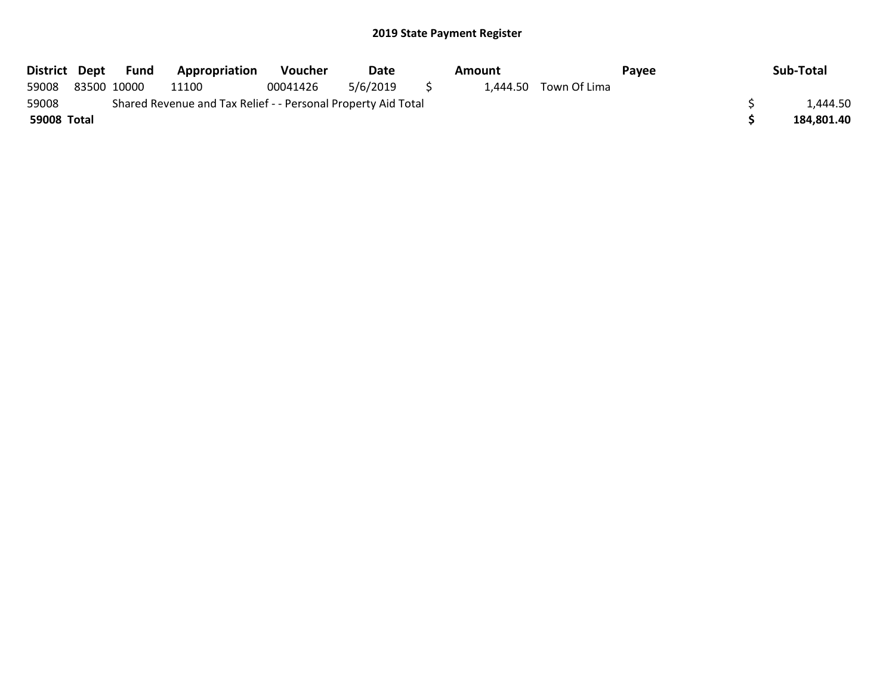| District Dept |             | Fund | Appropriation                                                 | Voucher  | Date     |          | Amount |                       | Pavee | Sub-Total  |
|---------------|-------------|------|---------------------------------------------------------------|----------|----------|----------|--------|-----------------------|-------|------------|
| 59008         | 83500 10000 |      | 11100                                                         | 00041426 | 5/6/2019 | $\sim$ 5 |        | 1.444.50 Town Of Lima |       |            |
| 59008         |             |      | Shared Revenue and Tax Relief - - Personal Property Aid Total |          |          |          |        |                       |       | 1.444.50   |
| 59008 Total   |             |      |                                                               |          |          |          |        |                       |       | 184.801.40 |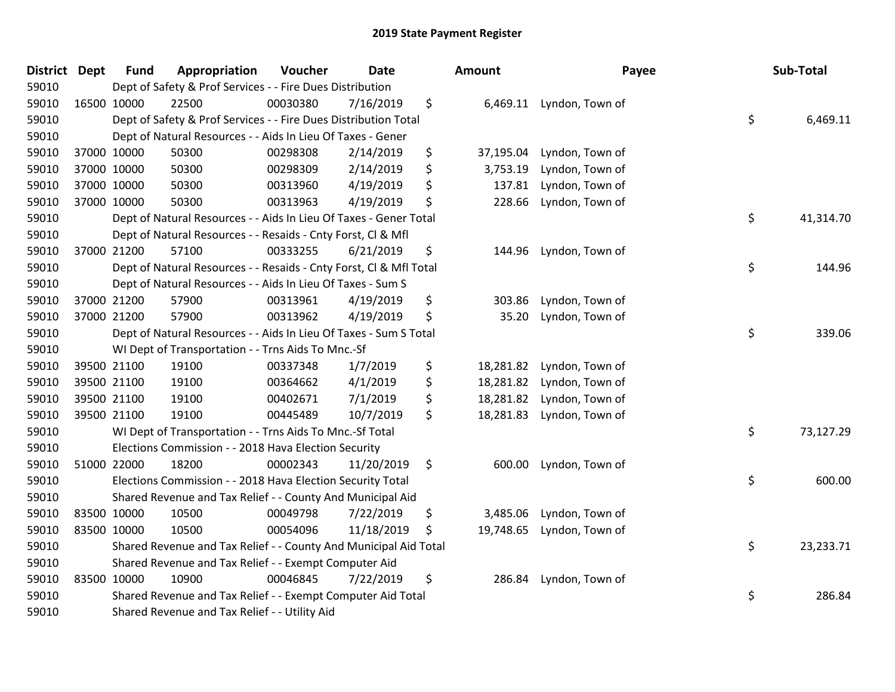| <b>District</b> | <b>Dept</b> | <b>Fund</b> | Appropriation                                                      | Voucher  | Date       | Amount          | Payee           | Sub-Total       |
|-----------------|-------------|-------------|--------------------------------------------------------------------|----------|------------|-----------------|-----------------|-----------------|
| 59010           |             |             | Dept of Safety & Prof Services - - Fire Dues Distribution          |          |            |                 |                 |                 |
| 59010           |             | 16500 10000 | 22500                                                              | 00030380 | 7/16/2019  | \$<br>6,469.11  | Lyndon, Town of |                 |
| 59010           |             |             | Dept of Safety & Prof Services - - Fire Dues Distribution Total    |          |            |                 |                 | \$<br>6,469.11  |
| 59010           |             |             | Dept of Natural Resources - - Aids In Lieu Of Taxes - Gener        |          |            |                 |                 |                 |
| 59010           |             | 37000 10000 | 50300                                                              | 00298308 | 2/14/2019  | \$<br>37,195.04 | Lyndon, Town of |                 |
| 59010           |             | 37000 10000 | 50300                                                              | 00298309 | 2/14/2019  | \$<br>3,753.19  | Lyndon, Town of |                 |
| 59010           |             | 37000 10000 | 50300                                                              | 00313960 | 4/19/2019  | \$<br>137.81    | Lyndon, Town of |                 |
| 59010           |             | 37000 10000 | 50300                                                              | 00313963 | 4/19/2019  | \$<br>228.66    | Lyndon, Town of |                 |
| 59010           |             |             | Dept of Natural Resources - - Aids In Lieu Of Taxes - Gener Total  |          |            |                 |                 | \$<br>41,314.70 |
| 59010           |             |             | Dept of Natural Resources - - Resaids - Cnty Forst, Cl & Mfl       |          |            |                 |                 |                 |
| 59010           |             | 37000 21200 | 57100                                                              | 00333255 | 6/21/2019  | \$<br>144.96    | Lyndon, Town of |                 |
| 59010           |             |             | Dept of Natural Resources - - Resaids - Cnty Forst, Cl & Mfl Total |          |            |                 |                 | \$<br>144.96    |
| 59010           |             |             | Dept of Natural Resources - - Aids In Lieu Of Taxes - Sum S        |          |            |                 |                 |                 |
| 59010           |             | 37000 21200 | 57900                                                              | 00313961 | 4/19/2019  | \$<br>303.86    | Lyndon, Town of |                 |
| 59010           |             | 37000 21200 | 57900                                                              | 00313962 | 4/19/2019  | \$<br>35.20     | Lyndon, Town of |                 |
| 59010           |             |             | Dept of Natural Resources - - Aids In Lieu Of Taxes - Sum S Total  |          |            |                 |                 | \$<br>339.06    |
| 59010           |             |             | WI Dept of Transportation - - Trns Aids To Mnc.-Sf                 |          |            |                 |                 |                 |
| 59010           |             | 39500 21100 | 19100                                                              | 00337348 | 1/7/2019   | \$<br>18,281.82 | Lyndon, Town of |                 |
| 59010           |             | 39500 21100 | 19100                                                              | 00364662 | 4/1/2019   | \$<br>18,281.82 | Lyndon, Town of |                 |
| 59010           |             | 39500 21100 | 19100                                                              | 00402671 | 7/1/2019   | \$<br>18,281.82 | Lyndon, Town of |                 |
| 59010           |             | 39500 21100 | 19100                                                              | 00445489 | 10/7/2019  | \$<br>18,281.83 | Lyndon, Town of |                 |
| 59010           |             |             | WI Dept of Transportation - - Trns Aids To Mnc.-Sf Total           |          |            |                 |                 | \$<br>73,127.29 |
| 59010           |             |             | Elections Commission - - 2018 Hava Election Security               |          |            |                 |                 |                 |
| 59010           |             | 51000 22000 | 18200                                                              | 00002343 | 11/20/2019 | \$<br>600.00    | Lyndon, Town of |                 |
| 59010           |             |             | Elections Commission - - 2018 Hava Election Security Total         |          |            |                 |                 | \$<br>600.00    |
| 59010           |             |             | Shared Revenue and Tax Relief - - County And Municipal Aid         |          |            |                 |                 |                 |
| 59010           | 83500 10000 |             | 10500                                                              | 00049798 | 7/22/2019  | \$<br>3,485.06  | Lyndon, Town of |                 |
| 59010           | 83500 10000 |             | 10500                                                              | 00054096 | 11/18/2019 | \$<br>19,748.65 | Lyndon, Town of |                 |
| 59010           |             |             | Shared Revenue and Tax Relief - - County And Municipal Aid Total   |          |            |                 |                 | \$<br>23,233.71 |
| 59010           |             |             | Shared Revenue and Tax Relief - - Exempt Computer Aid              |          |            |                 |                 |                 |
| 59010           |             | 83500 10000 | 10900                                                              | 00046845 | 7/22/2019  | \$<br>286.84    | Lyndon, Town of |                 |
| 59010           |             |             | Shared Revenue and Tax Relief - - Exempt Computer Aid Total        |          |            |                 |                 | \$<br>286.84    |
| 59010           |             |             | Shared Revenue and Tax Relief - - Utility Aid                      |          |            |                 |                 |                 |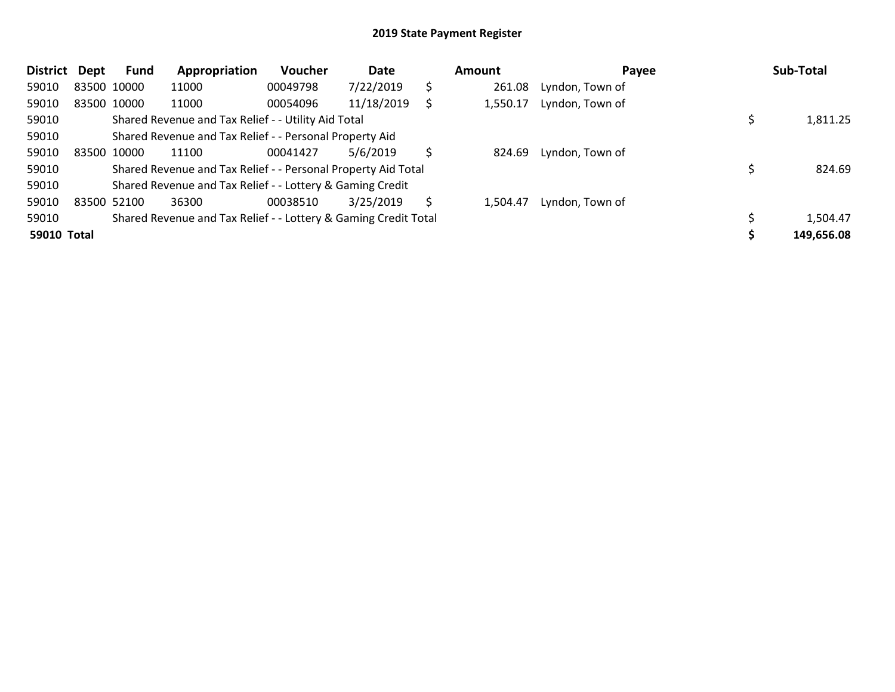| <b>District</b>    | Dept | <b>Fund</b> | Appropriation                                                   | Voucher  | Date       |    | Amount   | Payee           | Sub-Total  |
|--------------------|------|-------------|-----------------------------------------------------------------|----------|------------|----|----------|-----------------|------------|
| 59010              |      | 83500 10000 | 11000                                                           | 00049798 | 7/22/2019  | \$ | 261.08   | Lyndon, Town of |            |
| 59010              |      | 83500 10000 | 11000                                                           | 00054096 | 11/18/2019 |    | 1,550.17 | Lyndon, Town of |            |
| 59010              |      |             | Shared Revenue and Tax Relief - - Utility Aid Total             |          |            |    |          |                 | 1,811.25   |
| 59010              |      |             | Shared Revenue and Tax Relief - - Personal Property Aid         |          |            |    |          |                 |            |
| 59010              |      | 83500 10000 | 11100                                                           | 00041427 | 5/6/2019   |    | 824.69   | Lyndon, Town of |            |
| 59010              |      |             | Shared Revenue and Tax Relief - - Personal Property Aid Total   |          |            |    |          |                 | 824.69     |
| 59010              |      |             | Shared Revenue and Tax Relief - - Lottery & Gaming Credit       |          |            |    |          |                 |            |
| 59010              |      | 83500 52100 | 36300                                                           | 00038510 | 3/25/2019  | S  | 1,504.47 | Lyndon, Town of |            |
| 59010              |      |             | Shared Revenue and Tax Relief - - Lottery & Gaming Credit Total |          |            |    |          |                 | 1,504.47   |
| <b>59010 Total</b> |      |             |                                                                 |          |            |    |          |                 | 149,656.08 |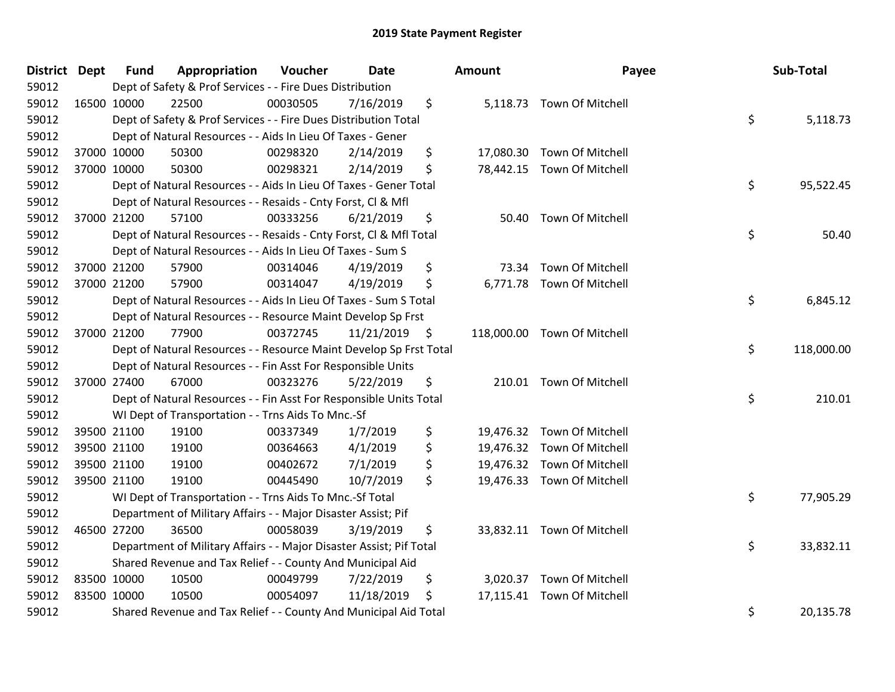| District Dept |             | <b>Fund</b> | Appropriation                                                       | Voucher  | Date            | Amount      | Payee                       | Sub-Total        |
|---------------|-------------|-------------|---------------------------------------------------------------------|----------|-----------------|-------------|-----------------------------|------------------|
| 59012         |             |             | Dept of Safety & Prof Services - - Fire Dues Distribution           |          |                 |             |                             |                  |
| 59012         | 16500 10000 |             | 22500                                                               | 00030505 | 7/16/2019       | \$          | 5,118.73 Town Of Mitchell   |                  |
| 59012         |             |             | Dept of Safety & Prof Services - - Fire Dues Distribution Total     |          |                 |             |                             | \$<br>5,118.73   |
| 59012         |             |             | Dept of Natural Resources - - Aids In Lieu Of Taxes - Gener         |          |                 |             |                             |                  |
| 59012         |             | 37000 10000 | 50300                                                               | 00298320 | 2/14/2019       | \$          | 17,080.30 Town Of Mitchell  |                  |
| 59012         |             | 37000 10000 | 50300                                                               | 00298321 | 2/14/2019       | \$          | 78,442.15 Town Of Mitchell  |                  |
| 59012         |             |             | Dept of Natural Resources - - Aids In Lieu Of Taxes - Gener Total   |          |                 |             |                             | \$<br>95,522.45  |
| 59012         |             |             | Dept of Natural Resources - - Resaids - Cnty Forst, Cl & Mfl        |          |                 |             |                             |                  |
| 59012         | 37000 21200 |             | 57100                                                               | 00333256 | 6/21/2019       | \$          | 50.40 Town Of Mitchell      |                  |
| 59012         |             |             | Dept of Natural Resources - - Resaids - Cnty Forst, Cl & Mfl Total  |          |                 |             |                             | \$<br>50.40      |
| 59012         |             |             | Dept of Natural Resources - - Aids In Lieu Of Taxes - Sum S         |          |                 |             |                             |                  |
| 59012         |             | 37000 21200 | 57900                                                               | 00314046 | 4/19/2019       | \$<br>73.34 | Town Of Mitchell            |                  |
| 59012         |             | 37000 21200 | 57900                                                               | 00314047 | 4/19/2019       | \$          | 6,771.78 Town Of Mitchell   |                  |
| 59012         |             |             | Dept of Natural Resources - - Aids In Lieu Of Taxes - Sum S Total   |          |                 |             |                             | \$<br>6,845.12   |
| 59012         |             |             | Dept of Natural Resources - - Resource Maint Develop Sp Frst        |          |                 |             |                             |                  |
| 59012         | 37000 21200 |             | 77900                                                               | 00372745 | $11/21/2019$ \$ |             | 118,000.00 Town Of Mitchell |                  |
| 59012         |             |             | Dept of Natural Resources - - Resource Maint Develop Sp Frst Total  |          |                 |             |                             | \$<br>118,000.00 |
| 59012         |             |             | Dept of Natural Resources - - Fin Asst For Responsible Units        |          |                 |             |                             |                  |
| 59012         | 37000 27400 |             | 67000                                                               | 00323276 | 5/22/2019       | \$          | 210.01 Town Of Mitchell     |                  |
| 59012         |             |             | Dept of Natural Resources - - Fin Asst For Responsible Units Total  |          |                 |             |                             | \$<br>210.01     |
| 59012         |             |             | WI Dept of Transportation - - Trns Aids To Mnc.-Sf                  |          |                 |             |                             |                  |
| 59012         |             | 39500 21100 | 19100                                                               | 00337349 | 1/7/2019        | \$          | 19,476.32 Town Of Mitchell  |                  |
| 59012         | 39500 21100 |             | 19100                                                               | 00364663 | 4/1/2019        | \$          | 19,476.32 Town Of Mitchell  |                  |
| 59012         | 39500 21100 |             | 19100                                                               | 00402672 | 7/1/2019        | \$          | 19,476.32 Town Of Mitchell  |                  |
| 59012         | 39500 21100 |             | 19100                                                               | 00445490 | 10/7/2019       | \$          | 19,476.33 Town Of Mitchell  |                  |
| 59012         |             |             | WI Dept of Transportation - - Trns Aids To Mnc.-Sf Total            |          |                 |             |                             | \$<br>77,905.29  |
| 59012         |             |             | Department of Military Affairs - - Major Disaster Assist; Pif       |          |                 |             |                             |                  |
| 59012         | 46500 27200 |             | 36500                                                               | 00058039 | 3/19/2019       | \$          | 33,832.11 Town Of Mitchell  |                  |
| 59012         |             |             | Department of Military Affairs - - Major Disaster Assist; Pif Total |          |                 |             |                             | \$<br>33,832.11  |
| 59012         |             |             | Shared Revenue and Tax Relief - - County And Municipal Aid          |          |                 |             |                             |                  |
| 59012         | 83500 10000 |             | 10500                                                               | 00049799 | 7/22/2019       | \$          | 3,020.37 Town Of Mitchell   |                  |
| 59012         | 83500 10000 |             | 10500                                                               | 00054097 | 11/18/2019      | \$          | 17,115.41 Town Of Mitchell  |                  |
| 59012         |             |             | Shared Revenue and Tax Relief - - County And Municipal Aid Total    |          |                 |             |                             | \$<br>20,135.78  |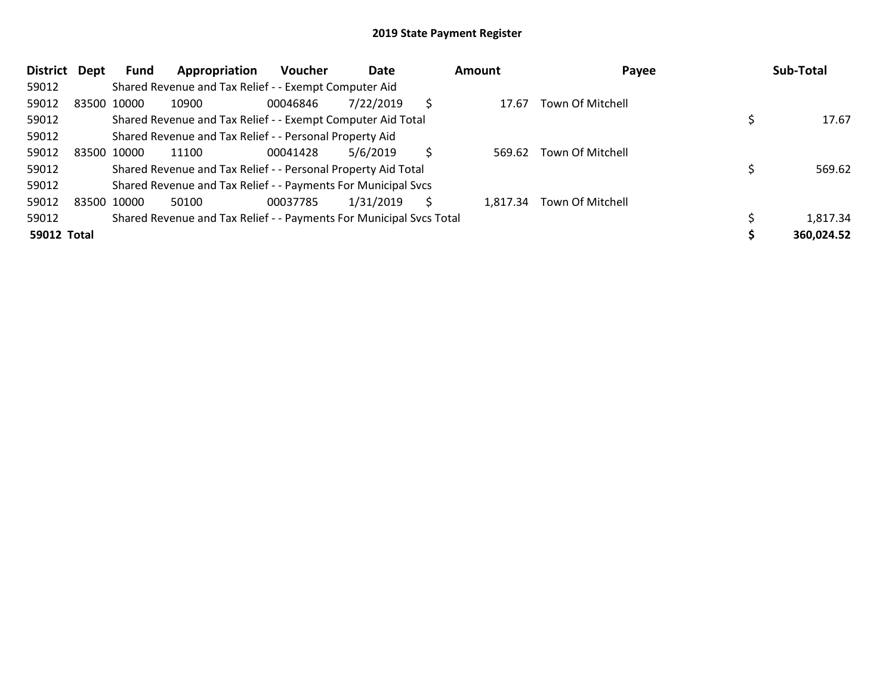| <b>District</b>    | Dept | Fund        | Appropriation                                                       | <b>Voucher</b> | Date      |   | Amount   | Payee            | Sub-Total  |
|--------------------|------|-------------|---------------------------------------------------------------------|----------------|-----------|---|----------|------------------|------------|
| 59012              |      |             | Shared Revenue and Tax Relief - - Exempt Computer Aid               |                |           |   |          |                  |            |
| 59012              |      | 83500 10000 | 10900                                                               | 00046846       | 7/22/2019 | S | 17.67    | Town Of Mitchell |            |
| 59012              |      |             | Shared Revenue and Tax Relief - - Exempt Computer Aid Total         |                |           |   |          |                  | 17.67      |
| 59012              |      |             | Shared Revenue and Tax Relief - - Personal Property Aid             |                |           |   |          |                  |            |
| 59012              |      | 83500 10000 | 11100                                                               | 00041428       | 5/6/2019  | S | 569.62   | Town Of Mitchell |            |
| 59012              |      |             | Shared Revenue and Tax Relief - - Personal Property Aid Total       |                |           |   |          |                  | 569.62     |
| 59012              |      |             | Shared Revenue and Tax Relief - - Payments For Municipal Svcs       |                |           |   |          |                  |            |
| 59012              |      | 83500 10000 | 50100                                                               | 00037785       | 1/31/2019 | S | 1.817.34 | Town Of Mitchell |            |
| 59012              |      |             | Shared Revenue and Tax Relief - - Payments For Municipal Svcs Total |                |           |   |          |                  | 1,817.34   |
| <b>59012 Total</b> |      |             |                                                                     |                |           |   |          |                  | 360,024.52 |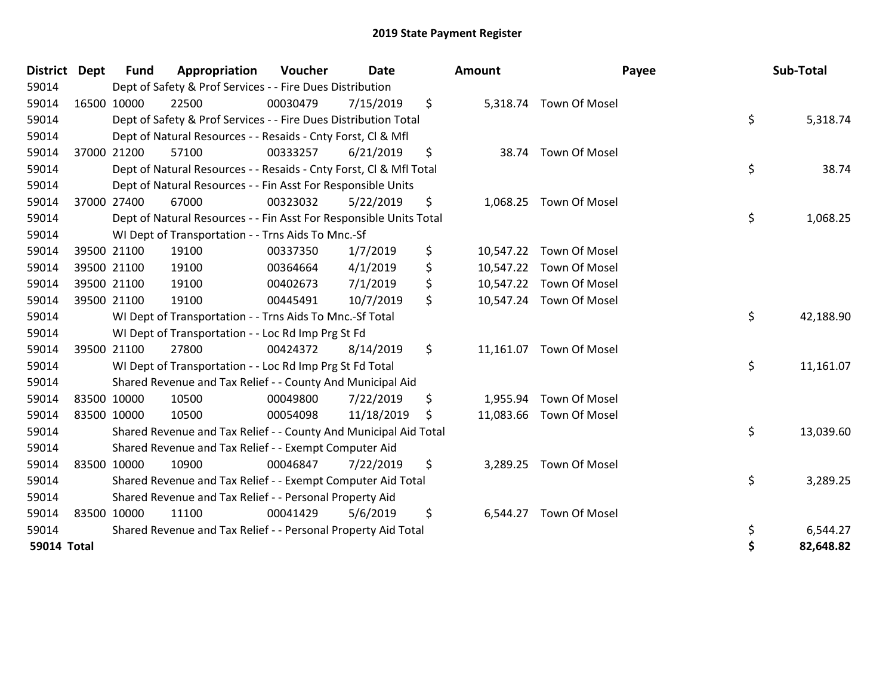| <b>District Dept</b> |             | <b>Fund</b> | Appropriation                                                      | Voucher  | <b>Date</b> |     | Amount   |                         | Payee | Sub-Total |
|----------------------|-------------|-------------|--------------------------------------------------------------------|----------|-------------|-----|----------|-------------------------|-------|-----------|
| 59014                |             |             | Dept of Safety & Prof Services - - Fire Dues Distribution          |          |             |     |          |                         |       |           |
| 59014                |             | 16500 10000 | 22500                                                              | 00030479 | 7/15/2019   | \$  |          | 5,318.74 Town Of Mosel  |       |           |
| 59014                |             |             | Dept of Safety & Prof Services - - Fire Dues Distribution Total    |          |             |     |          |                         | \$    | 5,318.74  |
| 59014                |             |             | Dept of Natural Resources - - Resaids - Cnty Forst, CI & Mfl       |          |             |     |          |                         |       |           |
| 59014                |             | 37000 21200 | 57100                                                              | 00333257 | 6/21/2019   | \$  |          | 38.74 Town Of Mosel     |       |           |
| 59014                |             |             | Dept of Natural Resources - - Resaids - Cnty Forst, Cl & Mfl Total |          |             |     |          |                         | \$    | 38.74     |
| 59014                |             |             | Dept of Natural Resources - - Fin Asst For Responsible Units       |          |             |     |          |                         |       |           |
| 59014                | 37000 27400 |             | 67000                                                              | 00323032 | 5/22/2019   | \$  |          | 1,068.25 Town Of Mosel  |       |           |
| 59014                |             |             | Dept of Natural Resources - - Fin Asst For Responsible Units Total |          |             |     |          |                         | \$    | 1,068.25  |
| 59014                |             |             | WI Dept of Transportation - - Trns Aids To Mnc.-Sf                 |          |             |     |          |                         |       |           |
| 59014                |             | 39500 21100 | 19100                                                              | 00337350 | 1/7/2019    | \$  |          | 10,547.22 Town Of Mosel |       |           |
| 59014                | 39500 21100 |             | 19100                                                              | 00364664 | 4/1/2019    | \$  |          | 10,547.22 Town Of Mosel |       |           |
| 59014                |             | 39500 21100 | 19100                                                              | 00402673 | 7/1/2019    | \$  |          | 10,547.22 Town Of Mosel |       |           |
| 59014                | 39500 21100 |             | 19100                                                              | 00445491 | 10/7/2019   | \$  |          | 10,547.24 Town Of Mosel |       |           |
| 59014                |             |             | WI Dept of Transportation - - Trns Aids To Mnc.-Sf Total           |          |             |     |          |                         | \$    | 42,188.90 |
| 59014                |             |             | WI Dept of Transportation - - Loc Rd Imp Prg St Fd                 |          |             |     |          |                         |       |           |
| 59014                |             | 39500 21100 | 27800                                                              | 00424372 | 8/14/2019   | \$  |          | 11,161.07 Town Of Mosel |       |           |
| 59014                |             |             | WI Dept of Transportation - - Loc Rd Imp Prg St Fd Total           |          |             |     |          |                         | \$    | 11,161.07 |
| 59014                |             |             | Shared Revenue and Tax Relief - - County And Municipal Aid         |          |             |     |          |                         |       |           |
| 59014                |             | 83500 10000 | 10500                                                              | 00049800 | 7/22/2019   | \$  |          | 1,955.94 Town Of Mosel  |       |           |
| 59014                | 83500 10000 |             | 10500                                                              | 00054098 | 11/18/2019  | \$. |          | 11,083.66 Town Of Mosel |       |           |
| 59014                |             |             | Shared Revenue and Tax Relief - - County And Municipal Aid Total   |          |             |     |          |                         | \$    | 13,039.60 |
| 59014                |             |             | Shared Revenue and Tax Relief - - Exempt Computer Aid              |          |             |     |          |                         |       |           |
| 59014                |             | 83500 10000 | 10900                                                              | 00046847 | 7/22/2019   | \$  |          | 3,289.25 Town Of Mosel  |       |           |
| 59014                |             |             | Shared Revenue and Tax Relief - - Exempt Computer Aid Total        |          |             |     |          |                         | \$    | 3,289.25  |
| 59014                |             |             | Shared Revenue and Tax Relief - - Personal Property Aid            |          |             |     |          |                         |       |           |
| 59014                |             | 83500 10000 | 11100                                                              | 00041429 | 5/6/2019    | \$  | 6,544.27 | <b>Town Of Mosel</b>    |       |           |
| 59014                |             |             | Shared Revenue and Tax Relief - - Personal Property Aid Total      |          |             |     |          |                         | \$    | 6,544.27  |
| <b>59014 Total</b>   |             |             |                                                                    |          |             |     |          |                         | \$    | 82,648.82 |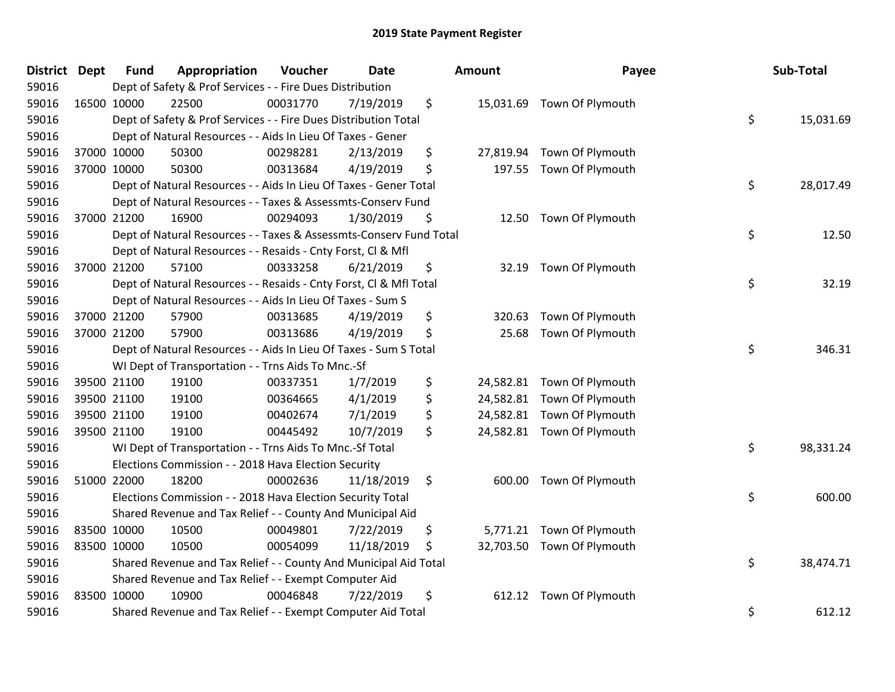| <b>District Dept</b> |             | <b>Fund</b> | Appropriation                                                      | Voucher  | <b>Date</b> | Amount          | Payee                      | Sub-Total       |
|----------------------|-------------|-------------|--------------------------------------------------------------------|----------|-------------|-----------------|----------------------------|-----------------|
| 59016                |             |             | Dept of Safety & Prof Services - - Fire Dues Distribution          |          |             |                 |                            |                 |
| 59016                |             | 16500 10000 | 22500                                                              | 00031770 | 7/19/2019   | \$              | 15,031.69 Town Of Plymouth |                 |
| 59016                |             |             | Dept of Safety & Prof Services - - Fire Dues Distribution Total    |          |             |                 |                            | \$<br>15,031.69 |
| 59016                |             |             | Dept of Natural Resources - - Aids In Lieu Of Taxes - Gener        |          |             |                 |                            |                 |
| 59016                |             | 37000 10000 | 50300                                                              | 00298281 | 2/13/2019   | \$              | 27,819.94 Town Of Plymouth |                 |
| 59016                |             | 37000 10000 | 50300                                                              | 00313684 | 4/19/2019   | \$<br>197.55    | Town Of Plymouth           |                 |
| 59016                |             |             | Dept of Natural Resources - - Aids In Lieu Of Taxes - Gener Total  |          |             |                 |                            | \$<br>28,017.49 |
| 59016                |             |             | Dept of Natural Resources - - Taxes & Assessmts-Conserv Fund       |          |             |                 |                            |                 |
| 59016                |             | 37000 21200 | 16900                                                              | 00294093 | 1/30/2019   | \$<br>12.50     | Town Of Plymouth           |                 |
| 59016                |             |             | Dept of Natural Resources - - Taxes & Assessmts-Conserv Fund Total |          |             |                 |                            | \$<br>12.50     |
| 59016                |             |             | Dept of Natural Resources - - Resaids - Cnty Forst, Cl & Mfl       |          |             |                 |                            |                 |
| 59016                |             | 37000 21200 | 57100                                                              | 00333258 | 6/21/2019   | \$<br>32.19     | Town Of Plymouth           |                 |
| 59016                |             |             | Dept of Natural Resources - - Resaids - Cnty Forst, Cl & Mfl Total |          |             |                 |                            | \$<br>32.19     |
| 59016                |             |             | Dept of Natural Resources - - Aids In Lieu Of Taxes - Sum S        |          |             |                 |                            |                 |
| 59016                |             | 37000 21200 | 57900                                                              | 00313685 | 4/19/2019   | \$<br>320.63    | Town Of Plymouth           |                 |
| 59016                |             | 37000 21200 | 57900                                                              | 00313686 | 4/19/2019   | \$<br>25.68     | Town Of Plymouth           |                 |
| 59016                |             |             | Dept of Natural Resources - - Aids In Lieu Of Taxes - Sum S Total  |          |             |                 |                            | \$<br>346.31    |
| 59016                |             |             | WI Dept of Transportation - - Trns Aids To Mnc.-Sf                 |          |             |                 |                            |                 |
| 59016                |             | 39500 21100 | 19100                                                              | 00337351 | 1/7/2019    | \$              | 24,582.81 Town Of Plymouth |                 |
| 59016                |             | 39500 21100 | 19100                                                              | 00364665 | 4/1/2019    | \$<br>24,582.81 | Town Of Plymouth           |                 |
| 59016                |             | 39500 21100 | 19100                                                              | 00402674 | 7/1/2019    | \$<br>24,582.81 | Town Of Plymouth           |                 |
| 59016                |             | 39500 21100 | 19100                                                              | 00445492 | 10/7/2019   | \$              | 24,582.81 Town Of Plymouth |                 |
| 59016                |             |             | WI Dept of Transportation - - Trns Aids To Mnc.-Sf Total           |          |             |                 |                            | \$<br>98,331.24 |
| 59016                |             |             | Elections Commission - - 2018 Hava Election Security               |          |             |                 |                            |                 |
| 59016                |             | 51000 22000 | 18200                                                              | 00002636 | 11/18/2019  | \$<br>600.00    | Town Of Plymouth           |                 |
| 59016                |             |             | Elections Commission - - 2018 Hava Election Security Total         |          |             |                 |                            | \$<br>600.00    |
| 59016                |             |             | Shared Revenue and Tax Relief - - County And Municipal Aid         |          |             |                 |                            |                 |
| 59016                | 83500 10000 |             | 10500                                                              | 00049801 | 7/22/2019   | \$              | 5,771.21 Town Of Plymouth  |                 |
| 59016                |             | 83500 10000 | 10500                                                              | 00054099 | 11/18/2019  | \$              | 32,703.50 Town Of Plymouth |                 |
| 59016                |             |             | Shared Revenue and Tax Relief - - County And Municipal Aid Total   |          |             |                 |                            | \$<br>38,474.71 |
| 59016                |             |             | Shared Revenue and Tax Relief - - Exempt Computer Aid              |          |             |                 |                            |                 |
| 59016                |             | 83500 10000 | 10900                                                              | 00046848 | 7/22/2019   | \$<br>612.12    | Town Of Plymouth           |                 |
| 59016                |             |             | Shared Revenue and Tax Relief - - Exempt Computer Aid Total        |          |             |                 |                            | \$<br>612.12    |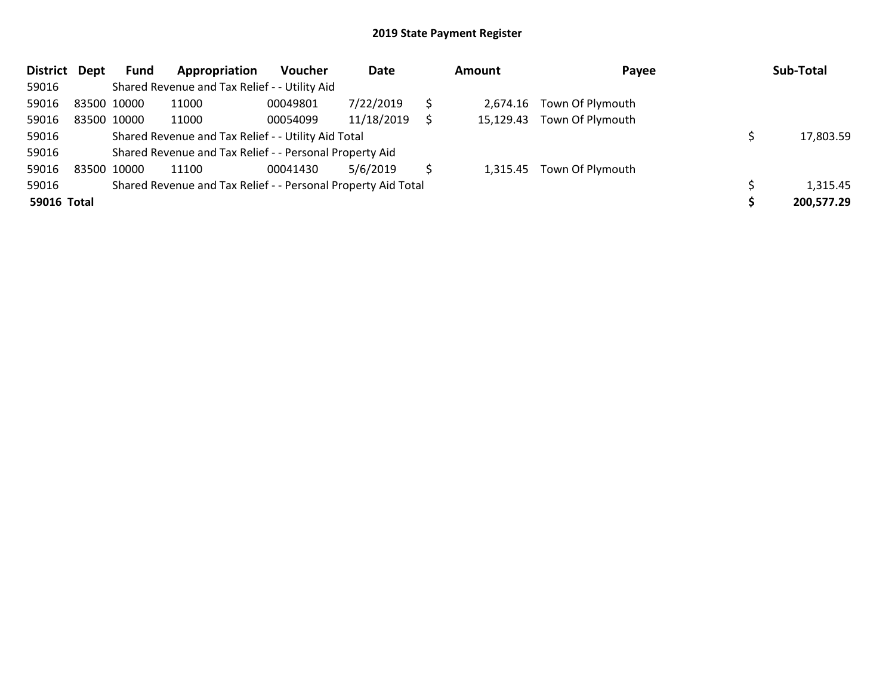| <b>District</b> | Dept | <b>Fund</b> | Appropriation                                                 | <b>Voucher</b> | Date       | Amount   | Payee                      | Sub-Total  |
|-----------------|------|-------------|---------------------------------------------------------------|----------------|------------|----------|----------------------------|------------|
| 59016           |      |             | Shared Revenue and Tax Relief - - Utility Aid                 |                |            |          |                            |            |
| 59016           |      | 83500 10000 | 11000                                                         | 00049801       | 7/22/2019  | 2.674.16 | Town Of Plymouth           |            |
| 59016           |      | 83500 10000 | 11000                                                         | 00054099       | 11/18/2019 |          | 15,129.43 Town Of Plymouth |            |
| 59016           |      |             | Shared Revenue and Tax Relief - - Utility Aid Total           |                |            |          |                            | 17,803.59  |
| 59016           |      |             | Shared Revenue and Tax Relief - - Personal Property Aid       |                |            |          |                            |            |
| 59016           |      | 83500 10000 | 11100                                                         | 00041430       | 5/6/2019   |          | 1,315.45 Town Of Plymouth  |            |
| 59016           |      |             | Shared Revenue and Tax Relief - - Personal Property Aid Total |                |            |          |                            | 1,315.45   |
| 59016 Total     |      |             |                                                               |                |            |          |                            | 200,577.29 |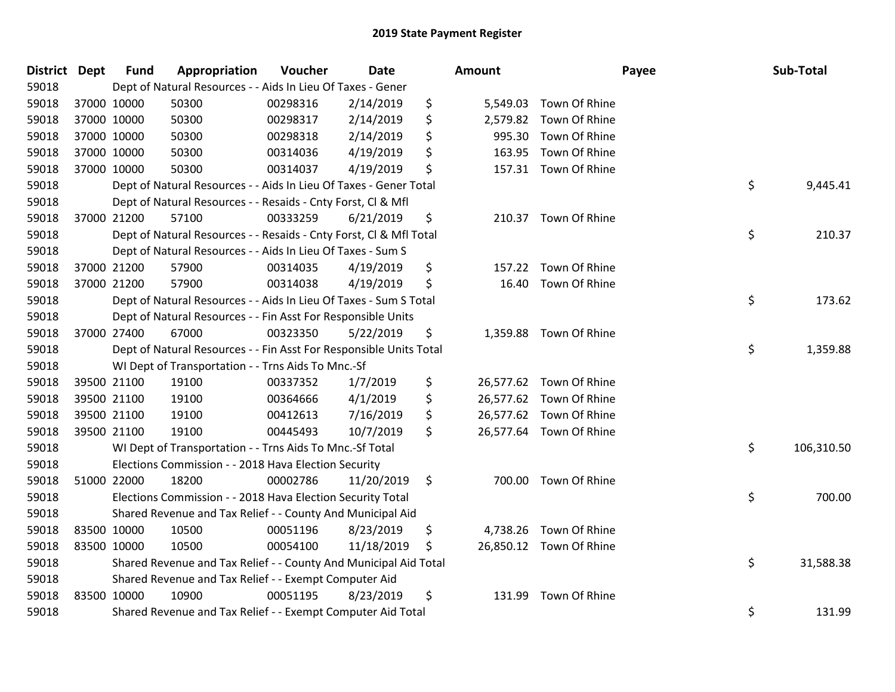| District Dept |             | <b>Fund</b> | Appropriation                                                      | Voucher  | <b>Date</b> | <b>Amount</b>   |                         | Payee | Sub-Total  |
|---------------|-------------|-------------|--------------------------------------------------------------------|----------|-------------|-----------------|-------------------------|-------|------------|
| 59018         |             |             | Dept of Natural Resources - - Aids In Lieu Of Taxes - Gener        |          |             |                 |                         |       |            |
| 59018         | 37000 10000 |             | 50300                                                              | 00298316 | 2/14/2019   | \$<br>5,549.03  | Town Of Rhine           |       |            |
| 59018         | 37000 10000 |             | 50300                                                              | 00298317 | 2/14/2019   | \$<br>2,579.82  | Town Of Rhine           |       |            |
| 59018         | 37000 10000 |             | 50300                                                              | 00298318 | 2/14/2019   | \$<br>995.30    | Town Of Rhine           |       |            |
| 59018         |             | 37000 10000 | 50300                                                              | 00314036 | 4/19/2019   | \$<br>163.95    | Town Of Rhine           |       |            |
| 59018         |             | 37000 10000 | 50300                                                              | 00314037 | 4/19/2019   | \$<br>157.31    | Town Of Rhine           |       |            |
| 59018         |             |             | Dept of Natural Resources - - Aids In Lieu Of Taxes - Gener Total  |          |             |                 |                         | \$    | 9,445.41   |
| 59018         |             |             | Dept of Natural Resources - - Resaids - Cnty Forst, Cl & Mfl       |          |             |                 |                         |       |            |
| 59018         |             | 37000 21200 | 57100                                                              | 00333259 | 6/21/2019   | \$<br>210.37    | Town Of Rhine           |       |            |
| 59018         |             |             | Dept of Natural Resources - - Resaids - Cnty Forst, CI & Mfl Total |          |             |                 |                         | \$    | 210.37     |
| 59018         |             |             | Dept of Natural Resources - - Aids In Lieu Of Taxes - Sum S        |          |             |                 |                         |       |            |
| 59018         | 37000 21200 |             | 57900                                                              | 00314035 | 4/19/2019   | \$<br>157.22    | Town Of Rhine           |       |            |
| 59018         | 37000 21200 |             | 57900                                                              | 00314038 | 4/19/2019   | \$<br>16.40     | Town Of Rhine           |       |            |
| 59018         |             |             | Dept of Natural Resources - - Aids In Lieu Of Taxes - Sum S Total  |          |             |                 |                         | \$    | 173.62     |
| 59018         |             |             | Dept of Natural Resources - - Fin Asst For Responsible Units       |          |             |                 |                         |       |            |
| 59018         |             | 37000 27400 | 67000                                                              | 00323350 | 5/22/2019   | \$<br>1,359.88  | Town Of Rhine           |       |            |
| 59018         |             |             | Dept of Natural Resources - - Fin Asst For Responsible Units Total |          |             |                 |                         | \$    | 1,359.88   |
| 59018         |             |             | WI Dept of Transportation - - Trns Aids To Mnc.-Sf                 |          |             |                 |                         |       |            |
| 59018         |             | 39500 21100 | 19100                                                              | 00337352 | 1/7/2019    | \$<br>26,577.62 | Town Of Rhine           |       |            |
| 59018         |             | 39500 21100 | 19100                                                              | 00364666 | 4/1/2019    | \$<br>26,577.62 | Town Of Rhine           |       |            |
| 59018         |             | 39500 21100 | 19100                                                              | 00412613 | 7/16/2019   | \$              | 26,577.62 Town Of Rhine |       |            |
| 59018         |             | 39500 21100 | 19100                                                              | 00445493 | 10/7/2019   | \$              | 26,577.64 Town Of Rhine |       |            |
| 59018         |             |             | WI Dept of Transportation - - Trns Aids To Mnc.-Sf Total           |          |             |                 |                         | \$    | 106,310.50 |
| 59018         |             |             | Elections Commission - - 2018 Hava Election Security               |          |             |                 |                         |       |            |
| 59018         |             | 51000 22000 | 18200                                                              | 00002786 | 11/20/2019  | \$<br>700.00    | Town Of Rhine           |       |            |
| 59018         |             |             | Elections Commission - - 2018 Hava Election Security Total         |          |             |                 |                         | \$    | 700.00     |
| 59018         |             |             | Shared Revenue and Tax Relief - - County And Municipal Aid         |          |             |                 |                         |       |            |
| 59018         | 83500 10000 |             | 10500                                                              | 00051196 | 8/23/2019   | \$<br>4,738.26  | Town Of Rhine           |       |            |
| 59018         | 83500 10000 |             | 10500                                                              | 00054100 | 11/18/2019  | \$<br>26,850.12 | Town Of Rhine           |       |            |
| 59018         |             |             | Shared Revenue and Tax Relief - - County And Municipal Aid Total   |          |             |                 |                         | \$    | 31,588.38  |
| 59018         |             |             | Shared Revenue and Tax Relief - - Exempt Computer Aid              |          |             |                 |                         |       |            |
| 59018         | 83500 10000 |             | 10900                                                              | 00051195 | 8/23/2019   | \$<br>131.99    | Town Of Rhine           |       |            |
| 59018         |             |             | Shared Revenue and Tax Relief - - Exempt Computer Aid Total        |          |             |                 |                         | \$    | 131.99     |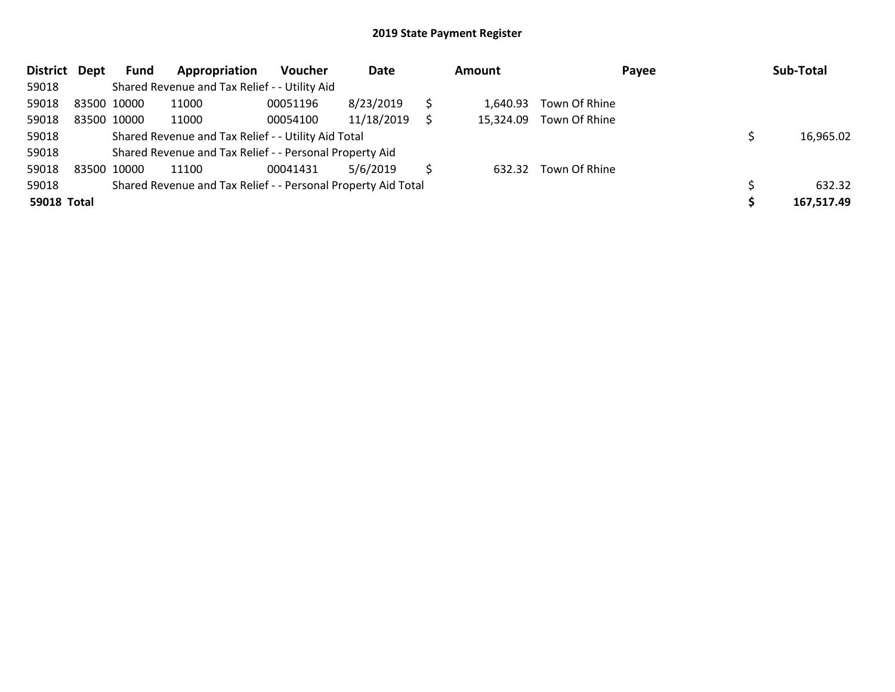| <b>District</b>    | <b>Dept</b> | Fund | Appropriation                                                 | <b>Voucher</b> | Date       | <b>Amount</b> |               | Payee | Sub-Total  |
|--------------------|-------------|------|---------------------------------------------------------------|----------------|------------|---------------|---------------|-------|------------|
| 59018              |             |      | Shared Revenue and Tax Relief - - Utility Aid                 |                |            |               |               |       |            |
| 59018              | 83500 10000 |      | 11000                                                         | 00051196       | 8/23/2019  | 1.640.93      | Town Of Rhine |       |            |
| 59018              | 83500 10000 |      | 11000                                                         | 00054100       | 11/18/2019 | 15.324.09     | Town Of Rhine |       |            |
| 59018              |             |      | Shared Revenue and Tax Relief - - Utility Aid Total           |                |            |               |               |       | 16,965.02  |
| 59018              |             |      | Shared Revenue and Tax Relief - - Personal Property Aid       |                |            |               |               |       |            |
| 59018              | 83500 10000 |      | 11100                                                         | 00041431       | 5/6/2019   | 632.32        | Town Of Rhine |       |            |
| 59018              |             |      | Shared Revenue and Tax Relief - - Personal Property Aid Total |                |            |               |               |       | 632.32     |
| <b>59018 Total</b> |             |      |                                                               |                |            |               |               |       | 167,517.49 |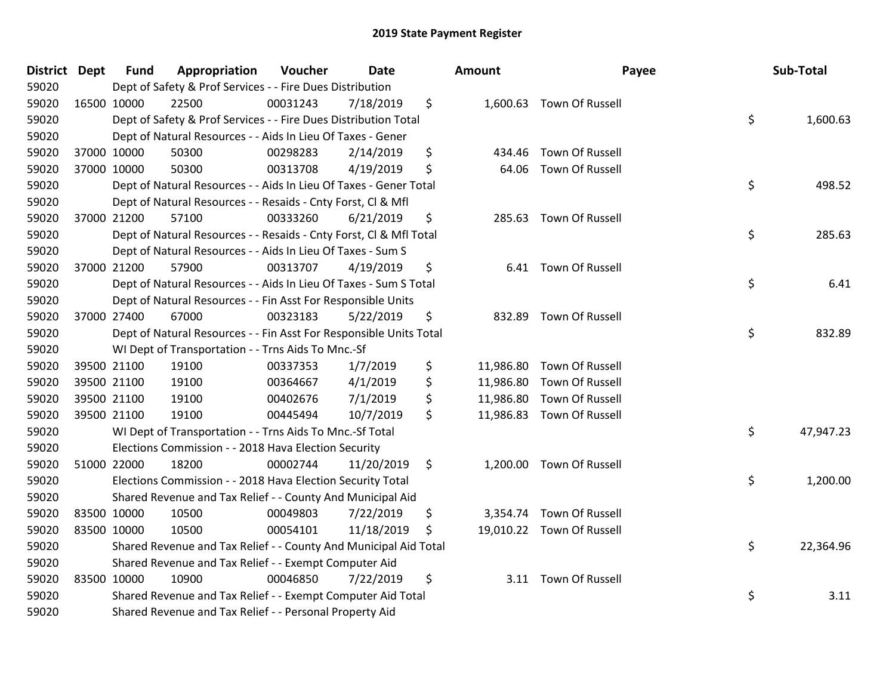| District Dept |             | <b>Fund</b> | Appropriation                                                      | Voucher  | Date       |     | <b>Amount</b> | Payee                     | Sub-Total       |
|---------------|-------------|-------------|--------------------------------------------------------------------|----------|------------|-----|---------------|---------------------------|-----------------|
| 59020         |             |             | Dept of Safety & Prof Services - - Fire Dues Distribution          |          |            |     |               |                           |                 |
| 59020         | 16500 10000 |             | 22500                                                              | 00031243 | 7/18/2019  | \$  |               | 1,600.63 Town Of Russell  |                 |
| 59020         |             |             | Dept of Safety & Prof Services - - Fire Dues Distribution Total    |          |            |     |               |                           | \$<br>1,600.63  |
| 59020         |             |             | Dept of Natural Resources - - Aids In Lieu Of Taxes - Gener        |          |            |     |               |                           |                 |
| 59020         | 37000 10000 |             | 50300                                                              | 00298283 | 2/14/2019  | \$  | 434.46        | <b>Town Of Russell</b>    |                 |
| 59020         | 37000 10000 |             | 50300                                                              | 00313708 | 4/19/2019  | \$  | 64.06         | <b>Town Of Russell</b>    |                 |
| 59020         |             |             | Dept of Natural Resources - - Aids In Lieu Of Taxes - Gener Total  |          |            |     |               |                           | \$<br>498.52    |
| 59020         |             |             | Dept of Natural Resources - - Resaids - Cnty Forst, CI & Mfl       |          |            |     |               |                           |                 |
| 59020         |             | 37000 21200 | 57100                                                              | 00333260 | 6/21/2019  | \$  |               | 285.63 Town Of Russell    |                 |
| 59020         |             |             | Dept of Natural Resources - - Resaids - Cnty Forst, Cl & Mfl Total |          |            |     |               |                           | \$<br>285.63    |
| 59020         |             |             | Dept of Natural Resources - - Aids In Lieu Of Taxes - Sum S        |          |            |     |               |                           |                 |
| 59020         |             | 37000 21200 | 57900                                                              | 00313707 | 4/19/2019  | \$  |               | 6.41 Town Of Russell      |                 |
| 59020         |             |             | Dept of Natural Resources - - Aids In Lieu Of Taxes - Sum S Total  |          |            |     |               |                           | \$<br>6.41      |
| 59020         |             |             | Dept of Natural Resources - - Fin Asst For Responsible Units       |          |            |     |               |                           |                 |
| 59020         | 37000 27400 |             | 67000                                                              | 00323183 | 5/22/2019  | \$  | 832.89        | Town Of Russell           |                 |
| 59020         |             |             | Dept of Natural Resources - - Fin Asst For Responsible Units Total |          |            |     |               |                           | \$<br>832.89    |
| 59020         |             |             | WI Dept of Transportation - - Trns Aids To Mnc.-Sf                 |          |            |     |               |                           |                 |
| 59020         |             | 39500 21100 | 19100                                                              | 00337353 | 1/7/2019   | \$  |               | 11,986.80 Town Of Russell |                 |
| 59020         | 39500 21100 |             | 19100                                                              | 00364667 | 4/1/2019   | \$  |               | 11,986.80 Town Of Russell |                 |
| 59020         |             | 39500 21100 | 19100                                                              | 00402676 | 7/1/2019   | \$  |               | 11,986.80 Town Of Russell |                 |
| 59020         |             | 39500 21100 | 19100                                                              | 00445494 | 10/7/2019  | \$  |               | 11,986.83 Town Of Russell |                 |
| 59020         |             |             | WI Dept of Transportation - - Trns Aids To Mnc.-Sf Total           |          |            |     |               |                           | \$<br>47,947.23 |
| 59020         |             |             | Elections Commission - - 2018 Hava Election Security               |          |            |     |               |                           |                 |
| 59020         | 51000 22000 |             | 18200                                                              | 00002744 | 11/20/2019 | \$  |               | 1,200.00 Town Of Russell  |                 |
| 59020         |             |             | Elections Commission - - 2018 Hava Election Security Total         |          |            |     |               |                           | \$<br>1,200.00  |
| 59020         |             |             | Shared Revenue and Tax Relief - - County And Municipal Aid         |          |            |     |               |                           |                 |
| 59020         | 83500 10000 |             | 10500                                                              | 00049803 | 7/22/2019  | \$  |               | 3,354.74 Town Of Russell  |                 |
| 59020         | 83500 10000 |             | 10500                                                              | 00054101 | 11/18/2019 | -\$ |               | 19,010.22 Town Of Russell |                 |
| 59020         |             |             | Shared Revenue and Tax Relief - - County And Municipal Aid Total   |          |            |     |               |                           | \$<br>22,364.96 |
| 59020         |             |             | Shared Revenue and Tax Relief - - Exempt Computer Aid              |          |            |     |               |                           |                 |
| 59020         | 83500 10000 |             | 10900                                                              | 00046850 | 7/22/2019  | \$  |               | 3.11 Town Of Russell      |                 |
| 59020         |             |             | Shared Revenue and Tax Relief - - Exempt Computer Aid Total        |          |            |     |               |                           | \$<br>3.11      |
| 59020         |             |             | Shared Revenue and Tax Relief - - Personal Property Aid            |          |            |     |               |                           |                 |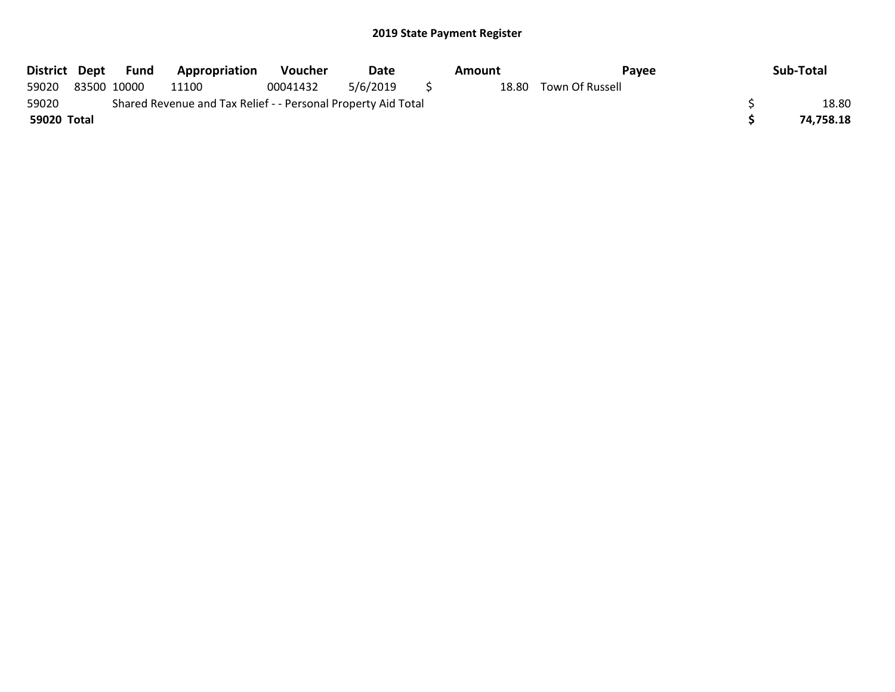|             | District Dept Fund | Appropriation                                                 | Voucher  | Date     |     | <b>Amount</b> | Pavee                 | Sub-Total |
|-------------|--------------------|---------------------------------------------------------------|----------|----------|-----|---------------|-----------------------|-----------|
| 59020       | 83500 10000        | 11100                                                         | 00041432 | 5/6/2019 | - 5 |               | 18.80 Town Of Russell |           |
| 59020       |                    | Shared Revenue and Tax Relief - - Personal Property Aid Total |          |          |     |               |                       | 18.80     |
| 59020 Total |                    |                                                               |          |          |     |               |                       | 74,758.18 |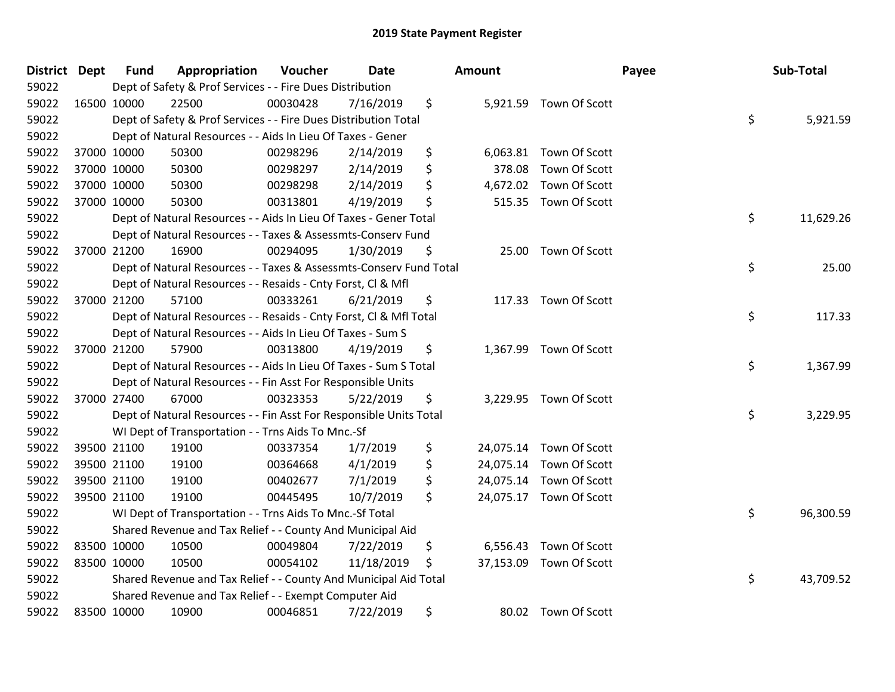| District Dept | <b>Fund</b> | Appropriation                                                      | Voucher  | <b>Date</b> | <b>Amount</b> |                         | Payee | Sub-Total   |
|---------------|-------------|--------------------------------------------------------------------|----------|-------------|---------------|-------------------------|-------|-------------|
| 59022         |             | Dept of Safety & Prof Services - - Fire Dues Distribution          |          |             |               |                         |       |             |
| 59022         | 16500 10000 | 22500                                                              | 00030428 | 7/16/2019   | \$            | 5,921.59 Town Of Scott  |       |             |
| 59022         |             | Dept of Safety & Prof Services - - Fire Dues Distribution Total    |          |             |               |                         | \$    | 5,921.59    |
| 59022         |             | Dept of Natural Resources - - Aids In Lieu Of Taxes - Gener        |          |             |               |                         |       |             |
| 59022         | 37000 10000 | 50300                                                              | 00298296 | 2/14/2019   | \$            | 6,063.81 Town Of Scott  |       |             |
| 59022         | 37000 10000 | 50300                                                              | 00298297 | 2/14/2019   | \$<br>378.08  | Town Of Scott           |       |             |
| 59022         | 37000 10000 | 50300                                                              | 00298298 | 2/14/2019   | \$            | 4,672.02 Town Of Scott  |       |             |
| 59022         | 37000 10000 | 50300                                                              | 00313801 | 4/19/2019   | \$            | 515.35 Town Of Scott    |       |             |
| 59022         |             | Dept of Natural Resources - - Aids In Lieu Of Taxes - Gener Total  |          |             |               |                         | \$    | 11,629.26   |
| 59022         |             | Dept of Natural Resources - - Taxes & Assessmts-Conserv Fund       |          |             |               |                         |       |             |
| 59022         | 37000 21200 | 16900                                                              | 00294095 | 1/30/2019   | \$            | 25.00 Town Of Scott     |       |             |
| 59022         |             | Dept of Natural Resources - - Taxes & Assessmts-Conserv Fund Total |          |             |               |                         |       | \$<br>25.00 |
| 59022         |             | Dept of Natural Resources - - Resaids - Cnty Forst, Cl & Mfl       |          |             |               |                         |       |             |
| 59022         | 37000 21200 | 57100                                                              | 00333261 | 6/21/2019   | \$            | 117.33 Town Of Scott    |       |             |
| 59022         |             | Dept of Natural Resources - - Resaids - Cnty Forst, Cl & Mfl Total |          |             |               |                         | \$    | 117.33      |
| 59022         |             | Dept of Natural Resources - - Aids In Lieu Of Taxes - Sum S        |          |             |               |                         |       |             |
| 59022         | 37000 21200 | 57900                                                              | 00313800 | 4/19/2019   | \$            | 1,367.99 Town Of Scott  |       |             |
| 59022         |             | Dept of Natural Resources - - Aids In Lieu Of Taxes - Sum S Total  |          |             |               |                         | \$    | 1,367.99    |
| 59022         |             | Dept of Natural Resources - - Fin Asst For Responsible Units       |          |             |               |                         |       |             |
| 59022         | 37000 27400 | 67000                                                              | 00323353 | 5/22/2019   | \$            | 3,229.95 Town Of Scott  |       |             |
| 59022         |             | Dept of Natural Resources - - Fin Asst For Responsible Units Total |          |             |               |                         | \$    | 3,229.95    |
| 59022         |             | WI Dept of Transportation - - Trns Aids To Mnc.-Sf                 |          |             |               |                         |       |             |
| 59022         | 39500 21100 | 19100                                                              | 00337354 | 1/7/2019    | \$            | 24,075.14 Town Of Scott |       |             |
| 59022         | 39500 21100 | 19100                                                              | 00364668 | 4/1/2019    | \$            | 24,075.14 Town Of Scott |       |             |
| 59022         | 39500 21100 | 19100                                                              | 00402677 | 7/1/2019    | \$            | 24,075.14 Town Of Scott |       |             |
| 59022         | 39500 21100 | 19100                                                              | 00445495 | 10/7/2019   | \$            | 24,075.17 Town Of Scott |       |             |
| 59022         |             | WI Dept of Transportation - - Trns Aids To Mnc.-Sf Total           |          |             |               |                         | \$    | 96,300.59   |
| 59022         |             | Shared Revenue and Tax Relief - - County And Municipal Aid         |          |             |               |                         |       |             |
| 59022         | 83500 10000 | 10500                                                              | 00049804 | 7/22/2019   | \$            | 6,556.43 Town Of Scott  |       |             |
| 59022         | 83500 10000 | 10500                                                              | 00054102 | 11/18/2019  | \$            | 37,153.09 Town Of Scott |       |             |
| 59022         |             | Shared Revenue and Tax Relief - - County And Municipal Aid Total   |          |             |               |                         | \$    | 43,709.52   |
| 59022         |             | Shared Revenue and Tax Relief - - Exempt Computer Aid              |          |             |               |                         |       |             |
| 59022         | 83500 10000 | 10900                                                              | 00046851 | 7/22/2019   | \$            | 80.02 Town Of Scott     |       |             |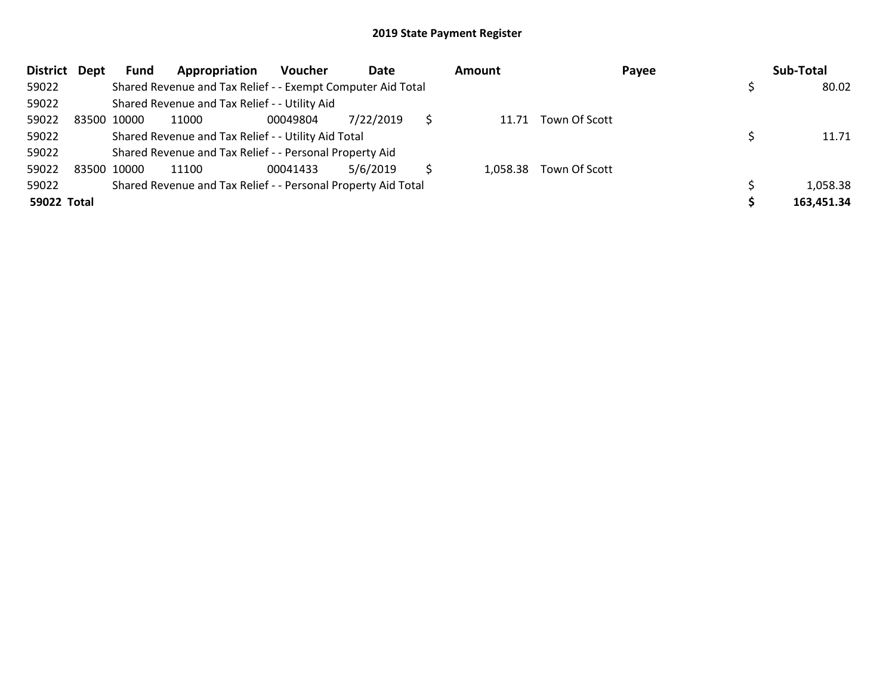|             | District Dept | <b>Fund</b> | Appropriation                                                 | <b>Voucher</b> | Date      |   | Amount |                        | Payee | Sub-Total  |
|-------------|---------------|-------------|---------------------------------------------------------------|----------------|-----------|---|--------|------------------------|-------|------------|
| 59022       |               |             | Shared Revenue and Tax Relief - - Exempt Computer Aid Total   |                |           |   |        |                        |       | 80.02      |
| 59022       |               |             | Shared Revenue and Tax Relief - - Utility Aid                 |                |           |   |        |                        |       |            |
| 59022       |               | 83500 10000 | 11000                                                         | 00049804       | 7/22/2019 | S |        | 11.71 Town Of Scott    |       |            |
| 59022       |               |             | Shared Revenue and Tax Relief - - Utility Aid Total           |                |           |   |        |                        |       | 11.71      |
| 59022       |               |             | Shared Revenue and Tax Relief - - Personal Property Aid       |                |           |   |        |                        |       |            |
| 59022       |               | 83500 10000 | 11100                                                         | 00041433       | 5/6/2019  |   |        | 1,058.38 Town Of Scott |       |            |
| 59022       |               |             | Shared Revenue and Tax Relief - - Personal Property Aid Total |                |           |   |        |                        |       | 1,058.38   |
| 59022 Total |               |             |                                                               |                |           |   |        |                        |       | 163,451.34 |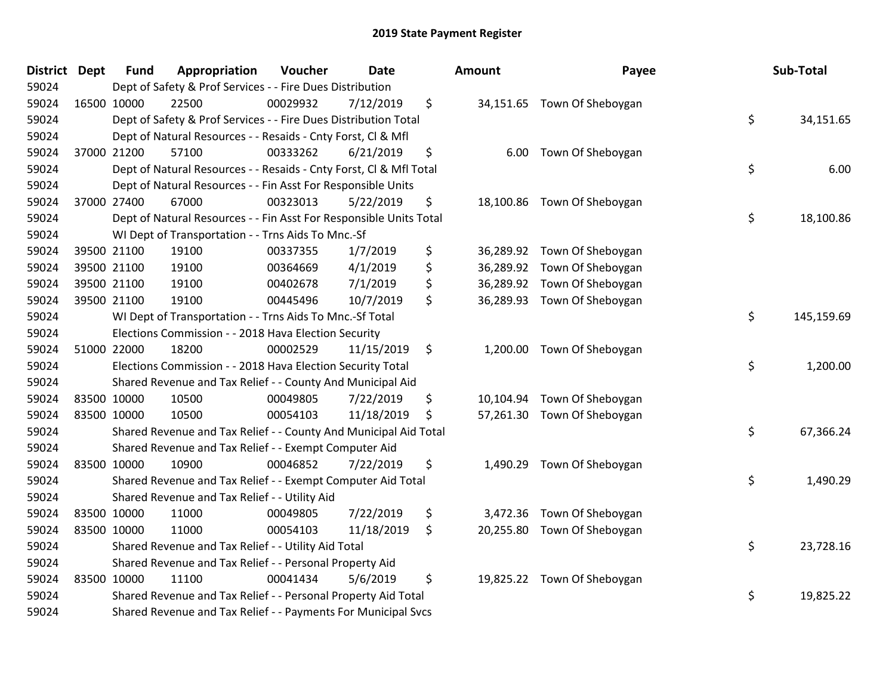| <b>District Dept</b> | <b>Fund</b> | Appropriation                                                      | Voucher  | <b>Date</b> | <b>Amount</b>  | Payee                       | Sub-Total        |
|----------------------|-------------|--------------------------------------------------------------------|----------|-------------|----------------|-----------------------------|------------------|
| 59024                |             | Dept of Safety & Prof Services - - Fire Dues Distribution          |          |             |                |                             |                  |
| 59024                | 16500 10000 | 22500                                                              | 00029932 | 7/12/2019   | \$             | 34,151.65 Town Of Sheboygan |                  |
| 59024                |             | Dept of Safety & Prof Services - - Fire Dues Distribution Total    |          |             |                |                             | \$<br>34,151.65  |
| 59024                |             | Dept of Natural Resources - - Resaids - Cnty Forst, Cl & Mfl       |          |             |                |                             |                  |
| 59024                | 37000 21200 | 57100                                                              | 00333262 | 6/21/2019   | \$<br>6.00     | Town Of Sheboygan           |                  |
| 59024                |             | Dept of Natural Resources - - Resaids - Cnty Forst, CI & Mfl Total |          |             |                |                             | \$<br>6.00       |
| 59024                |             | Dept of Natural Resources - - Fin Asst For Responsible Units       |          |             |                |                             |                  |
| 59024                | 37000 27400 | 67000                                                              | 00323013 | 5/22/2019   | \$             | 18,100.86 Town Of Sheboygan |                  |
| 59024                |             | Dept of Natural Resources - - Fin Asst For Responsible Units Total |          |             |                |                             | \$<br>18,100.86  |
| 59024                |             | WI Dept of Transportation - - Trns Aids To Mnc.-Sf                 |          |             |                |                             |                  |
| 59024                | 39500 21100 | 19100                                                              | 00337355 | 1/7/2019    | \$             | 36,289.92 Town Of Sheboygan |                  |
| 59024                | 39500 21100 | 19100                                                              | 00364669 | 4/1/2019    | \$             | 36,289.92 Town Of Sheboygan |                  |
| 59024                | 39500 21100 | 19100                                                              | 00402678 | 7/1/2019    | \$             | 36,289.92 Town Of Sheboygan |                  |
| 59024                | 39500 21100 | 19100                                                              | 00445496 | 10/7/2019   | \$             | 36,289.93 Town Of Sheboygan |                  |
| 59024                |             | WI Dept of Transportation - - Trns Aids To Mnc.-Sf Total           |          |             |                |                             | \$<br>145,159.69 |
| 59024                |             | Elections Commission - - 2018 Hava Election Security               |          |             |                |                             |                  |
| 59024                | 51000 22000 | 18200                                                              | 00002529 | 11/15/2019  | \$             | 1,200.00 Town Of Sheboygan  |                  |
| 59024                |             | Elections Commission - - 2018 Hava Election Security Total         |          |             |                |                             | \$<br>1,200.00   |
| 59024                |             | Shared Revenue and Tax Relief - - County And Municipal Aid         |          |             |                |                             |                  |
| 59024                | 83500 10000 | 10500                                                              | 00049805 | 7/22/2019   | \$             | 10,104.94 Town Of Sheboygan |                  |
| 59024                | 83500 10000 | 10500                                                              | 00054103 | 11/18/2019  | \$             | 57,261.30 Town Of Sheboygan |                  |
| 59024                |             | Shared Revenue and Tax Relief - - County And Municipal Aid Total   |          |             |                |                             | \$<br>67,366.24  |
| 59024                |             | Shared Revenue and Tax Relief - - Exempt Computer Aid              |          |             |                |                             |                  |
| 59024                | 83500 10000 | 10900                                                              | 00046852 | 7/22/2019   | \$<br>1,490.29 | Town Of Sheboygan           |                  |
| 59024                |             | Shared Revenue and Tax Relief - - Exempt Computer Aid Total        |          |             |                |                             | \$<br>1,490.29   |
| 59024                |             | Shared Revenue and Tax Relief - - Utility Aid                      |          |             |                |                             |                  |
| 59024                | 83500 10000 | 11000                                                              | 00049805 | 7/22/2019   | \$             | 3,472.36 Town Of Sheboygan  |                  |
| 59024                | 83500 10000 | 11000                                                              | 00054103 | 11/18/2019  | \$             | 20,255.80 Town Of Sheboygan |                  |
| 59024                |             | Shared Revenue and Tax Relief - - Utility Aid Total                |          |             |                |                             | \$<br>23,728.16  |
| 59024                |             | Shared Revenue and Tax Relief - - Personal Property Aid            |          |             |                |                             |                  |
| 59024                | 83500 10000 | 11100                                                              | 00041434 | 5/6/2019    | \$             | 19,825.22 Town Of Sheboygan |                  |
| 59024                |             | Shared Revenue and Tax Relief - - Personal Property Aid Total      |          |             |                |                             | \$<br>19,825.22  |
| 59024                |             | Shared Revenue and Tax Relief - - Payments For Municipal Svcs      |          |             |                |                             |                  |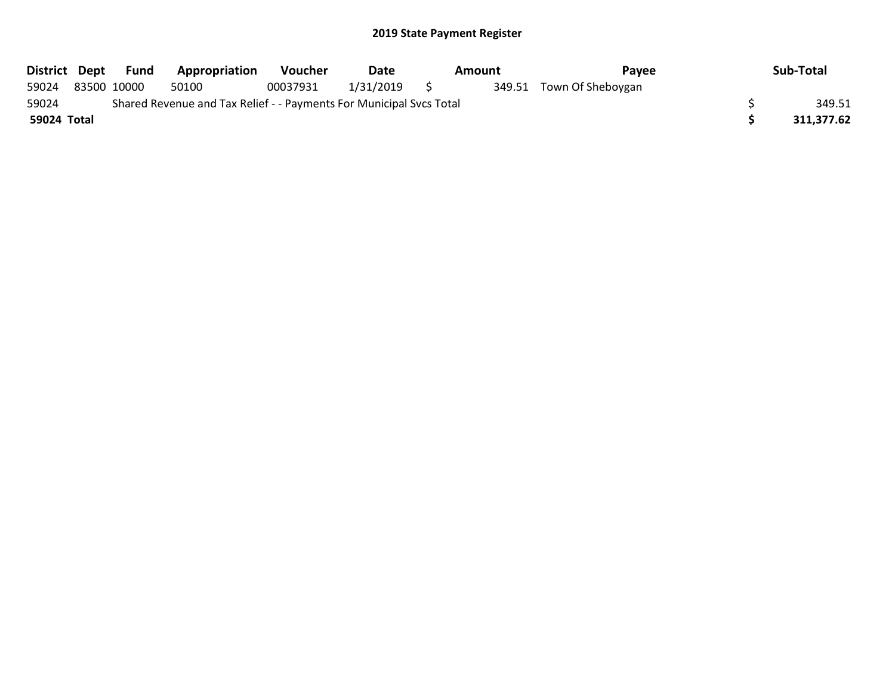| District Dept |                                                                     | Fund        | Appropriation | <b>Voucher</b> | Date      | Amount |  | Payee                    |  | Sub-Total  |
|---------------|---------------------------------------------------------------------|-------------|---------------|----------------|-----------|--------|--|--------------------------|--|------------|
| 59024         |                                                                     | 83500 10000 | 50100         | 00037931       | 1/31/2019 | S S    |  | 349.51 Town Of Sheboygan |  |            |
| 59024         | Shared Revenue and Tax Relief - - Payments For Municipal Svcs Total |             |               |                |           |        |  |                          |  | 349.51     |
| 59024 Total   |                                                                     |             |               |                |           |        |  |                          |  | 311,377.62 |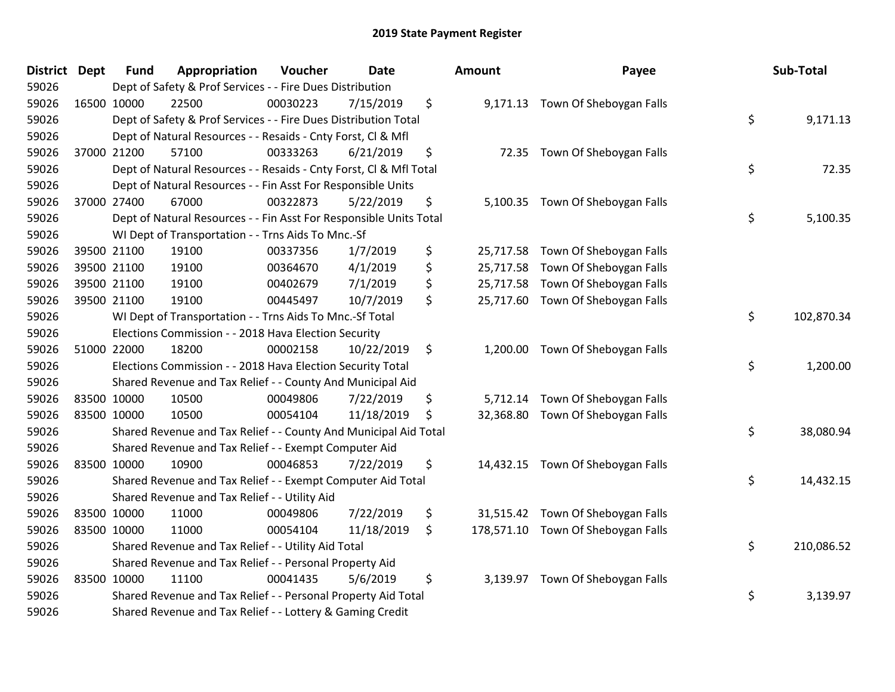| District | Dept | <b>Fund</b> | Appropriation                                                      | Voucher  | <b>Date</b> | <b>Amount</b>   | Payee                              | Sub-Total        |
|----------|------|-------------|--------------------------------------------------------------------|----------|-------------|-----------------|------------------------------------|------------------|
| 59026    |      |             | Dept of Safety & Prof Services - - Fire Dues Distribution          |          |             |                 |                                    |                  |
| 59026    |      | 16500 10000 | 22500                                                              | 00030223 | 7/15/2019   | \$              | 9,171.13 Town Of Sheboygan Falls   |                  |
| 59026    |      |             | Dept of Safety & Prof Services - - Fire Dues Distribution Total    |          |             |                 |                                    | \$<br>9,171.13   |
| 59026    |      |             | Dept of Natural Resources - - Resaids - Cnty Forst, CI & Mfl       |          |             |                 |                                    |                  |
| 59026    |      | 37000 21200 | 57100                                                              | 00333263 | 6/21/2019   | \$              | 72.35 Town Of Sheboygan Falls      |                  |
| 59026    |      |             | Dept of Natural Resources - - Resaids - Cnty Forst, Cl & Mfl Total |          |             |                 |                                    | \$<br>72.35      |
| 59026    |      |             | Dept of Natural Resources - - Fin Asst For Responsible Units       |          |             |                 |                                    |                  |
| 59026    |      | 37000 27400 | 67000                                                              | 00322873 | 5/22/2019   | \$              | 5,100.35 Town Of Sheboygan Falls   |                  |
| 59026    |      |             | Dept of Natural Resources - - Fin Asst For Responsible Units Total |          |             |                 |                                    | \$<br>5,100.35   |
| 59026    |      |             | WI Dept of Transportation - - Trns Aids To Mnc.-Sf                 |          |             |                 |                                    |                  |
| 59026    |      | 39500 21100 | 19100                                                              | 00337356 | 1/7/2019    | \$              | 25,717.58 Town Of Sheboygan Falls  |                  |
| 59026    |      | 39500 21100 | 19100                                                              | 00364670 | 4/1/2019    | \$<br>25,717.58 | Town Of Sheboygan Falls            |                  |
| 59026    |      | 39500 21100 | 19100                                                              | 00402679 | 7/1/2019    | \$              | 25,717.58 Town Of Sheboygan Falls  |                  |
| 59026    |      | 39500 21100 | 19100                                                              | 00445497 | 10/7/2019   | \$              | 25,717.60 Town Of Sheboygan Falls  |                  |
| 59026    |      |             | WI Dept of Transportation - - Trns Aids To Mnc.-Sf Total           |          |             |                 |                                    | \$<br>102,870.34 |
| 59026    |      |             | Elections Commission - - 2018 Hava Election Security               |          |             |                 |                                    |                  |
| 59026    |      | 51000 22000 | 18200                                                              | 00002158 | 10/22/2019  | \$<br>1,200.00  | Town Of Sheboygan Falls            |                  |
| 59026    |      |             | Elections Commission - - 2018 Hava Election Security Total         |          |             |                 |                                    | \$<br>1,200.00   |
| 59026    |      |             | Shared Revenue and Tax Relief - - County And Municipal Aid         |          |             |                 |                                    |                  |
| 59026    |      | 83500 10000 | 10500                                                              | 00049806 | 7/22/2019   | \$<br>5,712.14  | Town Of Sheboygan Falls            |                  |
| 59026    |      | 83500 10000 | 10500                                                              | 00054104 | 11/18/2019  | \$<br>32,368.80 | Town Of Sheboygan Falls            |                  |
| 59026    |      |             | Shared Revenue and Tax Relief - - County And Municipal Aid Total   |          |             |                 |                                    | \$<br>38,080.94  |
| 59026    |      |             | Shared Revenue and Tax Relief - - Exempt Computer Aid              |          |             |                 |                                    |                  |
| 59026    |      | 83500 10000 | 10900                                                              | 00046853 | 7/22/2019   | \$              | 14,432.15 Town Of Sheboygan Falls  |                  |
| 59026    |      |             | Shared Revenue and Tax Relief - - Exempt Computer Aid Total        |          |             |                 |                                    | \$<br>14,432.15  |
| 59026    |      |             | Shared Revenue and Tax Relief - - Utility Aid                      |          |             |                 |                                    |                  |
| 59026    |      | 83500 10000 | 11000                                                              | 00049806 | 7/22/2019   | \$              | 31,515.42 Town Of Sheboygan Falls  |                  |
| 59026    |      | 83500 10000 | 11000                                                              | 00054104 | 11/18/2019  | \$              | 178,571.10 Town Of Sheboygan Falls |                  |
| 59026    |      |             | Shared Revenue and Tax Relief - - Utility Aid Total                |          |             |                 |                                    | \$<br>210,086.52 |
| 59026    |      |             | Shared Revenue and Tax Relief - - Personal Property Aid            |          |             |                 |                                    |                  |
| 59026    |      | 83500 10000 | 11100                                                              | 00041435 | 5/6/2019    | \$<br>3,139.97  | Town Of Sheboygan Falls            |                  |
| 59026    |      |             | Shared Revenue and Tax Relief - - Personal Property Aid Total      |          |             |                 |                                    | \$<br>3,139.97   |
| 59026    |      |             | Shared Revenue and Tax Relief - - Lottery & Gaming Credit          |          |             |                 |                                    |                  |

| ount                                             | Payee                                                                                                    | Sub-Total        |
|--------------------------------------------------|----------------------------------------------------------------------------------------------------------|------------------|
|                                                  | 9,171.13 Town Of Sheboygan Falls                                                                         | \$<br>9,171.13   |
| 72.35                                            | Town Of Sheboygan Falls                                                                                  | \$<br>72.35      |
| 5,100.35                                         | Town Of Sheboygan Falls                                                                                  | \$<br>5,100.35   |
| 25,717.58<br>25,717.58<br>25,717.58<br>25,717.60 | Town Of Sheboygan Falls<br>Town Of Sheboygan Falls<br>Town Of Sheboygan Falls<br>Town Of Sheboygan Falls |                  |
|                                                  |                                                                                                          | \$<br>102,870.34 |
| 1,200.00                                         | Town Of Sheboygan Falls                                                                                  | \$<br>1,200.00   |
| 5,712.14<br>32,368.80                            | Town Of Sheboygan Falls<br>Town Of Sheboygan Falls                                                       | \$<br>38,080.94  |
| 14,432.15                                        | Town Of Sheboygan Falls                                                                                  | \$<br>14,432.15  |
| 31,515.42<br>178,571.10                          | Town Of Sheboygan Falls<br>Town Of Sheboygan Falls                                                       | \$<br>210,086.52 |
| 3,139.97                                         | Town Of Sheboygan Falls                                                                                  | \$<br>3,139.97   |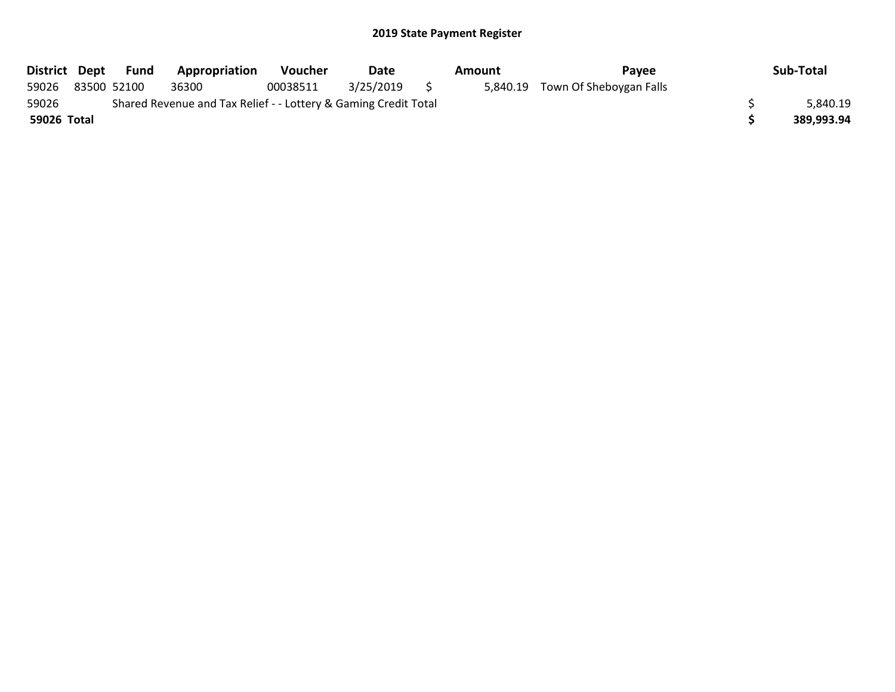| District Dept |                                                                 | Fund        | <b>Appropriation</b> | <b>Voucher</b> | Date      | Amount |  | Pavee                            |  | Sub-Total  |
|---------------|-----------------------------------------------------------------|-------------|----------------------|----------------|-----------|--------|--|----------------------------------|--|------------|
| 59026         |                                                                 | 83500 52100 | 36300                | 00038511       | 3/25/2019 |        |  | 5,840.19 Town Of Sheboygan Falls |  |            |
| 59026         | Shared Revenue and Tax Relief - - Lottery & Gaming Credit Total |             |                      |                |           |        |  |                                  |  | 5,840.19   |
| 59026 Total   |                                                                 |             |                      |                |           |        |  |                                  |  | 389,993.94 |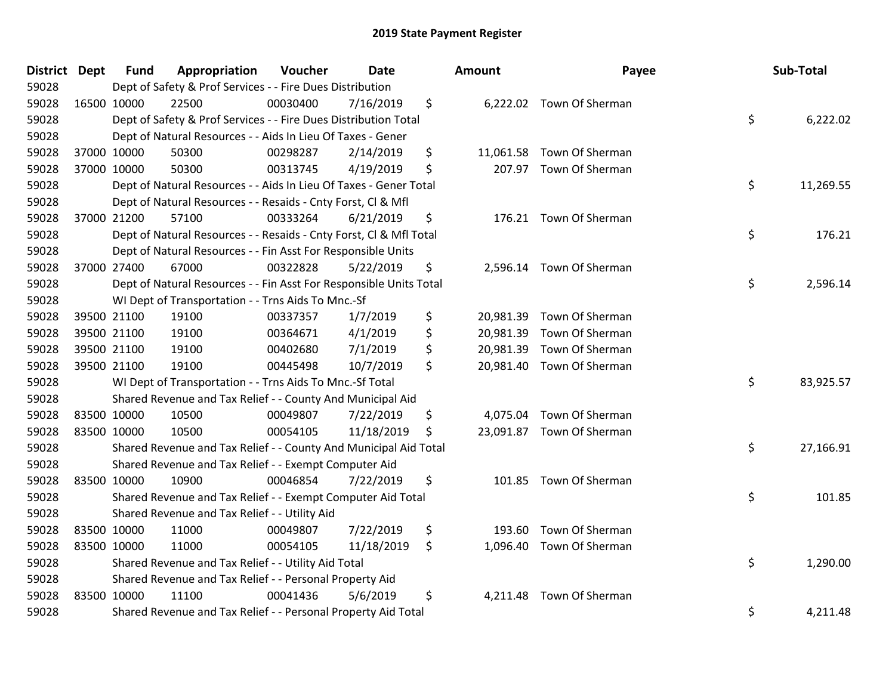| District Dept | <b>Fund</b> | Appropriation                                                      | Voucher  | <b>Date</b> | Amount          | Payee                     | Sub-Total       |
|---------------|-------------|--------------------------------------------------------------------|----------|-------------|-----------------|---------------------------|-----------------|
| 59028         |             | Dept of Safety & Prof Services - - Fire Dues Distribution          |          |             |                 |                           |                 |
| 59028         | 16500 10000 | 22500                                                              | 00030400 | 7/16/2019   | \$              | 6,222.02 Town Of Sherman  |                 |
| 59028         |             | Dept of Safety & Prof Services - - Fire Dues Distribution Total    |          |             |                 |                           | \$<br>6,222.02  |
| 59028         |             | Dept of Natural Resources - - Aids In Lieu Of Taxes - Gener        |          |             |                 |                           |                 |
| 59028         | 37000 10000 | 50300                                                              | 00298287 | 2/14/2019   | \$              | 11,061.58 Town Of Sherman |                 |
| 59028         | 37000 10000 | 50300                                                              | 00313745 | 4/19/2019   | \$<br>207.97    | Town Of Sherman           |                 |
| 59028         |             | Dept of Natural Resources - - Aids In Lieu Of Taxes - Gener Total  |          |             |                 |                           | \$<br>11,269.55 |
| 59028         |             | Dept of Natural Resources - - Resaids - Cnty Forst, Cl & Mfl       |          |             |                 |                           |                 |
| 59028         | 37000 21200 | 57100                                                              | 00333264 | 6/21/2019   | \$              | 176.21 Town Of Sherman    |                 |
| 59028         |             | Dept of Natural Resources - - Resaids - Cnty Forst, Cl & Mfl Total |          |             |                 |                           | \$<br>176.21    |
| 59028         |             | Dept of Natural Resources - - Fin Asst For Responsible Units       |          |             |                 |                           |                 |
| 59028         | 37000 27400 | 67000                                                              | 00322828 | 5/22/2019   | \$              | 2,596.14 Town Of Sherman  |                 |
| 59028         |             | Dept of Natural Resources - - Fin Asst For Responsible Units Total |          |             |                 |                           | \$<br>2,596.14  |
| 59028         |             | WI Dept of Transportation - - Trns Aids To Mnc.-Sf                 |          |             |                 |                           |                 |
| 59028         | 39500 21100 | 19100                                                              | 00337357 | 1/7/2019    | \$              | 20,981.39 Town Of Sherman |                 |
| 59028         | 39500 21100 | 19100                                                              | 00364671 | 4/1/2019    | \$<br>20,981.39 | Town Of Sherman           |                 |
| 59028         | 39500 21100 | 19100                                                              | 00402680 | 7/1/2019    | \$<br>20,981.39 | Town Of Sherman           |                 |
| 59028         | 39500 21100 | 19100                                                              | 00445498 | 10/7/2019   | \$              | 20,981.40 Town Of Sherman |                 |
| 59028         |             | WI Dept of Transportation - - Trns Aids To Mnc.-Sf Total           |          |             |                 |                           | \$<br>83,925.57 |
| 59028         |             | Shared Revenue and Tax Relief - - County And Municipal Aid         |          |             |                 |                           |                 |
| 59028         | 83500 10000 | 10500                                                              | 00049807 | 7/22/2019   | \$<br>4,075.04  | Town Of Sherman           |                 |
| 59028         | 83500 10000 | 10500                                                              | 00054105 | 11/18/2019  | \$              | 23,091.87 Town Of Sherman |                 |
| 59028         |             | Shared Revenue and Tax Relief - - County And Municipal Aid Total   |          |             |                 |                           | \$<br>27,166.91 |
| 59028         |             | Shared Revenue and Tax Relief - - Exempt Computer Aid              |          |             |                 |                           |                 |
| 59028         | 83500 10000 | 10900                                                              | 00046854 | 7/22/2019   | \$<br>101.85    | Town Of Sherman           |                 |
| 59028         |             | Shared Revenue and Tax Relief - - Exempt Computer Aid Total        |          |             |                 |                           | \$<br>101.85    |
| 59028         |             | Shared Revenue and Tax Relief - - Utility Aid                      |          |             |                 |                           |                 |
| 59028         | 83500 10000 | 11000                                                              | 00049807 | 7/22/2019   | \$<br>193.60    | Town Of Sherman           |                 |
| 59028         | 83500 10000 | 11000                                                              | 00054105 | 11/18/2019  | \$              | 1,096.40 Town Of Sherman  |                 |
| 59028         |             | Shared Revenue and Tax Relief - - Utility Aid Total                |          |             |                 |                           | \$<br>1,290.00  |
| 59028         |             | Shared Revenue and Tax Relief - - Personal Property Aid            |          |             |                 |                           |                 |
| 59028         | 83500 10000 | 11100                                                              | 00041436 | 5/6/2019    | \$<br>4,211.48  | Town Of Sherman           |                 |
| 59028         |             | Shared Revenue and Tax Relief - - Personal Property Aid Total      |          |             |                 |                           | \$<br>4,211.48  |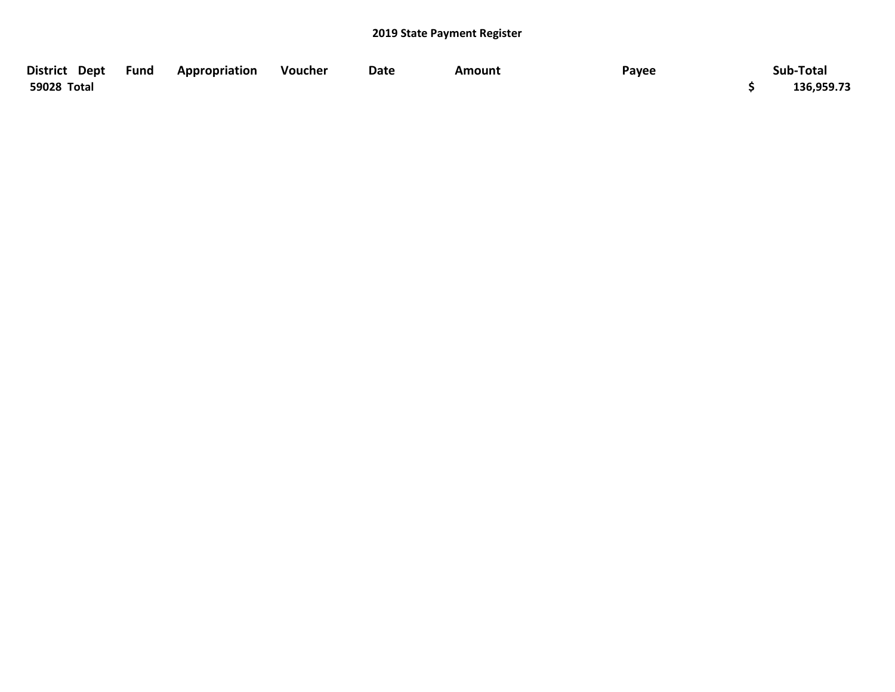| District Dept Fund | Appropriation | Voucher | Date | Amount | Payee | Sub-Total  |
|--------------------|---------------|---------|------|--------|-------|------------|
| 59028 Total        |               |         |      |        |       | 136,959.73 |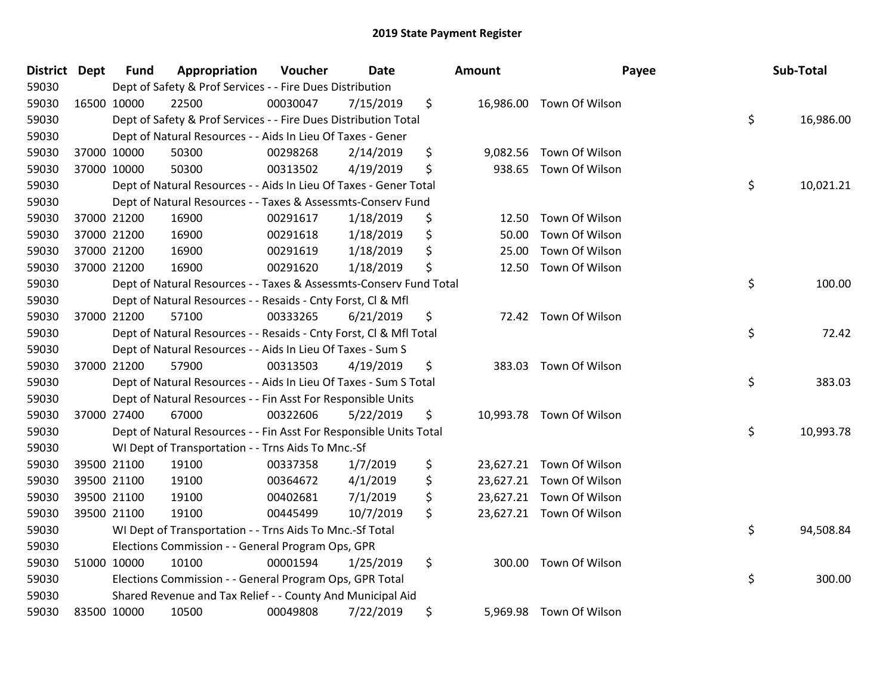| District Dept | <b>Fund</b> | Appropriation                                                      | Voucher  | Date      | Amount          | Payee                    | Sub-Total       |
|---------------|-------------|--------------------------------------------------------------------|----------|-----------|-----------------|--------------------------|-----------------|
| 59030         |             | Dept of Safety & Prof Services - - Fire Dues Distribution          |          |           |                 |                          |                 |
| 59030         | 16500 10000 | 22500                                                              | 00030047 | 7/15/2019 | \$              | 16,986.00 Town Of Wilson |                 |
| 59030         |             | Dept of Safety & Prof Services - - Fire Dues Distribution Total    |          |           |                 |                          | \$<br>16,986.00 |
| 59030         |             | Dept of Natural Resources - - Aids In Lieu Of Taxes - Gener        |          |           |                 |                          |                 |
| 59030         | 37000 10000 | 50300                                                              | 00298268 | 2/14/2019 | \$<br>9,082.56  | Town Of Wilson           |                 |
| 59030         | 37000 10000 | 50300                                                              | 00313502 | 4/19/2019 | \$<br>938.65    | Town Of Wilson           |                 |
| 59030         |             | Dept of Natural Resources - - Aids In Lieu Of Taxes - Gener Total  |          |           |                 |                          | \$<br>10,021.21 |
| 59030         |             | Dept of Natural Resources - - Taxes & Assessmts-Conserv Fund       |          |           |                 |                          |                 |
| 59030         | 37000 21200 | 16900                                                              | 00291617 | 1/18/2019 | \$<br>12.50     | Town Of Wilson           |                 |
| 59030         | 37000 21200 | 16900                                                              | 00291618 | 1/18/2019 | \$<br>50.00     | Town Of Wilson           |                 |
| 59030         | 37000 21200 | 16900                                                              | 00291619 | 1/18/2019 | \$<br>25.00     | Town Of Wilson           |                 |
| 59030         | 37000 21200 | 16900                                                              | 00291620 | 1/18/2019 | \$<br>12.50     | Town Of Wilson           |                 |
| 59030         |             | Dept of Natural Resources - - Taxes & Assessmts-Conserv Fund Total |          |           |                 |                          | \$<br>100.00    |
| 59030         |             | Dept of Natural Resources - - Resaids - Cnty Forst, Cl & Mfl       |          |           |                 |                          |                 |
| 59030         | 37000 21200 | 57100                                                              | 00333265 | 6/21/2019 | \$<br>72.42     | Town Of Wilson           |                 |
| 59030         |             | Dept of Natural Resources - - Resaids - Cnty Forst, CI & Mfl Total |          |           |                 |                          | \$<br>72.42     |
| 59030         |             | Dept of Natural Resources - - Aids In Lieu Of Taxes - Sum S        |          |           |                 |                          |                 |
| 59030         | 37000 21200 | 57900                                                              | 00313503 | 4/19/2019 | \$<br>383.03    | Town Of Wilson           |                 |
| 59030         |             | Dept of Natural Resources - - Aids In Lieu Of Taxes - Sum S Total  |          |           |                 |                          | \$<br>383.03    |
| 59030         |             | Dept of Natural Resources - - Fin Asst For Responsible Units       |          |           |                 |                          |                 |
| 59030         | 37000 27400 | 67000                                                              | 00322606 | 5/22/2019 | \$              | 10,993.78 Town Of Wilson |                 |
| 59030         |             | Dept of Natural Resources - - Fin Asst For Responsible Units Total |          |           |                 |                          | \$<br>10,993.78 |
| 59030         |             | WI Dept of Transportation - - Trns Aids To Mnc.-Sf                 |          |           |                 |                          |                 |
| 59030         | 39500 21100 | 19100                                                              | 00337358 | 1/7/2019  | \$              | 23,627.21 Town Of Wilson |                 |
| 59030         | 39500 21100 | 19100                                                              | 00364672 | 4/1/2019  | \$<br>23,627.21 | Town Of Wilson           |                 |
| 59030         | 39500 21100 | 19100                                                              | 00402681 | 7/1/2019  | \$              | 23,627.21 Town Of Wilson |                 |
| 59030         | 39500 21100 | 19100                                                              | 00445499 | 10/7/2019 | \$              | 23,627.21 Town Of Wilson |                 |
| 59030         |             | WI Dept of Transportation - - Trns Aids To Mnc.-Sf Total           |          |           |                 |                          | \$<br>94,508.84 |
| 59030         |             | Elections Commission - - General Program Ops, GPR                  |          |           |                 |                          |                 |
| 59030         | 51000 10000 | 10100                                                              | 00001594 | 1/25/2019 | \$<br>300.00    | Town Of Wilson           |                 |
| 59030         |             | Elections Commission - - General Program Ops, GPR Total            |          |           |                 |                          | \$<br>300.00    |
| 59030         |             | Shared Revenue and Tax Relief - - County And Municipal Aid         |          |           |                 |                          |                 |
| 59030         | 83500 10000 | 10500                                                              | 00049808 | 7/22/2019 | \$              | 5,969.98 Town Of Wilson  |                 |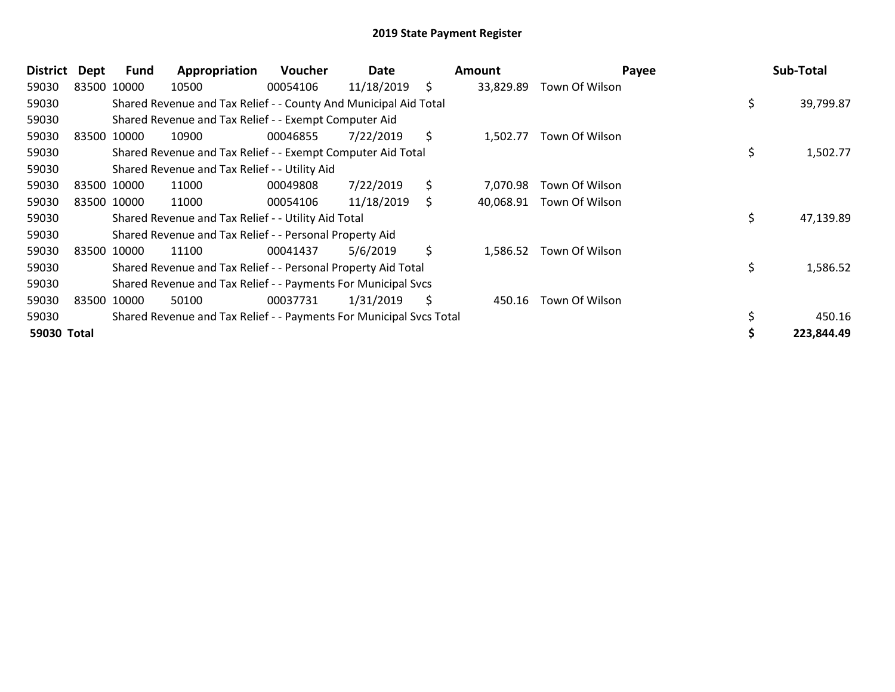| <b>District</b> | Dept | Fund        | Appropriation                                                       | <b>Voucher</b> | Date       |     | Amount    | Payee          |     | Sub-Total  |
|-----------------|------|-------------|---------------------------------------------------------------------|----------------|------------|-----|-----------|----------------|-----|------------|
| 59030           |      | 83500 10000 | 10500                                                               | 00054106       | 11/18/2019 | \$  | 33,829.89 | Town Of Wilson |     |            |
| 59030           |      |             | Shared Revenue and Tax Relief - - County And Municipal Aid Total    |                |            |     |           |                | \$. | 39,799.87  |
| 59030           |      |             | Shared Revenue and Tax Relief - - Exempt Computer Aid               |                |            |     |           |                |     |            |
| 59030           |      | 83500 10000 | 10900                                                               | 00046855       | 7/22/2019  | \$  | 1.502.77  | Town Of Wilson |     |            |
| 59030           |      |             | Shared Revenue and Tax Relief - - Exempt Computer Aid Total         |                |            |     |           |                | \$  | 1,502.77   |
| 59030           |      |             | Shared Revenue and Tax Relief - - Utility Aid                       |                |            |     |           |                |     |            |
| 59030           |      | 83500 10000 | 11000                                                               | 00049808       | 7/22/2019  | \$  | 7,070.98  | Town Of Wilson |     |            |
| 59030           |      | 83500 10000 | 11000                                                               | 00054106       | 11/18/2019 | \$. | 40,068.91 | Town Of Wilson |     |            |
| 59030           |      |             | Shared Revenue and Tax Relief - - Utility Aid Total                 |                |            |     |           |                | \$  | 47,139.89  |
| 59030           |      |             | Shared Revenue and Tax Relief - - Personal Property Aid             |                |            |     |           |                |     |            |
| 59030           |      | 83500 10000 | 11100                                                               | 00041437       | 5/6/2019   | \$  | 1,586.52  | Town Of Wilson |     |            |
| 59030           |      |             | Shared Revenue and Tax Relief - - Personal Property Aid Total       |                |            |     |           |                | \$  | 1,586.52   |
| 59030           |      |             | Shared Revenue and Tax Relief - - Payments For Municipal Svcs       |                |            |     |           |                |     |            |
| 59030           |      | 83500 10000 | 50100                                                               | 00037731       | 1/31/2019  | \$  | 450.16    | Town Of Wilson |     |            |
| 59030           |      |             | Shared Revenue and Tax Relief - - Payments For Municipal Svcs Total |                |            |     |           |                |     | 450.16     |
| 59030 Total     |      |             |                                                                     |                |            |     |           |                |     | 223,844.49 |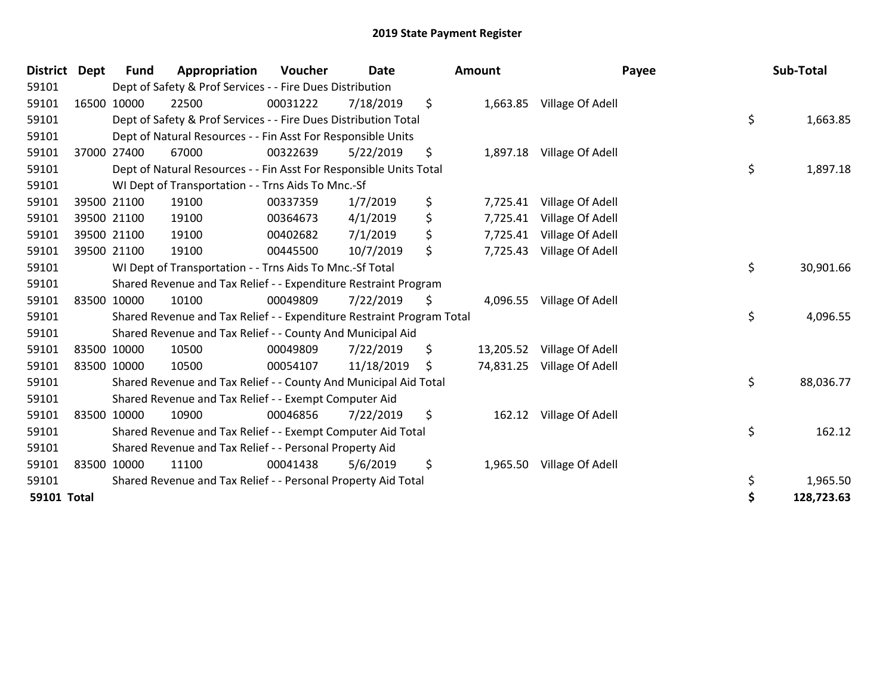| <b>District</b>    | <b>Dept</b> | Fund        | Appropriation                                                         | <b>Voucher</b> | <b>Date</b> | Amount          | Payee                     | Sub-Total        |
|--------------------|-------------|-------------|-----------------------------------------------------------------------|----------------|-------------|-----------------|---------------------------|------------------|
| 59101              |             |             | Dept of Safety & Prof Services - - Fire Dues Distribution             |                |             |                 |                           |                  |
| 59101              |             | 16500 10000 | 22500                                                                 | 00031222       | 7/18/2019   | \$              | 1,663.85 Village Of Adell |                  |
| 59101              |             |             | Dept of Safety & Prof Services - - Fire Dues Distribution Total       |                |             |                 |                           | \$<br>1,663.85   |
| 59101              |             |             | Dept of Natural Resources - - Fin Asst For Responsible Units          |                |             |                 |                           |                  |
| 59101              |             | 37000 27400 | 67000                                                                 | 00322639       | 5/22/2019   | \$<br>1,897.18  | Village Of Adell          |                  |
| 59101              |             |             | Dept of Natural Resources - - Fin Asst For Responsible Units Total    |                |             |                 |                           | \$<br>1,897.18   |
| 59101              |             |             | WI Dept of Transportation - - Trns Aids To Mnc.-Sf                    |                |             |                 |                           |                  |
| 59101              |             | 39500 21100 | 19100                                                                 | 00337359       | 1/7/2019    | \$<br>7,725.41  | Village Of Adell          |                  |
| 59101              |             | 39500 21100 | 19100                                                                 | 00364673       | 4/1/2019    | \$<br>7,725.41  | Village Of Adell          |                  |
| 59101              |             | 39500 21100 | 19100                                                                 | 00402682       | 7/1/2019    | \$<br>7,725.41  | Village Of Adell          |                  |
| 59101              |             | 39500 21100 | 19100                                                                 | 00445500       | 10/7/2019   | \$<br>7,725.43  | Village Of Adell          |                  |
| 59101              |             |             | WI Dept of Transportation - - Trns Aids To Mnc.-Sf Total              |                |             |                 |                           | \$<br>30,901.66  |
| 59101              |             |             | Shared Revenue and Tax Relief - - Expenditure Restraint Program       |                |             |                 |                           |                  |
| 59101              | 83500 10000 |             | 10100                                                                 | 00049809       | 7/22/2019   | \$<br>4,096.55  | Village Of Adell          |                  |
| 59101              |             |             | Shared Revenue and Tax Relief - - Expenditure Restraint Program Total |                |             |                 |                           | \$<br>4,096.55   |
| 59101              |             |             | Shared Revenue and Tax Relief - - County And Municipal Aid            |                |             |                 |                           |                  |
| 59101              |             | 83500 10000 | 10500                                                                 | 00049809       | 7/22/2019   | \$<br>13,205.52 | Village Of Adell          |                  |
| 59101              | 83500 10000 |             | 10500                                                                 | 00054107       | 11/18/2019  | \$<br>74,831.25 | Village Of Adell          |                  |
| 59101              |             |             | Shared Revenue and Tax Relief - - County And Municipal Aid Total      |                |             |                 |                           | \$<br>88,036.77  |
| 59101              |             |             | Shared Revenue and Tax Relief - - Exempt Computer Aid                 |                |             |                 |                           |                  |
| 59101              | 83500 10000 |             | 10900                                                                 | 00046856       | 7/22/2019   | \$<br>162.12    | Village Of Adell          |                  |
| 59101              |             |             | Shared Revenue and Tax Relief - - Exempt Computer Aid Total           |                |             |                 |                           | \$<br>162.12     |
| 59101              |             |             | Shared Revenue and Tax Relief - - Personal Property Aid               |                |             |                 |                           |                  |
| 59101              | 83500 10000 |             | 11100                                                                 | 00041438       | 5/6/2019    | \$<br>1,965.50  | Village Of Adell          |                  |
| 59101              |             |             | Shared Revenue and Tax Relief - - Personal Property Aid Total         |                |             |                 |                           | \$<br>1,965.50   |
| <b>59101 Total</b> |             |             |                                                                       |                |             |                 |                           | \$<br>128,723.63 |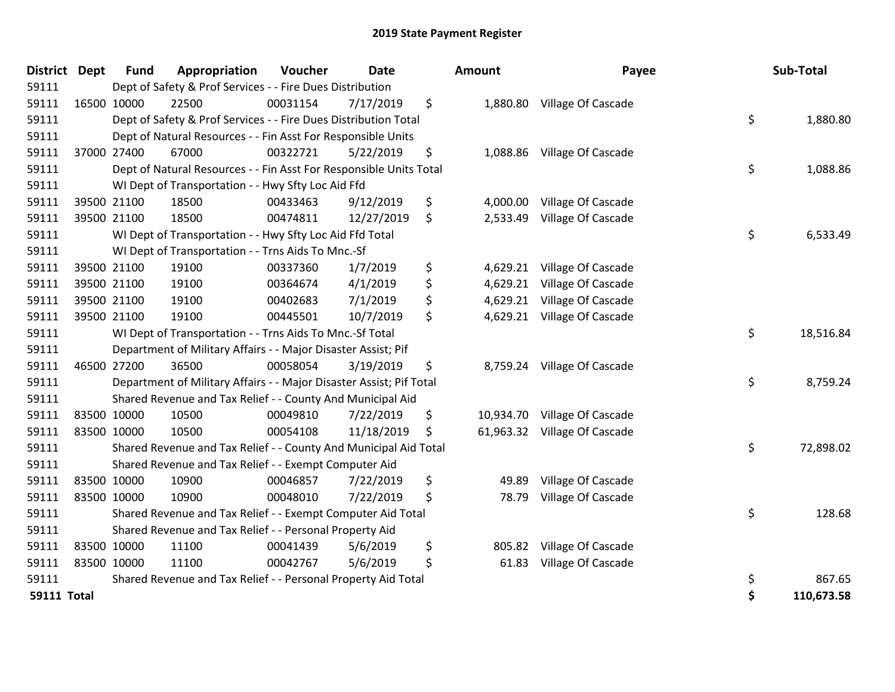| <b>District</b>    | Dept | <b>Fund</b> | Appropriation                                                       | Voucher  | <b>Date</b> | Amount         | Payee                        | Sub-Total        |
|--------------------|------|-------------|---------------------------------------------------------------------|----------|-------------|----------------|------------------------------|------------------|
| 59111              |      |             | Dept of Safety & Prof Services - - Fire Dues Distribution           |          |             |                |                              |                  |
| 59111              |      | 16500 10000 | 22500                                                               | 00031154 | 7/17/2019   | \$             | 1,880.80 Village Of Cascade  |                  |
| 59111              |      |             | Dept of Safety & Prof Services - - Fire Dues Distribution Total     |          |             |                |                              | \$<br>1,880.80   |
| 59111              |      |             | Dept of Natural Resources - - Fin Asst For Responsible Units        |          |             |                |                              |                  |
| 59111              |      | 37000 27400 | 67000                                                               | 00322721 | 5/22/2019   | \$<br>1,088.86 | Village Of Cascade           |                  |
| 59111              |      |             | Dept of Natural Resources - - Fin Asst For Responsible Units Total  |          |             |                |                              | \$<br>1,088.86   |
| 59111              |      |             | WI Dept of Transportation - - Hwy Sfty Loc Aid Ffd                  |          |             |                |                              |                  |
| 59111              |      | 39500 21100 | 18500                                                               | 00433463 | 9/12/2019   | \$<br>4,000.00 | Village Of Cascade           |                  |
| 59111              |      | 39500 21100 | 18500                                                               | 00474811 | 12/27/2019  | \$<br>2,533.49 | Village Of Cascade           |                  |
| 59111              |      |             | WI Dept of Transportation - - Hwy Sfty Loc Aid Ffd Total            |          |             |                |                              | \$<br>6,533.49   |
| 59111              |      |             | WI Dept of Transportation - - Trns Aids To Mnc.-Sf                  |          |             |                |                              |                  |
| 59111              |      | 39500 21100 | 19100                                                               | 00337360 | 1/7/2019    | \$<br>4,629.21 | Village Of Cascade           |                  |
| 59111              |      | 39500 21100 | 19100                                                               | 00364674 | 4/1/2019    | \$<br>4,629.21 | Village Of Cascade           |                  |
| 59111              |      | 39500 21100 | 19100                                                               | 00402683 | 7/1/2019    | \$<br>4,629.21 | Village Of Cascade           |                  |
| 59111              |      | 39500 21100 | 19100                                                               | 00445501 | 10/7/2019   | \$<br>4,629.21 | Village Of Cascade           |                  |
| 59111              |      |             | WI Dept of Transportation - - Trns Aids To Mnc.-Sf Total            |          |             |                |                              | \$<br>18,516.84  |
| 59111              |      |             | Department of Military Affairs - - Major Disaster Assist; Pif       |          |             |                |                              |                  |
| 59111              |      | 46500 27200 | 36500                                                               | 00058054 | 3/19/2019   | \$<br>8,759.24 | Village Of Cascade           |                  |
| 59111              |      |             | Department of Military Affairs - - Major Disaster Assist; Pif Total |          |             |                |                              | \$<br>8,759.24   |
| 59111              |      |             | Shared Revenue and Tax Relief - - County And Municipal Aid          |          |             |                |                              |                  |
| 59111              |      | 83500 10000 | 10500                                                               | 00049810 | 7/22/2019   | \$             | 10,934.70 Village Of Cascade |                  |
| 59111              |      | 83500 10000 | 10500                                                               | 00054108 | 11/18/2019  | \$             | 61,963.32 Village Of Cascade |                  |
| 59111              |      |             | Shared Revenue and Tax Relief - - County And Municipal Aid Total    |          |             |                |                              | \$<br>72,898.02  |
| 59111              |      |             | Shared Revenue and Tax Relief - - Exempt Computer Aid               |          |             |                |                              |                  |
| 59111              |      | 83500 10000 | 10900                                                               | 00046857 | 7/22/2019   | \$<br>49.89    | Village Of Cascade           |                  |
| 59111              |      | 83500 10000 | 10900                                                               | 00048010 | 7/22/2019   | \$<br>78.79    | Village Of Cascade           |                  |
| 59111              |      |             | Shared Revenue and Tax Relief - - Exempt Computer Aid Total         |          |             |                |                              | \$<br>128.68     |
| 59111              |      |             | Shared Revenue and Tax Relief - - Personal Property Aid             |          |             |                |                              |                  |
| 59111              |      | 83500 10000 | 11100                                                               | 00041439 | 5/6/2019    | \$<br>805.82   | Village Of Cascade           |                  |
| 59111              |      | 83500 10000 | 11100                                                               | 00042767 | 5/6/2019    | \$<br>61.83    | Village Of Cascade           |                  |
| 59111              |      |             | Shared Revenue and Tax Relief - - Personal Property Aid Total       |          |             |                |                              | \$<br>867.65     |
| <b>59111 Total</b> |      |             |                                                                     |          |             |                |                              | \$<br>110,673.58 |

| District Dept      | <b>Fund</b> | Appropriation                                                       | Voucher  | <b>Date</b> | Amount         | Payee                        | Sub-Total        |
|--------------------|-------------|---------------------------------------------------------------------|----------|-------------|----------------|------------------------------|------------------|
| 59111              |             | Dept of Safety & Prof Services - - Fire Dues Distribution           |          |             |                |                              |                  |
| 59111              | 16500 10000 | 22500                                                               | 00031154 | 7/17/2019   | \$             | 1,880.80 Village Of Cascade  |                  |
| 59111              |             | Dept of Safety & Prof Services - - Fire Dues Distribution Total     |          |             |                |                              | \$<br>1,880.80   |
| 59111              |             | Dept of Natural Resources - - Fin Asst For Responsible Units        |          |             |                |                              |                  |
| 59111              | 37000 27400 | 67000                                                               | 00322721 | 5/22/2019   | \$             | 1,088.86 Village Of Cascade  |                  |
| 59111              |             | Dept of Natural Resources - - Fin Asst For Responsible Units Total  |          |             |                |                              | \$<br>1,088.86   |
| 59111              |             | WI Dept of Transportation - - Hwy Sfty Loc Aid Ffd                  |          |             |                |                              |                  |
| 59111              | 39500 21100 | 18500                                                               | 00433463 | 9/12/2019   | \$<br>4,000.00 | Village Of Cascade           |                  |
| 59111              | 39500 21100 | 18500                                                               | 00474811 | 12/27/2019  | \$<br>2,533.49 | Village Of Cascade           |                  |
| 59111              |             | WI Dept of Transportation - - Hwy Sfty Loc Aid Ffd Total            |          |             |                |                              | \$<br>6,533.49   |
| 59111              |             | WI Dept of Transportation - - Trns Aids To Mnc.-Sf                  |          |             |                |                              |                  |
| 59111              | 39500 21100 | 19100                                                               | 00337360 | 1/7/2019    | \$<br>4,629.21 | Village Of Cascade           |                  |
| 59111              | 39500 21100 | 19100                                                               | 00364674 | 4/1/2019    | \$<br>4,629.21 | Village Of Cascade           |                  |
| 59111              | 39500 21100 | 19100                                                               | 00402683 | 7/1/2019    | \$             | 4,629.21 Village Of Cascade  |                  |
| 59111              | 39500 21100 | 19100                                                               | 00445501 | 10/7/2019   | \$             | 4,629.21 Village Of Cascade  |                  |
| 59111              |             | WI Dept of Transportation - - Trns Aids To Mnc.-Sf Total            |          |             |                |                              | \$<br>18,516.84  |
| 59111              |             | Department of Military Affairs - - Major Disaster Assist; Pif       |          |             |                |                              |                  |
| 59111              | 46500 27200 | 36500                                                               | 00058054 | 3/19/2019   | \$             | 8,759.24 Village Of Cascade  |                  |
| 59111              |             | Department of Military Affairs - - Major Disaster Assist; Pif Total |          |             |                |                              | \$<br>8,759.24   |
| 59111              |             | Shared Revenue and Tax Relief - - County And Municipal Aid          |          |             |                |                              |                  |
| 59111              | 83500 10000 | 10500                                                               | 00049810 | 7/22/2019   | \$             | 10,934.70 Village Of Cascade |                  |
| 59111              | 83500 10000 | 10500                                                               | 00054108 | 11/18/2019  | \$             | 61,963.32 Village Of Cascade |                  |
| 59111              |             | Shared Revenue and Tax Relief - - County And Municipal Aid Total    |          |             |                |                              | \$<br>72,898.02  |
| 59111              |             | Shared Revenue and Tax Relief - - Exempt Computer Aid               |          |             |                |                              |                  |
| 59111              | 83500 10000 | 10900                                                               | 00046857 | 7/22/2019   | \$<br>49.89    | Village Of Cascade           |                  |
| 59111              | 83500 10000 | 10900                                                               | 00048010 | 7/22/2019   | \$<br>78.79    | Village Of Cascade           |                  |
| 59111              |             | Shared Revenue and Tax Relief - - Exempt Computer Aid Total         |          |             |                |                              | \$<br>128.68     |
| 59111              |             | Shared Revenue and Tax Relief - - Personal Property Aid             |          |             |                |                              |                  |
| 59111              | 83500 10000 | 11100                                                               | 00041439 | 5/6/2019    | \$<br>805.82   | Village Of Cascade           |                  |
| 59111              | 83500 10000 | 11100                                                               | 00042767 | 5/6/2019    | \$<br>61.83    | Village Of Cascade           |                  |
| 59111              |             | Shared Revenue and Tax Relief - - Personal Property Aid Total       |          |             |                |                              | \$<br>867.65     |
| <b>59111 Total</b> |             |                                                                     |          |             |                |                              | \$<br>110,673.58 |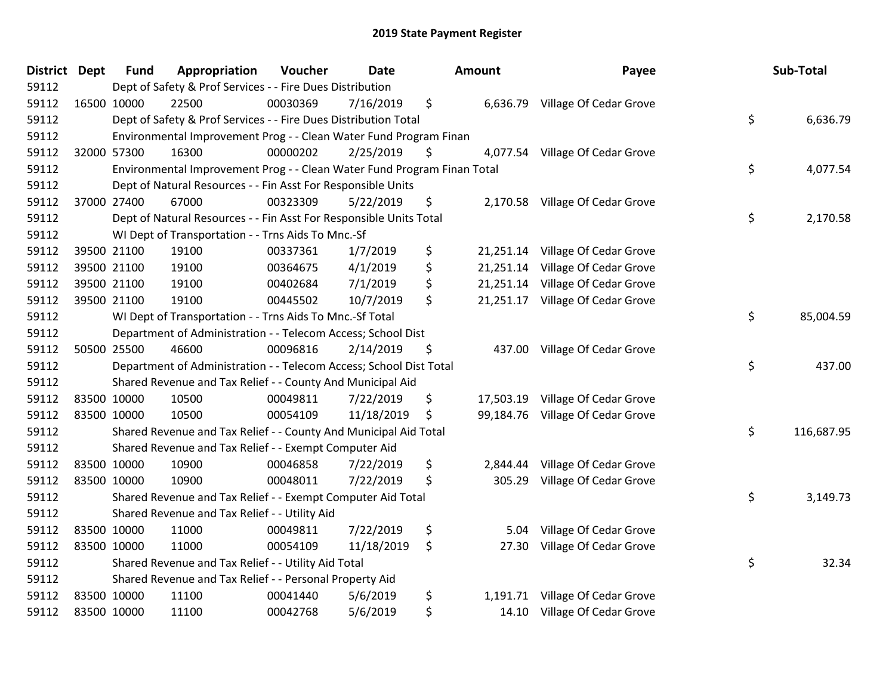| District Dept | <b>Fund</b> | Appropriation                                                           | Voucher  | <b>Date</b> | Amount          | Payee                            | Sub-Total        |
|---------------|-------------|-------------------------------------------------------------------------|----------|-------------|-----------------|----------------------------------|------------------|
| 59112         |             | Dept of Safety & Prof Services - - Fire Dues Distribution               |          |             |                 |                                  |                  |
| 59112         | 16500 10000 | 22500                                                                   | 00030369 | 7/16/2019   | \$              | 6,636.79 Village Of Cedar Grove  |                  |
| 59112         |             | Dept of Safety & Prof Services - - Fire Dues Distribution Total         |          |             |                 |                                  | \$<br>6,636.79   |
| 59112         |             | Environmental Improvement Prog - - Clean Water Fund Program Finan       |          |             |                 |                                  |                  |
| 59112         | 32000 57300 | 16300                                                                   | 00000202 | 2/25/2019   | \$              | 4,077.54 Village Of Cedar Grove  |                  |
| 59112         |             | Environmental Improvement Prog - - Clean Water Fund Program Finan Total |          |             |                 |                                  | \$<br>4,077.54   |
| 59112         |             | Dept of Natural Resources - - Fin Asst For Responsible Units            |          |             |                 |                                  |                  |
| 59112         | 37000 27400 | 67000                                                                   | 00323309 | 5/22/2019   | \$<br>2,170.58  | Village Of Cedar Grove           |                  |
| 59112         |             | Dept of Natural Resources - - Fin Asst For Responsible Units Total      |          |             |                 |                                  | \$<br>2,170.58   |
| 59112         |             | WI Dept of Transportation - - Trns Aids To Mnc.-Sf                      |          |             |                 |                                  |                  |
| 59112         | 39500 21100 | 19100                                                                   | 00337361 | 1/7/2019    | \$<br>21,251.14 | Village Of Cedar Grove           |                  |
| 59112         | 39500 21100 | 19100                                                                   | 00364675 | 4/1/2019    | \$<br>21,251.14 | Village Of Cedar Grove           |                  |
| 59112         | 39500 21100 | 19100                                                                   | 00402684 | 7/1/2019    | \$<br>21,251.14 | Village Of Cedar Grove           |                  |
| 59112         | 39500 21100 | 19100                                                                   | 00445502 | 10/7/2019   | \$<br>21,251.17 | Village Of Cedar Grove           |                  |
| 59112         |             | WI Dept of Transportation - - Trns Aids To Mnc.-Sf Total                |          |             |                 |                                  | \$<br>85,004.59  |
| 59112         |             | Department of Administration - - Telecom Access; School Dist            |          |             |                 |                                  |                  |
| 59112         | 50500 25500 | 46600                                                                   | 00096816 | 2/14/2019   | \$<br>437.00    | Village Of Cedar Grove           |                  |
| 59112         |             | Department of Administration - - Telecom Access; School Dist Total      |          |             |                 |                                  | \$<br>437.00     |
| 59112         |             | Shared Revenue and Tax Relief - - County And Municipal Aid              |          |             |                 |                                  |                  |
| 59112         | 83500 10000 | 10500                                                                   | 00049811 | 7/22/2019   | \$              | 17,503.19 Village Of Cedar Grove |                  |
| 59112         | 83500 10000 | 10500                                                                   | 00054109 | 11/18/2019  | \$<br>99,184.76 | Village Of Cedar Grove           |                  |
| 59112         |             | Shared Revenue and Tax Relief - - County And Municipal Aid Total        |          |             |                 |                                  | \$<br>116,687.95 |
| 59112         |             | Shared Revenue and Tax Relief - - Exempt Computer Aid                   |          |             |                 |                                  |                  |
| 59112         | 83500 10000 | 10900                                                                   | 00046858 | 7/22/2019   | \$<br>2,844.44  | Village Of Cedar Grove           |                  |
| 59112         | 83500 10000 | 10900                                                                   | 00048011 | 7/22/2019   | \$<br>305.29    | Village Of Cedar Grove           |                  |
| 59112         |             | Shared Revenue and Tax Relief - - Exempt Computer Aid Total             |          |             |                 |                                  | \$<br>3,149.73   |
| 59112         |             | Shared Revenue and Tax Relief - - Utility Aid                           |          |             |                 |                                  |                  |
| 59112         | 83500 10000 | 11000                                                                   | 00049811 | 7/22/2019   | \$<br>5.04      | Village Of Cedar Grove           |                  |
| 59112         | 83500 10000 | 11000                                                                   | 00054109 | 11/18/2019  | \$<br>27.30     | Village Of Cedar Grove           |                  |
| 59112         |             | Shared Revenue and Tax Relief - - Utility Aid Total                     |          |             |                 |                                  | \$<br>32.34      |
| 59112         |             | Shared Revenue and Tax Relief - - Personal Property Aid                 |          |             |                 |                                  |                  |
| 59112         | 83500 10000 | 11100                                                                   | 00041440 | 5/6/2019    | \$<br>1,191.71  | Village Of Cedar Grove           |                  |
| 59112         | 83500 10000 | 11100                                                                   | 00042768 | 5/6/2019    | \$<br>14.10     | Village Of Cedar Grove           |                  |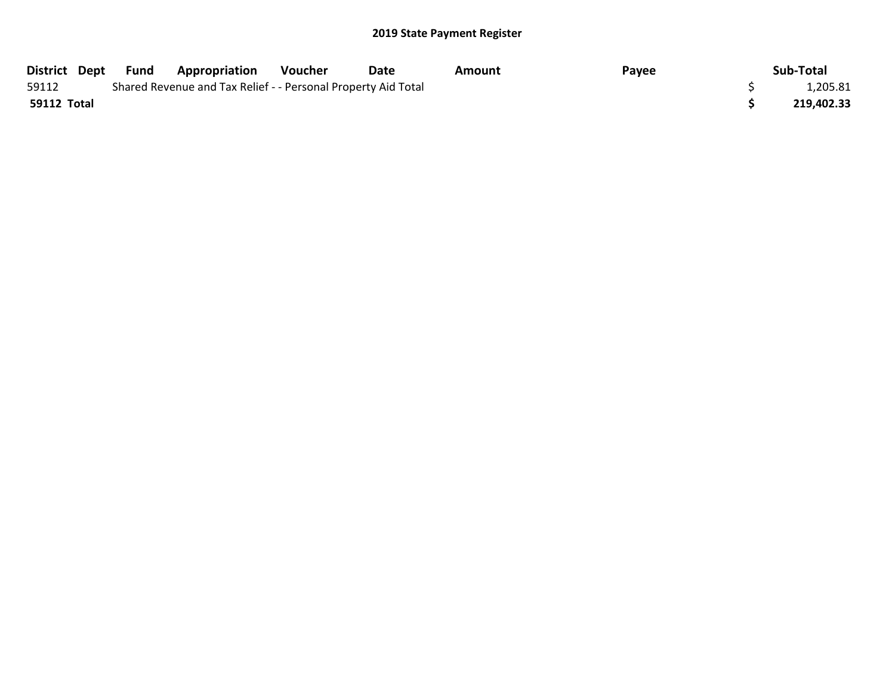|             | District Dept Fund | <b>Appropriation</b>                                          | Voucher | Date | Amount | Payee | Sub-Total  |
|-------------|--------------------|---------------------------------------------------------------|---------|------|--------|-------|------------|
| 59112       |                    | Shared Revenue and Tax Relief - - Personal Property Aid Total |         |      |        |       | 1,205.81   |
| 59112 Total |                    |                                                               |         |      |        |       | 219,402.33 |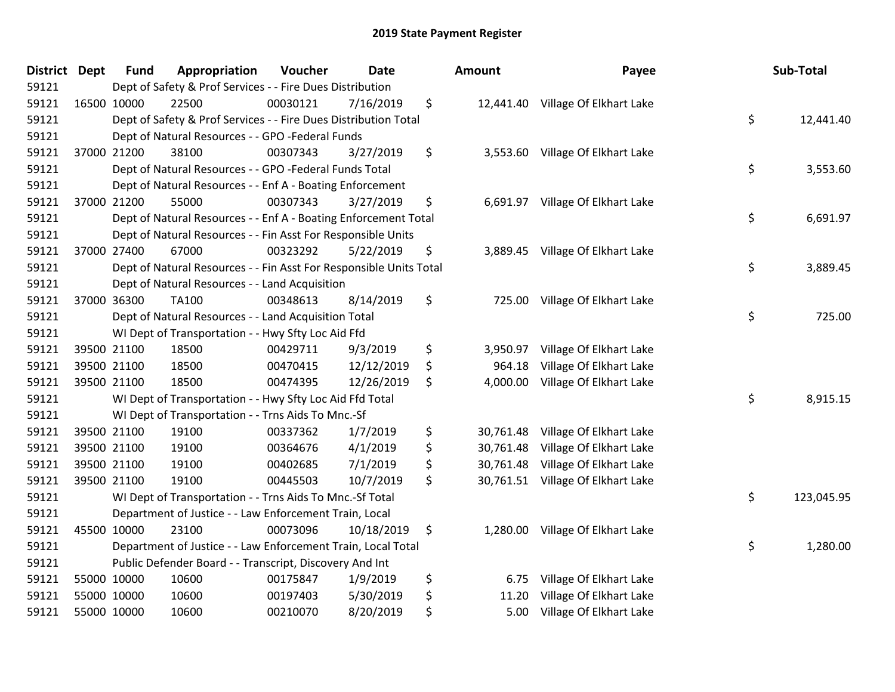| District Dept |             | <b>Fund</b> | Appropriation                                                      | Voucher  | Date       | <b>Amount</b>   | Payee                             | Sub-Total        |
|---------------|-------------|-------------|--------------------------------------------------------------------|----------|------------|-----------------|-----------------------------------|------------------|
| 59121         |             |             | Dept of Safety & Prof Services - - Fire Dues Distribution          |          |            |                 |                                   |                  |
| 59121         | 16500 10000 |             | 22500                                                              | 00030121 | 7/16/2019  | \$              | 12,441.40 Village Of Elkhart Lake |                  |
| 59121         |             |             | Dept of Safety & Prof Services - - Fire Dues Distribution Total    |          |            |                 |                                   | \$<br>12,441.40  |
| 59121         |             |             | Dept of Natural Resources - - GPO -Federal Funds                   |          |            |                 |                                   |                  |
| 59121         | 37000 21200 |             | 38100                                                              | 00307343 | 3/27/2019  | \$<br>3,553.60  | Village Of Elkhart Lake           |                  |
| 59121         |             |             | Dept of Natural Resources - - GPO -Federal Funds Total             |          |            |                 |                                   | \$<br>3,553.60   |
| 59121         |             |             | Dept of Natural Resources - - Enf A - Boating Enforcement          |          |            |                 |                                   |                  |
| 59121         | 37000 21200 |             | 55000                                                              | 00307343 | 3/27/2019  | \$<br>6,691.97  | Village Of Elkhart Lake           |                  |
| 59121         |             |             | Dept of Natural Resources - - Enf A - Boating Enforcement Total    |          |            |                 |                                   | \$<br>6,691.97   |
| 59121         |             |             | Dept of Natural Resources - - Fin Asst For Responsible Units       |          |            |                 |                                   |                  |
| 59121         | 37000 27400 |             | 67000                                                              | 00323292 | 5/22/2019  | \$<br>3,889.45  | Village Of Elkhart Lake           |                  |
| 59121         |             |             | Dept of Natural Resources - - Fin Asst For Responsible Units Total |          |            |                 |                                   | \$<br>3,889.45   |
| 59121         |             |             | Dept of Natural Resources - - Land Acquisition                     |          |            |                 |                                   |                  |
| 59121         | 37000 36300 |             | TA100                                                              | 00348613 | 8/14/2019  | \$<br>725.00    | Village Of Elkhart Lake           |                  |
| 59121         |             |             | Dept of Natural Resources - - Land Acquisition Total               |          |            |                 |                                   | \$<br>725.00     |
| 59121         |             |             | WI Dept of Transportation - - Hwy Sfty Loc Aid Ffd                 |          |            |                 |                                   |                  |
| 59121         | 39500 21100 |             | 18500                                                              | 00429711 | 9/3/2019   | \$<br>3,950.97  | Village Of Elkhart Lake           |                  |
| 59121         | 39500 21100 |             | 18500                                                              | 00470415 | 12/12/2019 | \$<br>964.18    | Village Of Elkhart Lake           |                  |
| 59121         | 39500 21100 |             | 18500                                                              | 00474395 | 12/26/2019 | \$<br>4,000.00  | Village Of Elkhart Lake           |                  |
| 59121         |             |             | WI Dept of Transportation - - Hwy Sfty Loc Aid Ffd Total           |          |            |                 |                                   | \$<br>8,915.15   |
| 59121         |             |             | WI Dept of Transportation - - Trns Aids To Mnc.-Sf                 |          |            |                 |                                   |                  |
| 59121         | 39500 21100 |             | 19100                                                              | 00337362 | 1/7/2019   | \$<br>30,761.48 | Village Of Elkhart Lake           |                  |
| 59121         | 39500 21100 |             | 19100                                                              | 00364676 | 4/1/2019   | \$<br>30,761.48 | Village Of Elkhart Lake           |                  |
| 59121         | 39500 21100 |             | 19100                                                              | 00402685 | 7/1/2019   | \$<br>30,761.48 | Village Of Elkhart Lake           |                  |
| 59121         | 39500 21100 |             | 19100                                                              | 00445503 | 10/7/2019  | \$              | 30,761.51 Village Of Elkhart Lake |                  |
| 59121         |             |             | WI Dept of Transportation - - Trns Aids To Mnc .- Sf Total         |          |            |                 |                                   | \$<br>123,045.95 |
| 59121         |             |             | Department of Justice - - Law Enforcement Train, Local             |          |            |                 |                                   |                  |
| 59121         | 45500 10000 |             | 23100                                                              | 00073096 | 10/18/2019 | \$<br>1,280.00  | Village Of Elkhart Lake           |                  |
| 59121         |             |             | Department of Justice - - Law Enforcement Train, Local Total       |          |            |                 |                                   | \$<br>1,280.00   |
| 59121         |             |             | Public Defender Board - - Transcript, Discovery And Int            |          |            |                 |                                   |                  |
| 59121         | 55000 10000 |             | 10600                                                              | 00175847 | 1/9/2019   | \$<br>6.75      | Village Of Elkhart Lake           |                  |
| 59121         | 55000 10000 |             | 10600                                                              | 00197403 | 5/30/2019  | \$<br>11.20     | Village Of Elkhart Lake           |                  |
| 59121         | 55000 10000 |             | 10600                                                              | 00210070 | 8/20/2019  | \$<br>5.00      | Village Of Elkhart Lake           |                  |
|               |             |             |                                                                    |          |            |                 |                                   |                  |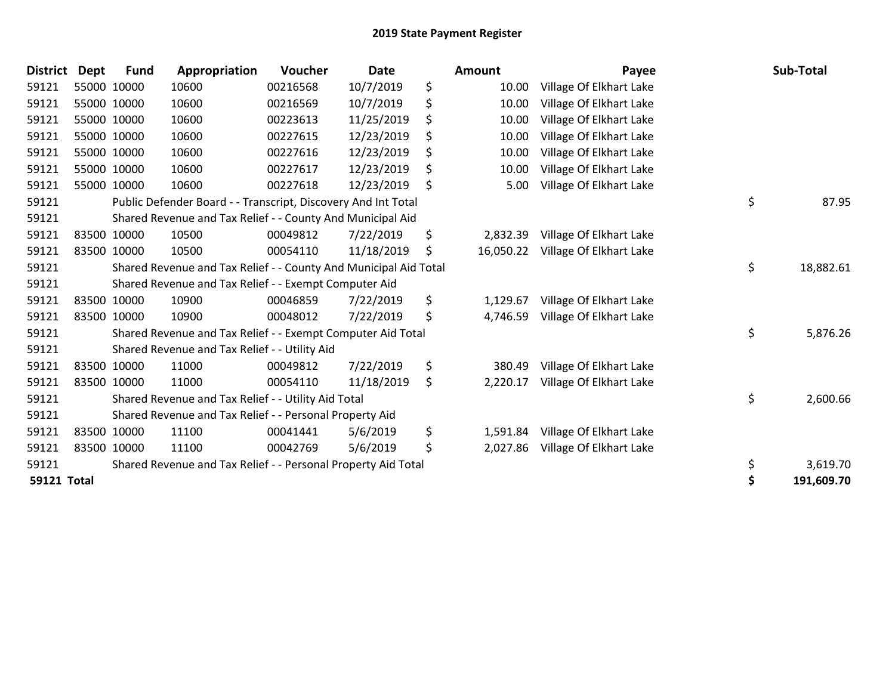| <b>District</b>    | <b>Dept</b> | <b>Fund</b> | Appropriation                                                    | Voucher  | <b>Date</b> |    | Amount    | Payee                   | Sub-Total        |
|--------------------|-------------|-------------|------------------------------------------------------------------|----------|-------------|----|-----------|-------------------------|------------------|
| 59121              |             | 55000 10000 | 10600                                                            | 00216568 | 10/7/2019   | \$ | 10.00     | Village Of Elkhart Lake |                  |
| 59121              |             | 55000 10000 | 10600                                                            | 00216569 | 10/7/2019   | \$ | 10.00     | Village Of Elkhart Lake |                  |
| 59121              |             | 55000 10000 | 10600                                                            | 00223613 | 11/25/2019  | \$ | 10.00     | Village Of Elkhart Lake |                  |
| 59121              |             | 55000 10000 | 10600                                                            | 00227615 | 12/23/2019  |    | 10.00     | Village Of Elkhart Lake |                  |
| 59121              |             | 55000 10000 | 10600                                                            | 00227616 | 12/23/2019  |    | 10.00     | Village Of Elkhart Lake |                  |
| 59121              |             | 55000 10000 | 10600                                                            | 00227617 | 12/23/2019  | \$ | 10.00     | Village Of Elkhart Lake |                  |
| 59121              |             | 55000 10000 | 10600                                                            | 00227618 | 12/23/2019  | Ŝ. | 5.00      | Village Of Elkhart Lake |                  |
| 59121              |             |             | Public Defender Board - - Transcript, Discovery And Int Total    |          |             |    |           |                         | \$<br>87.95      |
| 59121              |             |             | Shared Revenue and Tax Relief - - County And Municipal Aid       |          |             |    |           |                         |                  |
| 59121              |             | 83500 10000 | 10500                                                            | 00049812 | 7/22/2019   | \$ | 2,832.39  | Village Of Elkhart Lake |                  |
| 59121              |             | 83500 10000 | 10500                                                            | 00054110 | 11/18/2019  | Ŝ. | 16,050.22 | Village Of Elkhart Lake |                  |
| 59121              |             |             | Shared Revenue and Tax Relief - - County And Municipal Aid Total |          |             |    |           |                         | \$<br>18,882.61  |
| 59121              |             |             | Shared Revenue and Tax Relief - - Exempt Computer Aid            |          |             |    |           |                         |                  |
| 59121              |             | 83500 10000 | 10900                                                            | 00046859 | 7/22/2019   | \$ | 1,129.67  | Village Of Elkhart Lake |                  |
| 59121              |             | 83500 10000 | 10900                                                            | 00048012 | 7/22/2019   | \$ | 4,746.59  | Village Of Elkhart Lake |                  |
| 59121              |             |             | Shared Revenue and Tax Relief - - Exempt Computer Aid Total      |          |             |    |           |                         | \$<br>5,876.26   |
| 59121              |             |             | Shared Revenue and Tax Relief - - Utility Aid                    |          |             |    |           |                         |                  |
| 59121              |             | 83500 10000 | 11000                                                            | 00049812 | 7/22/2019   | \$ | 380.49    | Village Of Elkhart Lake |                  |
| 59121              |             | 83500 10000 | 11000                                                            | 00054110 | 11/18/2019  | \$ | 2,220.17  | Village Of Elkhart Lake |                  |
| 59121              |             |             | Shared Revenue and Tax Relief - - Utility Aid Total              |          |             |    |           |                         | \$<br>2,600.66   |
| 59121              |             |             | Shared Revenue and Tax Relief - - Personal Property Aid          |          |             |    |           |                         |                  |
| 59121              |             | 83500 10000 | 11100                                                            | 00041441 | 5/6/2019    | \$ | 1,591.84  | Village Of Elkhart Lake |                  |
| 59121              |             | 83500 10000 | 11100                                                            | 00042769 | 5/6/2019    | \$ | 2,027.86  | Village Of Elkhart Lake |                  |
| 59121              |             |             | Shared Revenue and Tax Relief - - Personal Property Aid Total    |          |             |    |           |                         | \$<br>3,619.70   |
| <b>59121 Total</b> |             |             |                                                                  |          |             |    |           |                         | \$<br>191,609.70 |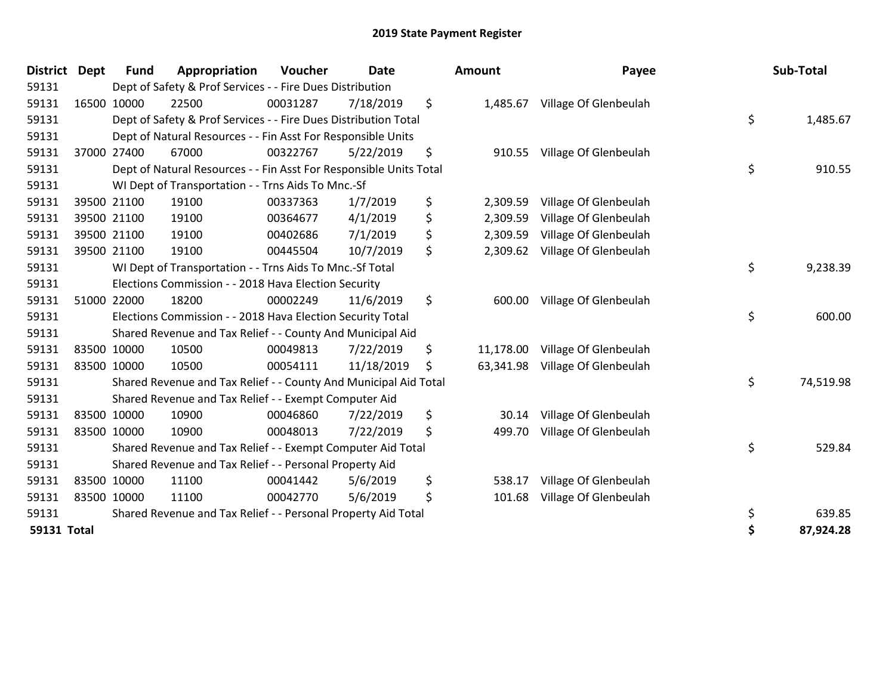| District    | <b>Dept</b> | <b>Fund</b> | Appropriation                                                      | Voucher  | <b>Date</b> | <b>Amount</b>   | Payee                 | Sub-Total       |
|-------------|-------------|-------------|--------------------------------------------------------------------|----------|-------------|-----------------|-----------------------|-----------------|
| 59131       |             |             | Dept of Safety & Prof Services - - Fire Dues Distribution          |          |             |                 |                       |                 |
| 59131       |             | 16500 10000 | 22500                                                              | 00031287 | 7/18/2019   | \$<br>1,485.67  | Village Of Glenbeulah |                 |
| 59131       |             |             | Dept of Safety & Prof Services - - Fire Dues Distribution Total    |          |             |                 |                       | \$<br>1,485.67  |
| 59131       |             |             | Dept of Natural Resources - - Fin Asst For Responsible Units       |          |             |                 |                       |                 |
| 59131       |             | 37000 27400 | 67000                                                              | 00322767 | 5/22/2019   | \$<br>910.55    | Village Of Glenbeulah |                 |
| 59131       |             |             | Dept of Natural Resources - - Fin Asst For Responsible Units Total |          |             |                 |                       | \$<br>910.55    |
| 59131       |             |             | WI Dept of Transportation - - Trns Aids To Mnc.-Sf                 |          |             |                 |                       |                 |
| 59131       |             | 39500 21100 | 19100                                                              | 00337363 | 1/7/2019    | \$<br>2,309.59  | Village Of Glenbeulah |                 |
| 59131       |             | 39500 21100 | 19100                                                              | 00364677 | 4/1/2019    | \$<br>2,309.59  | Village Of Glenbeulah |                 |
| 59131       |             | 39500 21100 | 19100                                                              | 00402686 | 7/1/2019    | \$<br>2,309.59  | Village Of Glenbeulah |                 |
| 59131       |             | 39500 21100 | 19100                                                              | 00445504 | 10/7/2019   | \$<br>2,309.62  | Village Of Glenbeulah |                 |
| 59131       |             |             | WI Dept of Transportation - - Trns Aids To Mnc.-Sf Total           |          |             |                 |                       | \$<br>9,238.39  |
| 59131       |             |             | Elections Commission - - 2018 Hava Election Security               |          |             |                 |                       |                 |
| 59131       |             | 51000 22000 | 18200                                                              | 00002249 | 11/6/2019   | \$<br>600.00    | Village Of Glenbeulah |                 |
| 59131       |             |             | Elections Commission - - 2018 Hava Election Security Total         |          |             |                 |                       | \$<br>600.00    |
| 59131       |             |             | Shared Revenue and Tax Relief - - County And Municipal Aid         |          |             |                 |                       |                 |
| 59131       |             | 83500 10000 | 10500                                                              | 00049813 | 7/22/2019   | \$<br>11,178.00 | Village Of Glenbeulah |                 |
| 59131       |             | 83500 10000 | 10500                                                              | 00054111 | 11/18/2019  | \$<br>63,341.98 | Village Of Glenbeulah |                 |
| 59131       |             |             | Shared Revenue and Tax Relief - - County And Municipal Aid Total   |          |             |                 |                       | \$<br>74,519.98 |
| 59131       |             |             | Shared Revenue and Tax Relief - - Exempt Computer Aid              |          |             |                 |                       |                 |
| 59131       |             | 83500 10000 | 10900                                                              | 00046860 | 7/22/2019   | \$<br>30.14     | Village Of Glenbeulah |                 |
| 59131       |             | 83500 10000 | 10900                                                              | 00048013 | 7/22/2019   | \$<br>499.70    | Village Of Glenbeulah |                 |
| 59131       |             |             | Shared Revenue and Tax Relief - - Exempt Computer Aid Total        |          |             |                 |                       | \$<br>529.84    |
| 59131       |             |             | Shared Revenue and Tax Relief - - Personal Property Aid            |          |             |                 |                       |                 |
| 59131       |             | 83500 10000 | 11100                                                              | 00041442 | 5/6/2019    | \$<br>538.17    | Village Of Glenbeulah |                 |
| 59131       |             | 83500 10000 | 11100                                                              | 00042770 | 5/6/2019    | \$<br>101.68    | Village Of Glenbeulah |                 |
| 59131       |             |             | Shared Revenue and Tax Relief - - Personal Property Aid Total      |          |             |                 |                       | \$<br>639.85    |
| 59131 Total |             |             |                                                                    |          |             |                 |                       | \$<br>87,924.28 |

| ount      | Payee                          | Sub-Total       |
|-----------|--------------------------------|-----------------|
| 1,485.67  | Village Of Glenbeulah          |                 |
|           |                                | \$<br>1,485.67  |
| 910.55    | Village Of Glenbeulah          |                 |
|           |                                | \$<br>910.55    |
| 2,309.59  | Village Of Glenbeulah          |                 |
| 2,309.59  | Village Of Glenbeulah          |                 |
|           | 2,309.59 Village Of Glenbeulah |                 |
| 2,309.62  | Village Of Glenbeulah          |                 |
|           |                                | \$<br>9,238.39  |
| 600.00    | Village Of Glenbeulah          |                 |
|           |                                | \$<br>600.00    |
| 11,178.00 | Village Of Glenbeulah          |                 |
| 63,341.98 | Village Of Glenbeulah          |                 |
|           |                                | \$<br>74,519.98 |
| 30.14     | Village Of Glenbeulah          |                 |
| 499.70    | Village Of Glenbeulah          |                 |
|           |                                | \$<br>529.84    |
| 538.17    | Village Of Glenbeulah          |                 |
| 101.68    | Village Of Glenbeulah          |                 |
|           |                                | \$<br>639.85    |
|           |                                | \$<br>87,924.28 |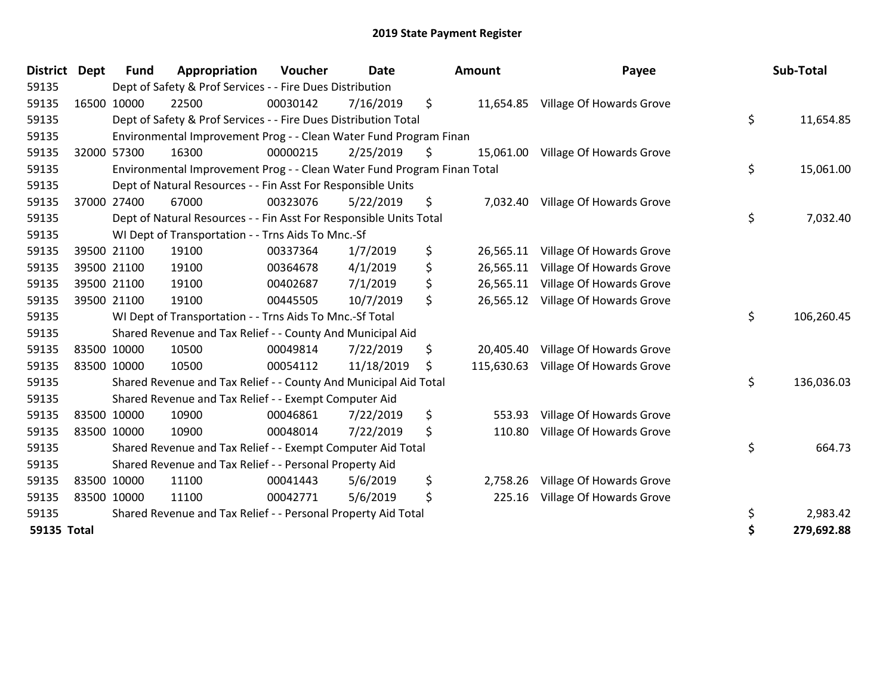| <b>District</b> | <b>Dept</b> | <b>Fund</b> | Appropriation                                                           | Voucher  | <b>Date</b> | Amount           | Payee                             | Sub-Total        |
|-----------------|-------------|-------------|-------------------------------------------------------------------------|----------|-------------|------------------|-----------------------------------|------------------|
| 59135           |             |             | Dept of Safety & Prof Services - - Fire Dues Distribution               |          |             |                  |                                   |                  |
| 59135           | 16500 10000 |             | 22500                                                                   | 00030142 | 7/16/2019   | \$<br>11,654.85  | Village Of Howards Grove          |                  |
| 59135           |             |             | Dept of Safety & Prof Services - - Fire Dues Distribution Total         |          |             |                  |                                   | \$<br>11,654.85  |
| 59135           |             |             | Environmental Improvement Prog - - Clean Water Fund Program Finan       |          |             |                  |                                   |                  |
| 59135           |             | 32000 57300 | 16300                                                                   | 00000215 | 2/25/2019   | \$<br>15,061.00  | Village Of Howards Grove          |                  |
| 59135           |             |             | Environmental Improvement Prog - - Clean Water Fund Program Finan Total |          |             |                  |                                   | \$<br>15,061.00  |
| 59135           |             |             | Dept of Natural Resources - - Fin Asst For Responsible Units            |          |             |                  |                                   |                  |
| 59135           |             | 37000 27400 | 67000                                                                   | 00323076 | 5/22/2019   | \$               | 7,032.40 Village Of Howards Grove |                  |
| 59135           |             |             | Dept of Natural Resources - - Fin Asst For Responsible Units Total      |          |             |                  |                                   | \$<br>7,032.40   |
| 59135           |             |             | WI Dept of Transportation - - Trns Aids To Mnc.-Sf                      |          |             |                  |                                   |                  |
| 59135           |             | 39500 21100 | 19100                                                                   | 00337364 | 1/7/2019    | \$<br>26,565.11  | Village Of Howards Grove          |                  |
| 59135           |             | 39500 21100 | 19100                                                                   | 00364678 | 4/1/2019    | \$<br>26,565.11  | Village Of Howards Grove          |                  |
| 59135           |             | 39500 21100 | 19100                                                                   | 00402687 | 7/1/2019    | \$<br>26,565.11  | Village Of Howards Grove          |                  |
| 59135           | 39500 21100 |             | 19100                                                                   | 00445505 | 10/7/2019   | \$<br>26,565.12  | Village Of Howards Grove          |                  |
| 59135           |             |             | WI Dept of Transportation - - Trns Aids To Mnc.-Sf Total                |          |             |                  |                                   | \$<br>106,260.45 |
| 59135           |             |             | Shared Revenue and Tax Relief - - County And Municipal Aid              |          |             |                  |                                   |                  |
| 59135           | 83500 10000 |             | 10500                                                                   | 00049814 | 7/22/2019   | \$<br>20,405.40  | Village Of Howards Grove          |                  |
| 59135           | 83500 10000 |             | 10500                                                                   | 00054112 | 11/18/2019  | \$<br>115,630.63 | Village Of Howards Grove          |                  |
| 59135           |             |             | Shared Revenue and Tax Relief - - County And Municipal Aid Total        |          |             |                  |                                   | \$<br>136,036.03 |
| 59135           |             |             | Shared Revenue and Tax Relief - - Exempt Computer Aid                   |          |             |                  |                                   |                  |
| 59135           | 83500 10000 |             | 10900                                                                   | 00046861 | 7/22/2019   | \$<br>553.93     | Village Of Howards Grove          |                  |
| 59135           | 83500 10000 |             | 10900                                                                   | 00048014 | 7/22/2019   | \$<br>110.80     | Village Of Howards Grove          |                  |
| 59135           |             |             | Shared Revenue and Tax Relief - - Exempt Computer Aid Total             |          |             |                  |                                   | \$<br>664.73     |
| 59135           |             |             | Shared Revenue and Tax Relief - - Personal Property Aid                 |          |             |                  |                                   |                  |
| 59135           | 83500 10000 |             | 11100                                                                   | 00041443 | 5/6/2019    | \$<br>2,758.26   | Village Of Howards Grove          |                  |
| 59135           | 83500 10000 |             | 11100                                                                   | 00042771 | 5/6/2019    | \$<br>225.16     | Village Of Howards Grove          |                  |
| 59135           |             |             | Shared Revenue and Tax Relief - - Personal Property Aid Total           |          |             |                  |                                   | \$<br>2,983.42   |
| 59135 Total     |             |             |                                                                         |          |             |                  |                                   | \$<br>279,692.88 |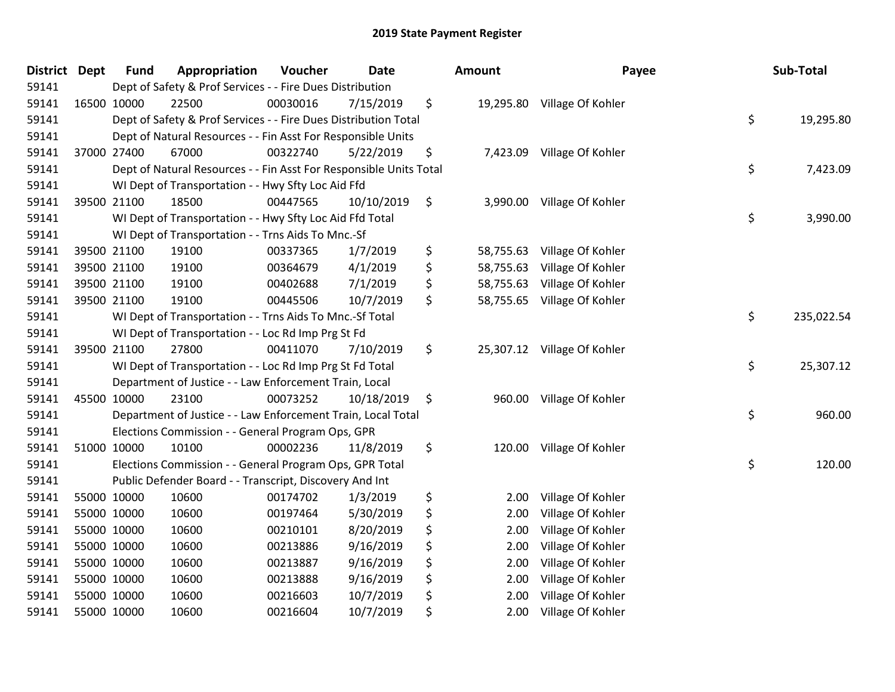| <b>District</b> | <b>Dept</b> | <b>Fund</b> | Appropriation                                                      | Voucher  | <b>Date</b> | Amount          | Payee                       | Sub-Total        |
|-----------------|-------------|-------------|--------------------------------------------------------------------|----------|-------------|-----------------|-----------------------------|------------------|
| 59141           |             |             | Dept of Safety & Prof Services - - Fire Dues Distribution          |          |             |                 |                             |                  |
| 59141           |             | 16500 10000 | 22500                                                              | 00030016 | 7/15/2019   | \$              | 19,295.80 Village Of Kohler |                  |
| 59141           |             |             | Dept of Safety & Prof Services - - Fire Dues Distribution Total    |          |             |                 |                             | \$<br>19,295.80  |
| 59141           |             |             | Dept of Natural Resources - - Fin Asst For Responsible Units       |          |             |                 |                             |                  |
| 59141           |             | 37000 27400 | 67000                                                              | 00322740 | 5/22/2019   | \$<br>7,423.09  | Village Of Kohler           |                  |
| 59141           |             |             | Dept of Natural Resources - - Fin Asst For Responsible Units Total |          |             |                 |                             | \$<br>7,423.09   |
| 59141           |             |             | WI Dept of Transportation - - Hwy Sfty Loc Aid Ffd                 |          |             |                 |                             |                  |
| 59141           |             | 39500 21100 | 18500                                                              | 00447565 | 10/10/2019  | \$<br>3,990.00  | Village Of Kohler           |                  |
| 59141           |             |             | WI Dept of Transportation - - Hwy Sfty Loc Aid Ffd Total           |          |             |                 |                             | \$<br>3,990.00   |
| 59141           |             |             | WI Dept of Transportation - - Trns Aids To Mnc.-Sf                 |          |             |                 |                             |                  |
| 59141           |             | 39500 21100 | 19100                                                              | 00337365 | 1/7/2019    | \$<br>58,755.63 | Village Of Kohler           |                  |
| 59141           |             | 39500 21100 | 19100                                                              | 00364679 | 4/1/2019    | \$<br>58,755.63 | Village Of Kohler           |                  |
| 59141           |             | 39500 21100 | 19100                                                              | 00402688 | 7/1/2019    | \$<br>58,755.63 | Village Of Kohler           |                  |
| 59141           |             | 39500 21100 | 19100                                                              | 00445506 | 10/7/2019   | \$<br>58,755.65 | Village Of Kohler           |                  |
| 59141           |             |             | WI Dept of Transportation - - Trns Aids To Mnc.-Sf Total           |          |             |                 |                             | \$<br>235,022.54 |
| 59141           |             |             | WI Dept of Transportation - - Loc Rd Imp Prg St Fd                 |          |             |                 |                             |                  |
| 59141           |             | 39500 21100 | 27800                                                              | 00411070 | 7/10/2019   | \$              | 25,307.12 Village Of Kohler |                  |
| 59141           |             |             | WI Dept of Transportation - - Loc Rd Imp Prg St Fd Total           |          |             |                 |                             | \$<br>25,307.12  |
| 59141           |             |             | Department of Justice - - Law Enforcement Train, Local             |          |             |                 |                             |                  |
| 59141           |             | 45500 10000 | 23100                                                              | 00073252 | 10/18/2019  | \$<br>960.00    | Village Of Kohler           |                  |
| 59141           |             |             | Department of Justice - - Law Enforcement Train, Local Total       |          |             |                 |                             | \$<br>960.00     |
| 59141           |             |             | Elections Commission - - General Program Ops, GPR                  |          |             |                 |                             |                  |
| 59141           |             | 51000 10000 | 10100                                                              | 00002236 | 11/8/2019   | \$<br>120.00    | Village Of Kohler           |                  |
| 59141           |             |             | Elections Commission - - General Program Ops, GPR Total            |          |             |                 |                             | \$<br>120.00     |
| 59141           |             |             | Public Defender Board - - Transcript, Discovery And Int            |          |             |                 |                             |                  |
| 59141           |             | 55000 10000 | 10600                                                              | 00174702 | 1/3/2019    | \$<br>2.00      | Village Of Kohler           |                  |
| 59141           |             | 55000 10000 | 10600                                                              | 00197464 | 5/30/2019   | \$<br>2.00      | Village Of Kohler           |                  |
| 59141           |             | 55000 10000 | 10600                                                              | 00210101 | 8/20/2019   | \$<br>2.00      | Village Of Kohler           |                  |
| 59141           |             | 55000 10000 | 10600                                                              | 00213886 | 9/16/2019   | \$<br>2.00      | Village Of Kohler           |                  |
| 59141           |             | 55000 10000 | 10600                                                              | 00213887 | 9/16/2019   | \$<br>2.00      | Village Of Kohler           |                  |
| 59141           |             | 55000 10000 | 10600                                                              | 00213888 | 9/16/2019   | \$<br>2.00      | Village Of Kohler           |                  |
| 59141           |             | 55000 10000 | 10600                                                              | 00216603 | 10/7/2019   | \$<br>2.00      | Village Of Kohler           |                  |
| 59141           |             | 55000 10000 | 10600                                                              | 00216604 | 10/7/2019   | \$<br>2.00      | Village Of Kohler           |                  |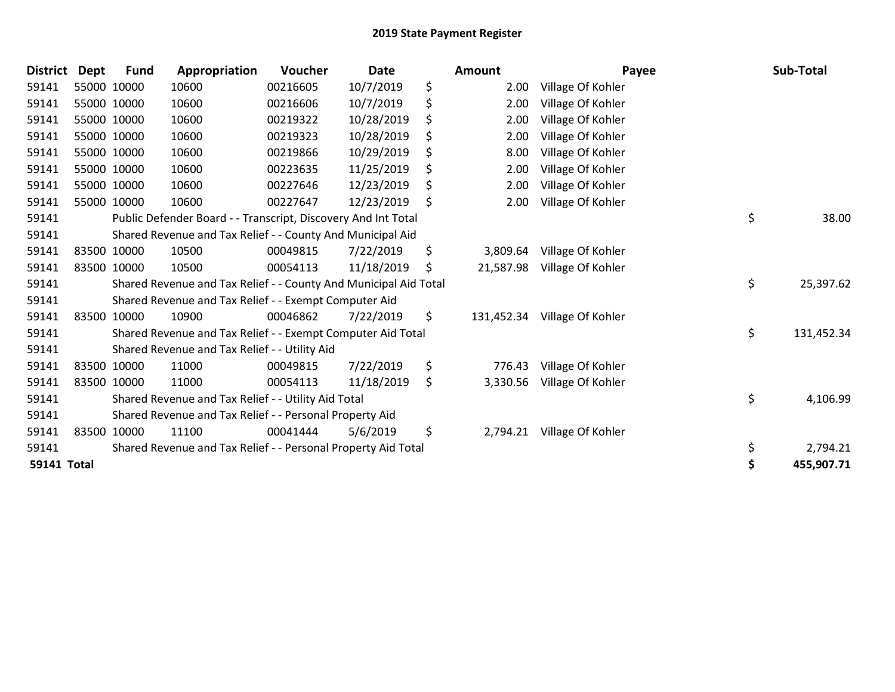| <b>District</b> | <b>Dept</b> | <b>Fund</b> | Appropriation                                                    | Voucher  | <b>Date</b> | <b>Amount</b>    | Payee             | Sub-Total        |
|-----------------|-------------|-------------|------------------------------------------------------------------|----------|-------------|------------------|-------------------|------------------|
| 59141           |             | 55000 10000 | 10600                                                            | 00216605 | 10/7/2019   | \$<br>2.00       | Village Of Kohler |                  |
| 59141           |             | 55000 10000 | 10600                                                            | 00216606 | 10/7/2019   | \$<br>2.00       | Village Of Kohler |                  |
| 59141           |             | 55000 10000 | 10600                                                            | 00219322 | 10/28/2019  | \$<br>2.00       | Village Of Kohler |                  |
| 59141           |             | 55000 10000 | 10600                                                            | 00219323 | 10/28/2019  | \$<br>2.00       | Village Of Kohler |                  |
| 59141           |             | 55000 10000 | 10600                                                            | 00219866 | 10/29/2019  | \$<br>8.00       | Village Of Kohler |                  |
| 59141           |             | 55000 10000 | 10600                                                            | 00223635 | 11/25/2019  | \$<br>2.00       | Village Of Kohler |                  |
| 59141           |             | 55000 10000 | 10600                                                            | 00227646 | 12/23/2019  | \$<br>2.00       | Village Of Kohler |                  |
| 59141           |             | 55000 10000 | 10600                                                            | 00227647 | 12/23/2019  | \$<br>2.00       | Village Of Kohler |                  |
| 59141           |             |             | Public Defender Board - - Transcript, Discovery And Int Total    |          |             |                  |                   | \$<br>38.00      |
| 59141           |             |             | Shared Revenue and Tax Relief - - County And Municipal Aid       |          |             |                  |                   |                  |
| 59141           |             | 83500 10000 | 10500                                                            | 00049815 | 7/22/2019   | \$<br>3,809.64   | Village Of Kohler |                  |
| 59141           |             | 83500 10000 | 10500                                                            | 00054113 | 11/18/2019  | \$<br>21,587.98  | Village Of Kohler |                  |
| 59141           |             |             | Shared Revenue and Tax Relief - - County And Municipal Aid Total |          |             |                  |                   | \$<br>25,397.62  |
| 59141           |             |             | Shared Revenue and Tax Relief - - Exempt Computer Aid            |          |             |                  |                   |                  |
| 59141           |             | 83500 10000 | 10900                                                            | 00046862 | 7/22/2019   | \$<br>131,452.34 | Village Of Kohler |                  |
| 59141           |             |             | Shared Revenue and Tax Relief - - Exempt Computer Aid Total      |          |             |                  |                   | \$<br>131,452.34 |
| 59141           |             |             | Shared Revenue and Tax Relief - - Utility Aid                    |          |             |                  |                   |                  |
| 59141           |             | 83500 10000 | 11000                                                            | 00049815 | 7/22/2019   | \$<br>776.43     | Village Of Kohler |                  |
| 59141           | 83500 10000 |             | 11000                                                            | 00054113 | 11/18/2019  | \$<br>3,330.56   | Village Of Kohler |                  |
| 59141           |             |             | Shared Revenue and Tax Relief - - Utility Aid Total              |          |             |                  |                   | \$<br>4,106.99   |
| 59141           |             |             | Shared Revenue and Tax Relief - - Personal Property Aid          |          |             |                  |                   |                  |
| 59141           |             | 83500 10000 | 11100                                                            | 00041444 | 5/6/2019    | \$<br>2,794.21   | Village Of Kohler |                  |
| 59141           |             |             | Shared Revenue and Tax Relief - - Personal Property Aid Total    |          |             |                  |                   | \$<br>2,794.21   |
| 59141 Total     |             |             |                                                                  |          |             |                  |                   | 455,907.71       |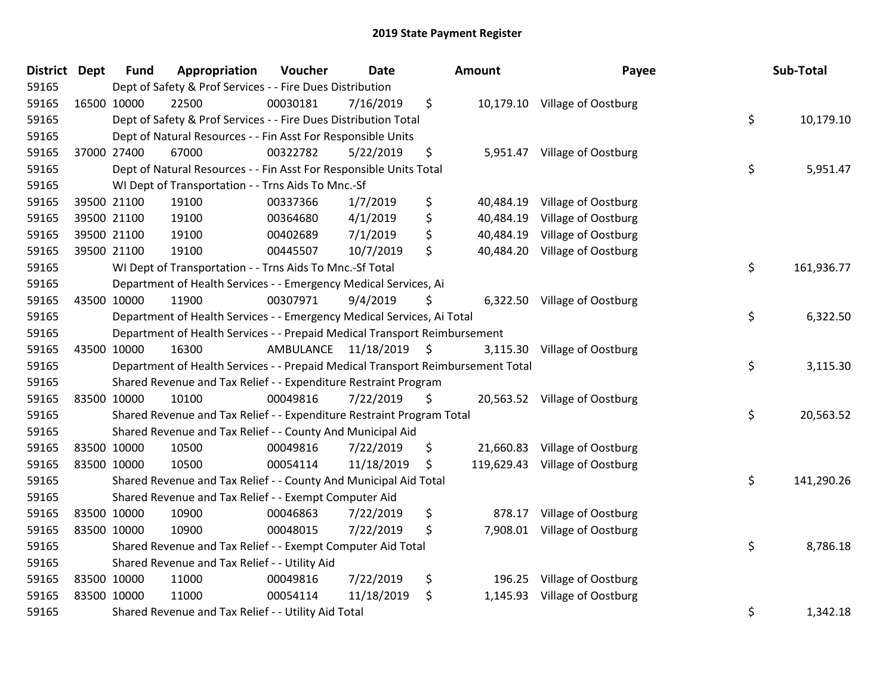| <b>District</b> | <b>Dept</b> | <b>Fund</b> | Appropriation                                                                   | Voucher                 | <b>Date</b> |     | Amount    | Payee                          | Sub-Total        |
|-----------------|-------------|-------------|---------------------------------------------------------------------------------|-------------------------|-------------|-----|-----------|--------------------------------|------------------|
| 59165           |             |             | Dept of Safety & Prof Services - - Fire Dues Distribution                       |                         |             |     |           |                                |                  |
| 59165           | 16500 10000 |             | 22500                                                                           | 00030181                | 7/16/2019   | \$  |           | 10,179.10 Village of Oostburg  |                  |
| 59165           |             |             | Dept of Safety & Prof Services - - Fire Dues Distribution Total                 |                         |             |     |           |                                | \$<br>10,179.10  |
| 59165           |             |             | Dept of Natural Resources - - Fin Asst For Responsible Units                    |                         |             |     |           |                                |                  |
| 59165           | 37000 27400 |             | 67000                                                                           | 00322782                | 5/22/2019   | \$  | 5,951.47  | Village of Oostburg            |                  |
| 59165           |             |             | Dept of Natural Resources - - Fin Asst For Responsible Units Total              |                         |             |     |           |                                | \$<br>5,951.47   |
| 59165           |             |             | WI Dept of Transportation - - Trns Aids To Mnc.-Sf                              |                         |             |     |           |                                |                  |
| 59165           | 39500 21100 |             | 19100                                                                           | 00337366                | 1/7/2019    | \$  |           | 40,484.19 Village of Oostburg  |                  |
| 59165           | 39500 21100 |             | 19100                                                                           | 00364680                | 4/1/2019    | \$  | 40,484.19 | Village of Oostburg            |                  |
| 59165           | 39500 21100 |             | 19100                                                                           | 00402689                | 7/1/2019    | \$  | 40,484.19 | Village of Oostburg            |                  |
| 59165           | 39500 21100 |             | 19100                                                                           | 00445507                | 10/7/2019   | \$  | 40,484.20 | Village of Oostburg            |                  |
| 59165           |             |             | WI Dept of Transportation - - Trns Aids To Mnc.-Sf Total                        |                         |             |     |           |                                | \$<br>161,936.77 |
| 59165           |             |             | Department of Health Services - - Emergency Medical Services, Ai                |                         |             |     |           |                                |                  |
| 59165           | 43500 10000 |             | 11900                                                                           | 00307971                | 9/4/2019    | \$  |           | 6,322.50 Village of Oostburg   |                  |
| 59165           |             |             | Department of Health Services - - Emergency Medical Services, Ai Total          |                         |             |     |           |                                | \$<br>6,322.50   |
| 59165           |             |             | Department of Health Services - - Prepaid Medical Transport Reimbursement       |                         |             |     |           |                                |                  |
| 59165           | 43500 10000 |             | 16300                                                                           | AMBULANCE 11/18/2019 \$ |             |     | 3,115.30  | Village of Oostburg            |                  |
| 59165           |             |             | Department of Health Services - - Prepaid Medical Transport Reimbursement Total |                         |             |     |           |                                | \$<br>3,115.30   |
| 59165           |             |             | Shared Revenue and Tax Relief - - Expenditure Restraint Program                 |                         |             |     |           |                                |                  |
| 59165           | 83500 10000 |             | 10100                                                                           | 00049816                | 7/22/2019   | \$. |           | 20,563.52 Village of Oostburg  |                  |
| 59165           |             |             | Shared Revenue and Tax Relief - - Expenditure Restraint Program Total           |                         |             |     |           |                                | \$<br>20,563.52  |
| 59165           |             |             | Shared Revenue and Tax Relief - - County And Municipal Aid                      |                         |             |     |           |                                |                  |
| 59165           | 83500 10000 |             | 10500                                                                           | 00049816                | 7/22/2019   | \$  |           | 21,660.83 Village of Oostburg  |                  |
| 59165           | 83500 10000 |             | 10500                                                                           | 00054114                | 11/18/2019  | \$  |           | 119,629.43 Village of Oostburg |                  |
| 59165           |             |             | Shared Revenue and Tax Relief - - County And Municipal Aid Total                |                         |             |     |           |                                | \$<br>141,290.26 |
| 59165           |             |             | Shared Revenue and Tax Relief - - Exempt Computer Aid                           |                         |             |     |           |                                |                  |
| 59165           | 83500 10000 |             | 10900                                                                           | 00046863                | 7/22/2019   | \$  | 878.17    | Village of Oostburg            |                  |
| 59165           | 83500 10000 |             | 10900                                                                           | 00048015                | 7/22/2019   | \$  |           | 7,908.01 Village of Oostburg   |                  |
| 59165           |             |             | Shared Revenue and Tax Relief - - Exempt Computer Aid Total                     |                         |             |     |           |                                | \$<br>8,786.18   |
| 59165           |             |             | Shared Revenue and Tax Relief - - Utility Aid                                   |                         |             |     |           |                                |                  |
| 59165           | 83500 10000 |             | 11000                                                                           | 00049816                | 7/22/2019   | \$  | 196.25    | Village of Oostburg            |                  |
| 59165           | 83500 10000 |             | 11000                                                                           | 00054114                | 11/18/2019  | \$  | 1,145.93  | Village of Oostburg            |                  |
| 59165           |             |             | Shared Revenue and Tax Relief - - Utility Aid Total                             |                         |             |     |           |                                | \$<br>1,342.18   |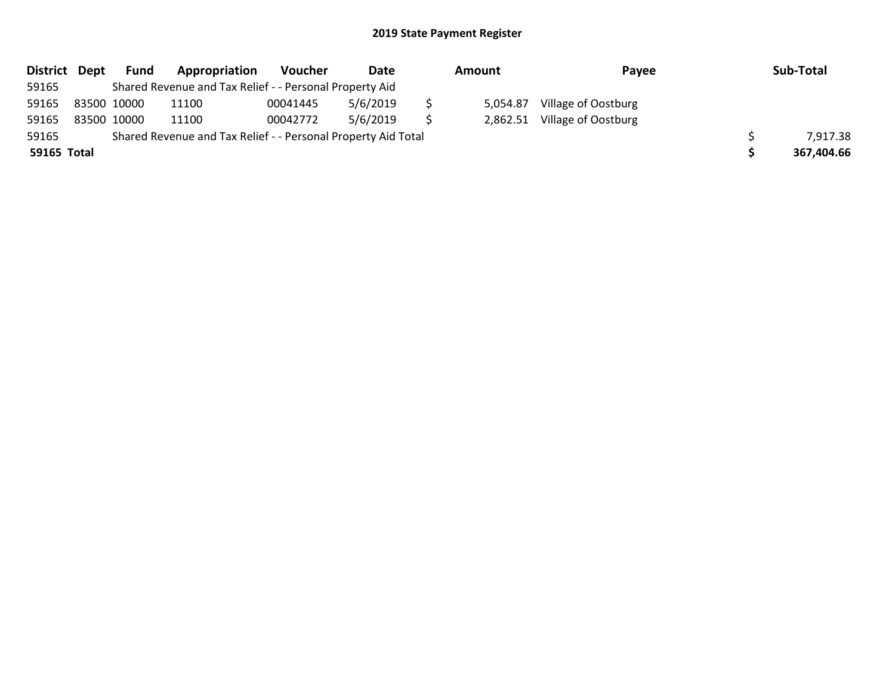| District Dept |             | Fund | Appropriation                                                 | Voucher  | Date     | Amount |          | Payee               | Sub-Total  |
|---------------|-------------|------|---------------------------------------------------------------|----------|----------|--------|----------|---------------------|------------|
| 59165         |             |      | Shared Revenue and Tax Relief - - Personal Property Aid       |          |          |        |          |                     |            |
| 59165         | 83500 10000 |      | 11100                                                         | 00041445 | 5/6/2019 |        | 5,054.87 | Village of Oostburg |            |
| 59165         | 83500 10000 |      | 11100                                                         | 00042772 | 5/6/2019 |        | 2,862.51 | Village of Oostburg |            |
| 59165         |             |      | Shared Revenue and Tax Relief - - Personal Property Aid Total |          |          |        |          |                     | 7,917.38   |
| 59165 Total   |             |      |                                                               |          |          |        |          |                     | 367,404.66 |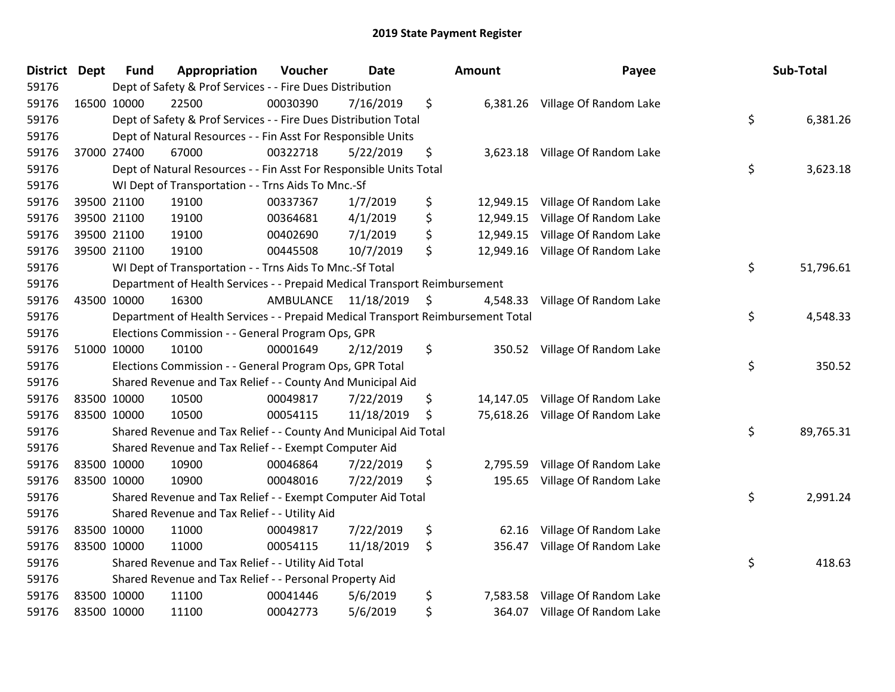| <b>District</b> | <b>Dept</b> | <b>Fund</b> | Appropriation                                                                   | Voucher   | <b>Date</b>   | Amount          | Payee                           | Sub-Total       |
|-----------------|-------------|-------------|---------------------------------------------------------------------------------|-----------|---------------|-----------------|---------------------------------|-----------------|
| 59176           |             |             | Dept of Safety & Prof Services - - Fire Dues Distribution                       |           |               |                 |                                 |                 |
| 59176           |             | 16500 10000 | 22500                                                                           | 00030390  | 7/16/2019     | \$              | 6,381.26 Village Of Random Lake |                 |
| 59176           |             |             | Dept of Safety & Prof Services - - Fire Dues Distribution Total                 |           |               |                 |                                 | \$<br>6,381.26  |
| 59176           |             |             | Dept of Natural Resources - - Fin Asst For Responsible Units                    |           |               |                 |                                 |                 |
| 59176           |             | 37000 27400 | 67000                                                                           | 00322718  | 5/22/2019     | \$<br>3,623.18  | Village Of Random Lake          |                 |
| 59176           |             |             | Dept of Natural Resources - - Fin Asst For Responsible Units Total              |           |               |                 |                                 | \$<br>3,623.18  |
| 59176           |             |             | WI Dept of Transportation - - Trns Aids To Mnc.-Sf                              |           |               |                 |                                 |                 |
| 59176           |             | 39500 21100 | 19100                                                                           | 00337367  | 1/7/2019      | \$<br>12,949.15 | Village Of Random Lake          |                 |
| 59176           |             | 39500 21100 | 19100                                                                           | 00364681  | 4/1/2019      | \$<br>12,949.15 | Village Of Random Lake          |                 |
| 59176           |             | 39500 21100 | 19100                                                                           | 00402690  | 7/1/2019      | \$<br>12,949.15 | Village Of Random Lake          |                 |
| 59176           |             | 39500 21100 | 19100                                                                           | 00445508  | 10/7/2019     | \$<br>12,949.16 | Village Of Random Lake          |                 |
| 59176           |             |             | WI Dept of Transportation - - Trns Aids To Mnc.-Sf Total                        |           |               |                 |                                 | \$<br>51,796.61 |
| 59176           |             |             | Department of Health Services - - Prepaid Medical Transport Reimbursement       |           |               |                 |                                 |                 |
| 59176           | 43500 10000 |             | 16300                                                                           | AMBULANCE | 11/18/2019 \$ | 4,548.33        | Village Of Random Lake          |                 |
| 59176           |             |             | Department of Health Services - - Prepaid Medical Transport Reimbursement Total |           |               |                 |                                 | \$<br>4,548.33  |
| 59176           |             |             | Elections Commission - - General Program Ops, GPR                               |           |               |                 |                                 |                 |
| 59176           |             | 51000 10000 | 10100                                                                           | 00001649  | 2/12/2019     | \$<br>350.52    | Village Of Random Lake          |                 |
| 59176           |             |             | Elections Commission - - General Program Ops, GPR Total                         |           |               |                 |                                 | \$<br>350.52    |
| 59176           |             |             | Shared Revenue and Tax Relief - - County And Municipal Aid                      |           |               |                 |                                 |                 |
| 59176           | 83500 10000 |             | 10500                                                                           | 00049817  | 7/22/2019     | \$<br>14,147.05 | Village Of Random Lake          |                 |
| 59176           | 83500 10000 |             | 10500                                                                           | 00054115  | 11/18/2019    | \$<br>75,618.26 | Village Of Random Lake          |                 |
| 59176           |             |             | Shared Revenue and Tax Relief - - County And Municipal Aid Total                |           |               |                 |                                 | \$<br>89,765.31 |
| 59176           |             |             | Shared Revenue and Tax Relief - - Exempt Computer Aid                           |           |               |                 |                                 |                 |
| 59176           | 83500 10000 |             | 10900                                                                           | 00046864  | 7/22/2019     | \$<br>2,795.59  | Village Of Random Lake          |                 |
| 59176           | 83500 10000 |             | 10900                                                                           | 00048016  | 7/22/2019     | \$<br>195.65    | Village Of Random Lake          |                 |
| 59176           |             |             | Shared Revenue and Tax Relief - - Exempt Computer Aid Total                     |           |               |                 |                                 | \$<br>2,991.24  |
| 59176           |             |             | Shared Revenue and Tax Relief - - Utility Aid                                   |           |               |                 |                                 |                 |
| 59176           | 83500 10000 |             | 11000                                                                           | 00049817  | 7/22/2019     | \$<br>62.16     | Village Of Random Lake          |                 |
| 59176           | 83500 10000 |             | 11000                                                                           | 00054115  | 11/18/2019    | \$<br>356.47    | Village Of Random Lake          |                 |
| 59176           |             |             | Shared Revenue and Tax Relief - - Utility Aid Total                             |           |               |                 |                                 | \$<br>418.63    |
| 59176           |             |             | Shared Revenue and Tax Relief - - Personal Property Aid                         |           |               |                 |                                 |                 |
| 59176           | 83500 10000 |             | 11100                                                                           | 00041446  | 5/6/2019      | \$<br>7,583.58  | Village Of Random Lake          |                 |
| 59176           | 83500 10000 |             | 11100                                                                           | 00042773  | 5/6/2019      | \$<br>364.07    | Village Of Random Lake          |                 |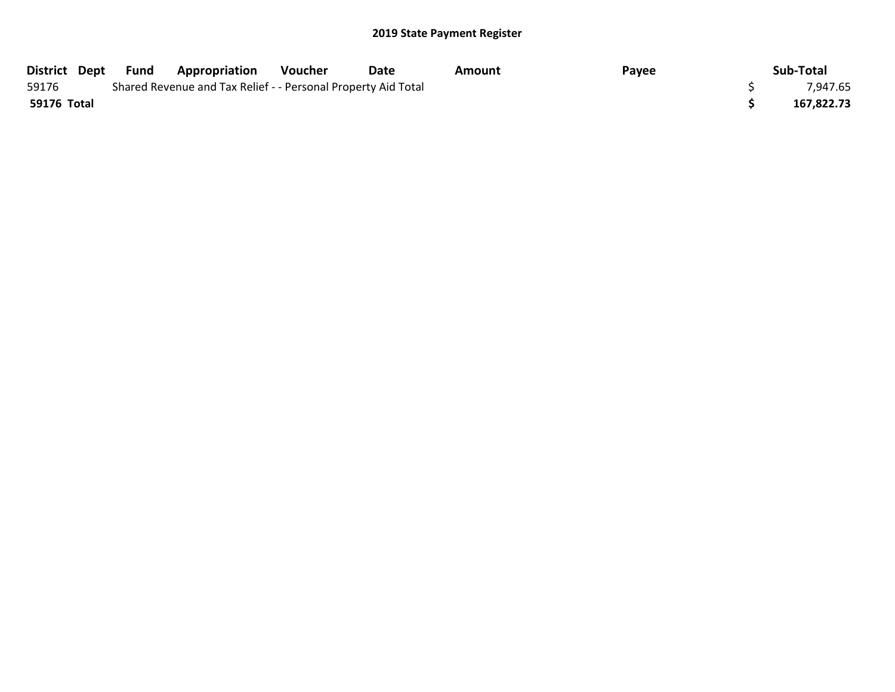|             | District Dept Fund | <b>Appropriation</b>                                          | Voucher | Date | Amount | Payee | Sub-Total  |
|-------------|--------------------|---------------------------------------------------------------|---------|------|--------|-------|------------|
| 59176       |                    | Shared Revenue and Tax Relief - - Personal Property Aid Total |         |      |        |       | 7,947.65   |
| 59176 Total |                    |                                                               |         |      |        |       | 167,822.73 |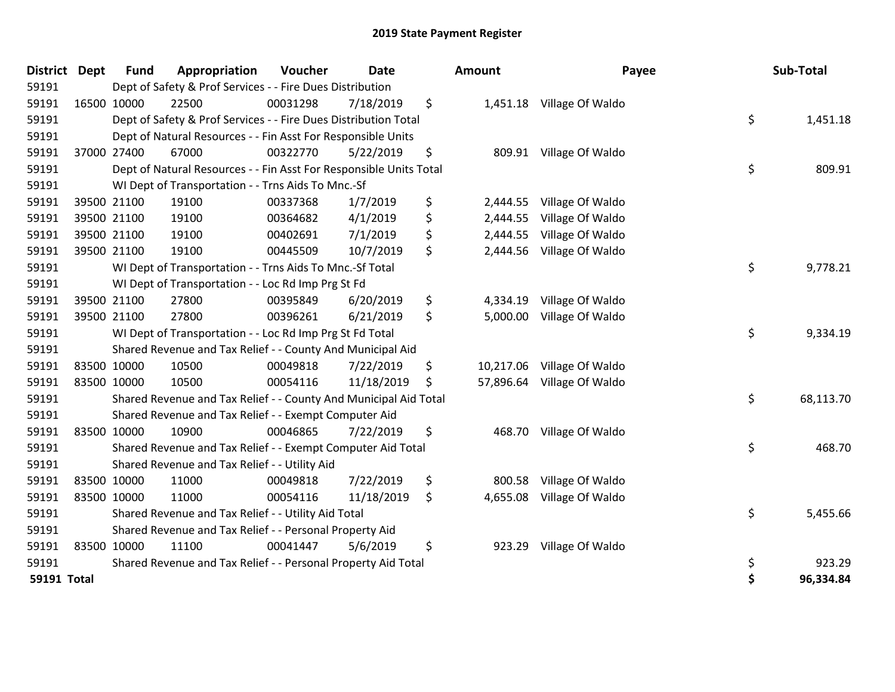| <b>District</b>    | <b>Dept</b> | <b>Fund</b> | Appropriation                                                      | Voucher  | <b>Date</b> | <b>Amount</b>  | Payee                      | Sub-Total       |
|--------------------|-------------|-------------|--------------------------------------------------------------------|----------|-------------|----------------|----------------------------|-----------------|
| 59191              |             |             | Dept of Safety & Prof Services - - Fire Dues Distribution          |          |             |                |                            |                 |
| 59191              |             | 16500 10000 | 22500                                                              | 00031298 | 7/18/2019   | \$             | 1,451.18 Village Of Waldo  |                 |
| 59191              |             |             | Dept of Safety & Prof Services - - Fire Dues Distribution Total    |          |             |                |                            | \$<br>1,451.18  |
| 59191              |             |             | Dept of Natural Resources - - Fin Asst For Responsible Units       |          |             |                |                            |                 |
| 59191              |             | 37000 27400 | 67000                                                              | 00322770 | 5/22/2019   | \$             | 809.91 Village Of Waldo    |                 |
| 59191              |             |             | Dept of Natural Resources - - Fin Asst For Responsible Units Total |          |             |                |                            | \$<br>809.91    |
| 59191              |             |             | WI Dept of Transportation - - Trns Aids To Mnc.-Sf                 |          |             |                |                            |                 |
| 59191              |             | 39500 21100 | 19100                                                              | 00337368 | 1/7/2019    | \$<br>2,444.55 | Village Of Waldo           |                 |
| 59191              |             | 39500 21100 | 19100                                                              | 00364682 | 4/1/2019    | \$<br>2,444.55 | Village Of Waldo           |                 |
| 59191              |             | 39500 21100 | 19100                                                              | 00402691 | 7/1/2019    | \$<br>2,444.55 | Village Of Waldo           |                 |
| 59191              |             | 39500 21100 | 19100                                                              | 00445509 | 10/7/2019   | \$<br>2,444.56 | Village Of Waldo           |                 |
| 59191              |             |             | WI Dept of Transportation - - Trns Aids To Mnc.-Sf Total           |          |             |                |                            | \$<br>9,778.21  |
| 59191              |             |             | WI Dept of Transportation - - Loc Rd Imp Prg St Fd                 |          |             |                |                            |                 |
| 59191              |             | 39500 21100 | 27800                                                              | 00395849 | 6/20/2019   | \$<br>4,334.19 | Village Of Waldo           |                 |
| 59191              |             | 39500 21100 | 27800                                                              | 00396261 | 6/21/2019   | \$<br>5,000.00 | Village Of Waldo           |                 |
| 59191              |             |             | WI Dept of Transportation - - Loc Rd Imp Prg St Fd Total           |          |             |                |                            | \$<br>9,334.19  |
| 59191              |             |             | Shared Revenue and Tax Relief - - County And Municipal Aid         |          |             |                |                            |                 |
| 59191              |             | 83500 10000 | 10500                                                              | 00049818 | 7/22/2019   | \$             | 10,217.06 Village Of Waldo |                 |
| 59191              |             | 83500 10000 | 10500                                                              | 00054116 | 11/18/2019  | \$             | 57,896.64 Village Of Waldo |                 |
| 59191              |             |             | Shared Revenue and Tax Relief - - County And Municipal Aid Total   |          |             |                |                            | \$<br>68,113.70 |
| 59191              |             |             | Shared Revenue and Tax Relief - - Exempt Computer Aid              |          |             |                |                            |                 |
| 59191              |             | 83500 10000 | 10900                                                              | 00046865 | 7/22/2019   | \$             | 468.70 Village Of Waldo    |                 |
| 59191              |             |             | Shared Revenue and Tax Relief - - Exempt Computer Aid Total        |          |             |                |                            | \$<br>468.70    |
| 59191              |             |             | Shared Revenue and Tax Relief - - Utility Aid                      |          |             |                |                            |                 |
| 59191              | 83500 10000 |             | 11000                                                              | 00049818 | 7/22/2019   | \$<br>800.58   | Village Of Waldo           |                 |
| 59191              |             | 83500 10000 | 11000                                                              | 00054116 | 11/18/2019  | \$<br>4,655.08 | Village Of Waldo           |                 |
| 59191              |             |             | Shared Revenue and Tax Relief - - Utility Aid Total                |          |             |                |                            | \$<br>5,455.66  |
| 59191              |             |             | Shared Revenue and Tax Relief - - Personal Property Aid            |          |             |                |                            |                 |
| 59191              |             | 83500 10000 | 11100                                                              | 00041447 | 5/6/2019    | \$             | 923.29 Village Of Waldo    |                 |
| 59191              |             |             | Shared Revenue and Tax Relief - - Personal Property Aid Total      |          |             |                |                            | \$<br>923.29    |
| <b>59191 Total</b> |             |             |                                                                    |          |             |                |                            | \$<br>96,334.84 |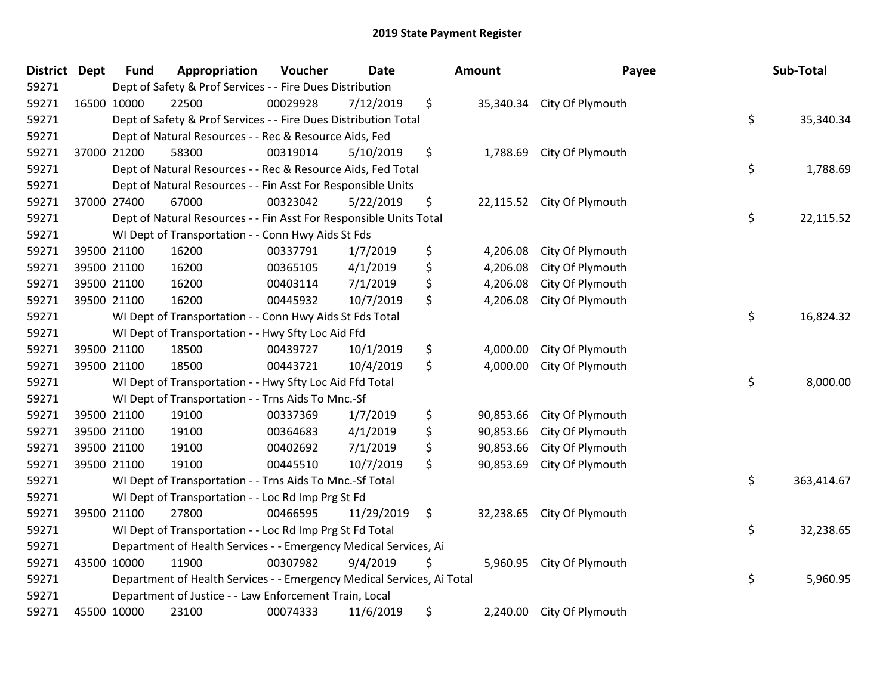| District Dept | <b>Fund</b> | Appropriation                                                          | Voucher  | <b>Date</b> |    | Amount    | Payee                      | Sub-Total        |
|---------------|-------------|------------------------------------------------------------------------|----------|-------------|----|-----------|----------------------------|------------------|
| 59271         |             | Dept of Safety & Prof Services - - Fire Dues Distribution              |          |             |    |           |                            |                  |
| 59271         | 16500 10000 | 22500                                                                  | 00029928 | 7/12/2019   | \$ |           | 35,340.34 City Of Plymouth |                  |
| 59271         |             | Dept of Safety & Prof Services - - Fire Dues Distribution Total        |          |             |    |           |                            | \$<br>35,340.34  |
| 59271         |             | Dept of Natural Resources - - Rec & Resource Aids, Fed                 |          |             |    |           |                            |                  |
| 59271         | 37000 21200 | 58300                                                                  | 00319014 | 5/10/2019   | \$ | 1,788.69  | City Of Plymouth           |                  |
| 59271         |             | Dept of Natural Resources - - Rec & Resource Aids, Fed Total           |          |             |    |           |                            | \$<br>1,788.69   |
| 59271         |             | Dept of Natural Resources - - Fin Asst For Responsible Units           |          |             |    |           |                            |                  |
| 59271         | 37000 27400 | 67000                                                                  | 00323042 | 5/22/2019   | \$ |           | 22,115.52 City Of Plymouth |                  |
| 59271         |             | Dept of Natural Resources - - Fin Asst For Responsible Units Total     |          |             |    |           |                            | \$<br>22,115.52  |
| 59271         |             | WI Dept of Transportation - - Conn Hwy Aids St Fds                     |          |             |    |           |                            |                  |
| 59271         | 39500 21100 | 16200                                                                  | 00337791 | 1/7/2019    | \$ | 4,206.08  | City Of Plymouth           |                  |
| 59271         | 39500 21100 | 16200                                                                  | 00365105 | 4/1/2019    | \$ | 4,206.08  | City Of Plymouth           |                  |
| 59271         | 39500 21100 | 16200                                                                  | 00403114 | 7/1/2019    | \$ | 4,206.08  | City Of Plymouth           |                  |
| 59271         | 39500 21100 | 16200                                                                  | 00445932 | 10/7/2019   | \$ | 4,206.08  | City Of Plymouth           |                  |
| 59271         |             | WI Dept of Transportation - - Conn Hwy Aids St Fds Total               |          |             |    |           |                            | \$<br>16,824.32  |
| 59271         |             | WI Dept of Transportation - - Hwy Sfty Loc Aid Ffd                     |          |             |    |           |                            |                  |
| 59271         | 39500 21100 | 18500                                                                  | 00439727 | 10/1/2019   | \$ | 4,000.00  | City Of Plymouth           |                  |
| 59271         | 39500 21100 | 18500                                                                  | 00443721 | 10/4/2019   | \$ | 4,000.00  | City Of Plymouth           |                  |
| 59271         |             | WI Dept of Transportation - - Hwy Sfty Loc Aid Ffd Total               |          |             |    |           |                            | \$<br>8,000.00   |
| 59271         |             | WI Dept of Transportation - - Trns Aids To Mnc.-Sf                     |          |             |    |           |                            |                  |
| 59271         | 39500 21100 | 19100                                                                  | 00337369 | 1/7/2019    | \$ | 90,853.66 | City Of Plymouth           |                  |
| 59271         | 39500 21100 | 19100                                                                  | 00364683 | 4/1/2019    | \$ | 90,853.66 | City Of Plymouth           |                  |
| 59271         | 39500 21100 | 19100                                                                  | 00402692 | 7/1/2019    | \$ | 90,853.66 | City Of Plymouth           |                  |
| 59271         | 39500 21100 | 19100                                                                  | 00445510 | 10/7/2019   | \$ | 90,853.69 | City Of Plymouth           |                  |
| 59271         |             | WI Dept of Transportation - - Trns Aids To Mnc.-Sf Total               |          |             |    |           |                            | \$<br>363,414.67 |
| 59271         |             | WI Dept of Transportation - - Loc Rd Imp Prg St Fd                     |          |             |    |           |                            |                  |
| 59271         | 39500 21100 | 27800                                                                  | 00466595 | 11/29/2019  | \$ | 32,238.65 | City Of Plymouth           |                  |
| 59271         |             | WI Dept of Transportation - - Loc Rd Imp Prg St Fd Total               |          |             |    |           |                            | \$<br>32,238.65  |
| 59271         |             | Department of Health Services - - Emergency Medical Services, Ai       |          |             |    |           |                            |                  |
| 59271         | 43500 10000 | 11900                                                                  | 00307982 | 9/4/2019    | Ş  | 5,960.95  | City Of Plymouth           |                  |
| 59271         |             | Department of Health Services - - Emergency Medical Services, Ai Total |          |             |    |           |                            | \$<br>5,960.95   |
| 59271         |             | Department of Justice - - Law Enforcement Train, Local                 |          |             |    |           |                            |                  |
| 59271         | 45500 10000 | 23100                                                                  | 00074333 | 11/6/2019   | \$ | 2,240.00  | City Of Plymouth           |                  |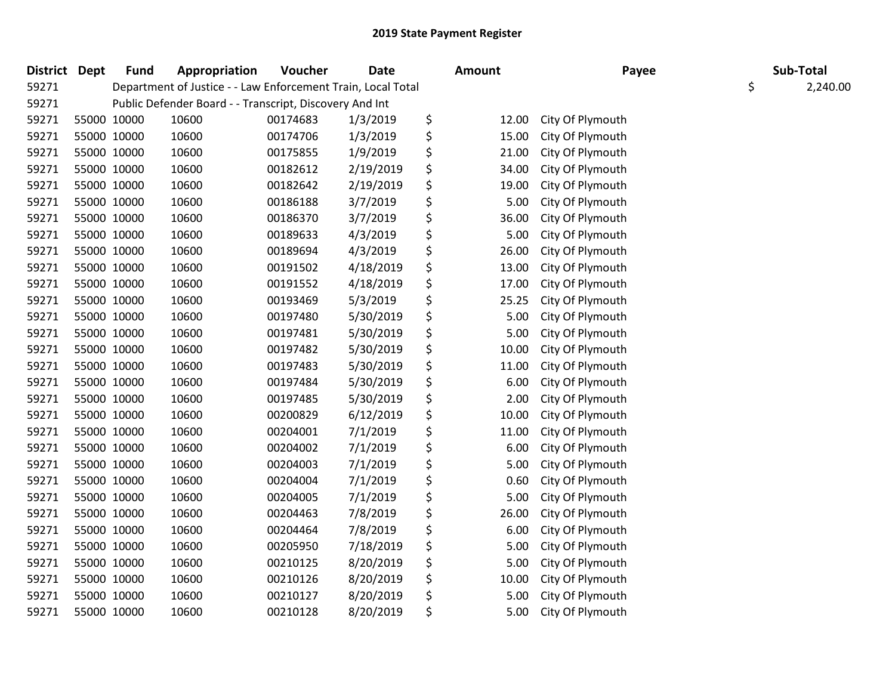| District Dept |             | <b>Fund</b> | Appropriation                                                | Voucher  | <b>Date</b> | <b>Amount</b> | Payee            | Sub-Total      |
|---------------|-------------|-------------|--------------------------------------------------------------|----------|-------------|---------------|------------------|----------------|
| 59271         |             |             | Department of Justice - - Law Enforcement Train, Local Total |          |             |               |                  | \$<br>2,240.00 |
| 59271         |             |             | Public Defender Board - - Transcript, Discovery And Int      |          |             |               |                  |                |
| 59271         | 55000 10000 |             | 10600                                                        | 00174683 | 1/3/2019    | \$<br>12.00   | City Of Plymouth |                |
| 59271         | 55000 10000 |             | 10600                                                        | 00174706 | 1/3/2019    | \$<br>15.00   | City Of Plymouth |                |
| 59271         | 55000 10000 |             | 10600                                                        | 00175855 | 1/9/2019    | \$<br>21.00   | City Of Plymouth |                |
| 59271         | 55000 10000 |             | 10600                                                        | 00182612 | 2/19/2019   | \$<br>34.00   | City Of Plymouth |                |
| 59271         | 55000 10000 |             | 10600                                                        | 00182642 | 2/19/2019   | \$<br>19.00   | City Of Plymouth |                |
| 59271         | 55000 10000 |             | 10600                                                        | 00186188 | 3/7/2019    | \$<br>5.00    | City Of Plymouth |                |
| 59271         | 55000 10000 |             | 10600                                                        | 00186370 | 3/7/2019    | \$<br>36.00   | City Of Plymouth |                |
| 59271         | 55000 10000 |             | 10600                                                        | 00189633 | 4/3/2019    | \$<br>5.00    | City Of Plymouth |                |
| 59271         | 55000 10000 |             | 10600                                                        | 00189694 | 4/3/2019    | \$<br>26.00   | City Of Plymouth |                |
| 59271         | 55000 10000 |             | 10600                                                        | 00191502 | 4/18/2019   | \$<br>13.00   | City Of Plymouth |                |
| 59271         | 55000 10000 |             | 10600                                                        | 00191552 | 4/18/2019   | \$<br>17.00   | City Of Plymouth |                |
| 59271         | 55000 10000 |             | 10600                                                        | 00193469 | 5/3/2019    | \$<br>25.25   | City Of Plymouth |                |
| 59271         | 55000 10000 |             | 10600                                                        | 00197480 | 5/30/2019   | \$<br>5.00    | City Of Plymouth |                |
| 59271         | 55000 10000 |             | 10600                                                        | 00197481 | 5/30/2019   | \$<br>5.00    | City Of Plymouth |                |
| 59271         | 55000 10000 |             | 10600                                                        | 00197482 | 5/30/2019   | \$<br>10.00   | City Of Plymouth |                |
| 59271         | 55000 10000 |             | 10600                                                        | 00197483 | 5/30/2019   | \$<br>11.00   | City Of Plymouth |                |
| 59271         | 55000 10000 |             | 10600                                                        | 00197484 | 5/30/2019   | \$<br>6.00    | City Of Plymouth |                |
| 59271         | 55000 10000 |             | 10600                                                        | 00197485 | 5/30/2019   | \$<br>2.00    | City Of Plymouth |                |
| 59271         | 55000 10000 |             | 10600                                                        | 00200829 | 6/12/2019   | \$<br>10.00   | City Of Plymouth |                |
| 59271         | 55000 10000 |             | 10600                                                        | 00204001 | 7/1/2019    | \$<br>11.00   | City Of Plymouth |                |
| 59271         | 55000 10000 |             | 10600                                                        | 00204002 | 7/1/2019    | \$<br>6.00    | City Of Plymouth |                |
| 59271         | 55000 10000 |             | 10600                                                        | 00204003 | 7/1/2019    | \$<br>5.00    | City Of Plymouth |                |
| 59271         | 55000 10000 |             | 10600                                                        | 00204004 | 7/1/2019    | \$<br>0.60    | City Of Plymouth |                |
| 59271         | 55000 10000 |             | 10600                                                        | 00204005 | 7/1/2019    | \$<br>5.00    | City Of Plymouth |                |
| 59271         | 55000 10000 |             | 10600                                                        | 00204463 | 7/8/2019    | \$<br>26.00   | City Of Plymouth |                |
| 59271         | 55000 10000 |             | 10600                                                        | 00204464 | 7/8/2019    | \$<br>6.00    | City Of Plymouth |                |
| 59271         | 55000 10000 |             | 10600                                                        | 00205950 | 7/18/2019   | \$<br>5.00    | City Of Plymouth |                |
| 59271         | 55000 10000 |             | 10600                                                        | 00210125 | 8/20/2019   | \$<br>5.00    | City Of Plymouth |                |
| 59271         | 55000 10000 |             | 10600                                                        | 00210126 | 8/20/2019   | \$<br>10.00   | City Of Plymouth |                |
| 59271         | 55000 10000 |             | 10600                                                        | 00210127 | 8/20/2019   | \$<br>5.00    | City Of Plymouth |                |
| 59271         | 55000 10000 |             | 10600                                                        | 00210128 | 8/20/2019   | \$<br>5.00    | City Of Plymouth |                |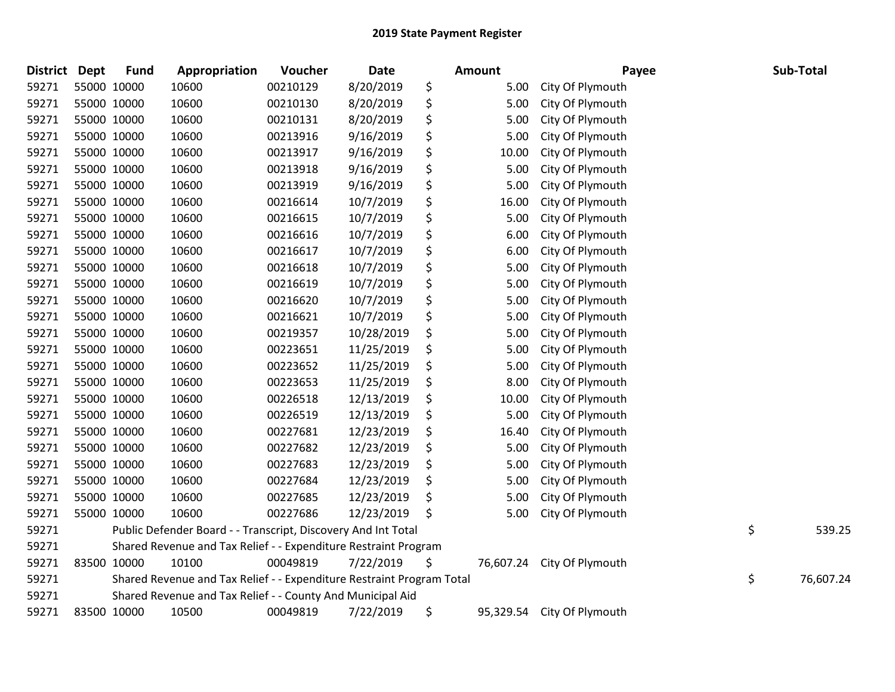| District | <b>Dept</b> | <b>Fund</b> | Appropriation                                                         | <b>Voucher</b> | <b>Date</b> | <b>Amount</b>   | Payee            | Sub-Total       |
|----------|-------------|-------------|-----------------------------------------------------------------------|----------------|-------------|-----------------|------------------|-----------------|
| 59271    |             | 55000 10000 | 10600                                                                 | 00210129       | 8/20/2019   | \$<br>5.00      | City Of Plymouth |                 |
| 59271    |             | 55000 10000 | 10600                                                                 | 00210130       | 8/20/2019   | \$<br>5.00      | City Of Plymouth |                 |
| 59271    |             | 55000 10000 | 10600                                                                 | 00210131       | 8/20/2019   | \$<br>5.00      | City Of Plymouth |                 |
| 59271    |             | 55000 10000 | 10600                                                                 | 00213916       | 9/16/2019   | \$<br>5.00      | City Of Plymouth |                 |
| 59271    |             | 55000 10000 | 10600                                                                 | 00213917       | 9/16/2019   | \$<br>10.00     | City Of Plymouth |                 |
| 59271    |             | 55000 10000 | 10600                                                                 | 00213918       | 9/16/2019   | \$<br>5.00      | City Of Plymouth |                 |
| 59271    |             | 55000 10000 | 10600                                                                 | 00213919       | 9/16/2019   | \$<br>5.00      | City Of Plymouth |                 |
| 59271    |             | 55000 10000 | 10600                                                                 | 00216614       | 10/7/2019   | \$<br>16.00     | City Of Plymouth |                 |
| 59271    |             | 55000 10000 | 10600                                                                 | 00216615       | 10/7/2019   | \$<br>5.00      | City Of Plymouth |                 |
| 59271    |             | 55000 10000 | 10600                                                                 | 00216616       | 10/7/2019   | \$<br>6.00      | City Of Plymouth |                 |
| 59271    |             | 55000 10000 | 10600                                                                 | 00216617       | 10/7/2019   | \$<br>6.00      | City Of Plymouth |                 |
| 59271    |             | 55000 10000 | 10600                                                                 | 00216618       | 10/7/2019   | \$<br>5.00      | City Of Plymouth |                 |
| 59271    |             | 55000 10000 | 10600                                                                 | 00216619       | 10/7/2019   | \$<br>5.00      | City Of Plymouth |                 |
| 59271    |             | 55000 10000 | 10600                                                                 | 00216620       | 10/7/2019   | \$<br>5.00      | City Of Plymouth |                 |
| 59271    |             | 55000 10000 | 10600                                                                 | 00216621       | 10/7/2019   | \$<br>5.00      | City Of Plymouth |                 |
| 59271    |             | 55000 10000 | 10600                                                                 | 00219357       | 10/28/2019  | \$<br>5.00      | City Of Plymouth |                 |
| 59271    |             | 55000 10000 | 10600                                                                 | 00223651       | 11/25/2019  | \$<br>5.00      | City Of Plymouth |                 |
| 59271    |             | 55000 10000 | 10600                                                                 | 00223652       | 11/25/2019  | \$<br>5.00      | City Of Plymouth |                 |
| 59271    |             | 55000 10000 | 10600                                                                 | 00223653       | 11/25/2019  | \$<br>8.00      | City Of Plymouth |                 |
| 59271    |             | 55000 10000 | 10600                                                                 | 00226518       | 12/13/2019  | \$<br>10.00     | City Of Plymouth |                 |
| 59271    |             | 55000 10000 | 10600                                                                 | 00226519       | 12/13/2019  | \$<br>5.00      | City Of Plymouth |                 |
| 59271    |             | 55000 10000 | 10600                                                                 | 00227681       | 12/23/2019  | \$<br>16.40     | City Of Plymouth |                 |
| 59271    |             | 55000 10000 | 10600                                                                 | 00227682       | 12/23/2019  | \$<br>5.00      | City Of Plymouth |                 |
| 59271    |             | 55000 10000 | 10600                                                                 | 00227683       | 12/23/2019  | \$<br>5.00      | City Of Plymouth |                 |
| 59271    |             | 55000 10000 | 10600                                                                 | 00227684       | 12/23/2019  | \$<br>5.00      | City Of Plymouth |                 |
| 59271    |             | 55000 10000 | 10600                                                                 | 00227685       | 12/23/2019  | \$<br>5.00      | City Of Plymouth |                 |
| 59271    |             | 55000 10000 | 10600                                                                 | 00227686       | 12/23/2019  | \$<br>5.00      | City Of Plymouth |                 |
| 59271    |             |             | Public Defender Board - - Transcript, Discovery And Int Total         |                |             |                 |                  | \$<br>539.25    |
| 59271    |             |             | Shared Revenue and Tax Relief - - Expenditure Restraint Program       |                |             |                 |                  |                 |
| 59271    |             | 83500 10000 | 10100                                                                 | 00049819       | 7/22/2019   | \$<br>76,607.24 | City Of Plymouth |                 |
| 59271    |             |             | Shared Revenue and Tax Relief - - Expenditure Restraint Program Total |                |             |                 |                  | \$<br>76,607.24 |
| 59271    |             |             | Shared Revenue and Tax Relief - - County And Municipal Aid            |                |             |                 |                  |                 |
| 59271    |             | 83500 10000 | 10500                                                                 | 00049819       | 7/22/2019   | \$<br>95,329.54 | City Of Plymouth |                 |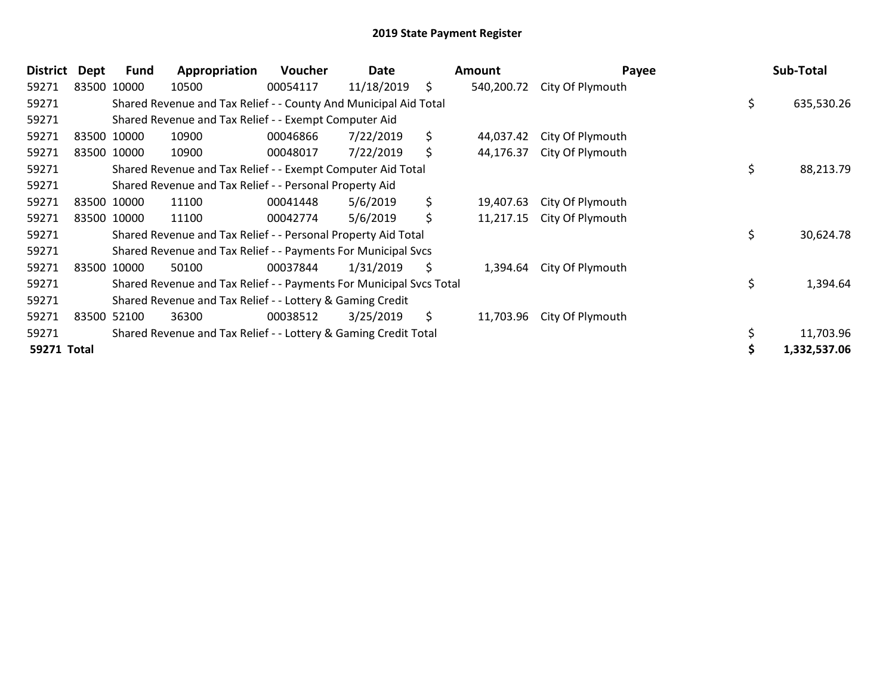| <b>District</b> | Dept        | Fund        | Appropriation                                                       | <b>Voucher</b> | Date       |     | <b>Amount</b> | Payee            | Sub-Total        |
|-----------------|-------------|-------------|---------------------------------------------------------------------|----------------|------------|-----|---------------|------------------|------------------|
| 59271           |             | 83500 10000 | 10500                                                               | 00054117       | 11/18/2019 | \$  | 540,200.72    | City Of Plymouth |                  |
| 59271           |             |             | Shared Revenue and Tax Relief - - County And Municipal Aid Total    |                |            |     |               |                  | \$<br>635,530.26 |
| 59271           |             |             | Shared Revenue and Tax Relief - - Exempt Computer Aid               |                |            |     |               |                  |                  |
| 59271           |             | 83500 10000 | 10900                                                               | 00046866       | 7/22/2019  | \$  | 44,037.42     | City Of Plymouth |                  |
| 59271           |             | 83500 10000 | 10900                                                               | 00048017       | 7/22/2019  | \$  | 44,176.37     | City Of Plymouth |                  |
| 59271           |             |             | Shared Revenue and Tax Relief - - Exempt Computer Aid Total         |                |            |     |               |                  | \$<br>88,213.79  |
| 59271           |             |             | Shared Revenue and Tax Relief - - Personal Property Aid             |                |            |     |               |                  |                  |
| 59271           |             | 83500 10000 | 11100                                                               | 00041448       | 5/6/2019   | \$  | 19,407.63     | City Of Plymouth |                  |
| 59271           |             | 83500 10000 | 11100                                                               | 00042774       | 5/6/2019   | \$  | 11,217.15     | City Of Plymouth |                  |
| 59271           |             |             | Shared Revenue and Tax Relief - - Personal Property Aid Total       |                |            |     |               |                  | \$<br>30,624.78  |
| 59271           |             |             | Shared Revenue and Tax Relief - - Payments For Municipal Svcs       |                |            |     |               |                  |                  |
| 59271           |             | 83500 10000 | 50100                                                               | 00037844       | 1/31/2019  | \$. | 1,394.64      | City Of Plymouth |                  |
| 59271           |             |             | Shared Revenue and Tax Relief - - Payments For Municipal Svcs Total |                |            |     |               |                  | \$<br>1,394.64   |
| 59271           |             |             | Shared Revenue and Tax Relief - - Lottery & Gaming Credit           |                |            |     |               |                  |                  |
| 59271           | 83500 52100 |             | 36300                                                               | 00038512       | 3/25/2019  | \$  | 11,703.96     | City Of Plymouth |                  |
| 59271           |             |             | Shared Revenue and Tax Relief - - Lottery & Gaming Credit Total     |                |            |     |               |                  | 11,703.96        |
| 59271 Total     |             |             |                                                                     |                |            |     |               |                  | 1,332,537.06     |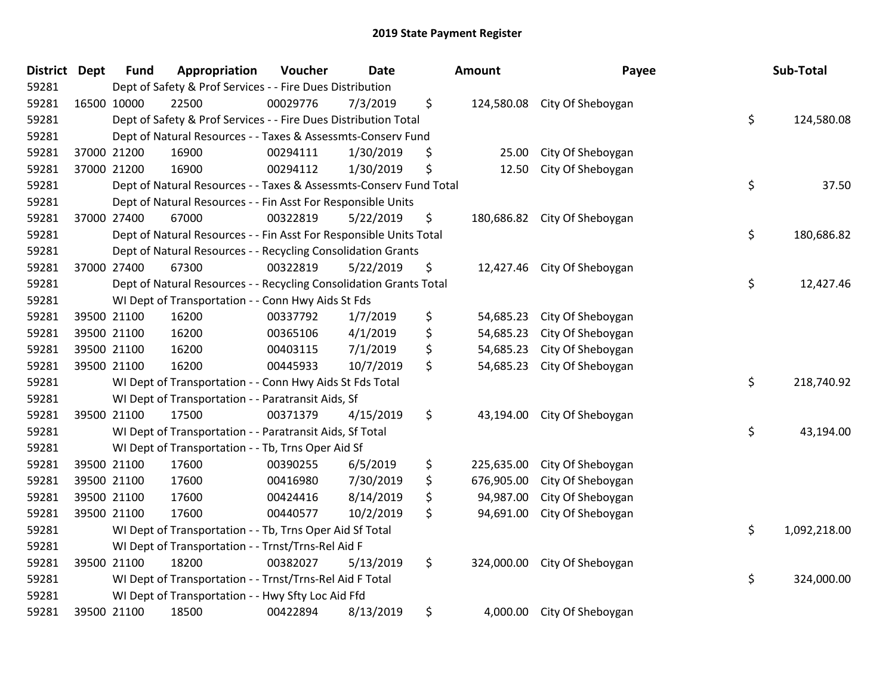| District Dept | <b>Fund</b> | Appropriation                                                      | Voucher  | <b>Date</b> | Amount           | Payee                        | Sub-Total          |
|---------------|-------------|--------------------------------------------------------------------|----------|-------------|------------------|------------------------------|--------------------|
| 59281         |             | Dept of Safety & Prof Services - - Fire Dues Distribution          |          |             |                  |                              |                    |
| 59281         | 16500 10000 | 22500                                                              | 00029776 | 7/3/2019    | \$               | 124,580.08 City Of Sheboygan |                    |
| 59281         |             | Dept of Safety & Prof Services - - Fire Dues Distribution Total    |          |             |                  |                              | \$<br>124,580.08   |
| 59281         |             | Dept of Natural Resources - - Taxes & Assessmts-Conserv Fund       |          |             |                  |                              |                    |
| 59281         | 37000 21200 | 16900                                                              | 00294111 | 1/30/2019   | \$<br>25.00      | City Of Sheboygan            |                    |
| 59281         | 37000 21200 | 16900                                                              | 00294112 | 1/30/2019   | \$<br>12.50      | City Of Sheboygan            |                    |
| 59281         |             | Dept of Natural Resources - - Taxes & Assessmts-Conserv Fund Total |          |             |                  |                              | \$<br>37.50        |
| 59281         |             | Dept of Natural Resources - - Fin Asst For Responsible Units       |          |             |                  |                              |                    |
| 59281         | 37000 27400 | 67000                                                              | 00322819 | 5/22/2019   | \$<br>180,686.82 | City Of Sheboygan            |                    |
| 59281         |             | Dept of Natural Resources - - Fin Asst For Responsible Units Total |          |             |                  |                              | \$<br>180,686.82   |
| 59281         |             | Dept of Natural Resources - - Recycling Consolidation Grants       |          |             |                  |                              |                    |
| 59281         | 37000 27400 | 67300                                                              | 00322819 | 5/22/2019   | \$               | 12,427.46 City Of Sheboygan  |                    |
| 59281         |             | Dept of Natural Resources - - Recycling Consolidation Grants Total |          |             |                  |                              | \$<br>12,427.46    |
| 59281         |             | WI Dept of Transportation - - Conn Hwy Aids St Fds                 |          |             |                  |                              |                    |
| 59281         | 39500 21100 | 16200                                                              | 00337792 | 1/7/2019    | \$<br>54,685.23  | City Of Sheboygan            |                    |
| 59281         | 39500 21100 | 16200                                                              | 00365106 | 4/1/2019    | \$<br>54,685.23  | City Of Sheboygan            |                    |
| 59281         | 39500 21100 | 16200                                                              | 00403115 | 7/1/2019    | \$<br>54,685.23  | City Of Sheboygan            |                    |
| 59281         | 39500 21100 | 16200                                                              | 00445933 | 10/7/2019   | \$<br>54,685.23  | City Of Sheboygan            |                    |
| 59281         |             | WI Dept of Transportation - - Conn Hwy Aids St Fds Total           |          |             |                  |                              | \$<br>218,740.92   |
| 59281         |             | WI Dept of Transportation - - Paratransit Aids, Sf                 |          |             |                  |                              |                    |
| 59281         | 39500 21100 | 17500                                                              | 00371379 | 4/15/2019   | \$<br>43,194.00  | City Of Sheboygan            |                    |
| 59281         |             | WI Dept of Transportation - - Paratransit Aids, Sf Total           |          |             |                  |                              | \$<br>43,194.00    |
| 59281         |             | WI Dept of Transportation - - Tb, Trns Oper Aid Sf                 |          |             |                  |                              |                    |
| 59281         | 39500 21100 | 17600                                                              | 00390255 | 6/5/2019    | \$<br>225,635.00 | City Of Sheboygan            |                    |
| 59281         | 39500 21100 | 17600                                                              | 00416980 | 7/30/2019   | \$<br>676,905.00 | City Of Sheboygan            |                    |
| 59281         | 39500 21100 | 17600                                                              | 00424416 | 8/14/2019   | \$<br>94,987.00  | City Of Sheboygan            |                    |
| 59281         | 39500 21100 | 17600                                                              | 00440577 | 10/2/2019   | \$<br>94,691.00  | City Of Sheboygan            |                    |
| 59281         |             | WI Dept of Transportation - - Tb, Trns Oper Aid Sf Total           |          |             |                  |                              | \$<br>1,092,218.00 |
| 59281         |             | WI Dept of Transportation - - Trnst/Trns-Rel Aid F                 |          |             |                  |                              |                    |
| 59281         | 39500 21100 | 18200                                                              | 00382027 | 5/13/2019   | \$<br>324,000.00 | City Of Sheboygan            |                    |
| 59281         |             | WI Dept of Transportation - - Trnst/Trns-Rel Aid F Total           |          |             |                  |                              | \$<br>324,000.00   |
| 59281         |             | WI Dept of Transportation - - Hwy Sfty Loc Aid Ffd                 |          |             |                  |                              |                    |
| 59281         | 39500 21100 | 18500                                                              | 00422894 | 8/13/2019   | \$<br>4,000.00   | City Of Sheboygan            |                    |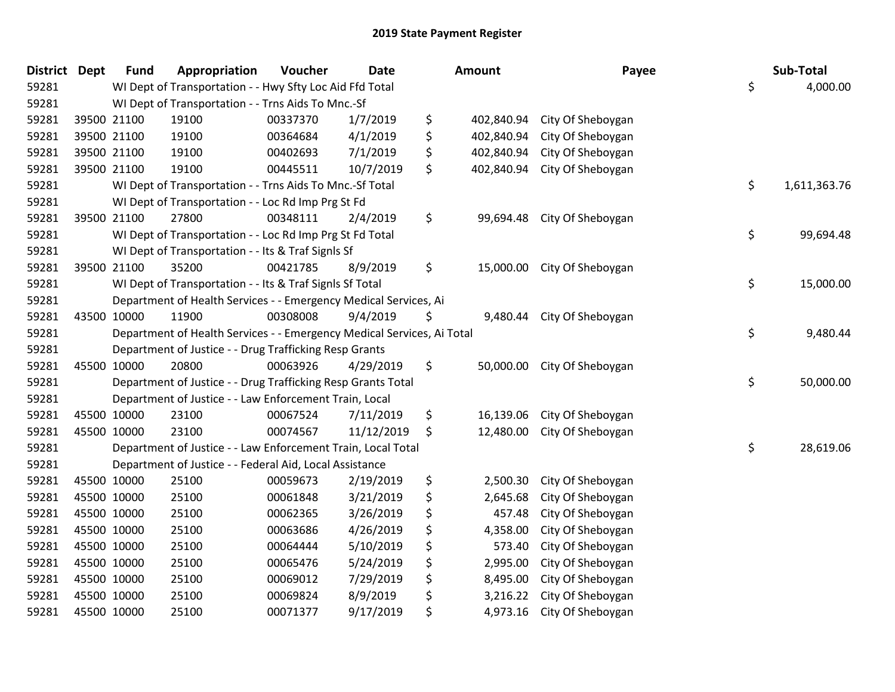| <b>District</b> | <b>Dept</b> | <b>Fund</b> | Appropriation                                                          | Voucher  | <b>Date</b> |    | Amount     | Payee             | Sub-Total          |
|-----------------|-------------|-------------|------------------------------------------------------------------------|----------|-------------|----|------------|-------------------|--------------------|
| 59281           |             |             | WI Dept of Transportation - - Hwy Sfty Loc Aid Ffd Total               |          |             |    |            |                   | \$<br>4,000.00     |
| 59281           |             |             | WI Dept of Transportation - - Trns Aids To Mnc.-Sf                     |          |             |    |            |                   |                    |
| 59281           | 39500 21100 |             | 19100                                                                  | 00337370 | 1/7/2019    | \$ | 402,840.94 | City Of Sheboygan |                    |
| 59281           | 39500 21100 |             | 19100                                                                  | 00364684 | 4/1/2019    | \$ | 402,840.94 | City Of Sheboygan |                    |
| 59281           | 39500 21100 |             | 19100                                                                  | 00402693 | 7/1/2019    | \$ | 402,840.94 | City Of Sheboygan |                    |
| 59281           | 39500 21100 |             | 19100                                                                  | 00445511 | 10/7/2019   | \$ | 402,840.94 | City Of Sheboygan |                    |
| 59281           |             |             | WI Dept of Transportation - - Trns Aids To Mnc.-Sf Total               |          |             |    |            |                   | \$<br>1,611,363.76 |
| 59281           |             |             | WI Dept of Transportation - - Loc Rd Imp Prg St Fd                     |          |             |    |            |                   |                    |
| 59281           | 39500 21100 |             | 27800                                                                  | 00348111 | 2/4/2019    | \$ | 99,694.48  | City Of Sheboygan |                    |
| 59281           |             |             | WI Dept of Transportation - - Loc Rd Imp Prg St Fd Total               |          |             |    |            |                   | \$<br>99,694.48    |
| 59281           |             |             | WI Dept of Transportation - - Its & Traf SignIs Sf                     |          |             |    |            |                   |                    |
| 59281           | 39500 21100 |             | 35200                                                                  | 00421785 | 8/9/2019    | \$ | 15,000.00  | City Of Sheboygan |                    |
| 59281           |             |             | WI Dept of Transportation - - Its & Traf Signls Sf Total               |          |             |    |            |                   | \$<br>15,000.00    |
| 59281           |             |             | Department of Health Services - - Emergency Medical Services, Ai       |          |             |    |            |                   |                    |
| 59281           | 43500 10000 |             | 11900                                                                  | 00308008 | 9/4/2019    | Ş  | 9,480.44   | City Of Sheboygan |                    |
| 59281           |             |             | Department of Health Services - - Emergency Medical Services, Ai Total |          |             |    |            |                   | \$<br>9,480.44     |
| 59281           |             |             | Department of Justice - - Drug Trafficking Resp Grants                 |          |             |    |            |                   |                    |
| 59281           | 45500 10000 |             | 20800                                                                  | 00063926 | 4/29/2019   | \$ | 50,000.00  | City Of Sheboygan |                    |
| 59281           |             |             | Department of Justice - - Drug Trafficking Resp Grants Total           |          |             |    |            |                   | \$<br>50,000.00    |
| 59281           |             |             | Department of Justice - - Law Enforcement Train, Local                 |          |             |    |            |                   |                    |
| 59281           | 45500 10000 |             | 23100                                                                  | 00067524 | 7/11/2019   | \$ | 16,139.06  | City Of Sheboygan |                    |
| 59281           | 45500 10000 |             | 23100                                                                  | 00074567 | 11/12/2019  | \$ | 12,480.00  | City Of Sheboygan |                    |
| 59281           |             |             | Department of Justice - - Law Enforcement Train, Local Total           |          |             |    |            |                   | \$<br>28,619.06    |
| 59281           |             |             | Department of Justice - - Federal Aid, Local Assistance                |          |             |    |            |                   |                    |
| 59281           | 45500 10000 |             | 25100                                                                  | 00059673 | 2/19/2019   | \$ | 2,500.30   | City Of Sheboygan |                    |
| 59281           | 45500 10000 |             | 25100                                                                  | 00061848 | 3/21/2019   | \$ | 2,645.68   | City Of Sheboygan |                    |
| 59281           | 45500 10000 |             | 25100                                                                  | 00062365 | 3/26/2019   | \$ | 457.48     | City Of Sheboygan |                    |
| 59281           | 45500 10000 |             | 25100                                                                  | 00063686 | 4/26/2019   | \$ | 4,358.00   | City Of Sheboygan |                    |
| 59281           | 45500 10000 |             | 25100                                                                  | 00064444 | 5/10/2019   | \$ | 573.40     | City Of Sheboygan |                    |
| 59281           | 45500 10000 |             | 25100                                                                  | 00065476 | 5/24/2019   | \$ | 2,995.00   | City Of Sheboygan |                    |
| 59281           | 45500 10000 |             | 25100                                                                  | 00069012 | 7/29/2019   | \$ | 8,495.00   | City Of Sheboygan |                    |
| 59281           | 45500 10000 |             | 25100                                                                  | 00069824 | 8/9/2019    | \$ | 3,216.22   | City Of Sheboygan |                    |
| 59281           | 45500 10000 |             | 25100                                                                  | 00071377 | 9/17/2019   | \$ | 4,973.16   | City Of Sheboygan |                    |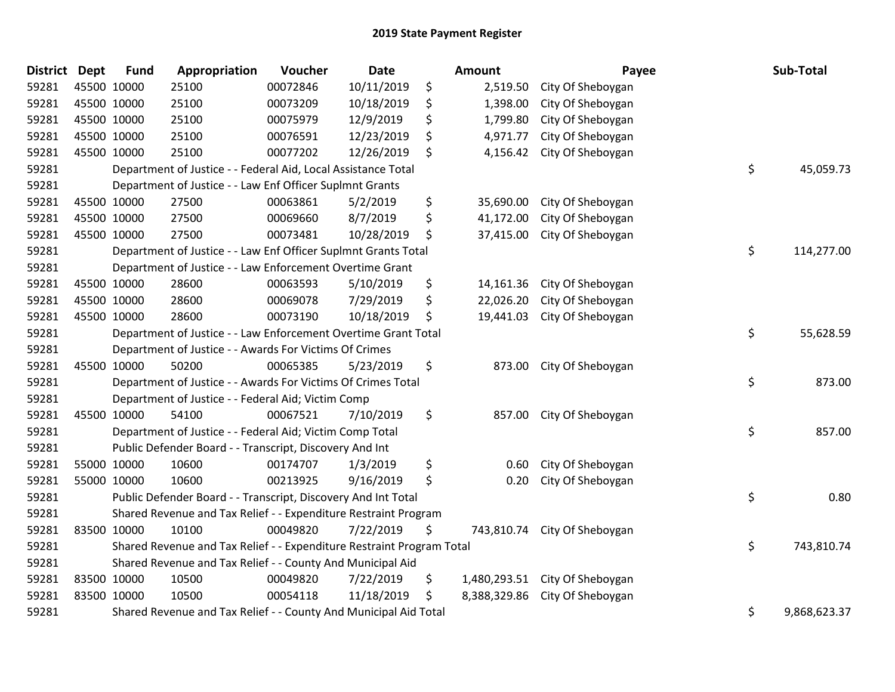| <b>District Dept</b> |             | <b>Fund</b> | Appropriation                                                         | Voucher  | <b>Date</b> | <b>Amount</b>      | Payee                        | Sub-Total          |
|----------------------|-------------|-------------|-----------------------------------------------------------------------|----------|-------------|--------------------|------------------------------|--------------------|
| 59281                |             | 45500 10000 | 25100                                                                 | 00072846 | 10/11/2019  | \$<br>2,519.50     | City Of Sheboygan            |                    |
| 59281                |             | 45500 10000 | 25100                                                                 | 00073209 | 10/18/2019  | \$<br>1,398.00     | City Of Sheboygan            |                    |
| 59281                | 45500 10000 |             | 25100                                                                 | 00075979 | 12/9/2019   | \$<br>1,799.80     | City Of Sheboygan            |                    |
| 59281                | 45500 10000 |             | 25100                                                                 | 00076591 | 12/23/2019  | \$<br>4,971.77     | City Of Sheboygan            |                    |
| 59281                |             | 45500 10000 | 25100                                                                 | 00077202 | 12/26/2019  | \$<br>4,156.42     | City Of Sheboygan            |                    |
| 59281                |             |             | Department of Justice - - Federal Aid, Local Assistance Total         |          |             |                    |                              | \$<br>45,059.73    |
| 59281                |             |             | Department of Justice - - Law Enf Officer Suplmnt Grants              |          |             |                    |                              |                    |
| 59281                |             | 45500 10000 | 27500                                                                 | 00063861 | 5/2/2019    | \$<br>35,690.00    | City Of Sheboygan            |                    |
| 59281                |             | 45500 10000 | 27500                                                                 | 00069660 | 8/7/2019    | \$<br>41,172.00    | City Of Sheboygan            |                    |
| 59281                |             | 45500 10000 | 27500                                                                 | 00073481 | 10/28/2019  | \$<br>37,415.00    | City Of Sheboygan            |                    |
| 59281                |             |             | Department of Justice - - Law Enf Officer Suplmnt Grants Total        |          |             |                    |                              | \$<br>114,277.00   |
| 59281                |             |             | Department of Justice - - Law Enforcement Overtime Grant              |          |             |                    |                              |                    |
| 59281                |             | 45500 10000 | 28600                                                                 | 00063593 | 5/10/2019   | \$<br>14,161.36    | City Of Sheboygan            |                    |
| 59281                |             | 45500 10000 | 28600                                                                 | 00069078 | 7/29/2019   | \$<br>22,026.20    | City Of Sheboygan            |                    |
| 59281                |             | 45500 10000 | 28600                                                                 | 00073190 | 10/18/2019  | \$<br>19,441.03    | City Of Sheboygan            |                    |
| 59281                |             |             | Department of Justice - - Law Enforcement Overtime Grant Total        |          |             |                    |                              | \$<br>55,628.59    |
| 59281                |             |             | Department of Justice - - Awards For Victims Of Crimes                |          |             |                    |                              |                    |
| 59281                |             | 45500 10000 | 50200                                                                 | 00065385 | 5/23/2019   | \$<br>873.00       | City Of Sheboygan            |                    |
| 59281                |             |             | Department of Justice - - Awards For Victims Of Crimes Total          |          |             |                    |                              | \$<br>873.00       |
| 59281                |             |             | Department of Justice - - Federal Aid; Victim Comp                    |          |             |                    |                              |                    |
| 59281                |             | 45500 10000 | 54100                                                                 | 00067521 | 7/10/2019   | \$<br>857.00       | City Of Sheboygan            |                    |
| 59281                |             |             | Department of Justice - - Federal Aid; Victim Comp Total              |          |             |                    |                              | \$<br>857.00       |
| 59281                |             |             | Public Defender Board - - Transcript, Discovery And Int               |          |             |                    |                              |                    |
| 59281                |             | 55000 10000 | 10600                                                                 | 00174707 | 1/3/2019    | \$<br>0.60         | City Of Sheboygan            |                    |
| 59281                |             | 55000 10000 | 10600                                                                 | 00213925 | 9/16/2019   | \$<br>0.20         | City Of Sheboygan            |                    |
| 59281                |             |             | Public Defender Board - - Transcript, Discovery And Int Total         |          |             |                    |                              | \$<br>0.80         |
| 59281                |             |             | Shared Revenue and Tax Relief - - Expenditure Restraint Program       |          |             |                    |                              |                    |
| 59281                |             | 83500 10000 | 10100                                                                 | 00049820 | 7/22/2019   | \$                 | 743,810.74 City Of Sheboygan |                    |
| 59281                |             |             | Shared Revenue and Tax Relief - - Expenditure Restraint Program Total |          |             |                    |                              | \$<br>743,810.74   |
| 59281                |             |             | Shared Revenue and Tax Relief - - County And Municipal Aid            |          |             |                    |                              |                    |
| 59281                |             | 83500 10000 | 10500                                                                 | 00049820 | 7/22/2019   | \$<br>1,480,293.51 | City Of Sheboygan            |                    |
| 59281                |             | 83500 10000 | 10500                                                                 | 00054118 | 11/18/2019  | \$<br>8,388,329.86 | City Of Sheboygan            |                    |
| 59281                |             |             | Shared Revenue and Tax Relief - - County And Municipal Aid Total      |          |             |                    |                              | \$<br>9,868,623.37 |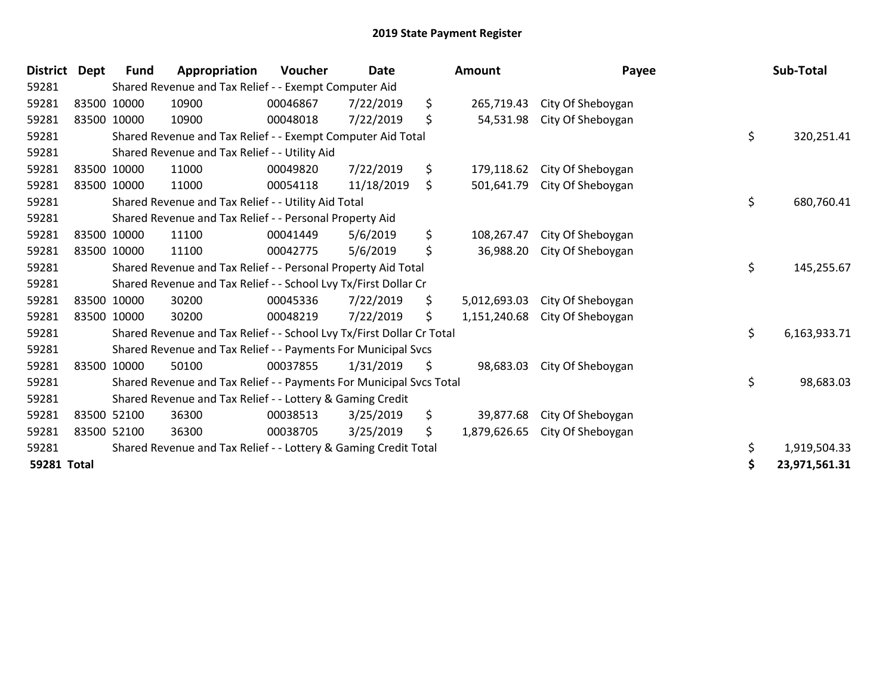| <b>District</b> | <b>Dept</b> | <b>Fund</b> | Appropriation                                                         | <b>Voucher</b> | <b>Date</b> | <b>Amount</b>      | Payee             | Sub-Total           |
|-----------------|-------------|-------------|-----------------------------------------------------------------------|----------------|-------------|--------------------|-------------------|---------------------|
| 59281           |             |             | Shared Revenue and Tax Relief - - Exempt Computer Aid                 |                |             |                    |                   |                     |
| 59281           |             | 83500 10000 | 10900                                                                 | 00046867       | 7/22/2019   | \$<br>265,719.43   | City Of Sheboygan |                     |
| 59281           |             | 83500 10000 | 10900                                                                 | 00048018       | 7/22/2019   | \$<br>54,531.98    | City Of Sheboygan |                     |
| 59281           |             |             | Shared Revenue and Tax Relief - - Exempt Computer Aid Total           |                |             |                    |                   | \$<br>320,251.41    |
| 59281           |             |             | Shared Revenue and Tax Relief - - Utility Aid                         |                |             |                    |                   |                     |
| 59281           |             | 83500 10000 | 11000                                                                 | 00049820       | 7/22/2019   | \$<br>179,118.62   | City Of Sheboygan |                     |
| 59281           |             | 83500 10000 | 11000                                                                 | 00054118       | 11/18/2019  | \$<br>501,641.79   | City Of Sheboygan |                     |
| 59281           |             |             | Shared Revenue and Tax Relief - - Utility Aid Total                   |                |             |                    |                   | \$<br>680,760.41    |
| 59281           |             |             | Shared Revenue and Tax Relief - - Personal Property Aid               |                |             |                    |                   |                     |
| 59281           |             | 83500 10000 | 11100                                                                 | 00041449       | 5/6/2019    | \$<br>108,267.47   | City Of Sheboygan |                     |
| 59281           |             | 83500 10000 | 11100                                                                 | 00042775       | 5/6/2019    | \$<br>36,988.20    | City Of Sheboygan |                     |
| 59281           |             |             | Shared Revenue and Tax Relief - - Personal Property Aid Total         |                |             |                    |                   | \$<br>145,255.67    |
| 59281           |             |             | Shared Revenue and Tax Relief - - School Lvy Tx/First Dollar Cr       |                |             |                    |                   |                     |
| 59281           |             | 83500 10000 | 30200                                                                 | 00045336       | 7/22/2019   | \$<br>5,012,693.03 | City Of Sheboygan |                     |
| 59281           |             | 83500 10000 | 30200                                                                 | 00048219       | 7/22/2019   | \$<br>1,151,240.68 | City Of Sheboygan |                     |
| 59281           |             |             | Shared Revenue and Tax Relief - - School Lvy Tx/First Dollar Cr Total |                |             |                    |                   | \$<br>6,163,933.71  |
| 59281           |             |             | Shared Revenue and Tax Relief - - Payments For Municipal Svcs         |                |             |                    |                   |                     |
| 59281           | 83500 10000 |             | 50100                                                                 | 00037855       | 1/31/2019   | \$<br>98,683.03    | City Of Sheboygan |                     |
| 59281           |             |             | Shared Revenue and Tax Relief - - Payments For Municipal Svcs Total   |                |             |                    |                   | \$<br>98,683.03     |
| 59281           |             |             | Shared Revenue and Tax Relief - - Lottery & Gaming Credit             |                |             |                    |                   |                     |
| 59281           |             | 83500 52100 | 36300                                                                 | 00038513       | 3/25/2019   | \$<br>39,877.68    | City Of Sheboygan |                     |
| 59281           |             | 83500 52100 | 36300                                                                 | 00038705       | 3/25/2019   | \$<br>1,879,626.65 | City Of Sheboygan |                     |
| 59281           |             |             | Shared Revenue and Tax Relief - - Lottery & Gaming Credit Total       |                |             |                    |                   | \$<br>1,919,504.33  |
| 59281 Total     |             |             |                                                                       |                |             |                    |                   | \$<br>23,971,561.31 |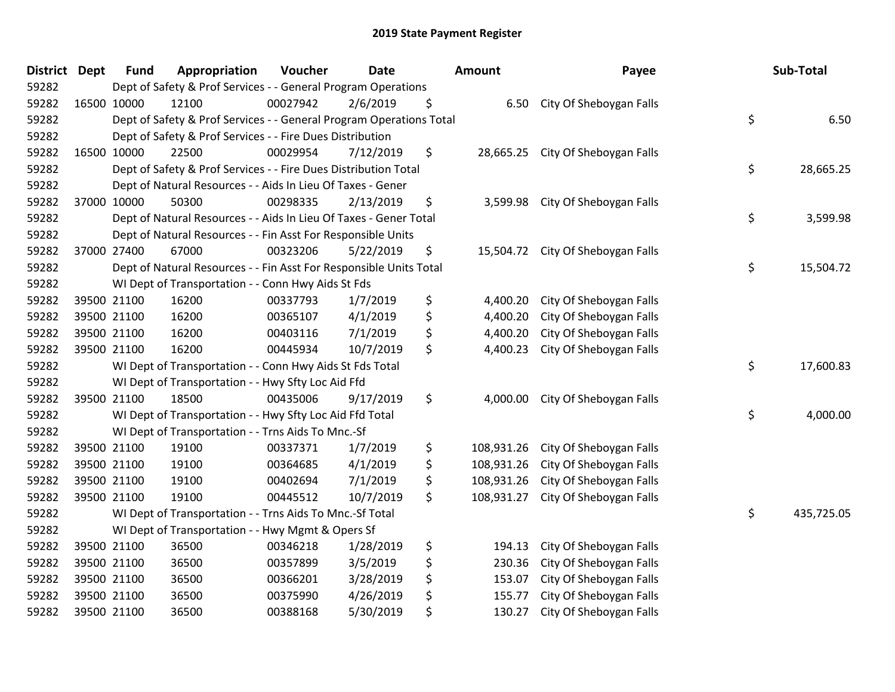| District Dept | <b>Fund</b>                                                               | Appropriation                                                      | Voucher  | <b>Date</b> |    | <b>Amount</b> | Payee                             |    | Sub-Total  |
|---------------|---------------------------------------------------------------------------|--------------------------------------------------------------------|----------|-------------|----|---------------|-----------------------------------|----|------------|
| 59282         | Dept of Safety & Prof Services - - General Program Operations             |                                                                    |          |             |    |               |                                   |    |            |
| 59282         | 16500 10000                                                               | 12100                                                              | 00027942 | 2/6/2019    | \$ | 6.50          | City Of Sheboygan Falls           |    |            |
| 59282         | \$<br>Dept of Safety & Prof Services - - General Program Operations Total |                                                                    |          |             |    |               |                                   |    | 6.50       |
| 59282         | Dept of Safety & Prof Services - - Fire Dues Distribution                 |                                                                    |          |             |    |               |                                   |    |            |
| 59282         | 16500 10000                                                               | 22500                                                              | 00029954 | 7/12/2019   | \$ | 28,665.25     | City Of Sheboygan Falls           |    |            |
| 59282         |                                                                           | Dept of Safety & Prof Services - - Fire Dues Distribution Total    |          |             |    |               |                                   | \$ | 28,665.25  |
| 59282         |                                                                           | Dept of Natural Resources - - Aids In Lieu Of Taxes - Gener        |          |             |    |               |                                   |    |            |
| 59282         | 37000 10000                                                               | 50300                                                              | 00298335 | 2/13/2019   | \$ | 3,599.98      | City Of Sheboygan Falls           |    |            |
| 59282         |                                                                           | Dept of Natural Resources - - Aids In Lieu Of Taxes - Gener Total  |          |             |    |               |                                   | \$ | 3,599.98   |
| 59282         |                                                                           | Dept of Natural Resources - - Fin Asst For Responsible Units       |          |             |    |               |                                   |    |            |
| 59282         | 37000 27400                                                               | 67000                                                              | 00323206 | 5/22/2019   | \$ |               | 15,504.72 City Of Sheboygan Falls |    |            |
| 59282         |                                                                           | Dept of Natural Resources - - Fin Asst For Responsible Units Total |          |             |    |               |                                   | \$ | 15,504.72  |
| 59282         |                                                                           | WI Dept of Transportation - - Conn Hwy Aids St Fds                 |          |             |    |               |                                   |    |            |
| 59282         | 39500 21100                                                               | 16200                                                              | 00337793 | 1/7/2019    | \$ | 4,400.20      | City Of Sheboygan Falls           |    |            |
| 59282         | 39500 21100                                                               | 16200                                                              | 00365107 | 4/1/2019    | \$ | 4,400.20      | City Of Sheboygan Falls           |    |            |
| 59282         | 39500 21100                                                               | 16200                                                              | 00403116 | 7/1/2019    | \$ | 4,400.20      | City Of Sheboygan Falls           |    |            |
| 59282         | 39500 21100                                                               | 16200                                                              | 00445934 | 10/7/2019   | \$ | 4,400.23      | City Of Sheboygan Falls           |    |            |
| 59282         |                                                                           | WI Dept of Transportation - - Conn Hwy Aids St Fds Total           |          |             |    |               |                                   | \$ | 17,600.83  |
| 59282         |                                                                           | WI Dept of Transportation - - Hwy Sfty Loc Aid Ffd                 |          |             |    |               |                                   |    |            |
| 59282         | 39500 21100                                                               | 18500                                                              | 00435006 | 9/17/2019   | \$ | 4,000.00      | City Of Sheboygan Falls           |    |            |
| 59282         |                                                                           | WI Dept of Transportation - - Hwy Sfty Loc Aid Ffd Total           |          |             |    |               |                                   | \$ | 4,000.00   |
| 59282         |                                                                           | WI Dept of Transportation - - Trns Aids To Mnc.-Sf                 |          |             |    |               |                                   |    |            |
| 59282         | 39500 21100                                                               | 19100                                                              | 00337371 | 1/7/2019    | \$ | 108,931.26    | City Of Sheboygan Falls           |    |            |
| 59282         | 39500 21100                                                               | 19100                                                              | 00364685 | 4/1/2019    | \$ | 108,931.26    | City Of Sheboygan Falls           |    |            |
| 59282         | 39500 21100                                                               | 19100                                                              | 00402694 | 7/1/2019    | \$ | 108,931.26    | City Of Sheboygan Falls           |    |            |
| 59282         | 39500 21100                                                               | 19100                                                              | 00445512 | 10/7/2019   | \$ | 108,931.27    | City Of Sheboygan Falls           |    |            |
| 59282         | \$<br>WI Dept of Transportation - - Trns Aids To Mnc.-Sf Total            |                                                                    |          |             |    |               |                                   |    | 435,725.05 |
| 59282         | WI Dept of Transportation - - Hwy Mgmt & Opers Sf                         |                                                                    |          |             |    |               |                                   |    |            |
| 59282         | 39500 21100                                                               | 36500                                                              | 00346218 | 1/28/2019   | \$ | 194.13        | City Of Sheboygan Falls           |    |            |
| 59282         | 39500 21100                                                               | 36500                                                              | 00357899 | 3/5/2019    | \$ | 230.36        | City Of Sheboygan Falls           |    |            |
| 59282         | 39500 21100                                                               | 36500                                                              | 00366201 | 3/28/2019   | \$ | 153.07        | City Of Sheboygan Falls           |    |            |
| 59282         | 39500 21100                                                               | 36500                                                              | 00375990 | 4/26/2019   | \$ | 155.77        | City Of Sheboygan Falls           |    |            |
| 59282         | 39500 21100                                                               | 36500                                                              | 00388168 | 5/30/2019   | \$ | 130.27        | City Of Sheboygan Falls           |    |            |
|               |                                                                           |                                                                    |          |             |    |               |                                   |    |            |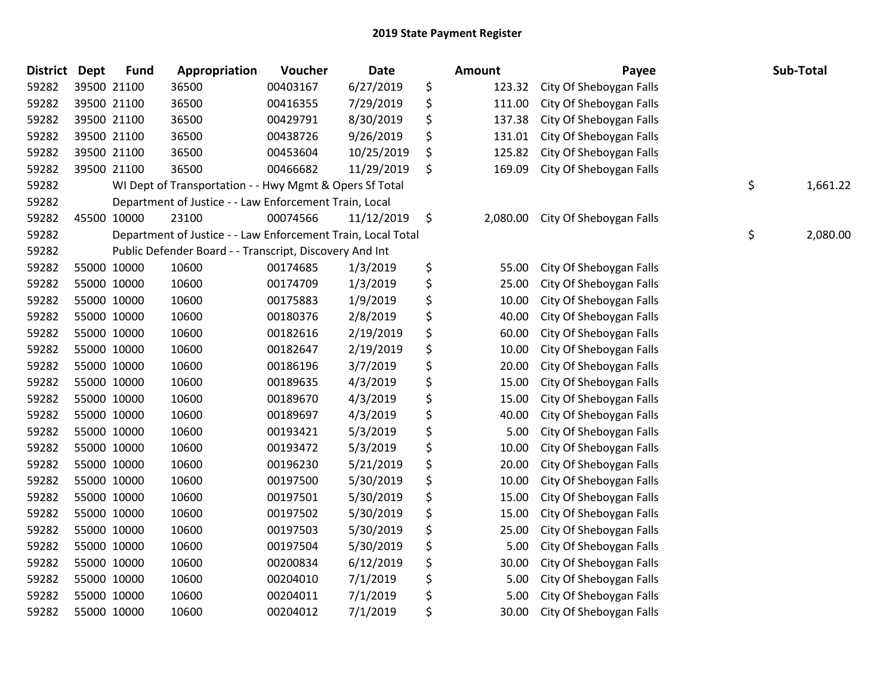| <b>District</b> | <b>Dept</b> | <b>Fund</b> | Appropriation                                                | Voucher  | <b>Date</b> | <b>Amount</b>  | Payee                   | Sub-Total      |
|-----------------|-------------|-------------|--------------------------------------------------------------|----------|-------------|----------------|-------------------------|----------------|
| 59282           |             | 39500 21100 | 36500                                                        | 00403167 | 6/27/2019   | \$<br>123.32   | City Of Sheboygan Falls |                |
| 59282           |             | 39500 21100 | 36500                                                        | 00416355 | 7/29/2019   | \$<br>111.00   | City Of Sheboygan Falls |                |
| 59282           |             | 39500 21100 | 36500                                                        | 00429791 | 8/30/2019   | \$<br>137.38   | City Of Sheboygan Falls |                |
| 59282           |             | 39500 21100 | 36500                                                        | 00438726 | 9/26/2019   | \$<br>131.01   | City Of Sheboygan Falls |                |
| 59282           |             | 39500 21100 | 36500                                                        | 00453604 | 10/25/2019  | \$<br>125.82   | City Of Sheboygan Falls |                |
| 59282           |             | 39500 21100 | 36500                                                        | 00466682 | 11/29/2019  | \$<br>169.09   | City Of Sheboygan Falls |                |
| 59282           |             |             | WI Dept of Transportation - - Hwy Mgmt & Opers Sf Total      |          |             |                |                         | \$<br>1,661.22 |
| 59282           |             |             | Department of Justice - - Law Enforcement Train, Local       |          |             |                |                         |                |
| 59282           |             | 45500 10000 | 23100                                                        | 00074566 | 11/12/2019  | \$<br>2,080.00 | City Of Sheboygan Falls |                |
| 59282           |             |             | Department of Justice - - Law Enforcement Train, Local Total |          |             |                |                         | \$<br>2,080.00 |
| 59282           |             |             | Public Defender Board - - Transcript, Discovery And Int      |          |             |                |                         |                |
| 59282           |             | 55000 10000 | 10600                                                        | 00174685 | 1/3/2019    | \$<br>55.00    | City Of Sheboygan Falls |                |
| 59282           |             | 55000 10000 | 10600                                                        | 00174709 | 1/3/2019    | \$<br>25.00    | City Of Sheboygan Falls |                |
| 59282           |             | 55000 10000 | 10600                                                        | 00175883 | 1/9/2019    | \$<br>10.00    | City Of Sheboygan Falls |                |
| 59282           |             | 55000 10000 | 10600                                                        | 00180376 | 2/8/2019    | \$<br>40.00    | City Of Sheboygan Falls |                |
| 59282           |             | 55000 10000 | 10600                                                        | 00182616 | 2/19/2019   | \$<br>60.00    | City Of Sheboygan Falls |                |
| 59282           |             | 55000 10000 | 10600                                                        | 00182647 | 2/19/2019   | \$<br>10.00    | City Of Sheboygan Falls |                |
| 59282           |             | 55000 10000 | 10600                                                        | 00186196 | 3/7/2019    | \$<br>20.00    | City Of Sheboygan Falls |                |
| 59282           |             | 55000 10000 | 10600                                                        | 00189635 | 4/3/2019    | \$<br>15.00    | City Of Sheboygan Falls |                |
| 59282           |             | 55000 10000 | 10600                                                        | 00189670 | 4/3/2019    | \$<br>15.00    | City Of Sheboygan Falls |                |
| 59282           |             | 55000 10000 | 10600                                                        | 00189697 | 4/3/2019    | \$<br>40.00    | City Of Sheboygan Falls |                |
| 59282           |             | 55000 10000 | 10600                                                        | 00193421 | 5/3/2019    | \$<br>5.00     | City Of Sheboygan Falls |                |
| 59282           |             | 55000 10000 | 10600                                                        | 00193472 | 5/3/2019    | \$<br>10.00    | City Of Sheboygan Falls |                |
| 59282           |             | 55000 10000 | 10600                                                        | 00196230 | 5/21/2019   | \$<br>20.00    | City Of Sheboygan Falls |                |
| 59282           |             | 55000 10000 | 10600                                                        | 00197500 | 5/30/2019   | \$<br>10.00    | City Of Sheboygan Falls |                |
| 59282           |             | 55000 10000 | 10600                                                        | 00197501 | 5/30/2019   | \$<br>15.00    | City Of Sheboygan Falls |                |
| 59282           |             | 55000 10000 | 10600                                                        | 00197502 | 5/30/2019   | \$<br>15.00    | City Of Sheboygan Falls |                |
| 59282           |             | 55000 10000 | 10600                                                        | 00197503 | 5/30/2019   | \$<br>25.00    | City Of Sheboygan Falls |                |
| 59282           |             | 55000 10000 | 10600                                                        | 00197504 | 5/30/2019   | \$<br>5.00     | City Of Sheboygan Falls |                |
| 59282           |             | 55000 10000 | 10600                                                        | 00200834 | 6/12/2019   | \$<br>30.00    | City Of Sheboygan Falls |                |
| 59282           |             | 55000 10000 | 10600                                                        | 00204010 | 7/1/2019    | \$<br>5.00     | City Of Sheboygan Falls |                |
| 59282           |             | 55000 10000 | 10600                                                        | 00204011 | 7/1/2019    | \$<br>5.00     | City Of Sheboygan Falls |                |
| 59282           |             | 55000 10000 | 10600                                                        | 00204012 | 7/1/2019    | \$<br>30.00    | City Of Sheboygan Falls |                |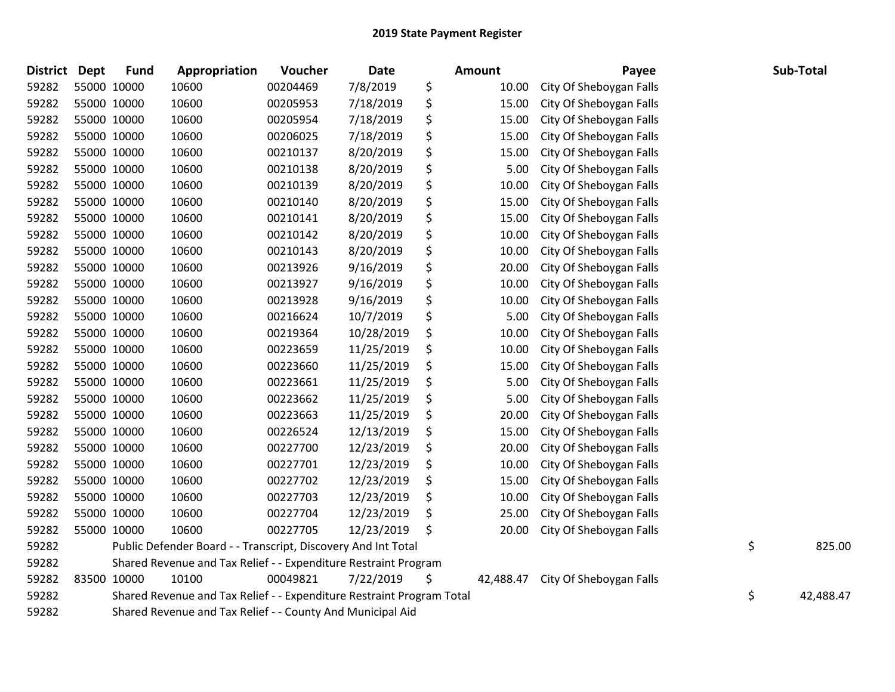| <b>District</b> | Dept | <b>Fund</b>                                                                 | Appropriation | Voucher  | Date       |    | <b>Amount</b> | Payee                   |           | Sub-Total |
|-----------------|------|-----------------------------------------------------------------------------|---------------|----------|------------|----|---------------|-------------------------|-----------|-----------|
| 59282           |      | 55000 10000                                                                 | 10600         | 00204469 | 7/8/2019   | \$ | 10.00         | City Of Sheboygan Falls |           |           |
| 59282           |      | 55000 10000                                                                 | 10600         | 00205953 | 7/18/2019  | \$ | 15.00         | City Of Sheboygan Falls |           |           |
| 59282           |      | 55000 10000                                                                 | 10600         | 00205954 | 7/18/2019  | \$ | 15.00         | City Of Sheboygan Falls |           |           |
| 59282           |      | 55000 10000                                                                 | 10600         | 00206025 | 7/18/2019  | \$ | 15.00         | City Of Sheboygan Falls |           |           |
| 59282           |      | 55000 10000                                                                 | 10600         | 00210137 | 8/20/2019  | \$ | 15.00         | City Of Sheboygan Falls |           |           |
| 59282           |      | 55000 10000                                                                 | 10600         | 00210138 | 8/20/2019  | \$ | 5.00          | City Of Sheboygan Falls |           |           |
| 59282           |      | 55000 10000                                                                 | 10600         | 00210139 | 8/20/2019  | \$ | 10.00         | City Of Sheboygan Falls |           |           |
| 59282           |      | 55000 10000                                                                 | 10600         | 00210140 | 8/20/2019  | \$ | 15.00         | City Of Sheboygan Falls |           |           |
| 59282           |      | 55000 10000                                                                 | 10600         | 00210141 | 8/20/2019  | \$ | 15.00         | City Of Sheboygan Falls |           |           |
| 59282           |      | 55000 10000                                                                 | 10600         | 00210142 | 8/20/2019  | \$ | 10.00         | City Of Sheboygan Falls |           |           |
| 59282           |      | 55000 10000                                                                 | 10600         | 00210143 | 8/20/2019  | \$ | 10.00         | City Of Sheboygan Falls |           |           |
| 59282           |      | 55000 10000                                                                 | 10600         | 00213926 | 9/16/2019  | \$ | 20.00         | City Of Sheboygan Falls |           |           |
| 59282           |      | 55000 10000                                                                 | 10600         | 00213927 | 9/16/2019  | \$ | 10.00         | City Of Sheboygan Falls |           |           |
| 59282           |      | 55000 10000                                                                 | 10600         | 00213928 | 9/16/2019  | \$ | 10.00         | City Of Sheboygan Falls |           |           |
| 59282           |      | 55000 10000                                                                 | 10600         | 00216624 | 10/7/2019  | \$ | 5.00          | City Of Sheboygan Falls |           |           |
| 59282           |      | 55000 10000                                                                 | 10600         | 00219364 | 10/28/2019 | \$ | 10.00         | City Of Sheboygan Falls |           |           |
| 59282           |      | 55000 10000                                                                 | 10600         | 00223659 | 11/25/2019 | \$ | 10.00         | City Of Sheboygan Falls |           |           |
| 59282           |      | 55000 10000                                                                 | 10600         | 00223660 | 11/25/2019 | \$ | 15.00         | City Of Sheboygan Falls |           |           |
| 59282           |      | 55000 10000                                                                 | 10600         | 00223661 | 11/25/2019 | \$ | 5.00          | City Of Sheboygan Falls |           |           |
| 59282           |      | 55000 10000                                                                 | 10600         | 00223662 | 11/25/2019 | \$ | 5.00          | City Of Sheboygan Falls |           |           |
| 59282           |      | 55000 10000                                                                 | 10600         | 00223663 | 11/25/2019 | \$ | 20.00         | City Of Sheboygan Falls |           |           |
| 59282           |      | 55000 10000                                                                 | 10600         | 00226524 | 12/13/2019 | \$ | 15.00         | City Of Sheboygan Falls |           |           |
| 59282           |      | 55000 10000                                                                 | 10600         | 00227700 | 12/23/2019 | \$ | 20.00         | City Of Sheboygan Falls |           |           |
| 59282           |      | 55000 10000                                                                 | 10600         | 00227701 | 12/23/2019 | \$ | 10.00         | City Of Sheboygan Falls |           |           |
| 59282           |      | 55000 10000                                                                 | 10600         | 00227702 | 12/23/2019 | \$ | 15.00         | City Of Sheboygan Falls |           |           |
| 59282           |      | 55000 10000                                                                 | 10600         | 00227703 | 12/23/2019 | \$ | 10.00         | City Of Sheboygan Falls |           |           |
| 59282           |      | 55000 10000                                                                 | 10600         | 00227704 | 12/23/2019 | \$ | 25.00         | City Of Sheboygan Falls |           |           |
| 59282           |      | 55000 10000                                                                 | 10600         | 00227705 | 12/23/2019 | \$ | 20.00         | City Of Sheboygan Falls |           |           |
| 59282           |      | Public Defender Board - - Transcript, Discovery And Int Total               |               |          |            |    |               |                         | \$        | 825.00    |
| 59282           |      | Shared Revenue and Tax Relief - - Expenditure Restraint Program             |               |          |            |    |               |                         |           |           |
| 59282           |      | 83500 10000                                                                 | 10100         | 00049821 | 7/22/2019  | \$ | 42,488.47     | City Of Sheboygan Falls |           |           |
| 59282           |      | \$<br>Shared Revenue and Tax Relief - - Expenditure Restraint Program Total |               |          |            |    |               |                         | 42,488.47 |           |
| 59282           |      | Shared Revenue and Tax Relief - - County And Municipal Aid                  |               |          |            |    |               |                         |           |           |